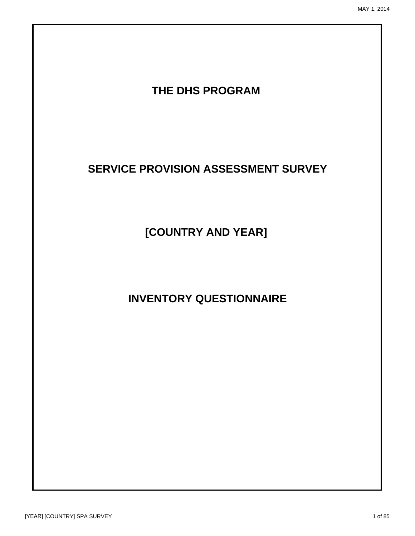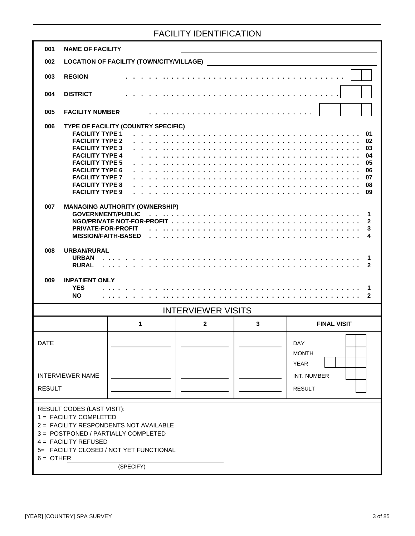#### FACILITY IDENTIFICATION

| 001                          | <b>NAME OF FACILITY</b>                                                                                                                                                                                                                                                                                                                             |                                                                              |                                                                                                                 |   |                                                                                        |
|------------------------------|-----------------------------------------------------------------------------------------------------------------------------------------------------------------------------------------------------------------------------------------------------------------------------------------------------------------------------------------------------|------------------------------------------------------------------------------|-----------------------------------------------------------------------------------------------------------------|---|----------------------------------------------------------------------------------------|
| 002                          |                                                                                                                                                                                                                                                                                                                                                     | <b>LOCATION OF FACILITY (TOWN/CITY/VILLAGE)</b>                              |                                                                                                                 |   |                                                                                        |
| 003                          | <b>REGION</b>                                                                                                                                                                                                                                                                                                                                       |                                                                              |                                                                                                                 |   |                                                                                        |
| 004                          | <b>DISTRICT</b>                                                                                                                                                                                                                                                                                                                                     |                                                                              |                                                                                                                 | . |                                                                                        |
| 005                          | <b>FACILITY NUMBER</b>                                                                                                                                                                                                                                                                                                                              |                                                                              | distribution of the contract of the contract of the contract of the contract of the contract of the contract of |   |                                                                                        |
| 006<br>007<br>008            | <b>FACILITY TYPE 1</b><br><b>FACILITY TYPE 2</b><br><b>FACILITY TYPE 3</b><br><b>FACILITY TYPE 4</b><br><b>FACILITY TYPE 5</b><br><b>FACILITY TYPE 6</b><br><b>FACILITY TYPE 7</b><br><b>FACILITY TYPE 8</b><br><b>FACILITY TYPE 9</b><br><b>GOVERNMENT/PUBLIC</b><br><b>PRIVATE-FOR-PROFIT</b><br><b>MISSION/FAITH-BASED</b><br><b>URBAN/RURAL</b> | TYPE OF FACILITY (COUNTRY SPECIFIC)<br><b>MANAGING AUTHORITY (OWNERSHIP)</b> |                                                                                                                 |   | 01<br>02<br>03<br>04<br>05<br>.<br>06<br>07<br>08<br>09<br>1<br>$\mathbf{2}$<br>3<br>4 |
|                              | <b>URBAN</b><br><b>RURAL</b>                                                                                                                                                                                                                                                                                                                        |                                                                              |                                                                                                                 |   | 1<br>$\mathbf{2}$                                                                      |
|                              |                                                                                                                                                                                                                                                                                                                                                     |                                                                              |                                                                                                                 |   |                                                                                        |
| 009                          | <b>INPATIENT ONLY</b><br><b>YES</b><br><b>NO</b>                                                                                                                                                                                                                                                                                                    |                                                                              |                                                                                                                 |   | 1<br>$\mathbf{2}$                                                                      |
|                              |                                                                                                                                                                                                                                                                                                                                                     |                                                                              | <b>INTERVIEWER VISITS</b>                                                                                       |   |                                                                                        |
|                              |                                                                                                                                                                                                                                                                                                                                                     | 1                                                                            | $\mathbf 2$                                                                                                     | 3 | <b>FINAL VISIT</b>                                                                     |
| <b>DATE</b><br><b>RESULT</b> | <b>INTERVIEWER NAME</b>                                                                                                                                                                                                                                                                                                                             |                                                                              |                                                                                                                 |   | DAY<br><b>MONTH</b><br><b>YEAR</b><br>INT. NUMBER<br><b>RESULT</b>                     |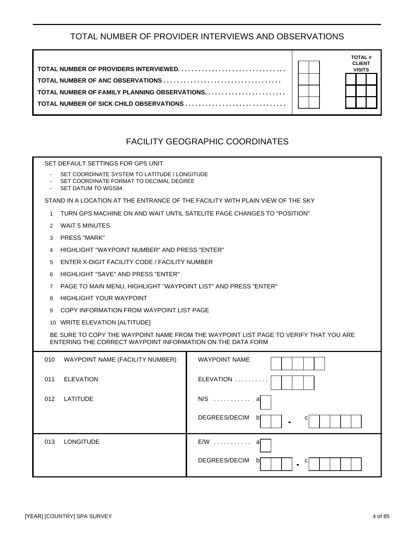#### TOTAL NUMBER OF PROVIDER INTERVIEWS AND OBSERVATIONS

|                                         | <b>TOTAL#</b>                  |
|-----------------------------------------|--------------------------------|
|                                         | <b>CLIENT</b><br><b>VISITS</b> |
|                                         |                                |
|                                         |                                |
| TOTAL NUMBER OF SICK CHILD OBSERVATIONS |                                |
|                                         |                                |

#### FACILITY GEOGRAPHIC COORDINATES

SET DEFAULT SETTINGS FOR GPS UNIT

- SET COORDINATE SYSTEM TO LATITUDE / LONGITUDE
- SET COORDINATE FORMAT TO DECIMAL DEGREE
- SET DATUM TO WGS84

STAND IN A LOCATION AT THE ENTRANCE OF THE FACILITY WITH PLAIN VIEW OF THE SKY

- 1 TURN GPS MACHINE ON AND WAIT UNTIL SATELITE PAGE CHANGES TO "POSITION"
- 2 WAIT 5 MINUTES
- 3 PRESS "MARK"
- 4 HIGHLIGHT "WAYPOINT NUMBER" AND PRESS "ENTER"
- 5 ENTER X-DIGIT FACILITY CODE / FACILITY NUMBER
- 6 HIGHLIGHT "SAVE" AND PRESS "ENTER"
- 7 PAGE TO MAIN MENU, HIGHLIGHT "WAYPOINT LIST" AND PRESS "ENTER"
- 8 HIGHLIGHT YOUR WAYPOINT
- 9 COPY INFORMATION FROM WAYPOINT LIST PAGE
- 10 WRITE ELEVATION [ALTITUDE]

BE SURE TO COPY THE WAYPOINT NAME FROM THE WAYPOINT LIST PAGE TO VERIFY THAT YOU ARE ENTERING THE CORRECT WAYPOINT INFORMATION ON THE DATA FORM

| 010 | WAYPOINT NAME (FACILITY NUMBER) | <b>WAYPOINT NAME</b>                      |
|-----|---------------------------------|-------------------------------------------|
| 011 | <b>ELEVATION</b>                | ELEVATION                                 |
| 012 | LATITUDE                        | $N/S$<br>а                                |
|     |                                 | DEGREES/DECIM<br>b<br>$\blacksquare$      |
| 013 | <b>LONGITUDE</b>                | $E/W$<br>a                                |
|     |                                 | DEGREES/DECIM<br>b<br>С<br>$\blacksquare$ |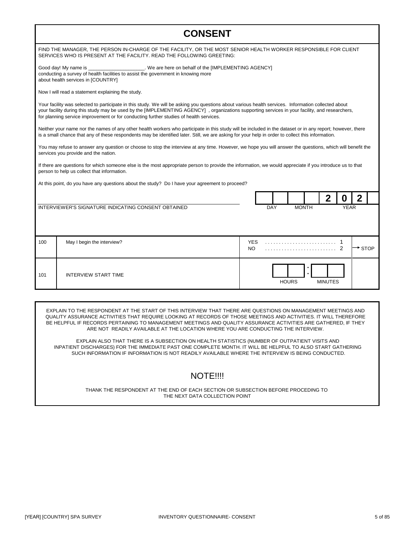| <b>CONSENT</b>                                                                                                                                                                                                                                                                                                                                                                                  |                                                         |
|-------------------------------------------------------------------------------------------------------------------------------------------------------------------------------------------------------------------------------------------------------------------------------------------------------------------------------------------------------------------------------------------------|---------------------------------------------------------|
| FIND THE MANAGER, THE PERSON IN-CHARGE OF THE FACILITY, OR THE MOST SENIOR HEALTH WORKER RESPONSIBLE FOR CLIENT<br>SERVICES WHO IS PRESENT AT THE FACILITY. READ THE FOLLOWING GREETING:                                                                                                                                                                                                        |                                                         |
| Good day! My name is _________________________. We are here on behalf of the [IMPLEMENTING AGENCY]<br>conducting a survey of health facilities to assist the government in knowing more<br>about health services in [COUNTRY]                                                                                                                                                                   |                                                         |
| Now I will read a statement explaining the study.                                                                                                                                                                                                                                                                                                                                               |                                                         |
| Your facility was selected to participate in this study. We will be asking you questions about various health services. Information collected about<br>your facility during this study may be used by the [IMPLEMENTING AGENCY], organizations supporting services in your facility, and researchers,<br>for planning service improvement or for conducting further studies of health services. |                                                         |
| Neither your name nor the names of any other health workers who participate in this study will be included in the dataset or in any report; however, there<br>is a small chance that any of these respondents may be identified later. Still, we are asking for your help in order to collect this information.                                                                                 |                                                         |
| You may refuse to answer any question or choose to stop the interview at any time. However, we hope you will answer the questions, which will benefit the<br>services you provide and the nation.                                                                                                                                                                                               |                                                         |
| If there are questions for which someone else is the most appropriate person to provide the information, we would appreciate if you introduce us to that<br>person to help us collect that information.                                                                                                                                                                                         |                                                         |
| At this point, do you have any questions about the study? Do I have your agreement to proceed?                                                                                                                                                                                                                                                                                                  |                                                         |
|                                                                                                                                                                                                                                                                                                                                                                                                 | $\mathbf{2}$<br>2<br>O                                  |
| INTERVIEWER'S SIGNATURE INDICATING CONSENT OBTAINED                                                                                                                                                                                                                                                                                                                                             | <b>MONTH</b><br>DAY<br><b>YEAR</b>                      |
|                                                                                                                                                                                                                                                                                                                                                                                                 |                                                         |
| 100<br>May I begin the interview?                                                                                                                                                                                                                                                                                                                                                               | <b>YES</b><br>NO.<br>2<br>$\overline{\phantom{a}}$ stop |
| <b>INTERVIEW START TIME</b><br>101                                                                                                                                                                                                                                                                                                                                                              | <b>HOURS</b><br><b>MINUTES</b>                          |

EXPLAIN TO THE RESPONDENT AT THE START OF THIS INTERVIEW THAT THERE ARE QUESTIONS ON MANAGEMENT MEETINGS AND QUALITY ASSURANCE ACTIVITIES THAT REQUIRE LOOKING AT RECORDS OF THOSE MEETINGS AND ACTIVITIES. IT WILL THEREFORE BE HELPFUL IF RECORDS PERTAINING TO MANAGEMENT MEETINGS AND QUALITY ASSURANCE ACTIVITIES ARE GATHERED, IF THEY ARE NOT READILY AVAILABLE AT THE LOCATION WHERE YOU ARE CONDUCTING THE INTERVIEW.

EXPLAIN ALSO THAT THERE IS A SUBSECTION ON HEALTH STATISTICS (NUMBER OF OUTPATIENT VISITS AND INPATIENT DISCHARGES) FOR THE IMMEDIATE PAST ONE COMPLETE MONTH. IT WILL BE HELPFUL TO ALSO START GATHERING SUCH INFORMATION IF INFORMATION IS NOT READILY AVAILABLE WHERE THE INTERVIEW IS BEING CONDUCTED.

#### NOTE!!!!

THANK THE RESPONDENT AT THE END OF EACH SECTION OR SUBSECTION BEFORE PROCEDING TO THE NEXT DATA COLLECTION POINT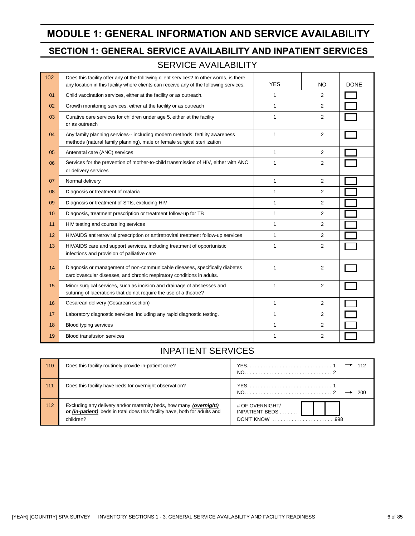## **MODULE 1: GENERAL INFORMATION AND SERVICE AVAILABILITY**

#### **SECTION 1: GENERAL SERVICE AVAILABILITY AND INPATIENT SERVICES**

#### SERVICE AVAILABILITY

| 102 | Does this facility offer any of the following client services? In other words, is there<br>any location in this facility where clients can receive any of the following services: | <b>YES</b>   | NO.            | <b>DONE</b> |
|-----|-----------------------------------------------------------------------------------------------------------------------------------------------------------------------------------|--------------|----------------|-------------|
| 01  | Child vaccination services, either at the facility or as outreach.                                                                                                                | 1            | $\overline{2}$ |             |
| 02  | Growth monitoring services, either at the facility or as outreach                                                                                                                 | 1            | $\overline{2}$ |             |
| 03  | Curative care services for children under age 5, either at the facility<br>or as outreach                                                                                         | 1            | 2              |             |
| 04  | Any family planning services-- including modern methods, fertility awareness<br>methods (natural family planning), male or female surgical sterilization                          | $\mathbf{1}$ | $\overline{2}$ |             |
| 05  | Antenatal care (ANC) services                                                                                                                                                     | 1            | $\overline{2}$ |             |
| 06  | Services for the prevention of mother-to-child transmission of HIV, either with ANC<br>or delivery services                                                                       | $\mathbf{1}$ | $\overline{2}$ |             |
| 07  | Normal delivery                                                                                                                                                                   | $\mathbf{1}$ | $\overline{2}$ |             |
| 08  | Diagnosis or treatment of malaria                                                                                                                                                 | 1            | $\overline{2}$ |             |
| 09  | Diagnosis or treatment of STIs, excluding HIV                                                                                                                                     | 1            | 2              |             |
| 10  | Diagnosis, treatment prescription or treatment follow-up for TB                                                                                                                   | 1            | $\overline{2}$ |             |
| 11  | HIV testing and counseling services                                                                                                                                               | 1            | $\overline{2}$ |             |
| 12  | HIV/AIDS antiretroviral prescription or antiretroviral treatment follow-up services                                                                                               | 1            | $\overline{2}$ |             |
| 13  | HIV/AIDS care and support services, including treatment of opportunistic<br>infections and provision of palliative care                                                           | 1            | $\overline{2}$ |             |
| 14  | Diagnosis or management of non-communicable diseases, specifically diabetes<br>cardiovascular diseases, and chronic respiratory conditions in adults.                             | 1            | $\overline{2}$ |             |
| 15  | Minor surgical services, such as incision and drainage of abscesses and<br>suturing of lacerations that do not require the use of a theatre?                                      | $\mathbf{1}$ | $\overline{2}$ |             |
| 16  | Cesarean delivery (Cesarean section)                                                                                                                                              | 1            | $\overline{2}$ |             |
| 17  | Laboratory diagnostic services, including any rapid diagnostic testing.                                                                                                           | 1            | $\overline{2}$ |             |
| 18  | Blood typing services                                                                                                                                                             | 1            | $\overline{2}$ |             |
| 19  | <b>Blood transfusion services</b>                                                                                                                                                 | 1            | $\overline{2}$ |             |

#### INPATIENT SERVICES

| 110 | Does this facility routinely provide in-patient care?                                                                                                                | 112                                                                                                 |
|-----|----------------------------------------------------------------------------------------------------------------------------------------------------------------------|-----------------------------------------------------------------------------------------------------|
| 111 | Does this facility have beds for overnight observation?                                                                                                              | 200                                                                                                 |
| 112 | Excluding any delivery and/or maternity beds, how many (overnight)<br>or <i>(in-patient)</i> beds in total does this facility have, both for adults and<br>children? | # OF OVERNIGHT/<br>INPATIENT BEDS<br>DON'T KNOW $\ldots \ldots \ldots \ldots \ldots \ldots$<br>.998 |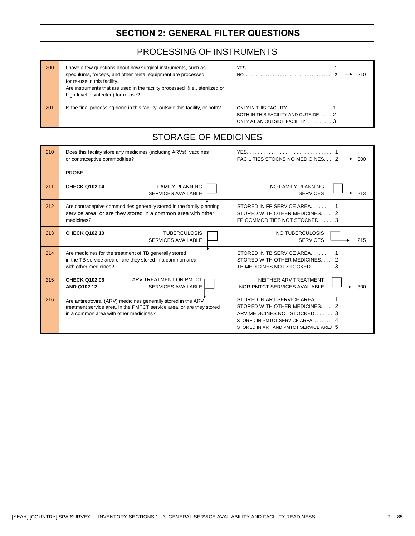## **SECTION 2: GENERAL FILTER QUESTIONS**

#### PROCESSING OF INSTRUMENTS

| 200 | I have a few questions about how surgical instruments, such as<br>speculums, forceps, and other metal equipment are processed<br>for re-use in this facility.<br>Are instruments that are used in the facility processed (i.e., sterilized or<br>high-level disinfected) for re-use? |                                      | 210 |
|-----|--------------------------------------------------------------------------------------------------------------------------------------------------------------------------------------------------------------------------------------------------------------------------------------|--------------------------------------|-----|
| 201 | Is the final processing done in this facility, outside this facility, or both?                                                                                                                                                                                                       | BOTH IN THIS FACILITY AND OUTSIDE  2 |     |

#### STORAGE OF MEDICINES

| 210 | Does this facility store any medicines (including ARVs), vaccines<br>or contraceptive commodities?                                                                                | FACILITIES STOCKS NO MEDICINES 2                                                                                                                                     | 300 |
|-----|-----------------------------------------------------------------------------------------------------------------------------------------------------------------------------------|----------------------------------------------------------------------------------------------------------------------------------------------------------------------|-----|
|     | PROBE                                                                                                                                                                             |                                                                                                                                                                      |     |
| 211 | <b>CHECK Q102.04</b><br><b>FAMILY PLANNING</b><br><b>SERVICES AVAILABLE</b>                                                                                                       | NO FAMILY PLANNING<br><b>SERVICES</b>                                                                                                                                | 213 |
| 212 | Are contraceptive commodities generally stored in the family planning<br>service area, or are they stored in a common area with other<br>medicines?                               | STORED IN FP SERVICE AREA<br>STORED WITH OTHER MEDICINES<br>FP COMMODITIES NOT STOCKED 3                                                                             |     |
| 213 | <b>CHECK Q102.10</b><br><b>TUBERCULOSIS</b><br><b>SERVICES AVAILABLE</b>                                                                                                          | NO TUBERCULOSIS<br><b>SERVICES</b>                                                                                                                                   | 215 |
| 214 | Are medicines for the treatment of TB generally stored<br>in the TB service area or are they stored in a common area<br>with other medicines?                                     | STORED IN TB SERVICE AREA<br>STORED WITH OTHER MEDICINES 2<br>TB MEDICINES NOT STOCKED 3                                                                             |     |
| 215 | ARV TREATMENT OR PMTCT<br><b>CHECK Q102.06</b><br><b>SERVICES AVAILABLE</b><br><b>AND Q102.12</b>                                                                                 | NEITHER ARV TREATMENT<br>NOR PMTCT SERVICES AVAILABLE                                                                                                                | 300 |
| 216 | Are antiretroviral (ARV) medicines generally stored in the ARV<br>treatment service area, in the PMTCT service area, or are they stored<br>in a common area with other medicines? | STORED IN ART SERVICE AREA 1<br>STORED WITH OTHER MEDICINES<br>ARV MEDICINES NOT STOCKED 3<br>STORED IN PMTCT SERVICE AREA<br>STORED IN ART AND PMTCT SERVICE AREA 5 |     |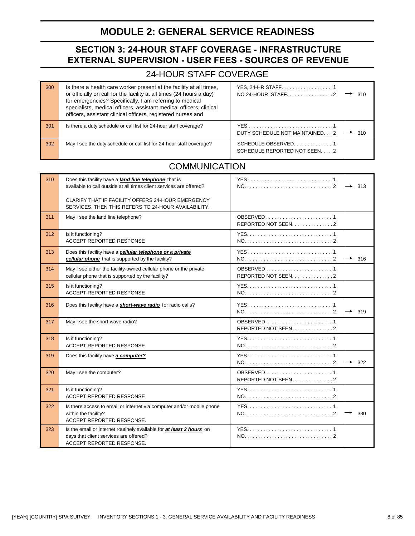### **MODULE 2: GENERAL SERVICE READINESS**

#### **SECTION 3: 24-HOUR STAFF COVERAGE - INFRASTRUCTURE EXTERNAL SUPERVISION - USER FEES - SOURCES OF REVENUE**

#### 24-HOUR STAFF COVERAGE

| 300 | Is there a health care worker present at the facility at all times,<br>or officially on call for the facility at all times (24 hours a day)<br>for emergencies? Specifically, I am referring to medical<br>specialists, medical officers, assistant medical officers, clinical<br>officers, assistant clinical officers, registered nurses and | YES, 24-HR STAFF1                     | 310 |
|-----|------------------------------------------------------------------------------------------------------------------------------------------------------------------------------------------------------------------------------------------------------------------------------------------------------------------------------------------------|---------------------------------------|-----|
| 301 | Is there a duty schedule or call list for 24-hour staff coverage?                                                                                                                                                                                                                                                                              | YES<br>DUTY SCHEDULE NOT MAINTAINED 2 | 310 |
| 302 | May I see the duty schedule or call list for 24-hour staff coverage?                                                                                                                                                                                                                                                                           | SCHEDULE REPORTED NOT SEEN 2          |     |

#### **COMMUNICATION**

| 310 | Does this facility have a <b>land line telephone</b> that is<br>available to call outside at all times client services are offered?<br>CLARIFY THAT IF FACILITY OFFERS 24-HOUR EMERGENCY | YES1               | 313 |
|-----|------------------------------------------------------------------------------------------------------------------------------------------------------------------------------------------|--------------------|-----|
|     | SERVICES, THEN THIS REFERS TO 24-HOUR AVAILABILITY.                                                                                                                                      |                    |     |
| 311 | May I see the land line telephone?                                                                                                                                                       | REPORTED NOT SEEN2 |     |
| 312 | Is it functioning?<br><b>ACCEPT REPORTED RESPONSE</b>                                                                                                                                    |                    |     |
| 313 | Does this facility have a cellular telephone or a private<br>cellular phone that is supported by the facility?                                                                           |                    | 316 |
| 314 | May I see either the facility-owned cellular phone or the private<br>cellular phone that is supported by the facility?                                                                   | REPORTED NOT SEEN2 |     |
| 315 | Is it functioning?<br>ACCEPT REPORTED RESPONSE                                                                                                                                           |                    |     |
| 316 | Does this facility have a <b>short-wave radio</b> for radio calls?                                                                                                                       |                    | 319 |
| 317 | May I see the short-wave radio?                                                                                                                                                          | REPORTED NOT SEEN2 |     |
| 318 | Is it functioning?<br><b>ACCEPT REPORTED RESPONSE</b>                                                                                                                                    |                    |     |
| 319 | Does this facility have <b>a computer?</b>                                                                                                                                               |                    | 322 |
| 320 | May I see the computer?                                                                                                                                                                  | REPORTED NOT SEEN2 |     |
| 321 | Is it functioning?<br><b>ACCEPT REPORTED RESPONSE</b>                                                                                                                                    |                    |     |
| 322 | Is there access to email or internet via computer and/or mobile phone<br>within the facility?<br>ACCEPT REPORTED RESPONSE.                                                               |                    | 330 |
| 323 | Is the email or internet routinely available for at least 2 hours on<br>days that client services are offered?<br>ACCEPT REPORTED RESPONSE.                                              |                    |     |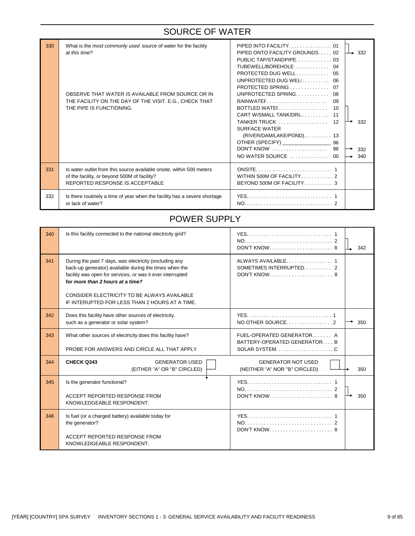#### SOURCE OF WATER

| 330 | What is the most commonly used source of water for the facility<br>at this time?<br>OBSERVE THAT WATER IS AVAILABLE FROM SOURCE OR IN<br>THE FACILITY ON THE DAY OF THE VISIT. E.G., CHECK THAT<br>THE PIPE IS FUNCTIONING. | PIPED INTO FACILITY01<br>PIPED ONTO FACILITY GROUNDS 02<br>TUBEWELL/BOREHOLE  04<br>PROTECTED DUG WELL 05<br>UNPROTECTED DUG WELI 06<br>UNPROTECTED SPRING<br>08<br>09<br>10<br>CART W/SMALL TANK/DRL 11<br><b>SURFACE WATER</b><br>(RIVER/DAM/LAKE/POND). 13<br>OTHER (SPECIFY) <u>Contains and the set of the set of the set of the set of the set of the set of the set of the set of the set of the set of the set of the set of the set of the set of the set of the set of the set of the s</u><br>96<br>DON'T KNOW  98<br>NO WATER SOURCE  00 | $\rightarrow$ 332<br>332<br>332<br>340 |
|-----|-----------------------------------------------------------------------------------------------------------------------------------------------------------------------------------------------------------------------------|------------------------------------------------------------------------------------------------------------------------------------------------------------------------------------------------------------------------------------------------------------------------------------------------------------------------------------------------------------------------------------------------------------------------------------------------------------------------------------------------------------------------------------------------------|----------------------------------------|
| 331 | Is water outlet from this source available onsite, within 500 meters<br>of the facility, or beyond 500M of facility?<br><b>REPORTED RESPONSE IS ACCEPTABLE</b>                                                              | BEYOND 500M OF FACILITY3                                                                                                                                                                                                                                                                                                                                                                                                                                                                                                                             |                                        |
| 332 | Is there routinely a time of year when the facility has a severe shortage<br>or lack of water?                                                                                                                              |                                                                                                                                                                                                                                                                                                                                                                                                                                                                                                                                                      |                                        |

#### POWER SUPPLY

| 340 | Is this facility connected to the national electricity grid?                                                                                                                                                       |                                                                                                                  | 342 |
|-----|--------------------------------------------------------------------------------------------------------------------------------------------------------------------------------------------------------------------|------------------------------------------------------------------------------------------------------------------|-----|
| 341 | During the past 7 days, was electricity (excluding any<br>back-up generator) available during the times when the<br>facility was open for services, or was it ever interrupted<br>for more than 2 hours at a time? | ALWAYS AVAILABLE. 1<br>SOMETIMES INTERRUPTED 2                                                                   |     |
|     | CONSIDER ELECTRICITY TO BE ALWAYS AVAILABLE<br>IF INTERUPTED FOR LESS THAN 2 HOURS AT A TIME.                                                                                                                      |                                                                                                                  |     |
| 342 | Does this facility have other sources of electricity,<br>such as a generator or solar system?                                                                                                                      | NO OTHER SOURCE2                                                                                                 | 350 |
| 343 | What other sources of electricity does this facility have?<br>PROBE FOR ANSWERS AND CIRCLE ALL THAT APPLY                                                                                                          | FUEL-OPERATED GENERATOR A<br>BATTERY-OPERATED GENERATOR B<br>SOLAR SYSTEM. $\dots \dots \dots \dots \dots \dots$ |     |
| 344 | CHECK Q343<br><b>GENERATOR USED</b><br>(EITHER "A" OR "B" CIRCLED)                                                                                                                                                 | <b>GENERATOR NOT USED</b><br>(NEITHER "A" NOR "B" CIRCLED)                                                       | 350 |
| 345 | Is the generator functional?                                                                                                                                                                                       |                                                                                                                  |     |
|     | ACCEPT REPORTED RESPONSE FROM<br>KNOWLEDGEABLE RESPONDENT.                                                                                                                                                         |                                                                                                                  | 350 |
| 346 | Is fuel (or a charged battery) available today for<br>the generator?                                                                                                                                               | DON'T KNOW 8                                                                                                     |     |
|     | ACCEPT REPORTED RESPONSE FROM<br>KNOWLEDGEABLE RESPONDENT.                                                                                                                                                         |                                                                                                                  |     |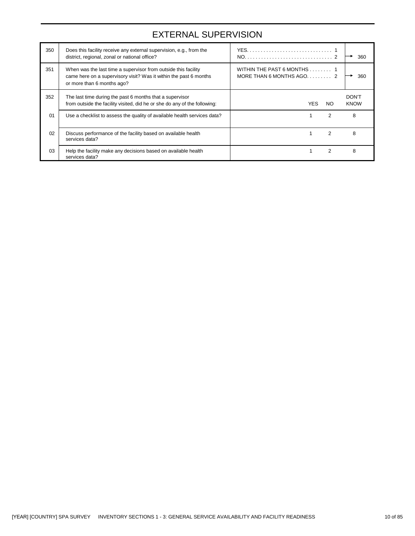### EXTERNAL SUPERVISION

| 350 | Does this facility receive any external supervision, e.g., from the<br>district, regional, zonal or national office?                                              |                                                        | 360                         |
|-----|-------------------------------------------------------------------------------------------------------------------------------------------------------------------|--------------------------------------------------------|-----------------------------|
| 351 | When was the last time a supervisor from outside this facility<br>came here on a supervisory visit? Was it within the past 6 months<br>or more than 6 months ago? | WITHIN THE PAST 6 MONTHS 1<br>MORE THAN 6 MONTHS AGO 2 | 360                         |
| 352 | The last time during the past 6 months that a supervisor<br>from outside the facility visited, did he or she do any of the following:                             | YES.<br>NO.                                            | <b>DON'T</b><br><b>KNOW</b> |
| 01  | Use a checklist to assess the quality of available health services data?                                                                                          | 2                                                      | 8                           |
| 02  | Discuss performance of the facility based on available health<br>services data?                                                                                   | $\mathcal{P}$                                          | 8                           |
| 03  | Help the facility make any decisions based on available health<br>services data?                                                                                  | 2                                                      | 8                           |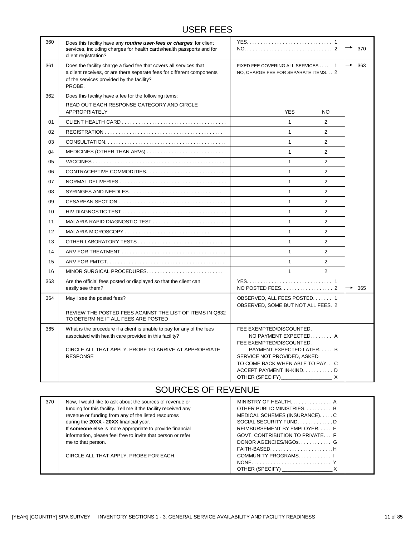#### USER FEES

| 360 | Does this facility have any routine user-fees or charges for client<br>services, including charges for health cards/health passports and for<br>client registration?                                         |                                                                                                                                                                                                              | ٠ | 370 |
|-----|--------------------------------------------------------------------------------------------------------------------------------------------------------------------------------------------------------------|--------------------------------------------------------------------------------------------------------------------------------------------------------------------------------------------------------------|---|-----|
| 361 | Does the facility charge a fixed fee that covers all services that<br>a client receives, or are there separate fees for different components<br>of the services provided by the facility?<br>PROBE.          | FIXED FEE COVERING ALL SERVICES  1<br>NO, CHARGE FEE FOR SEPARATE ITEMS. 2                                                                                                                                   |   | 363 |
| 362 | Does this facility have a fee for the following items:                                                                                                                                                       |                                                                                                                                                                                                              |   |     |
|     | READ OUT EACH RESPONSE CATEGORY AND CIRCLE<br><b>APPROPRIATELY</b>                                                                                                                                           | <b>YES</b><br><b>NO</b>                                                                                                                                                                                      |   |     |
| 01  |                                                                                                                                                                                                              | $\mathbf{1}$<br>2                                                                                                                                                                                            |   |     |
| 02  |                                                                                                                                                                                                              | $\mathbf{1}$<br>$\overline{2}$                                                                                                                                                                               |   |     |
| 03  |                                                                                                                                                                                                              | $\mathbf{1}$<br>$\overline{2}$                                                                                                                                                                               |   |     |
| 04  | MEDICINES (OTHER THAN ARVs) $\dots\dots\dots\dots\dots\dots\dots\dots\dots\dots\dots$                                                                                                                        | $\mathbf{1}$<br>$\overline{2}$                                                                                                                                                                               |   |     |
| 05  |                                                                                                                                                                                                              | $\mathbf{1}$<br>2                                                                                                                                                                                            |   |     |
| 06  | CONTRACEPTIVE COMMODITIES.                                                                                                                                                                                   | $\mathbf{1}$<br>$\overline{2}$                                                                                                                                                                               |   |     |
| 07  |                                                                                                                                                                                                              | $\mathbf{1}$<br>2                                                                                                                                                                                            |   |     |
| 08  |                                                                                                                                                                                                              | $\mathbf{1}$<br>$\overline{2}$                                                                                                                                                                               |   |     |
| 09  |                                                                                                                                                                                                              | $\mathbf{1}$<br>2                                                                                                                                                                                            |   |     |
| 10  |                                                                                                                                                                                                              | $\mathbf{1}$<br>$\overline{2}$                                                                                                                                                                               |   |     |
| 11  | MALARIA RAPID DIAGNOSTIC TEST                                                                                                                                                                                | $\mathbf{1}$<br>$\overline{2}$                                                                                                                                                                               |   |     |
| 12  | MALARIA MICROSCOPY                                                                                                                                                                                           | $\mathbf{1}$<br>$\overline{2}$                                                                                                                                                                               |   |     |
| 13  | OTHER LABORATORY TESTS                                                                                                                                                                                       | $\mathbf{1}$<br>$\overline{2}$                                                                                                                                                                               |   |     |
| 14  |                                                                                                                                                                                                              | $\mathbf{1}$<br>2                                                                                                                                                                                            |   |     |
| 15  |                                                                                                                                                                                                              | $\mathbf{1}$<br>2                                                                                                                                                                                            |   |     |
| 16  |                                                                                                                                                                                                              | $\mathbf{1}$<br>2                                                                                                                                                                                            |   |     |
| 363 | Are the official fees posted or displayed so that the client can<br>easily see them?                                                                                                                         | NO POSTED FEES. 2                                                                                                                                                                                            |   | 365 |
| 364 | May I see the posted fees?                                                                                                                                                                                   | OBSERVED, ALL FEES POSTED 1<br>OBSERVED, SOME BUT NOT ALL FEES. 2                                                                                                                                            |   |     |
|     | REVIEW THE POSTED FEES AGAINST THE LIST OF ITEMS IN Q632<br>TO DETERMINE IF ALL FEES ARE POSTED                                                                                                              |                                                                                                                                                                                                              |   |     |
| 365 | What is the procedure if a client is unable to pay for any of the fees<br>associated with health care provided in this facility?<br>CIRCLE ALL THAT APPLY. PROBE TO ARRIVE AT APPROPRIATE<br><b>RESPONSE</b> | FEE EXEMPTED/DISCOUNTED.<br>NO PAYMENT EXPECTED A<br>FEE EXEMPTED/DISCOUNTED,<br>PAYMENT EXPECTED LATER B<br>SERVICE NOT PROVIDED, ASKED<br>TO COME BACK WHEN ABLE TO PAY. C<br>ACCEPT PAYMENT IN-KINDD<br>X |   |     |

#### SOURCES OF REVENUE

| 370 | Now, I would like to ask about the sources of revenue or        |                                        |  |
|-----|-----------------------------------------------------------------|----------------------------------------|--|
|     | funding for this facility. Tell me if the facility received any | OTHER PUBLIC MINISTRIES B              |  |
|     | revenue or funding from any of the listed resources             | MEDICAL SCHEMES (INSURANCE)C           |  |
|     | during the 20XX - 20XX financial year.                          | SOCIAL SECURITY FUND. $\ldots$ , ,   D |  |
|     | If someone else is more appropriate to provide financial        | REIMBURSEMENT BY EMPLOYER E            |  |
|     | information, please feel free to invite that person or refer    | GOVT. CONTRIBUTION TO PRIVATE F        |  |
|     | me to that person.                                              | DONOR AGENCIES/NGOSG                   |  |
|     |                                                                 |                                        |  |
|     | CIRCLE ALL THAT APPLY. PROBE FOR EACH.                          | COMMUNITY PROGRAMS                     |  |
|     |                                                                 | $\text{NONE}$                          |  |
|     |                                                                 | OTHER (SPECIFY) X                      |  |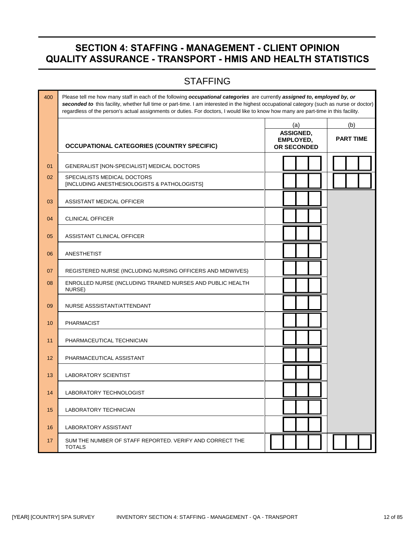### **SECTION 4: STAFFING - MANAGEMENT - CLIENT OPINION QUALITY ASSURANCE - TRANSPORT - HMIS AND HEALTH STATISTICS**

## **STAFFING**

| 400 | Please tell me how many staff in each of the following occupational categories are currently assigned to, employed by, or<br>seconded to this facility, whether full time or part-time. I am interested in the highest occupational category (such as nurse or doctor)<br>regardless of the person's actual assignments or duties. For doctors, I would like to know how many are part-time in this facility. |                                              |                  |
|-----|---------------------------------------------------------------------------------------------------------------------------------------------------------------------------------------------------------------------------------------------------------------------------------------------------------------------------------------------------------------------------------------------------------------|----------------------------------------------|------------------|
|     |                                                                                                                                                                                                                                                                                                                                                                                                               | (a)                                          | (b)              |
|     | <b>OCCUPATIONAL CATEGORIES (COUNTRY SPECIFIC)</b>                                                                                                                                                                                                                                                                                                                                                             | ASSIGNED,<br>EMPLOYED,<br><b>OR SECONDED</b> | <b>PART TIME</b> |
| 01  | GENERALIST [NON-SPECIALIST] MEDICAL DOCTORS                                                                                                                                                                                                                                                                                                                                                                   |                                              |                  |
| 02  | SPECIALISTS MEDICAL DOCTORS<br>[INCLUDING ANESTHESIOLOGISTS & PATHOLOGISTS]                                                                                                                                                                                                                                                                                                                                   |                                              |                  |
| 03  | ASSISTANT MEDICAL OFFICER                                                                                                                                                                                                                                                                                                                                                                                     |                                              |                  |
| 04  | <b>CLINICAL OFFICER</b>                                                                                                                                                                                                                                                                                                                                                                                       |                                              |                  |
| 05  | ASSISTANT CLINICAL OFFICER                                                                                                                                                                                                                                                                                                                                                                                    |                                              |                  |
| 06  | ANESTHETIST                                                                                                                                                                                                                                                                                                                                                                                                   |                                              |                  |
| 07  | REGISTERED NURSE (INCLUDING NURSING OFFICERS AND MIDWIVES)                                                                                                                                                                                                                                                                                                                                                    |                                              |                  |
| 08  | ENROLLED NURSE (INCLUDING TRAINED NURSES AND PUBLIC HEALTH<br>NURSE)                                                                                                                                                                                                                                                                                                                                          |                                              |                  |
| 09  | NURSE ASSSISTANT/ATTENDANT                                                                                                                                                                                                                                                                                                                                                                                    |                                              |                  |
| 10  | <b>PHARMACIST</b>                                                                                                                                                                                                                                                                                                                                                                                             |                                              |                  |
| 11  | PHARMACEUTICAL TECHNICIAN                                                                                                                                                                                                                                                                                                                                                                                     |                                              |                  |
| 12  | PHARMACEUTICAL ASSISTANT                                                                                                                                                                                                                                                                                                                                                                                      |                                              |                  |
| 13  | <b>LABORATORY SCIENTIST</b>                                                                                                                                                                                                                                                                                                                                                                                   |                                              |                  |
| 14  | LABORATORY TECHNOLOGIST                                                                                                                                                                                                                                                                                                                                                                                       |                                              |                  |
| 15  | LABORATORY TECHNICIAN                                                                                                                                                                                                                                                                                                                                                                                         |                                              |                  |
| 16  | <b>LABORATORY ASSISTANT</b>                                                                                                                                                                                                                                                                                                                                                                                   |                                              |                  |
| 17  | SUM THE NUMBER OF STAFF REPORTED. VERIFY AND CORRECT THE<br><b>TOTALS</b>                                                                                                                                                                                                                                                                                                                                     |                                              |                  |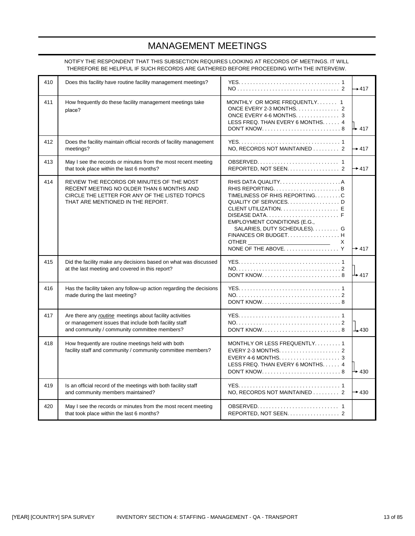## MANAGEMENT MEETINGS

NOTIFY THE RESPONDENT THAT THIS SUBSECTION REQUIRES LOOKING AT RECORDS OF MEETINGS. IT WILL THEREFORE BE HELPFUL IF SUCH RECORDS ARE GATHERED BEFORE PROCEEDING WITH THE INTERVEIW.

| 410 | Does this facility have routine facility management meetings?                                                                                                                 |                                                                                                                                                                                                                                       | $+417$            |
|-----|-------------------------------------------------------------------------------------------------------------------------------------------------------------------------------|---------------------------------------------------------------------------------------------------------------------------------------------------------------------------------------------------------------------------------------|-------------------|
| 411 | How frequently do these facility management meetings take<br>place?                                                                                                           | MONTHLY OR MORE FREQUENTLY 1<br>ONCE EVERY 4-6 MONTHS. 3<br>LESS FREQ. THAN EVERY 6 MONTHS. 4                                                                                                                                         | Њ 417             |
| 412 | Does the facility maintain official records of facility management<br>meetings?                                                                                               | NO, RECORDS NOT MAINTAINED 2                                                                                                                                                                                                          | $\rightarrow$ 417 |
| 413 | May I see the records or minutes from the most recent meeting<br>that took place within the last 6 months?                                                                    | REPORTED, NOT SEEN. 2                                                                                                                                                                                                                 | $\rightarrow$ 417 |
| 414 | REVIEW THE RECORDS OR MINUTES OF THE MOST<br>RECENT MEETING NO OLDER THAN 6 MONTHS AND<br>CIRCLE THE LETTER FOR ANY OF THE LISTED TOPICS<br>THAT ARE MENTIONED IN THE REPORT. | TIMELINESS OF RHIS REPORTINGC<br>QUALITY OF SERVICES. D<br>DISEASE DATA. $\ldots$ , $\ldots$ , $\ldots$ , $\ldots$ , $\ldots$ , $\vdots$<br>EMPLOYMENT CONDITIONS (E.G.,<br>SALARIES, DUTY SCHEDULES). G<br>FINANCES OR BUDGET H<br>X | $\rightarrow$ 417 |
| 415 | Did the facility make any decisions based on what was discussed<br>at the last meeting and covered in this report?                                                            | $DON'T$ KNOW. $\ldots$ , $\ldots$ , $\ldots$ , $\ldots$ , $\ldots$ , $\ldots$ , 8                                                                                                                                                     | $\perp$ 417       |
| 416 | Has the facility taken any follow-up action regarding the decisions<br>made during the last meeting?                                                                          |                                                                                                                                                                                                                                       |                   |
| 417 | Are there any routine meetings about facility activities<br>or management issues that include both facility staff<br>and community / community committee members?             | $DON'T$ KNOW. $\ldots$ , $\ldots$ , $\ldots$ , $\ldots$ , $\ldots$ , $\ldots$ , 8                                                                                                                                                     | $\perp$ 430       |
| 418 | How frequently are routine meetings held with both<br>facility staff and community / community committee members?                                                             | MONTHLY OR LESS FREQUENTLY1<br>EVERY 2-3 MONTHS. $\ldots$ , 2<br>EVERY 4-6 MONTHS. $\ldots$ , 3<br>LESS FREQ. THAN EVERY 6 MONTHS. 4<br>$DONT$ KNOW. $\ldots$ , $\ldots$ , $\ldots$ , $\ldots$ , $\ldots$ , $\ldots$                  | $+430$            |
| 419 | Is an official record of the meetings with both facility staff<br>and community members maintained?                                                                           | NO, RECORDS NOT MAINTAINED 2                                                                                                                                                                                                          | $\rightarrow$ 430 |
| 420 | May I see the records or minutes from the most recent meeting<br>that took place within the last 6 months?                                                                    | REPORTED, NOT SEEN. 2                                                                                                                                                                                                                 |                   |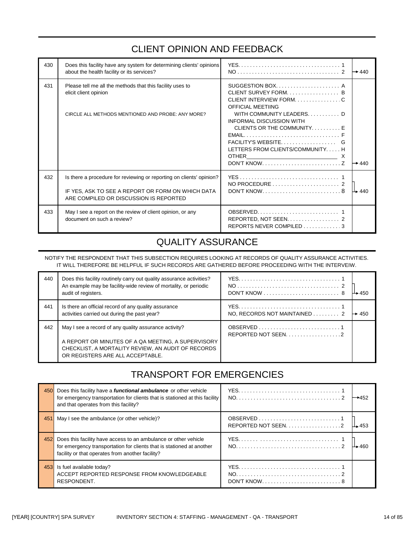# CLIENT OPINION AND FEEDBACK

| 430 | Does this facility have any system for determining clients' opinions<br>about the health facility or its services?                                                  |                                                                                                                                                                                                                                                                                                                                                                           | $\rightarrow$ 440 |
|-----|---------------------------------------------------------------------------------------------------------------------------------------------------------------------|---------------------------------------------------------------------------------------------------------------------------------------------------------------------------------------------------------------------------------------------------------------------------------------------------------------------------------------------------------------------------|-------------------|
| 431 | Please tell me all the methods that this facility uses to<br>elicit client opinion<br>CIRCLE ALL METHODS MENTIONED AND PROBE: ANY MORE?                             | CLIENT SURVEY FORM B<br>CLIENT INTERVIEW FORMC<br><b>OFFICIAL MEETIING</b><br>WITH COMMUNITY LEADERS. D<br>INFORMAL DISCUSSION WITH<br>CLIENTS OR THE COMMUNITYE<br>$EMAIL, \ldots, \ldots, \ldots, \ldots, \ldots, \ldots, \ldots, \ldots, F$<br>FACILITY'S WEBSITE<br>LETTERS FROM CLIENTS/COMMUNITY H<br>DON'T KNOW. $\dots \dots \dots \dots \dots \dots \dots \dots$ | $\rightarrow$ 440 |
| 432 | Is there a procedure for reviewing or reporting on clients' opinion?<br>IF YES, ASK TO SEE A REPORT OR FORM ON WHICH DATA<br>ARE COMPILED OR DISCUSSION IS REPORTED | DON'T KNOW. $\dots \dots \dots \dots \dots \dots \dots \dots$ . 8                                                                                                                                                                                                                                                                                                         | $\perp$ 440       |
| 433 | May I see a report on the review of client opinion, or any<br>document on such a review?                                                                            | REPORTS NEVER COMPILED 3                                                                                                                                                                                                                                                                                                                                                  |                   |

### QUALITY ASSURANCE

NOTIFY THE RESPONDENT THAT THIS SUBSECTION REQUIRES LOOKING AT RECORDS OF QUALITY ASSURANCE ACTIVITIES. IT WILL THEREFORE BE HELPFUL IF SUCH RECORDS ARE GATHERED BEFORE PROCEEDING WITH THE INTERVEIW.

| 440 | Does this facility routinely carry out quality assurance activities?<br>An example may be facility-wide review of mortality, or periodic<br>audit of registers.                                       |                              | $\rightarrow$ 450 |
|-----|-------------------------------------------------------------------------------------------------------------------------------------------------------------------------------------------------------|------------------------------|-------------------|
| 441 | Is there an official record of any quality assurance<br>activities carried out during the past year?                                                                                                  | NO, RECORDS NOT MAINTAINED 2 | $\rightarrow$ 450 |
| 442 | May I see a record of any quality assurance activity?<br>A REPORT OR MINUTES OF A QA MEETING, A SUPERVISORY<br>CHECKLIST, A MORTALITY REVIEW, AN AUDIT OF RECORDS<br>OR REGISTERS ARE ALL ACCEPTABLE. | REPORTED NOT SEEN2           |                   |

## TRANSPORT FOR EMERGENCIES

| 450 | Does this facility have a <b>functional ambulance</b> or other vehicle<br>for emergency transportation for clients that is stationed at this facility<br>and that operates from this facility? |                      | →452 |
|-----|------------------------------------------------------------------------------------------------------------------------------------------------------------------------------------------------|----------------------|------|
| 451 | May I see the ambulance (or other vehicle)?                                                                                                                                                    | REPORTED NOT SEEN. 2 |      |
| 452 | Does this facility have access to an ambulance or other vehicle<br>for emergency transportation for clients that is stationed at another<br>facility or that operates from another facility?   |                      |      |
| 453 | Is fuel available today?<br>ACCEPT REPORTED RESPONSE FROM KNOWLEDGEABLE<br>RESPONDENT.                                                                                                         | DON'T KNOW8          |      |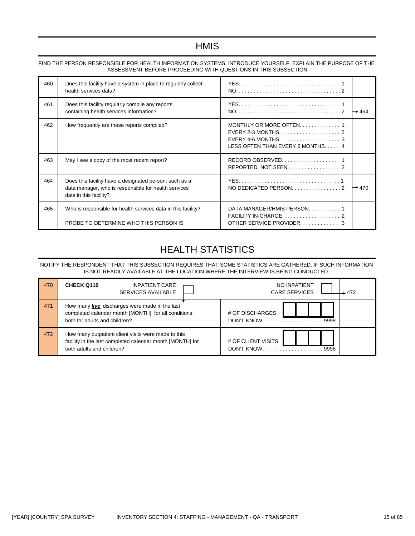#### **HMIS**

| 460 | Does this facility have a system in place to regularly collect<br>health services data?                                                  |                                                                                                                          |                   |
|-----|------------------------------------------------------------------------------------------------------------------------------------------|--------------------------------------------------------------------------------------------------------------------------|-------------------|
| 461 | Does this facility regularly compile any reports<br>containing health services information?                                              |                                                                                                                          | $\rightarrow$ 464 |
| 462 | How frequently are these reports compiled?                                                                                               | MONTHLY OR MORE OFTEN 1<br>EVERY 4-6 MONTHS. $\dots\dots\dots\dots\dots\dots\dots$ 3<br>LESS OFTEN THAN EVERY 6 MONTHS 4 |                   |
| 463 | May I see a copy of the most recent report?                                                                                              | REPORTED, NOT SEEN. 2                                                                                                    |                   |
| 464 | Does this facility have a designated person, such as a<br>data manager, who is responsible for health services<br>data in this facility? |                                                                                                                          | $\rightarrow$ 470 |
| 465 | Who is responsible for health services data in this facility?<br>PROBE TO DETERMINE WHO THIS PERSON IS                                   | DATA MANAGER/HMIS PERSON 1<br>OTHER SERVICE PROVIDER3                                                                    |                   |

#### FIND THE PERSON RESPONSIBLE FOR HEALTH INFORMATION SYSTEMS. INTRODUCE YOURSELF, EXPLAIN THE PURPOSE OF THE ASSESSMENT BEFORE PROCEEDING WITH QUESTIONS IN THIS SUBSECTION

# HEALTH STATISTICS

NOTIFY THE RESPONDENT THAT THIS SUBSECTION REQUIRES THAT SOME STATISTICS ARE GATHERED, IF SUCH INFORMATION IS NOT READILY AVAILABLE AT THE LOCATION WHERE THE INTERVIEW IS BEING CONDUCTED.

| 470 | <b>CHECK Q110</b><br><b>INPATIENT CARE</b><br>SERVICES AVAILABLE                                                                              | NO INPATIENT<br><b>CARE SERVICES</b><br>472 |
|-----|-----------------------------------------------------------------------------------------------------------------------------------------------|---------------------------------------------|
| 471 | How many live discharges were made in the last<br>completed calendar month [MONTH], for all conditions,<br>both for adults and children?      | # OF DISCHARGES<br>DON'T KNOW9998           |
| 472 | How many outpatient client visits were made to this<br>facility in the last completed calendar month [MONTH] for<br>both adults and children? | # OF CLIENT VISITS<br>DON'T KNOW<br>9998    |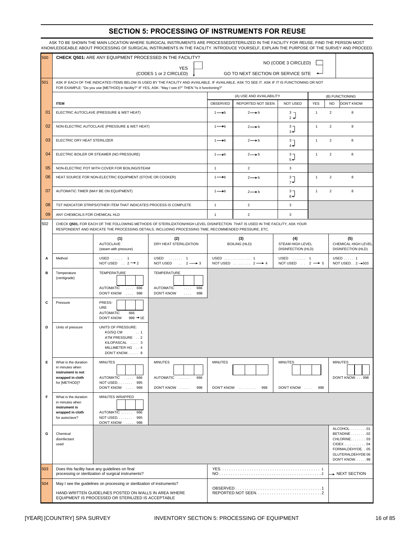#### **SECTION 5: PROCESSING OF INSTRUMENTS FOR REUSE**

|        |                                                                                                   | KNOWLEDGEABLE ABOUT PROCESSING OF SURGICAL INSTRUMENTS IN THE FACILITY. INTRODUCE YOURSELF, EXPLAIN THE PURPOSE OF THE SURVEY AND PROCEED.                                                                                                             |                                                                                  |                              |                                                  |                                                |                |                |                                                                                                     |
|--------|---------------------------------------------------------------------------------------------------|--------------------------------------------------------------------------------------------------------------------------------------------------------------------------------------------------------------------------------------------------------|----------------------------------------------------------------------------------|------------------------------|--------------------------------------------------|------------------------------------------------|----------------|----------------|-----------------------------------------------------------------------------------------------------|
| 500    |                                                                                                   | <b>CHECK Q501: ARE ANY EQUIPMENT PROCESSED IN THE FACILITY?</b>                                                                                                                                                                                        |                                                                                  |                              | NO (CODE 3 CIRCLED)                              |                                                |                |                |                                                                                                     |
|        |                                                                                                   |                                                                                                                                                                                                                                                        | <b>YES</b><br>(CODES 1 or 2 CIRCLED)                                             |                              | GO TO NEXT SECTION OR SERVICE SITE               |                                                |                |                |                                                                                                     |
| 501    |                                                                                                   | ASK IF EACH OF THE INDICATED ITEMS BELOW IS USED BY THE FACILITY AND AVAILABLE. IF AVAILABLE, ASK TO SEE IT. ASK IF IT IS FUNCTIONING OR NOT<br>FOR EXAMPLE: "Do you use [METHOD] in facility?" IF YES, ASK: "May I see it?" THEN "Is it functioning?" |                                                                                  |                              |                                                  |                                                |                |                |                                                                                                     |
|        |                                                                                                   |                                                                                                                                                                                                                                                        |                                                                                  |                              | (A) USE AND AVAILABILITY                         |                                                |                |                | (B) FUNCTIONING                                                                                     |
|        | <b>ITEM</b>                                                                                       |                                                                                                                                                                                                                                                        |                                                                                  | OBSERVED                     | REPORTED NOT SEEN                                | <b>NOT USED</b>                                | <b>YES</b>     | <b>NO</b>      | <b>DON'T KNOW</b>                                                                                   |
| 01     |                                                                                                   | ELECTRIC AUTOCLAVE (PRESSURE & WET HEAT)                                                                                                                                                                                                               |                                                                                  | $1 \rightarrow b$            | $2 \rightarrow b$                                | 3 <sub>7</sub><br>$2 +$                        | $\overline{1}$ | $\overline{2}$ | 8                                                                                                   |
| 02     |                                                                                                   | NON-ELECTRIC AUTOCLAVE (PRESSURE & WET HEAT)                                                                                                                                                                                                           |                                                                                  | $1 \rightarrow b$            | $2 \rightarrow b$                                | 3 <sub>7</sub><br>$3 +$                        | $\mathbf{1}$   | 2              | 8                                                                                                   |
| 03     | ELECTRIC DRY HEAT STERILIZER                                                                      |                                                                                                                                                                                                                                                        |                                                                                  | $1 \rightarrow b$            | $2 \rightarrow b$                                | 3 <sub>7</sub><br>له 4                         | $\mathbf{1}$   | $\overline{2}$ | 8                                                                                                   |
| 04     |                                                                                                   | ELECTRIC BOILER OR STEAMER (NO PRESSURE)                                                                                                                                                                                                               |                                                                                  | $1 \rightarrow b$            | $2 \rightarrow b$                                | $3 -$<br>له 5                                  | $\mathbf{1}$   | $\overline{2}$ | 8                                                                                                   |
| 05     |                                                                                                   | NON-ELECTRIC POT WITH COVER FOR BOILING/STEAM                                                                                                                                                                                                          |                                                                                  | $\mathbf{1}$                 | $\overline{2}$                                   | 3                                              |                |                |                                                                                                     |
| 06     |                                                                                                   | HEAT SOURCE FOR NON-ELECTRIC EQUIPMENT (STOVE OR COOKER)                                                                                                                                                                                               |                                                                                  | $1 \rightarrow b$            | $2 \rightarrow b$                                | $\frac{3}{7}$                                  | $\mathbf{1}$   | $\overline{2}$ | 8                                                                                                   |
| 07     |                                                                                                   | AUTOMATIC TIMER (MAY BE ON EQUIPMENT)                                                                                                                                                                                                                  |                                                                                  | $1 \rightarrow b$            | $2 \rightarrow b$                                | 3 <sub>7</sub><br>له ۾                         | $\mathbf{1}$   | $\overline{2}$ | 8                                                                                                   |
| 08     |                                                                                                   | TST INDICATOR STRIPS/OTHER ITEM THAT INDICATES PROCESS IS COMPLETE                                                                                                                                                                                     |                                                                                  | $\mathbf{1}$                 | $\overline{2}$                                   | 3                                              |                |                |                                                                                                     |
| 09     | ANY CHEMICALS FOR CHEMICAL HLD                                                                    |                                                                                                                                                                                                                                                        |                                                                                  | $\mathbf{1}$                 | $\overline{2}$                                   | 3                                              |                |                |                                                                                                     |
| 502    |                                                                                                   | CHECK Q501. FOR EACH OF THE FOLLOWING METHODS OF STERILIZATION/HIGH LEVEL DISINFECTION THAT IS USED IN THE FACILITY, ASK YOUR<br>RESPONDENT AND INDICATE THE PROCESSING DETAILS, INCLUDING PROCESSING TIME, RECOMMENDED PRESSURE, ETC.                 |                                                                                  |                              |                                                  |                                                |                |                |                                                                                                     |
|        |                                                                                                   | (1)<br><b>AUTOCLAVE</b><br>(steam with pressure)                                                                                                                                                                                                       | (2)<br>DRY HEAT STERILIZATION                                                    |                              | (3)<br><b>BOILING (HLD)</b>                      | (4)<br>STEAM HIGH LEVEL<br>DISINFECTION (HLD)  |                |                | (5)<br>CHEMICAL HIGH LEVEL<br><b>DISINFECTION (HLD)</b>                                             |
| А      | Method                                                                                            | USED  1<br>NOT USED $\ldots$ 2 $\rightarrow$ 2                                                                                                                                                                                                         | USED  1<br>NOT USED<br>$\therefore$ 2 $\longrightarrow$ 3                        |                              | USED    1<br>NOT USED $\ldots$ $2 \rightarrow 4$ | USED  1<br>NOT USED $\ldots$ 2 $\rightarrow$ 5 |                |                | $USED$ 1<br>NOT USED2 →503                                                                          |
| в<br>C | Temperature<br>(centigrade)<br>Pressure                                                           | TEMPERATURE<br><b>AUTOMATIC</b><br>666<br>$\sim 100$<br>DON'T KNOW  998<br>PRESS-<br>URE                                                                                                                                                               | TEMPERATURE<br><b>AUTOMATIC</b><br>$\cdots$<br><b>DON'T KNOW</b><br>$\sim 1.1$ . | 666<br>998                   |                                                  |                                                |                |                |                                                                                                     |
| D      | Units of pressure                                                                                 | <b>AUTOMATIC</b><br>666<br><b>DON'T KNOW</b><br>$998 + 1E$<br>UNITS OF PRESSURE:<br>KG/SQ CM<br>. . 1<br>ATM PRESSURE 2<br>KILOPASCAL  3<br>MILLIMETER HG 4<br>DON'T KNOW 8                                                                            |                                                                                  |                              |                                                  |                                                |                |                |                                                                                                     |
| Е      | What is the duration<br>in minutes when<br>instrument is not<br>wrapped in cloth<br>for [METHOD]? | <b>MINUTES</b><br><b>AUTOMATIC</b><br>$\ldots 666$<br>NOT USED 995<br>DON'T KNOW  998                                                                                                                                                                  | <b>MINUTES</b><br>AUTOMATIC<br>DON'T KNOW                                        | <b>MINUTES</b><br>666<br>998 | DON'T KNOW<br>998                                | <b>MINUTES</b><br>DON'T KNOW                   | 998            |                | <b>MINUTES</b><br>DON'T KNOW998                                                                     |
| F      | What is the duration<br>in minutes when<br>instrument is<br>wrapped in cloth<br>for autoclave?    | MINUTES WRAPPED<br>AUTOMATIC  666<br>NOT USED.<br>995<br>DON'T KNOW  998                                                                                                                                                                               |                                                                                  |                              |                                                  |                                                |                |                |                                                                                                     |
| G      | Chemical<br>disinfectant<br>used                                                                  |                                                                                                                                                                                                                                                        |                                                                                  |                              |                                                  |                                                |                |                | ALCOHOL. 01<br>BETADINE 02<br>CHLORINE03<br>FORMALDEHYDE. . 05<br>GLUTERALDEHYDE 06<br>DON'T KNOW98 |
| 503    |                                                                                                   | Does this facility have any guidelines on final<br>processing or sterilization of surgical instruments?                                                                                                                                                |                                                                                  |                              |                                                  |                                                |                |                | $\rightarrow$ NEXT SECTION                                                                          |
| 504    |                                                                                                   | May I see the guidelines on processing or sterilization of instruments?<br>HAND-WRITTEN GUIDELINES POSTED ON WALLS IN AREA WHERE<br>EQUIPMENT IS PROCESSED OR STERILIZED IS ACCEPTABLE                                                                 |                                                                                  |                              |                                                  |                                                |                |                |                                                                                                     |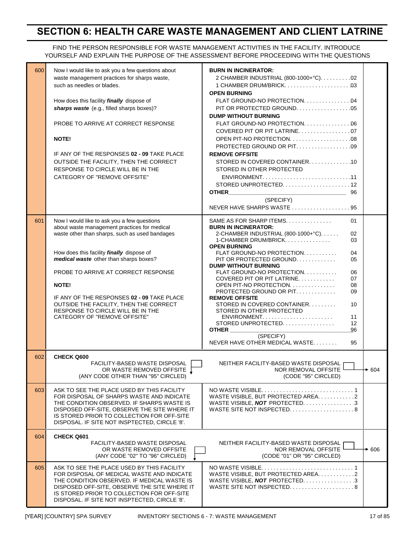## **SECTION 6: HEALTH CARE WASTE MANAGEMENT AND CLIENT LATRINE**

#### FIND THE PERSON RESPONSIBLE FOR WASTE MANAGEMENT ACTIVITIES IN THE FACILITY. INTRODUCE YOURSELF AND EXPLAIN THE PURPOSE OF THE ASSESSMENT BEFORE PROCEEDING WITH THE QUESTIONS

| 600 | Now I would like to ask you a few questions about<br>waste management practices for sharps waste,<br>such as needles or blades.<br>How does this facility finally dispose of<br>sharps waste (e.g., filled sharps boxes)?<br>PROBE TO ARRIVE AT CORRECT RESPONSE<br><b>NOTE!</b><br>IF ANY OF THE RESPONSES 02 - 09 TAKE PLACE<br>OUTSIDE THE FACILITY, THEN THE CORRECT<br>RESPONSE TO CIRCLE WILL BE IN THE<br>CATEGORY OF "REMOVE OFFSITE" | <b>BURN IN INCINERATOR:</b><br>2 CHAMBER INDUSTRIAL (800-1000+°C). 02<br><b>OPEN BURNING</b><br>FLAT GROUND-NO PROTECTION. 04<br><b>DUMP WITHOUT BURNING</b><br>FLAT GROUND-NO PROTECTION. 06<br>COVERED PIT OR PIT LATRINE07<br>PROTECTED GROUND OR PIT09<br><b>REMOVE OFFSITE</b><br>STORED IN COVERED CONTAINER. 10<br>STORED IN OTHER PROTECTED<br>(SPECIFY) |        |
|-----|-----------------------------------------------------------------------------------------------------------------------------------------------------------------------------------------------------------------------------------------------------------------------------------------------------------------------------------------------------------------------------------------------------------------------------------------------|------------------------------------------------------------------------------------------------------------------------------------------------------------------------------------------------------------------------------------------------------------------------------------------------------------------------------------------------------------------|--------|
|     |                                                                                                                                                                                                                                                                                                                                                                                                                                               | NEVER HAVE SHARPS WASTE 95                                                                                                                                                                                                                                                                                                                                       |        |
| 601 | Now I would like to ask you a few questions<br>about waste management practices for medical<br>waste other than sharps, such as used bandages<br>How does this facility finally dispose of<br>medical waste other than sharps boxes?<br>PROBE TO ARRIVE AT CORRECT RESPONSE                                                                                                                                                                   | SAME AS FOR SHARP ITEMS.<br>01<br><b>BURN IN INCINERATOR:</b><br>2-CHAMBER INDUSTRIAL (800-1000+°C)<br>02<br>1-CHAMBER DRUM/BRICK<br>03<br><b>OPEN BURNING</b><br>FLAT GROUND-NO PROTECTION.<br>04<br>PIT OR PROTECTED GROUND.<br>05<br><b>DUMP WITHOUT BURNING</b><br>FLAT GROUND-NO PROTECTION.<br>06                                                          |        |
|     | <b>NOTE!</b><br>IF ANY OF THE RESPONSES 02 - 09 TAKE PLACE                                                                                                                                                                                                                                                                                                                                                                                    | COVERED PIT OR PIT LATRINE<br>07<br>OPEN PIT-NO PROTECTION.<br>08<br>PROTECTED GROUND OR PIT<br>09<br><b>REMOVE OFFSITE</b>                                                                                                                                                                                                                                      |        |
|     | OUTSIDE THE FACILITY, THEN THE CORRECT<br>RESPONSE TO CIRCLE WILL BE IN THE<br>CATEGORY OF "REMOVE OFFSITE"                                                                                                                                                                                                                                                                                                                                   | STORED IN COVERED CONTAINER<br>10<br>STORED IN OTHER PROTECTED<br>$ENVIRONMENT. \ldots \ldots \ldots \ldots \ldots \ldots$<br>11<br>STORED UNPROTECTED.<br>12<br><b>OTHER CONSTRUCTER</b><br>96<br>(SPECIFY)<br>NEVER HAVE OTHER MEDICAL WASTE<br>95                                                                                                             |        |
| 602 | <b>CHECK Q600</b><br>FACILITY-BASED WASTE DISPOSAL                                                                                                                                                                                                                                                                                                                                                                                            | NEITHER FACILITY-BASED WASTE DISPOSAL                                                                                                                                                                                                                                                                                                                            |        |
|     | OR WASTE REMOVED OFFSITE [<br>(ANY CODE OTHER THAN "95" CIRCLED)                                                                                                                                                                                                                                                                                                                                                                              | NOR REMOVAL OFFSITE<br>(CODE "95" CIRCLED)                                                                                                                                                                                                                                                                                                                       | $+604$ |
| 603 | ASK TO SEE THE PLACE USED BY THIS FACILITY<br>FOR DISPOSAL OF SHARPS WASTE AND INDICATE<br>THE CONDITION OBSERVED. IF SHARPS WASTE IS<br>DISPOSED OFF-SITE, OBSERVE THE SITE WHERE IT<br>IS STORED PRIOR TO COLLECTION FOR OFF-SITE<br>DISPOSAL. IF SITE NOT INSPTECTED, CIRCLE '8'.                                                                                                                                                          | WASTE VISIBLE, BUT PROTECTED AREA. 2<br>WASTE VISIBLE, <b>NOT</b> PROTECTED. 3<br>WASTE SITE NOT INSPECTED. $\ldots \ldots \ldots \ldots \ldots$                                                                                                                                                                                                                 |        |
| 604 | <b>CHECK Q601</b><br>FACILITY BASED WASTE DISPOSAL<br>OR WASTE REMOVED OFFSITE<br>(ANY CODE "02" TO "96" CIRCLED)                                                                                                                                                                                                                                                                                                                             | NEITHER FACILITY-BASED WASTE DISPOSAL<br>NOR REMOVAL OFFSITE<br>(CODE "01" OR "95" CIRCLED)                                                                                                                                                                                                                                                                      | → 606  |
| 605 | ASK TO SEE THE PLACE USED BY THIS FACILITY<br>FOR DISPOSAL OF MEDICAL WASTE AND INDICATE<br>THE CONDITION OBSERVED. IF MEDICAL WASTE IS<br>DISPOSED OFF-SITE, OBSERVE THE SITE WHERE IT<br>IS STORED PRIOR TO COLLECTION FOR OFF-SITE<br>DISPOSAL. IF SITE NOT INSPTECTED, CIRCLE '8'.                                                                                                                                                        | WASTE VISIBLE, BUT PROTECTED AREA. 2<br>WASTE VISIBLE, <b>NOT</b> PROTECTED. 3<br>WASTE SITE NOT INSPECTED8                                                                                                                                                                                                                                                      |        |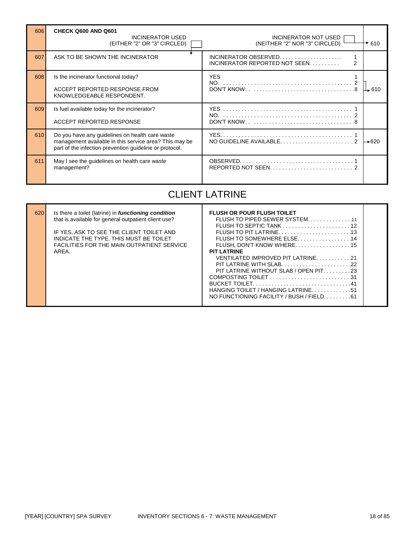| 606 | CHECK Q600 AND Q601<br><b>INCINERATOR USED</b><br>(EITHER "2" OR "3" CIRCLED)                                                                                        | <b>INCINERATOR NOT USED</b><br>(NEITHER "2" NOR "3" CIRCLED) | 610   |
|-----|----------------------------------------------------------------------------------------------------------------------------------------------------------------------|--------------------------------------------------------------|-------|
| 607 | ASK TO BE SHOWN THE INCINERATOR                                                                                                                                      | INCINERATOR OBSERVED<br>INCINERATOR REPORTED NOT SEEN<br>2   |       |
| 608 | Is the incinerator functional today?                                                                                                                                 | <b>YES</b>                                                   |       |
|     | ACCEPT REPORTED RESPONSE FROM<br>KNOWLEDGEABLE RESPONDENT.                                                                                                           |                                                              | Щ 610 |
| 609 | Is fuel available today for the incinerator?                                                                                                                         |                                                              |       |
|     | ACCEPT REPORTED RESPONSE                                                                                                                                             |                                                              |       |
| 610 | Do you have any guidelines on health care waste<br>management available in this service area? This may be<br>part of the infection prevention quideline or protocol. |                                                              | 1—620 |
| 611 | May I see the guidelines on health care waste<br>management?                                                                                                         |                                                              |       |

# CLIENT LATRINE

| 620 | Is there a toilet (latrine) in <b>functioning condition</b><br>that is available for general outpatient client use?<br>IF YES, ASK TO SEE THE CLIENT TOILET AND<br>INDICATE THE TYPE. THIS MUST BE TOILET<br><b>FACILITIES FOR THE MAIN OUTPATIENT SERVICE</b><br>ARFA. | <b>FLUSH OR POUR FLUSH TOILET</b><br>FLUSH TO SEPTIC TANK $\ldots \ldots \ldots \ldots \ldots \ldots \ldots$<br>FLUSH, DON'T KNOW WHERE15<br><b>PIT LATRINE</b><br>VENTILATED IMPROVED PIT LATRINE21<br>- 22<br>PIT LATRINE WITH SLAB |  |
|-----|-------------------------------------------------------------------------------------------------------------------------------------------------------------------------------------------------------------------------------------------------------------------------|---------------------------------------------------------------------------------------------------------------------------------------------------------------------------------------------------------------------------------------|--|
|     |                                                                                                                                                                                                                                                                         | PIT LATRINE WITHOUT SLAB / OPEN PIT23<br>HANGING TOILET / HANGING LATRINE51<br>NO FUNCTIONING FACILITY / BUSH / FIELD. 61                                                                                                             |  |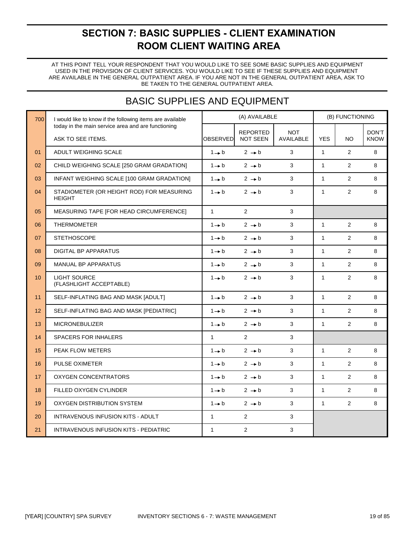# **SECTION 7: BASIC SUPPLIES - CLIENT EXAMINATION ROOM CLIENT WAITING AREA**

AT THIS POINT TELL YOUR RESPONDENT THAT YOU WOULD LIKE TO SEE SOME BASIC SUPPLIES AND EQUIPMENT USED IN THE PROVISION OF CLIENT SERVICES. YOU WOULD LIKE TO SEE IF THESE SUPPLIES AND EQUIPMENT BE TAKEN TO THE GENERAL OUTPATIENT AREA. ARE AVAILABLE IN THE GENERAL OUTPATIENT AREA. IF YOU ARE NOT IN THE GENERAL OUTPATIENT AREA, ASK TO

# BASIC SUPPLIES AND EQUIPMENT

| 700 | I would like to know if the following items are available               |                   | (A) AVAILABLE                      |                         |              | (B) FUNCTIONING |                      |
|-----|-------------------------------------------------------------------------|-------------------|------------------------------------|-------------------------|--------------|-----------------|----------------------|
|     | today in the main service area and are functioning<br>ASK TO SEE ITEMS. | OBSERVED          | <b>REPORTED</b><br><b>NOT SEEN</b> | <b>NOT</b><br>AVAILABLE | <b>YES</b>   | <b>NO</b>       | DON'T<br><b>KNOW</b> |
| 01  | ADULT WEIGHING SCALE                                                    | $1 \rightarrow b$ | $2 \rightarrow b$                  | 3                       | $\mathbf{1}$ | $\overline{2}$  | 8                    |
| 02  | CHILD WEIGHING SCALE [250 GRAM GRADATION]                               | $1 \rightarrow b$ | $2 \rightarrow b$                  | 3                       | $\mathbf{1}$ | 2               | 8                    |
| 03  | INFANT WEIGHING SCALE [100 GRAM GRADATION]                              | $1 \rightarrow b$ | $2 \rightarrow b$                  | 3                       | $\mathbf{1}$ | $\overline{2}$  | 8                    |
| 04  | STADIOMETER (OR HEIGHT ROD) FOR MEASURING<br><b>HEIGHT</b>              | $1 \rightarrow b$ | $2 \rightarrow b$                  | 3                       | $\mathbf{1}$ | 2               | 8                    |
| 05  | MEASURING TAPE [FOR HEAD CIRCUMFERENCE]                                 | $\mathbf{1}$      | $\overline{2}$                     | 3                       |              |                 |                      |
| 06  | <b>THERMOMETER</b>                                                      | $1 \rightarrow b$ | $2 \rightarrow b$                  | 3                       | $\mathbf{1}$ | $\overline{2}$  | 8                    |
| 07  | <b>STETHOSCOPE</b>                                                      | $1 \rightarrow b$ | $2 \rightarrow b$                  | 3                       | $\mathbf{1}$ | $\overline{2}$  | 8                    |
| 08  | <b>DIGITAL BP APPARATUS</b>                                             | $1 \rightarrow b$ | $2 \rightarrow b$                  | 3                       | $\mathbf{1}$ | 2               | 8                    |
| 09  | MANUAL BP APPARATUS                                                     | $1 \rightarrow b$ | $2 \rightarrow b$                  | 3                       | $\mathbf{1}$ | 2               | 8                    |
| 10  | <b>LIGHT SOURCE</b><br>(FLASHLIGHT ACCEPTABLE)                          | $1 \rightarrow b$ | $2 \rightarrow b$                  | 3                       | $\mathbf{1}$ | 2               | 8                    |
| 11  | SELF-INFLATING BAG AND MASK [ADULT]                                     | $1 \rightarrow b$ | $2 \rightarrow b$                  | 3                       | $\mathbf{1}$ | 2               | 8                    |
| 12  | SELF-INFLATING BAG AND MASK [PEDIATRIC]                                 | $1 \rightarrow b$ | $2 \rightarrow b$                  | $\mathbf{3}$            | $\mathbf{1}$ | $\overline{2}$  | 8                    |
| 13  | <b>MICRONEBULIZER</b>                                                   | $1 \rightarrow b$ | $2 \rightarrow b$                  | 3                       | $\mathbf{1}$ | 2               | 8                    |
| 14  | <b>SPACERS FOR INHALERS</b>                                             | $\mathbf{1}$      | $\overline{2}$                     | 3                       |              |                 |                      |
| 15  | PEAK FLOW METERS                                                        | $1 + b$           | $2 \rightarrow b$                  | 3                       | $\mathbf{1}$ | $\overline{2}$  | 8                    |
| 16  | <b>PULSE OXIMETER</b>                                                   | $1 \rightarrow b$ | $2 \rightarrow b$                  | 3                       | $\mathbf{1}$ | $\overline{2}$  | 8                    |
| 17  | <b>OXYGEN CONCENTRATORS</b>                                             | $1 \rightarrow b$ | $2 \rightarrow b$                  | 3                       | $\mathbf{1}$ | $\overline{2}$  | 8                    |
| 18  | FILLED OXYGEN CYLINDER                                                  | $1 \rightarrow b$ | $2 \rightarrow b$                  | 3                       | $\mathbf{1}$ | $\overline{2}$  | 8                    |
| 19  | OXYGEN DISTRIBUTION SYSTEM                                              | $1 \rightarrow b$ | $2 \rightarrow b$                  | 3                       | $\mathbf{1}$ | $\overline{2}$  | 8                    |
| 20  | <b>INTRAVENOUS INFUSION KITS - ADULT</b>                                | $\mathbf{1}$      | $\overline{2}$                     | 3                       |              |                 |                      |
| 21  | <b>INTRAVENOUS INFUSION KITS - PEDIATRIC</b>                            | $\mathbf{1}$      | $\overline{2}$                     | 3                       |              |                 |                      |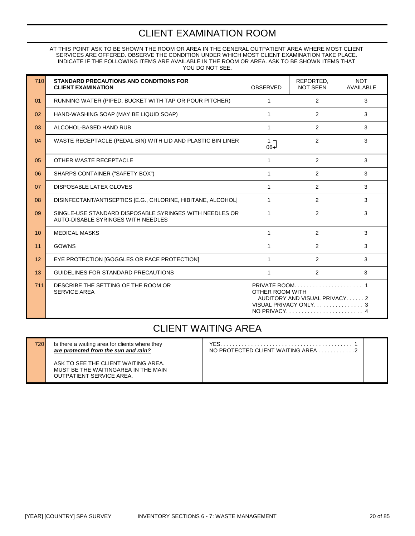## CLIENT EXAMINATION ROOM

YOU DO NOT SEE. INDICATE IF THE FOLLOWING ITEMS ARE AVAILABLE IN THE ROOM OR AREA. ASK TO BE SHOWN ITEMS THAT SERVICES ARE OFFERED. OBSERVE THE CONDITION UNDER WHICH MOST CLIENT EXAMINATION TAKE PLACE. AT THIS POINT ASK TO BE SHOWN THE ROOM OR AREA IN THE GENERAL OUTPATIENT AREA WHERE MOST CLIENT

| 710 | STANDARD PRECAUTIONS AND CONDITIONS FOR<br><b>CLIENT EXAMINATION</b>                          | <b>OBSERVED</b>                   | REPORTED.<br><b>NOT SEEN</b>                 | <b>NOT</b><br><b>AVAILABLE</b> |
|-----|-----------------------------------------------------------------------------------------------|-----------------------------------|----------------------------------------------|--------------------------------|
| 01  | RUNNING WATER (PIPED, BUCKET WITH TAP OR POUR PITCHER)                                        | $\mathbf{1}$                      | $\overline{2}$                               | 3                              |
| 02  | HAND-WASHING SOAP (MAY BE LIQUID SOAP)                                                        | 1                                 | $\overline{2}$                               | 3                              |
| 03  | ALCOHOL-BASED HAND RUB                                                                        | $\mathbf{1}$                      | 2                                            | 3                              |
| 04  | WASTE RECEPTACLE (PEDAL BIN) WITH LID AND PLASTIC BIN LINER                                   | 1 <sub>7</sub><br>06 <sup>-</sup> | 2                                            | 3                              |
| 05  | OTHER WASTE RECEPTACLE                                                                        | 1                                 | $\overline{2}$                               | 3                              |
| 06  | SHARPS CONTAINER ("SAFETY BOX")                                                               | 1                                 | $\overline{2}$                               | 3                              |
| 07  | DISPOSABLE LATEX GLOVES                                                                       | 1                                 | 2                                            | 3                              |
| 08  | DISINFECTANT/ANTISEPTICS [E.G., CHLORINE, HIBITANE, ALCOHOL]                                  | 1                                 | $\overline{2}$                               | 3                              |
| 09  | SINGLE-USE STANDARD DISPOSABLE SYRINGES WITH NEEDLES OR<br>AUTO-DISABLE SYRINGES WITH NEEDLES | 1                                 | $\overline{2}$                               | 3                              |
| 10  | <b>MEDICAL MASKS</b>                                                                          | 1                                 | 2                                            | 3                              |
| 11  | GOWNS                                                                                         | 1                                 | $\overline{2}$                               | 3                              |
| 12  | EYE PROTECTION [GOGGLES OR FACE PROTECTION]                                                   | 1                                 | 2                                            | 3                              |
| 13  | GUIDELINES FOR STANDARD PRECAUTIONS                                                           | 1                                 | 2                                            | 3                              |
| 711 | DESCRIBE THE SETTING OF THE ROOM OR<br><b>SERVICE AREA</b>                                    | OTHER ROOM WITH                   | AUDITORY AND VISUAL PRIVACY2<br>NO PRIVACY 4 |                                |

### CLIENT WAITING AREA

ASK TO SEE THE CLIENT WAITING AREA. MUST BE THE WAITINGAREA IN THE MAIN OUTPATIENT SERVICE AREA.

720 Is there a waiting area for clients where they YES. . . . . . . . . . . . . . . . . . . . . . . . . . . . . . . . . . . . . . . . . . . 1 *Are protected client waiting area . . . . . . . . . . . . . . . .* . 2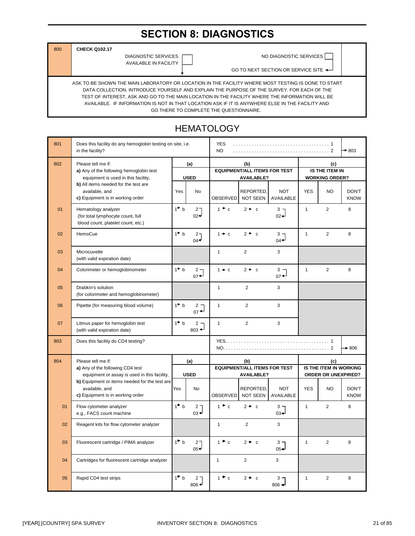# **SECTION 8: DIAGNOSTICS**

800 **CHECK Q102.17**

AVAILABLE IN FACILITY

DIAGNOSTIC SERVICES **NO DIAGNOSTIC SERVICES** 

GO TO NEXT SECTION OR SERVICE SITE ◆

AVAILABLE. IF INFORMATION IS NOT IN THAT LOCATION ASK IF IT IS ANYWHERE ELSE IN THE FACILITY AND GO THERE TO COMPLETE THE QUESTIONNAIRE. TEST OF INTEREST, ASK AND GO TO THE MAIN LOCATION IN THE FACILITY WHERE THE INFORMATION WILL BE DATA COLLECTION. INTRODUCE YOURSELF AND EXPLAIN THE PURPOSE OF THE SURVEY. FOR EACH OF THE ASK TO BE SHOWN THE MAIN LABORATORY OR LOCATION IN THE FACILITY WHERE MOST TESTING IS DONE TO START

#### 801 Does this facility do any hemoglobin testing on site, i.e. **.** . . . . . . . . . YES in the facility? NO . . . . . . . . . . . . . . . . . . . . . . . . . . . . . . . . . . . . . 2 803 802 Please tell me if: **(a) (b) (c) a)** Any of the following hemoglobin test **IS THE ITEM IN IS THE ITEM IN** equipment is used in this facility, **USED WORKING ORDER? b)** All items needed for the test are available, and  $\qquad \qquad$  Nes No REPORTED, NOT **c)** Equipment is in working order 01 Hematology analyzer  $1^{\uparrow}$  b 2  $1^{\uparrow}$  c  $2^{\uparrow}$  c  $3^{\uparrow}$  1  $1$  2 8 (for total lymphocyte count, full 02 02 blood count, platelet count, etc.) 02 HemoCue 1 b 2 1 c 2 c 3 1 2 8  $04$  04 03 Microcuvette 3 3 (with valid expiration date) 04 Colorimeter or hemoglobinometer  $1^*$  b  $2^{\rightharpoonup}_{07}$  1  $\rightarrow$  c  $2^*$  c  $3^{\rightharpoonup}_{07}$  1 2 8  $07 \leftarrow$  07 05 Drabkin's solution 1 2 3 (for colorimeter and hemoglobinometer) 06 Pipette (for measuring blood volume)  $1^*$  b  $2^1$  1 2 3  $rac{2}{07}$ 07 Litmus paper for hemoglobin test  $1^*$  b  $2^1$  1 2 3 (with valid expiration date)  $803 \triangleleft$ 803 Does this facility do CD4 testing? YES. . . . . . . . . . . . . . . . . . . . . . . . . . . . . . . . . . . . . . . . 1 NO. . . . . . . . . . . . . . . . . . . . . . . . . . . . . . . . . . . . . . . . . 2 804 Please tell me if: **(a) (b) (c) a)** Any of the following CD4 test equipment or assay is used in this facility, **USED b)** Equipment or items needed for the test are available, and |Yes | No | REPORTED, | NOT | YES | NO | DON'T **c)** Equipment is in working order 01 Flow cytometer analyzer  $\begin{vmatrix} 1^* & 2 \\ 0 & 3 \end{vmatrix}$   $\begin{vmatrix} 1^* & 2 \\ 0 & 3 \end{vmatrix}$   $\begin{vmatrix} 1^* & 2 \\ 0 & 3 \end{vmatrix}$  1 2 8 e.g., FACS count machine  $_{03}$ 02 Reagent kits for flow cytometer analyzer 1 3 **03** Fluorescent cartridge / PIMA analyzer  $1^*$  b 2  $1^*$  c  $2^*$  c  $3$  1  $1$  2 8  $05 + 1$  05 04 Cartridges for fluorescent cartridge analyzer 1 1 3 3 **05** Rapid CD4 test strips 1 **b** 2 1 **c**  $2 \cdot c$   $3 \cdot 3 \cdot 6$  1 2 8  $806 +$ YES KNOW AVAILABLE **EQUIPMENT/ALL ITEMS FOR TEST AVAILABLE?** OBSERVED NOT SEEN AVAILABLE **Noting that ASSESS ORDER OR UNEXPIRED? IS THE ITEM IN WORKING** Yes | No | REPORTED, NOT | YES | NO | DON'T OBSERVED NOT SEEN **EQUIPMENT/ALL ITEMS FOR TEST AVAILABLE?** 806 No

#### **HEMATOLOGY**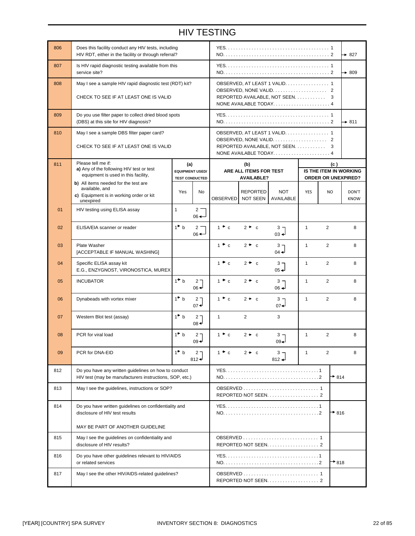## HIV TESTING

| 806 | Does this facility conduct any HIV tests, including<br>HIV RDT, either in the facility or through referral?     |                 |                                                 |                                                                                              |                                             |                            |              |                | $\rightarrow$ 827                                    |
|-----|-----------------------------------------------------------------------------------------------------------------|-----------------|-------------------------------------------------|----------------------------------------------------------------------------------------------|---------------------------------------------|----------------------------|--------------|----------------|------------------------------------------------------|
| 807 | Is HIV rapid diagnostic testing available from this<br>service site?                                            |                 |                                                 |                                                                                              |                                             |                            |              |                | $+809$                                               |
| 808 | May I see a sample HIV rapid diagnostic test (RDT) kit?<br>CHECK TO SEE IF AT LEAST ONE IS VALID                |                 |                                                 | OBSERVED, AT LEAST 1 VALID. 1<br>REPORTED AVAILABLE, NOT SEEN.<br>3<br>NONE AVAILABLE TODAY4 |                                             |                            |              |                |                                                      |
| 809 | Do you use filter paper to collect dried blood spots<br>(DBS) at this site for HIV diagnosis?                   |                 |                                                 |                                                                                              |                                             |                            |              |                | $\rightarrow 811$                                    |
| 810 | May I see a sample DBS filter paper card?<br>CHECK TO SEE IF AT LEAST ONE IS VALID                              |                 |                                                 | OBSERVED, AT LEAST 1 VALID. 1<br>REPORTED AVAILABLE, NOT SEEN<br>3<br>NONE AVAILABLE TODAY4  |                                             |                            |              |                |                                                      |
| 811 | Please tell me if:<br>a) Any of the following HIV test or test                                                  | (a)             |                                                 |                                                                                              | (b)                                         |                            |              | (c)            |                                                      |
|     | equipment is used in this facility,                                                                             |                 | <b>EQUIPMENT USED/</b><br><b>TEST CONDUCTED</b> |                                                                                              | ARE ALL ITEMS FOR TEST<br><b>AVAILABLE?</b> |                            |              |                | IS THE ITEM IN WORKING<br><b>ORDER OR UNEXPIRED?</b> |
|     | b) All items needed for the test are<br>available, and<br>c) Equipment is in working order or kit<br>unexpired  | Yes             | <b>No</b>                                       | <b>OBSERVED</b>                                                                              | REPORTED<br><b>NOT SEEN</b>                 | <b>NOT</b><br>AVAILABLE    | <b>YES</b>   | N <sub>O</sub> | DON'T<br><b>KNOW</b>                                 |
| 01  | HIV testing using ELISA assay                                                                                   | $\mathbf{1}$    | $2 -$<br>$06 \leftarrow$                        |                                                                                              |                                             |                            |              |                |                                                      |
| 02  | ELISA/EIA scanner or reader                                                                                     | $1^{\bullet}$ b | $2 -$<br>$06 \leftarrow$                        | $1 \cdot c$                                                                                  | $2 \cdot c$                                 | $3 -$<br>$03 +$            | $\mathbf{1}$ | $\overline{2}$ | 8                                                    |
| 03  | Plate Washer<br>[ACCEPTABLE IF MANUAL WASHING]                                                                  |                 |                                                 | $1 + c$                                                                                      | $2 \bullet c$                               | $3 -$<br>$04 -$            | $\mathbf{1}$ | 2              | 8                                                    |
| 04  | Specific ELISA assay kit<br>E.G., ENZYGNOST, VIRONOSTICA, MUREX                                                 |                 |                                                 | $1 \cdot c$                                                                                  | $2 \bullet c$                               | $3 -$<br>$05 -$            | $\mathbf{1}$ | $\overline{2}$ | 8                                                    |
| 05  | <b>INCUBATOR</b>                                                                                                | $1 - b$         | 2 <sub>7</sub><br>$_{06}$                       | $1 + c$                                                                                      | $2 \cdot c$                                 | $3 -$<br>$06 +$            | $\mathbf{1}$ | $\overline{2}$ | 8                                                    |
| 06  | Dynabeads with vortex mixer                                                                                     | $1^{\bullet}$ b | 2 <sub>7</sub><br>07 ≉                          | $1 + c$                                                                                      | $2 \rightarrow c$                           | $3 -$<br>$07 -$            | $\mathbf{1}$ | $\overline{2}$ | 8                                                    |
| 07  | Western Blot test (assay)                                                                                       | $1^{\bullet}$ b | 2 <sub>1</sub><br>$08 \triangleleft$            | $\mathbf{1}$                                                                                 | $\overline{2}$                              | 3                          |              |                |                                                      |
| 08  | PCR for viral load                                                                                              | $1^*$ b         | 2 <sub>7</sub><br>$09 -$                        | $1 + c$                                                                                      | $2 \rightarrow c$                           | 3 –<br>لە09                | $\mathbf{1}$ | $\overline{2}$ | 8                                                    |
| 09  | PCR for DNA-EID                                                                                                 | $1^{\bullet}$ b | 2 <sub>1</sub><br>$812 -$                       | $1 \cdot c$                                                                                  | $2 \rightarrow c$                           | 3 -<br>$812 \triangleleft$ | $\mathbf{1}$ | $\overline{2}$ | 8                                                    |
| 812 | Do you have any written guidelines on how to conduct<br>HIV test (may be manufacturers instructions, SOP, etc.) |                 |                                                 |                                                                                              |                                             |                            |              | $*814$         |                                                      |
| 813 | May I see the guidelines, instructions or SOP?                                                                  |                 |                                                 |                                                                                              |                                             |                            |              |                |                                                      |
| 814 | Do you have written guidelines on confidentiality and<br>disclosure of HIV test results                         |                 |                                                 | $*$ 816                                                                                      |                                             |                            |              |                |                                                      |
|     | MAY BE PART OF ANOTHER GUIDELINE                                                                                |                 |                                                 |                                                                                              |                                             |                            |              |                |                                                      |
| 815 | May I see the guidelines on confidentiality and<br>disclosure of HIV results?                                   |                 |                                                 |                                                                                              |                                             |                            |              |                |                                                      |
| 816 | Do you have other guidelines relevant to HIV/AIDS<br>or related services                                        |                 |                                                 |                                                                                              |                                             |                            |              | $*818$         |                                                      |
| 817 | May I see the other HIV/AIDS-related guidelines?                                                                |                 |                                                 |                                                                                              |                                             |                            |              |                |                                                      |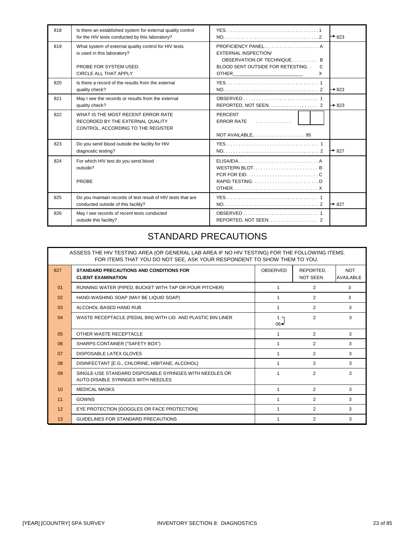| 818 | Is there an established system for external quality control<br>for the HIV tests conducted by this laboratory? | $+823$                                                                           |
|-----|----------------------------------------------------------------------------------------------------------------|----------------------------------------------------------------------------------|
| 819 | What system of external quality control for HIV tests<br>is used in this laboratory?                           | PROFICIENCY PANEL A<br><b>EXTERNAL INSPECTION/</b><br>OBSERVATION OF TECHNIQUE B |
|     | PROBE FOR SYSTEM USED.<br>CIRCLE ALL THAT APPLY                                                                | BLOOD SENT OUTSIDE FOR RETESTING<br>C<br>X                                       |
| 820 | Is there a record of the results from the external<br>quality check?                                           | $\rightarrow$ 823                                                                |
| 821 | May I see the records or results from the external<br>quality check?                                           | REPORTED, NOT SEEN. 2<br>$\rightarrow$ 823                                       |
| 822 | WHAT IS THE MOST RECENT ERROR RATE<br>RECORDED BY THE EXTERNAL QUALITY<br>CONTROL, ACCORDING TO THE REGISTER   | PERCENT<br><b>ERROR RATE</b>                                                     |
| 823 | Do you send blood outside the facility for HIV<br>diagnostic testing?                                          | $+827$                                                                           |
| 824 | For which HIV test do you send blood<br>outside?<br><b>PROBE</b>                                               | RAPID TESTINGD                                                                   |
| 825 | Do you maintain records of test result of HIV tests that are<br>conducted outside of this facility?            | $+827$                                                                           |
| 826 | May I see records of recent tests conducted<br>outside this facility?                                          | REPORTED, NOT SEEN. 2                                                            |

## STANDARD PRECAUTIONS

|     | ASSESS THE HIV TESTING AREA (OR GENERAL LAB AREA IF NO HIV TESTING) FOR THE FOLLOWING ITEMS.<br>FOR ITEMS THAT YOU DO NOT SEE, ASK YOUR RESPONDENT TO SHOW THEM TO YOU. |                             |                              |                                |  |  |  |  |  |
|-----|-------------------------------------------------------------------------------------------------------------------------------------------------------------------------|-----------------------------|------------------------------|--------------------------------|--|--|--|--|--|
| 827 | STANDARD PRECAUTIONS AND CONDITIONS FOR<br><b>CLIENT EXAMINATION</b>                                                                                                    | OBSERVED                    | REPORTED.<br><b>NOT SEEN</b> | <b>NOT</b><br><b>AVAILABLE</b> |  |  |  |  |  |
| 01  | RUNNING WATER (PIPED, BUCKET WITH TAP OR POUR PITCHER)                                                                                                                  |                             | 2                            | 3                              |  |  |  |  |  |
| 02  | HAND-WASHING SOAP (MAY BE LIQUID SOAP)                                                                                                                                  |                             | 2                            | 3                              |  |  |  |  |  |
| 03  | ALCOHOL-BASED HAND RUB                                                                                                                                                  |                             | 2                            | 3                              |  |  |  |  |  |
| 04  | WASTE RECEPTACLE (PEDAL BIN) WITH LID AND PLASTIC BIN LINER                                                                                                             | $1 -$<br>$06 \triangleleft$ | 2                            | 3                              |  |  |  |  |  |
| 05  | OTHER WASTE RECEPTACLE                                                                                                                                                  |                             | 2                            | 3                              |  |  |  |  |  |
| 06  | SHARPS CONTAINER ("SAFETY BOX")                                                                                                                                         |                             | 2                            | 3                              |  |  |  |  |  |
| 07  | <b>DISPOSABLE LATEX GLOVES</b>                                                                                                                                          |                             | 2                            | 3                              |  |  |  |  |  |
| 08  | DISINFECTANT [E.G., CHLORINE, HIBITANE, ALCOHOL]                                                                                                                        |                             | 2                            | 3                              |  |  |  |  |  |
| 09  | SINGLE-USE STANDARD DISPOSABLE SYRINGES WITH NEEDLES OR<br>AUTO-DISABLE SYRINGES WITH NEEDLES                                                                           |                             | $\overline{2}$               | 3                              |  |  |  |  |  |
| 10  | <b>MEDICAL MASKS</b>                                                                                                                                                    |                             | 2                            | 3                              |  |  |  |  |  |
| 11  | <b>GOWNS</b>                                                                                                                                                            |                             | 2                            | 3                              |  |  |  |  |  |
| 12  | EYE PROTECTION [GOGGLES OR FACE PROTECTION]                                                                                                                             |                             | 2                            | 3                              |  |  |  |  |  |
| 13  | GUIDELINES FOR STANDARD PRECAUTIONS                                                                                                                                     |                             | 2                            | 3                              |  |  |  |  |  |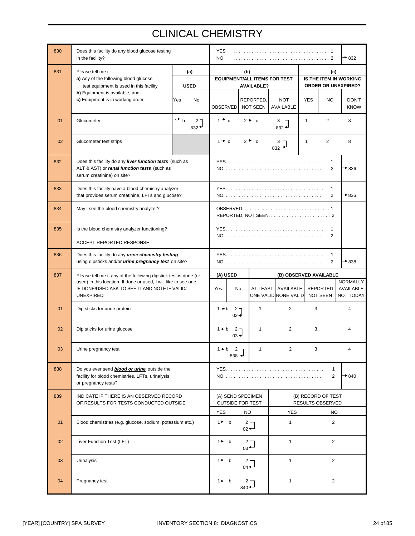# CLINICAL CHEMISTRY

| 830 | Does this facility do any blood glucose testing<br>in the facility?                                                                   |                                              |               | <b>YES</b><br>NO.                            |                                                     |                                     |                                                      |                                | $+832$                                    |
|-----|---------------------------------------------------------------------------------------------------------------------------------------|----------------------------------------------|---------------|----------------------------------------------|-----------------------------------------------------|-------------------------------------|------------------------------------------------------|--------------------------------|-------------------------------------------|
| 831 | Please tell me if:                                                                                                                    | (a)                                          |               |                                              | (b)                                                 |                                     |                                                      | (c)                            |                                           |
|     | a) Any of the following blood glucose<br>test equipment is used in this facility                                                      | <b>USED</b>                                  |               |                                              | <b>AVAILABLE?</b>                                   | <b>EQUIPMENT/ALL ITEMS FOR TEST</b> | IS THE ITEM IN WORKING<br><b>ORDER OR UNEXPIRED?</b> |                                |                                           |
|     | b) Equipment is available, and<br>c) Equipment is in working order                                                                    | Yes<br><b>No</b>                             | OBSERVED      |                                              | REPORTED,<br><b>NOT SEEN</b>                        | <b>NOT</b><br>AVAILABLE             | <b>YES</b>                                           | <b>NO</b>                      | <b>DON'T</b><br><b>KNOW</b>               |
| 01  | Glucometer                                                                                                                            | $1^{\bullet}$ b<br>2 <sub>7</sub><br>$832 +$ | $1 \cdot c$   |                                              | $2 \bullet c$                                       | 3<br>$832 +$                        | $\overline{2}$<br>$\mathbf{1}$                       |                                | 8                                         |
| 02  | Glucometer test strips                                                                                                                |                                              | $1 + c$       |                                              | $2 \cdot c$                                         | $832$ $\rightarrow$                 | $\overline{2}$<br>$\mathbf{1}$                       |                                | 8                                         |
| 832 | Does this facility do any liver function tests (such as<br>ALT & AST) or renal function tests (such as<br>serum creatinine) on site?  |                                              |               |                                              |                                                     |                                     |                                                      | 1<br>2                         | $\rightarrow$ 836                         |
| 833 | Does this facility have a blood chemistry analyzer<br>that provides serum creatinine, LFTs and glucose?                               |                                              |               |                                              |                                                     |                                     |                                                      | 1<br>2                         | $+836$                                    |
| 834 | May I see the blood chemistry analyzer?                                                                                               |                                              |               |                                              |                                                     |                                     |                                                      |                                |                                           |
| 835 | Is the blood chemistry analyzer functioning?                                                                                          |                                              |               |                                              |                                                     |                                     |                                                      | 1                              |                                           |
|     | ACCEPT REPORTED RESPONSE                                                                                                              |                                              |               | 2                                            |                                                     |                                     |                                                      |                                |                                           |
| 836 | Does this facility do any urine chemistry testing<br>using dipsticks and/or <i>urine pregnancy test</i> on site?                      |                                              |               |                                              |                                                     |                                     |                                                      | 1<br>2                         | $*838$                                    |
| 837 | Please tell me if any of the following dipstick test is done (or                                                                      |                                              |               |                                              |                                                     |                                     |                                                      |                                |                                           |
|     |                                                                                                                                       |                                              | (A) USED      |                                              |                                                     |                                     | (B) OBSERVED AVAILABLE                               |                                |                                           |
|     | used) in this location. If done or used, I will like to see one.<br>IF DONE/USED ASK TO SEE IT AND NOTE IF VALID/<br><b>UNEXPIRED</b> |                                              | Yes           | <b>No</b>                                    | <b>AT LEAST</b>                                     | AVAILABLE<br>ONE VALID NONE VALID   | <b>REPORTED</b><br><b>NOT SEEN</b>                   |                                | <b>NORMALLY</b><br>AVAILABLE<br>NOT TODAY |
| 01  | Dip sticks for urine protein                                                                                                          |                                              | $1 \cdot b$   | $2 -$<br>$02$ →                              | 1                                                   | $\overline{2}$                      | 3                                                    |                                | 4                                         |
| 02  | Dip sticks for urine glucose                                                                                                          |                                              | $1 \cdot b$   | 2 <sub>7</sub><br>$03 +$                     | 1                                                   | $\overline{2}$                      | 3                                                    |                                | 4                                         |
| 03  | Urine pregnancy test                                                                                                                  |                                              |               | $1 \cdot b$ 2 -<br>$838 +$                   | 1                                                   | $\overline{2}$                      | 3                                                    |                                | 4                                         |
| 838 | Do you ever send <b>blood or urine</b> outside the<br>facility for blood chemistries, LFTs, urinalysis<br>or pregnancy tests?         |                                              |               |                                              |                                                     |                                     |                                                      | $\mathbf{1}$<br>$\overline{2}$ | $+840$                                    |
| 839 | INDICATE IF THERE IS AN OBSERVED RECORD<br>OF RESULTS FOR TESTS CONDUCTED OUTSIDE                                                     |                                              |               | (A) SEND SPECIMEN<br><b>OUTSIDE FOR TEST</b> |                                                     |                                     | (B) RECORD OF TEST<br>RESULTS OBSERVED               |                                |                                           |
|     |                                                                                                                                       |                                              | <b>YES</b>    |                                              | <b>NO</b>                                           | <b>YES</b>                          |                                                      | NO                             |                                           |
| 01  | Blood chemistries (e.g. glucose, sodium, potassium etc.)                                                                              |                                              | $1^*$ b       |                                              | $2 -$<br>$_{02}$ $\leftarrow$                       | 1                                   |                                                      | $\overline{2}$                 |                                           |
| 02  | Liver Function Test (LFT)                                                                                                             |                                              | $1 \bullet b$ |                                              | $2 -$<br>$_{03}$ <sup><math>\leftarrow</math></sup> | $\mathbf{1}$                        |                                                      | $\overline{2}$                 |                                           |
| 03  | <b>Urinalysis</b>                                                                                                                     |                                              | $1$ b         |                                              | $2 -$<br>$_{04}$ $\leftarrow$                       | 1                                   |                                                      | $\overline{c}$                 |                                           |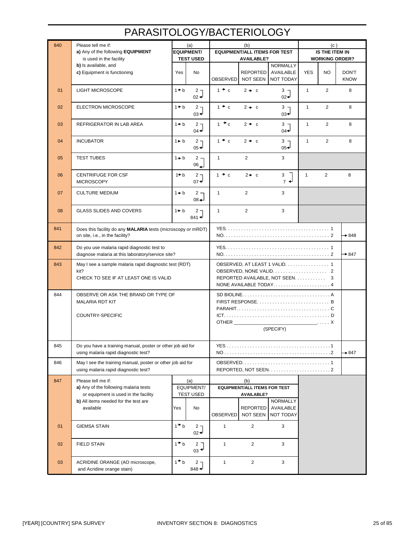| 840 | Please tell me if:<br>a) Any of the following EQUIPMENT      |                 | (a)<br><b>EQUIPMENT/</b> |                              | (b)<br><b>EQUIPMENT/ALL ITEMS FOR TEST</b> |                               |                   | (c)<br>IS THE ITEM IN |                       |
|-----|--------------------------------------------------------------|-----------------|--------------------------|------------------------------|--------------------------------------------|-------------------------------|-------------------|-----------------------|-----------------------|
|     | is used in the facility                                      |                 | <b>TEST USED</b>         |                              | <b>AVAILABLE?</b>                          |                               |                   |                       | <b>WORKING ORDER?</b> |
|     | b) Is available, and                                         |                 |                          |                              |                                            | <b>NORMALLY</b>               |                   |                       |                       |
|     | c) Equipment is functioning                                  | Yes             | No                       |                              | REPORTED   AVAILABLE                       |                               | <b>YES</b>        | NO                    | <b>DON'T</b>          |
|     |                                                              |                 |                          | <b>OBSERVED</b>              | NOT SEEN                                   | <b>NOT TODAY</b>              |                   |                       | <b>KNOW</b>           |
| 01  | <b>LIGHT MICROSCOPE</b>                                      | $1 + b$         | $2 -$                    | $1 + c$                      | $2 + c$                                    | 3 ¬                           | $\mathbf{1}$      | $\overline{2}$        | 8                     |
|     |                                                              |                 | $02$ →                   |                              |                                            | $02 -$                        |                   |                       |                       |
| 02  | <b>ELECTRON MICROSCOPE</b>                                   | $1 + b$         | $2 -$                    | $1 + c$                      | $2 \rightarrow c$                          | $3 -$                         | $\mathbf{1}$      | 2                     | 8                     |
|     |                                                              |                 | 03 →                     |                              |                                            | ივ↵                           |                   |                       |                       |
| 03  | REFRIGERATOR IN LAB AREA                                     | $1 + b$         | $2 -$                    | $1 + c$                      | $2 + c$                                    | з-                            | $\mathbf{1}$      | $\overline{2}$        | 8                     |
|     |                                                              |                 | $04 -$                   |                              |                                            | $04 -$                        |                   |                       |                       |
| 04  | <b>INCUBATOR</b>                                             | $1 \bullet b$   | $2 -$                    | $1 + c$                      | $2 + c$                                    | 3 ⊣                           | $\mathbf{1}$      | 2                     | 8                     |
|     |                                                              |                 | $05$ →                   |                              |                                            | $05 +$                        |                   |                       |                       |
| 05  | <b>TEST TUBES</b>                                            | $1 + b$         | $2 -$                    | $\mathbf{1}$                 | $\overline{2}$                             | 3                             |                   |                       |                       |
|     |                                                              |                 | 06                       |                              |                                            |                               |                   |                       |                       |
| 06  | <b>CENTRIFUGE FOR CSF</b>                                    | $1 + b$         | $2 -$                    | $1 + c$                      | $2 \div c$                                 | 3                             | $\mathbf{1}$      | $\overline{2}$        | 8                     |
|     | <b>MICROSCOPY</b>                                            |                 | $07 +$                   |                              |                                            | $7 +$                         |                   |                       |                       |
|     |                                                              |                 |                          |                              |                                            |                               |                   |                       |                       |
| 07  | <b>CULTURE MEDIUM</b>                                        | $1 + b$         | $2 -$<br>$08 +$          | $\mathbf{1}$                 | 2                                          | 3                             |                   |                       |                       |
|     |                                                              |                 |                          |                              |                                            |                               |                   |                       |                       |
| 08  | <b>GLASS SLIDES AND COVERS</b>                               | $1 + b$         | $2 -$<br>841 ♦           | 1                            | 2                                          | 3                             |                   |                       |                       |
|     |                                                              |                 |                          |                              |                                            |                               |                   |                       |                       |
| 841 | Does this facility do any MALARIA tests (microscopy or mRDT) |                 |                          |                              |                                            |                               |                   |                       |                       |
|     | on site, i.e., in the facility?                              |                 |                          |                              |                                            |                               | $\rightarrow 848$ |                       |                       |
| 842 | Do you use malaria rapid diagnostic test to                  |                 |                          |                              |                                            |                               |                   |                       |                       |
|     | diagnose malaria at this laboratory/service site?            |                 |                          |                              |                                            |                               |                   |                       | $\rightarrow 847$     |
| 843 | May I see a sample malaria rapid diagnostic test (RDT)       |                 |                          |                              |                                            | OBSERVED, AT LEAST 1 VALID. 1 |                   |                       |                       |
|     | kit?                                                         |                 |                          |                              |                                            |                               |                   |                       |                       |
|     | CHECK TO SEE IF AT LEAST ONE IS VALID                        |                 |                          |                              |                                            | REPORTED AVAILABLE, NOT SEEN. |                   | 3                     |                       |
|     |                                                              |                 |                          |                              |                                            | NONE AVAILABLE TODAY4         |                   |                       |                       |
| 844 | OBSERVE OR ASK THE BRAND OR TYPE OF                          |                 |                          |                              |                                            |                               |                   |                       |                       |
|     | <b>MALARIA RDT KIT</b>                                       |                 |                          | FIRST RESPONSE B             |                                            |                               |                   |                       |                       |
|     | COUNTRY-SPECIFIC                                             |                 |                          |                              |                                            |                               |                   |                       |                       |
|     |                                                              |                 |                          | OTHER<br>$\ldots$ $\ldots$ X |                                            |                               |                   |                       |                       |
|     |                                                              |                 |                          | (SPECIFY)                    |                                            |                               |                   |                       |                       |
|     |                                                              |                 |                          |                              |                                            |                               |                   |                       |                       |
| 845 | Do you have a training manual, poster or other job aid for   |                 |                          |                              |                                            |                               |                   |                       |                       |
|     | using malaria rapid diagnostic test?                         |                 |                          |                              |                                            |                               |                   |                       | $\rightarrow 847$     |
| 846 | May I see the training manual, poster or other job aid for   |                 |                          |                              |                                            |                               |                   |                       |                       |
|     | using malaria rapid diagnostic test?                         |                 |                          |                              |                                            |                               |                   |                       |                       |
| 847 | Please tell me if:                                           |                 | (a)                      |                              | (b)                                        |                               |                   |                       |                       |
|     | a) Any of the following malaria tests                        |                 | EQUIPMENT/               |                              | <b>EQUIPMENT/ALL ITEMS FOR TEST</b>        |                               |                   |                       |                       |
|     | or equipment is used in the facility                         |                 | <b>TEST USED</b>         |                              | <b>AVAILABLE?</b>                          |                               |                   |                       |                       |
|     | b) All items needed for the test are<br>available            |                 |                          |                              |                                            | NORMALLY                      |                   |                       |                       |
|     |                                                              | Yes             | No                       | OBSERVED                     | <b>REPORTED</b><br><b>NOT SEEN</b>         | AVAILABLE<br>NOT TODAY        |                   |                       |                       |
|     |                                                              |                 |                          |                              |                                            |                               |                   |                       |                       |
| 01  | <b>GIEMSA STAIN</b>                                          | $1^{\bullet}$ b | 2 <sub>7</sub>           | $\mathbf{1}$                 | $\overline{2}$                             | 3                             |                   |                       |                       |
|     |                                                              |                 | $02 +$                   |                              |                                            |                               |                   |                       |                       |
| 02  | <b>FIELD STAIN</b>                                           | $1^{\bullet}$ b | $2^{\sim}$               | $\mathbf{1}$                 | $\overline{2}$                             | 3                             |                   |                       |                       |
|     |                                                              |                 | $03 \triangleleft$       |                              |                                            |                               |                   |                       |                       |
| 03  | ACRIDINE ORANGE (AO microscope,                              | $1^{\bullet}$ b | $2 -$                    | $\mathbf{1}$                 | $\overline{2}$                             | 3                             |                   |                       |                       |
|     | and Acridine orange stain)                                   |                 | 848 $\triangleleft$      |                              |                                            |                               |                   |                       |                       |

# PARASITOLOGY/BACTERIOLOGY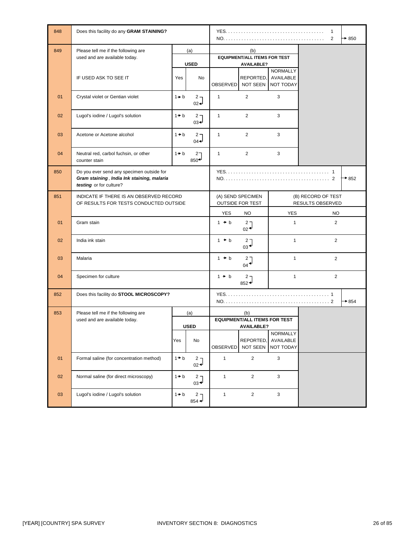| 848 | Does this facility do any GRAM STAINING?                                                                           |         |                                              |                 |                                                                 |                                           | $\mathbf{1}$<br>$\overline{2}$ | $\rightarrow$ 850 |
|-----|--------------------------------------------------------------------------------------------------------------------|---------|----------------------------------------------|-----------------|-----------------------------------------------------------------|-------------------------------------------|--------------------------------|-------------------|
| 849 | Please tell me if the following are<br>used and are available today.                                               |         | (a)<br><b>USED</b>                           |                 | (b)<br><b>EQUIPMENT/ALL ITEMS FOR TEST</b><br><b>AVAILABLE?</b> |                                           |                                |                   |
|     | IF USED ASK TO SEE IT                                                                                              | Yes     | No                                           | <b>OBSERVED</b> | REPORTED,<br>NOT SEEN                                           | <b>NORMALLY</b><br>AVAILABLE<br>NOT TODAY |                                |                   |
| 01  | Crystal violet or Gentian violet                                                                                   | $1 + b$ | $2 -$<br>$02 -$                              | 1               | $\overline{2}$                                                  | 3                                         |                                |                   |
| 02  | Lugol's iodine / Lugol's solution                                                                                  | $1 + b$ | $2 -$<br>$03 -$                              | $\mathbf{1}$    | 2                                                               | 3                                         |                                |                   |
| 03  | Acetone or Acetone alcohol                                                                                         | $1 + b$ | 2 <sub>7</sub><br>$04 -$                     | $\mathbf{1}$    | 2                                                               | 3                                         |                                |                   |
| 04  | Neutral red, carbol fuchsin, or other<br>counter stain                                                             | $1 + b$ | 2 <sub>7</sub><br>$850 +$                    | $\mathbf{1}$    | $\overline{2}$                                                  | 3                                         |                                |                   |
| 850 | Do you ever send any specimen outside for<br>Gram staining, India Ink staining, malaria<br>testing or for culture? |         |                                              |                 |                                                                 | $*852$                                    |                                |                   |
| 851 | INDICATE IF THERE IS AN OBSERVED RECORD<br>OF RESULTS FOR TESTS CONDUCTED OUTSIDE                                  |         | (A) SEND SPECIMEN<br><b>OUTSIDE FOR TEST</b> |                 | (B) RECORD OF TEST<br>RESULTS OBSERVED                          |                                           |                                |                   |
|     |                                                                                                                    |         |                                              | <b>YES</b>      | <b>NO</b>                                                       | <b>YES</b>                                | <b>NO</b>                      |                   |
| 01  | Gram stain                                                                                                         |         |                                              | $1 + b$         | 2 <sub>7</sub><br>$02^+$                                        | $\mathbf{1}$                              | $\overline{2}$                 |                   |
| 02  | India ink stain                                                                                                    |         |                                              | $1 + b$         | ר 2<br>$03^{\bigtriangleup}$                                    | $\mathbf{1}$                              | $\overline{2}$                 |                   |
| 03  | Malaria                                                                                                            |         |                                              | $1 + b$         | 2 <sub>1</sub><br>$04^{\bigtriangleup}$                         | $\mathbf{1}$                              | 2                              |                   |
| 04  | Specimen for culture                                                                                               |         |                                              | $1 + b$         | 2 <sub>7</sub><br>$852 +$                                       | 1                                         | 2                              |                   |
| 852 | Does this facility do STOOL MICROSCOPY?                                                                            |         |                                              |                 |                                                                 |                                           |                                | $+854$            |
| 853 | Please tell me if the following are                                                                                |         | (a)                                          |                 | (b)                                                             |                                           |                                |                   |
|     | used and are available today.                                                                                      |         | <b>USED</b>                                  |                 | <b>EQUIPMENT/ALL ITEMS FOR TEST</b><br><b>AVAILABLE?</b>        |                                           |                                |                   |
|     |                                                                                                                    | Yes     | No                                           | OBSERVED        | REPORTED,<br>NOT SEEN                                           | NORMALLY<br>AVAILABLE<br>NOT TODAY        |                                |                   |
| 01  | Formal saline (for concentration method)                                                                           | $1 + b$ | $2 -$<br>$02 +$                              | $\mathbf{1}$    | $\overline{2}$                                                  | $\mathbf{3}$                              |                                |                   |
| 02  | Normal saline (for direct microscopy)                                                                              | $1 + b$ | 2 <sub>7</sub><br>$_{03}$ <sup>-1</sup>      | $\mathbf{1}$    | $\overline{2}$                                                  | $\mathbf{3}$                              |                                |                   |
| 03  | Lugol's iodine / Lugol's solution                                                                                  | $1 + b$ | 2 <sub>7</sub><br>$854 +$                    | $\mathbf{1}$    | $\overline{2}$                                                  | 3                                         |                                |                   |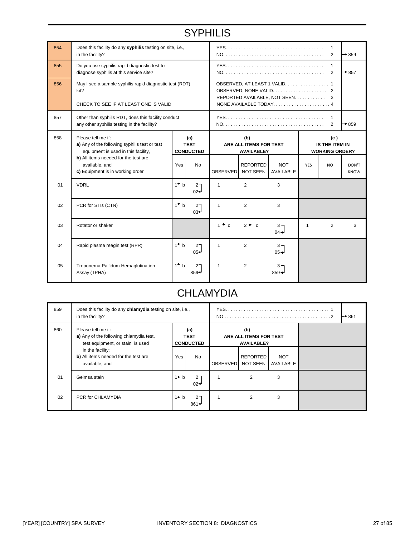# **SYPHILIS**

| 854 | Does this facility do any syphilis testing on site, i.e.,<br>in the facility?                              |                                                                                             |                                        |                                                    |                                    |                         |                                                | 1<br>$\overline{2}$ | $\rightarrow 859$    |
|-----|------------------------------------------------------------------------------------------------------------|---------------------------------------------------------------------------------------------|----------------------------------------|----------------------------------------------------|------------------------------------|-------------------------|------------------------------------------------|---------------------|----------------------|
| 855 | Do you use syphilis rapid diagnostic test to<br>diagnose syphilis at this service site?                    |                                                                                             |                                        | 1<br>2                                             |                                    |                         |                                                |                     | $\rightarrow$ 857    |
| 856 | May I see a sample syphilis rapid diagnostic test (RDT)<br>kit?<br>CHECK TO SEE IF AT LEAST ONE IS VALID   | OBSERVED, AT LEAST 1 VALID. 1<br>REPORTED AVAILABLE, NOT SEEN<br>3<br>NONE AVAILABLE TODAY4 |                                        |                                                    |                                    |                         |                                                |                     |                      |
| 857 | Other than syphilis RDT, does this facility conduct<br>any other syphilis testing in the facility?         |                                                                                             |                                        |                                                    |                                    | $\mathbf{1}$<br>2       | $+859$                                         |                     |                      |
| 858 | Please tell me if:<br>a) Any of the following syphilis test or test<br>equipment is used in this facility, |                                                                                             | (a)<br><b>TEST</b><br><b>CONDUCTED</b> | (b)<br>ARE ALL ITEMS FOR TEST<br><b>AVAILABLE?</b> |                                    |                         | (c)<br>IS THE ITEM IN<br><b>WORKING ORDER?</b> |                     |                      |
|     | b) All items needed for the test are<br>available, and<br>c) Equipment is in working order                 | Yes                                                                                         | <b>No</b>                              | <b>OBSERVED</b>                                    | <b>REPORTED</b><br><b>NOT SEEN</b> | <b>NOT</b><br>AVAILABLE | <b>YES</b>                                     | NO.                 | DON'T<br><b>KNOW</b> |
| 01  | <b>VDRL</b>                                                                                                | $1^{\bullet}$ b                                                                             | 2 <sub>7</sub><br>$02 -$               | 1                                                  | 2                                  | 3                       |                                                |                     |                      |
| 02  | PCR for STIs (CTN)                                                                                         | $1^{\bullet}$ b                                                                             | 2 <sub>7</sub><br>$03 -$               | $\mathbf{1}$                                       | 2                                  | 3                       |                                                |                     |                      |
| 03  | Rotator or shaker                                                                                          |                                                                                             |                                        | $1 \cdot c$                                        | $2 \bullet c$                      | $3 -$<br>$04 -$         | $\mathbf{1}$                                   | 2                   | 3                    |
| 04  | Rapid plasma reagin test (RPR)                                                                             | $1^{\bullet}$ b                                                                             | $2^{-}$<br>$05+$                       | 1                                                  | 2                                  | $3 -$<br>$05 -$         |                                                |                     |                      |
| 05  | Treponema Pallidum Hemaglutination<br>Assay (TPHA)                                                         | 1 <sup>h</sup> b                                                                            | $2-$<br>$859 -$                        | $\mathbf{1}$                                       | $\overline{2}$                     | $3 -$<br>$859 +$        |                                                |                     |                      |

# **CHLAMYDIA**

| 859 | Does this facility do any <b>chlamydia</b> testing on site, i.e.,<br>in the facility?             |               |                                        |                                                    | $\rightarrow$ 861                  |                         |  |
|-----|---------------------------------------------------------------------------------------------------|---------------|----------------------------------------|----------------------------------------------------|------------------------------------|-------------------------|--|
| 860 | Please tell me if:<br>a) Any of the following chlamydia test,<br>test equipment, or stain is used |               | (a)<br><b>TEST</b><br><b>CONDUCTED</b> | (b)<br>ARE ALL ITEMS FOR TEST<br><b>AVAILABLE?</b> |                                    |                         |  |
|     | in the facility;<br>b) All items needed for the test are<br>available, and                        | Yes           | No                                     | <b>OBSERVED</b>                                    | <b>REPORTED</b><br><b>NOT SEEN</b> | <b>NOT</b><br>AVAILABLE |  |
| 01  | Geimsa stain                                                                                      | $1 \bullet b$ | 2 <sub>1</sub><br>$02 -$               |                                                    | $\overline{2}$                     | 3                       |  |
| 02  | PCR for CHLAMYDIA                                                                                 | $1 \bullet b$ | 2 <sub>7</sub><br>$861 +$              |                                                    | $\overline{2}$                     | 3                       |  |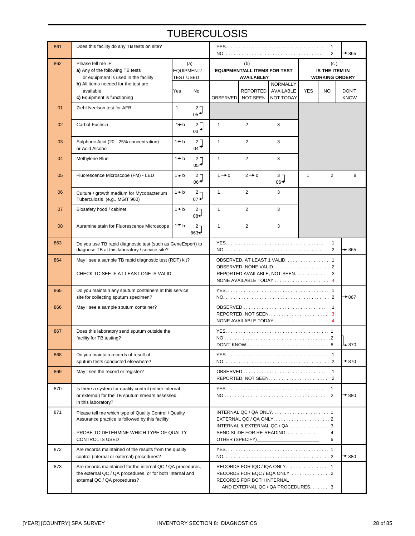# **TUBERCULOSIS**

| 861 | Does this facility do any TB tests on site?                                                                                                                                    |                  |                                      |                   |                                                                 |                                                                                                   |              | 1<br>2                                         | $*865$                      |
|-----|--------------------------------------------------------------------------------------------------------------------------------------------------------------------------------|------------------|--------------------------------------|-------------------|-----------------------------------------------------------------|---------------------------------------------------------------------------------------------------|--------------|------------------------------------------------|-----------------------------|
| 862 | Please tell me IF:<br>a) Any of the following TB tests<br>or equipment is used in the facility                                                                                 | <b>TEST USED</b> | (a)<br>EQUIPMENT/                    |                   | (b)<br><b>EQUIPMENT/ALL ITEMS FOR TEST</b><br><b>AVAILABLE?</b> |                                                                                                   |              | (c)<br>IS THE ITEM IN<br><b>WORKING ORDER?</b> |                             |
|     | b) All items needed for the test are<br>available<br>c) Equipment is functioning                                                                                               | Yes              | <b>No</b>                            | <b>OBSERVED</b>   | <b>NOT SEEN</b>                                                 | <b>NORMALLY</b><br>REPORTED AVAILABLE<br>NOT TODAY                                                | <b>YES</b>   | <b>NO</b>                                      | <b>DON'T</b><br><b>KNOW</b> |
| 01  | Ziehl-Neelson test for AFB                                                                                                                                                     | $\mathbf{1}$     | 27<br>$05 +$                         |                   |                                                                 |                                                                                                   |              |                                                |                             |
| 02  | Carbol-Fuchsin                                                                                                                                                                 | $1 + b$          | 2 <sup>7</sup><br>$03^{\frac{1}{2}}$ | $\mathbf{1}$      | $\overline{2}$                                                  | 3                                                                                                 |              |                                                |                             |
| 03  | Sulphuric Acid (20 - 25% concentration)<br>or Acid Alcohol                                                                                                                     | $1 + b$          | $2-$<br>$04 \rightarrow$             | $\mathbf{1}$      | $\overline{2}$                                                  | 3                                                                                                 |              |                                                |                             |
| 04  | Methylene Blue                                                                                                                                                                 | $1 + b$          | 2 <sub>7</sub><br>$05^{\frac{1}{2}}$ | $\mathbf{1}$      | $\overline{2}$                                                  | 3                                                                                                 |              |                                                |                             |
| 05  | Fluorescence Microscope (FM) - LED                                                                                                                                             | $1 + b$          | 2 <sub>7</sub><br>$06^{\frac{4}{5}}$ | $1 \rightarrow c$ | $2 \rightarrow c$                                               | $3 -$<br>06≁                                                                                      | $\mathbf{1}$ | $\overline{2}$                                 | 8                           |
| 06  | Culture / growth medium for Mycobacterium<br>Tuberculosis (e.g., MGIT 960)                                                                                                     | $1 + b$          | $2 -$<br>$07 -$                      | $\mathbf{1}$      | 2                                                               | 3                                                                                                 |              |                                                |                             |
| 07  | Biosafety hood / cabinet                                                                                                                                                       | $1 + b$          | 2 <sub>7</sub><br>$08 +$             | $\mathbf{1}$      | $\overline{2}$                                                  | 3                                                                                                 |              |                                                |                             |
| 08  | Auramine stain for Fluorescence Microscope                                                                                                                                     | $1^{\bullet}$ b  | 2 <sub>7</sub><br>$863+$             | $\mathbf{1}$      | $\overline{2}$                                                  | 3                                                                                                 |              |                                                |                             |
| 863 | Do you use TB rapid diagnostic test (such as GeneExpert) to<br>diagnose TB at this laboratory / service site?                                                                  |                  |                                      |                   |                                                                 |                                                                                                   |              | 1<br>$\overline{2}$                            | $+865$                      |
| 864 | May I see a sample TB rapid diagnostic test (RDT) kit?<br>CHECK TO SEE IF AT LEAST ONE IS VALID                                                                                |                  |                                      |                   |                                                                 | OBSERVED, AT LEAST 1 VALID. 1<br>REPORTED AVAILABLE, NOT SEEN.                                    |              | 2<br>3                                         |                             |
| 865 | Do you maintain any sputum containers at this service<br>site for collecting sputum specimen?                                                                                  |                  |                                      |                   |                                                                 |                                                                                                   |              |                                                | $*867$                      |
| 866 | May I see a sample sputum container?                                                                                                                                           |                  |                                      |                   |                                                                 | NONE AVAILABLE TODAY  4                                                                           |              |                                                |                             |
| 867 | Does this laboratory send sputum outside the<br>facility for TB testing?                                                                                                       |                  |                                      |                   |                                                                 |                                                                                                   |              |                                                | → 870                       |
| 868 | Do you maintain records of result of<br>sputum tests conducted elsewhere?                                                                                                      |                  |                                      |                   |                                                                 |                                                                                                   |              |                                                | $\rightarrow$ 870           |
| 869 | May I see the record or register?                                                                                                                                              |                  |                                      |                   |                                                                 |                                                                                                   |              | $\mathbf{1}$                                   |                             |
| 870 | Is there a system for quality control (either internal<br>or external) for the TB sputum smears assessed<br>in this laboratory?                                                |                  |                                      |                   |                                                                 |                                                                                                   |              | $\mathbf{1}$                                   | $\rightarrow$ 880           |
| 871 | Please tell me which type of Quality Control / Quality<br>Assurance practice is followed by this facility<br>PROBE TO DETERMINE WHICH TYPE OF QUALTY<br><b>CONTROL IS USED</b> |                  |                                      |                   | OTHER (SPECIFY)                                                 | INTERNAL & EXTERNAL QC / QA. 3<br>SEND SLIDE FOR RE-READING                                       |              | 4<br>6                                         |                             |
| 872 | Are records maintained of the results from the quality<br>control (internal or external) procedures?                                                                           |                  |                                      |                   |                                                                 |                                                                                                   |              |                                                | $\rightarrow$ 880           |
| 873 | Are records maintained for the internal QC / QA procedures,<br>the external QC / QA procedures, or for both internal and<br>external QC / QA procedures?                       |                  |                                      |                   | RECORDS FOR BOTH INTERNAL                                       | RECORDS FOR IQC / IQA ONLY 1<br>RECORDS FOR EQC / EQA ONLY2<br>AND EXTERNAL QC / QA PROCEDURES. 3 |              |                                                |                             |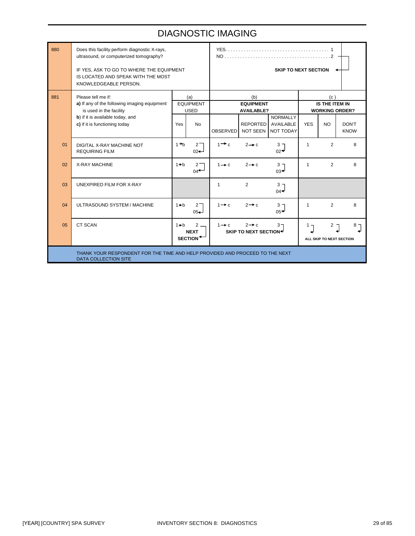## DIAGNOSTIC IMAGING

| 880 | Does this facility perform diagnostic X-rays,<br>ultrasound, or computerized tomography?                    |         |                                              | <b>SKIP TO NEXT SECTION</b>                                                          |                                       |                                           |              |                                   |                             |  |
|-----|-------------------------------------------------------------------------------------------------------------|---------|----------------------------------------------|--------------------------------------------------------------------------------------|---------------------------------------|-------------------------------------------|--------------|-----------------------------------|-----------------------------|--|
|     | IF YES, ASK TO GO TO WHERE THE EQUIPMENT<br>IS LOCATED AND SPEAK WITH THE MOST<br>KNOWLEDGEABLE PERSON.     |         |                                              |                                                                                      |                                       |                                           |              |                                   |                             |  |
| 881 | Please tell me if:                                                                                          |         | (a)                                          |                                                                                      | (b)                                   |                                           |              |                                   |                             |  |
|     | a) If any of the following imaging equipment<br>is used in the facility                                     |         | <b>EQUIPMENT</b><br><b>USED</b>              |                                                                                      | <b>EQUIPMENT</b><br><b>AVAILABLE?</b> |                                           |              | IS THE ITEM IN                    | <b>WORKING ORDER?</b>       |  |
|     | b) if it is available today, and<br>c) if it is functioning today                                           | Yes     | <b>No</b>                                    | <b>OBSERVED</b>                                                                      | <b>REPORTED</b><br>NOT SEEN           | <b>NORMALLY</b><br>AVAILABLE<br>NOT TODAY | <b>YES</b>   | <b>NO</b>                         | <b>DON'T</b><br><b>KNOW</b> |  |
| 01  | DIGITAL X-RAY MACHINE NOT<br><b>REQUIRING FILM</b>                                                          | $1 + h$ | $2-$<br>$02-$                                | $1 \rightarrow c$                                                                    | $2 \rightarrow c$                     | 3 <sub>7</sub><br>$02 -$                  | 1            | $\overline{2}$                    | 8                           |  |
| 02  | <b>X-RAY MACHINE</b>                                                                                        | $1 + b$ | $2 -$<br>$04 +$                              | $1 \rightarrow c$                                                                    | $2 \rightarrow c$                     | $3 -$<br>$03 +$                           | $\mathbf{1}$ | $\overline{2}$                    | 8                           |  |
| 03  | <b>UNEXPIRED FILM FOR X-RAY</b>                                                                             |         |                                              | $\mathbf{1}$                                                                         | 2                                     | 3 <sub>7</sub><br>$04 -$                  |              |                                   |                             |  |
| 04  | ULTRASOUND SYSTEM / MACHINE                                                                                 | $1+b$   | 2 <sub>1</sub><br>$05 -$                     | $1 \rightarrow c$                                                                    | $2 \rightarrow c$                     | 3 <sub>7</sub><br>$05 +$                  | $\mathbf{1}$ | $\overline{2}$                    | 8                           |  |
| 05  | <b>CT SCAN</b>                                                                                              | $1 + b$ | $2 -$<br><b>NEXT</b><br>SECTION <sup>+</sup> | $1 \rightarrow c$<br>$2 \rightarrow c$<br>$3 -$<br>SKIP TO NEXT SECTION <sup>→</sup> |                                       |                                           | $1 -$        | $2 -$<br>ALL SKIP TO NEXT SECTION | 8                           |  |
|     | THANK YOUR RESPONDENT FOR THE TIME AND HELP PROVIDED AND PROCEED TO THE NEXT<br><b>DATA COLLECTION SITE</b> |         |                                              |                                                                                      |                                       |                                           |              |                                   |                             |  |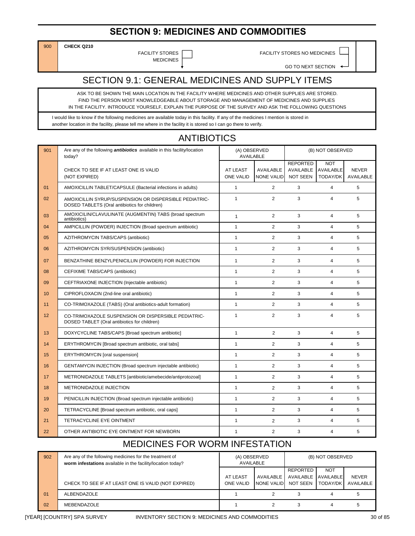#### **SECTION 9: MEDICINES AND COMMODITIES**

900 **CHECK Q210** 

MEDICINES

FACILITY STORES **FACILITY STORES NO MEDICINES** 

GO TO NEXT SECTION

## SECTION 9.1: GENERAL MEDICINES AND SUPPLY ITEMS

ASK TO BE SHOWN THE MAIN LOCATION IN THE FACILITY WHERE MEDICINES AND OTHER SUPPLIES ARE STORED. FIND THE PERSON MOST KNOWLEDGEABLE ABOUT STORAGE AND MANAGEMENT OF MEDICINES AND SUPPLIES IN THE FACILITY. INTRODUCE YOURSELF, EXPLAIN THE PURPOSE OF THE SURVEY AND ASK THE FOLLOWING QUESTIONS

ANTIBIOTICS

I would like to know if the following medicines are available today in this facility. If any of the medicines I mention is stored in another location in the facility, please tell me where in the facility it is stored so I can go there to verify.

| 901 | Are any of the following <i>antibiotics</i> available in this facility/location<br>today?               | (A) OBSERVED<br><b>AVAILABLE</b> |                                | (B) NOT OBSERVED                                |                                     |                           |  |
|-----|---------------------------------------------------------------------------------------------------------|----------------------------------|--------------------------------|-------------------------------------------------|-------------------------------------|---------------------------|--|
|     | CHECK TO SEE IF AT LEAST ONE IS VALID<br>(NOT EXPIRED)                                                  | AT LEAST<br><b>ONE VALID</b>     | AVAILABLE<br><b>NONE VALID</b> | <b>REPORTED</b><br>AVAILABLE<br><b>NOT SEEN</b> | <b>NOT</b><br>AVAILABLE<br>TODAY/DK | <b>NEVER</b><br>AVAILABLE |  |
| 01  | AMOXICILLIN TABLET/CAPSULE (Bacterial infections in adults)                                             | $\mathbf{1}$                     | $\overline{2}$                 | 3                                               | $\overline{4}$                      | 5                         |  |
| 02  | AMOXICILLIN SYRUP/SUSPENSION OR DISPERSIBLE PEDIATRIC-<br>DOSED TABLETS (Oral antibiotics for children) | $\mathbf{1}$                     | $\overline{2}$                 | 3                                               | $\overline{4}$                      | 5                         |  |
| 03  | AMOXICILIN/CLAVULINATE (AUGMENTIN) TABS (broad spectrum<br>antibiotics)                                 | $\mathbf{1}$                     | $\overline{2}$                 | 3                                               | $\overline{4}$                      | 5                         |  |
| 04  | AMPICILLIN (POWDER) INJECTION (Broad spectrum antibiotic)                                               | $\mathbf{1}$                     | $\overline{2}$                 | 3                                               | $\overline{4}$                      | 5                         |  |
| 05  | AZITHROMYCIN TABS/CAPS (antibiotic)                                                                     | $\mathbf{1}$                     | $\overline{2}$                 | 3                                               | $\overline{4}$                      | 5                         |  |
| 06  | AZITHROMYCIN SYR/SUSPENSION (antibiotic)                                                                | $\mathbf{1}$                     | $\overline{2}$                 | 3                                               | $\overline{4}$                      | 5                         |  |
| 07  | BENZATHINE BENZYLPENICILLIN (POWDER) FOR INJECTION                                                      | $\mathbf{1}$                     | $\overline{2}$                 | 3                                               | $\overline{4}$                      | 5                         |  |
| 08  | CEFIXIME TABS/CAPS (antibiotic)                                                                         | $\mathbf{1}$                     | $\overline{2}$                 | 3                                               | $\overline{4}$                      | 5                         |  |
| 09  | CEFTRIAXONE INJECTION (Injectable antibiotic)                                                           | $\mathbf{1}$                     | $\overline{2}$                 | 3                                               | $\overline{4}$                      | 5                         |  |
| 10  | CIPROFLOXACIN (2nd-line oral antibiotic)                                                                | $\mathbf{1}$                     | 2                              | 3                                               | $\overline{4}$                      | 5                         |  |
| 11  | CO-TRIMOXAZOLE (TABS) (Oral antibiotics-adult formation)                                                | $\mathbf{1}$                     | $\overline{2}$                 | 3                                               | $\overline{4}$                      | 5                         |  |
| 12  | CO-TRIMOXAZOLE SUSPENSION OR DISPERSIBLE PEDIATRIC-<br>DOSED TABLET (Oral antibiotics for children)     | $\mathbf{1}$                     | $\overline{2}$                 | 3                                               | 4                                   | 5                         |  |
| 13  | DOXYCYCLINE TABS/CAPS [Broad spectrum antibiotic]                                                       | $\mathbf{1}$                     | $\overline{2}$                 | 3                                               | 4                                   | 5                         |  |
| 14  | ERYTHROMYCIN [Broad spectrum antibiotic, oral tabs]                                                     | $\mathbf{1}$                     | $\overline{2}$                 | 3                                               | $\overline{4}$                      | 5                         |  |
| 15  | <b>ERYTHROMYCIN</b> [oral suspension]                                                                   | $\mathbf{1}$                     | 2                              | 3                                               | $\overline{4}$                      | 5                         |  |
| 16  | GENTAMYCIN INJECTION (Broad spectrum injectable antibiotic)                                             | $\mathbf{1}$                     | $\overline{2}$                 | 3                                               | $\overline{4}$                      | 5                         |  |
| 17  | METRONIDAZOLE TABLETS [antibiotic/amebecide/antiprotozoal]                                              | $\mathbf{1}$                     | $\overline{2}$                 | 3                                               | $\overline{4}$                      | 5                         |  |
| 18  | METRONIDAZOLE INJECTION                                                                                 | $\mathbf{1}$                     | 2                              | 3                                               | 4                                   | 5                         |  |
| 19  | PENICILLIN INJECTION (Broad spectrum injectable antibiotic)                                             | $\mathbf{1}$                     | $\overline{2}$                 | 3                                               | $\overline{4}$                      | 5                         |  |
| 20  | TETRACYCLINE [Broad spectrum antibiotic, oral caps]                                                     | $\mathbf{1}$                     | $\overline{2}$                 | 3                                               | 4                                   | 5                         |  |
| 21  | TETRACYCLINE EYE OINTMENT                                                                               | $\mathbf{1}$                     | $\overline{2}$                 | 3                                               | $\overline{4}$                      | 5                         |  |
| 22  | OTHER ANTIBIOTIC EYE OINTMENT FOR NEWBORN                                                               | $\mathbf{1}$                     | $\overline{2}$                 | 3                                               | 4                                   | 5                         |  |

#### MEDICINES FOR WORM INFESTATION

| 902 | Are any of the following medicines for the treatment of<br>worm infestations available in the facility/location today? | (A) OBSERVED<br>AVAILABLE           |                         | (B) NOT OBSERVED                            |                               |                           |
|-----|------------------------------------------------------------------------------------------------------------------------|-------------------------------------|-------------------------|---------------------------------------------|-------------------------------|---------------------------|
|     | CHECK TO SEE IF AT LEAST ONE IS VALID (NOT EXPIRED)                                                                    | <b>AT LEAST</b><br><b>ONE VALID</b> | AVAILABLE<br>NONE VALID | REPORTED<br>AVAILABLE AVAILABLE<br>NOT SEEN | <b>NOT</b><br><b>TODAY/DK</b> | <b>NEVER</b><br>AVAILABLE |
| 01  | <b>ALBENDAZOLE</b>                                                                                                     |                                     |                         |                                             |                               |                           |
| 02  | MEBENDAZOLE                                                                                                            |                                     |                         |                                             |                               |                           |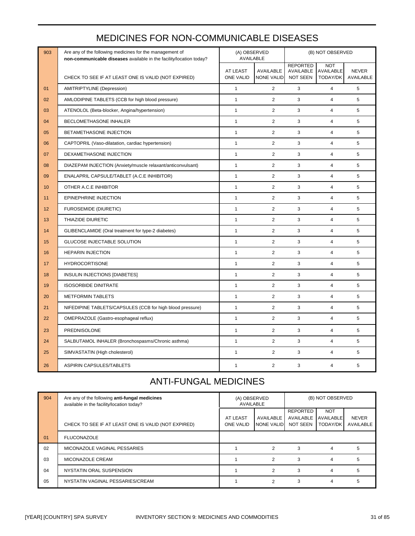| 903 | Are any of the following medicines for the management of<br>non-communicable diseases available in the facility/location today? | (A) OBSERVED<br><b>AVAILABLE</b> |                   |                              | (B) NOT OBSERVED        |              |
|-----|---------------------------------------------------------------------------------------------------------------------------------|----------------------------------|-------------------|------------------------------|-------------------------|--------------|
|     |                                                                                                                                 | AT LEAST                         | AVAILABLE         | <b>REPORTED</b><br>AVAILABLE | <b>NOT</b><br>AVAILABLE | <b>NEVER</b> |
|     | CHECK TO SEE IF AT LEAST ONE IS VALID (NOT EXPIRED)                                                                             | <b>ONE VALID</b>                 | <b>NONE VALID</b> | <b>NOT SEEN</b>              | TODAY/DK                | AVAILABLE    |
| 01  | AMITRIPTYLINE (Depression)                                                                                                      | $\mathbf{1}$                     | $\overline{2}$    | 3                            | $\overline{4}$          | 5            |
| 02  | AMLODIPINE TABLETS (CCB for high blood pressure)                                                                                | $\mathbf{1}$                     | 2                 | 3                            | $\overline{4}$          | 5            |
| 03  | ATENOLOL (Beta-blocker, Angina/hypertension)                                                                                    | $\mathbf{1}$                     | 2                 | 3                            | $\overline{4}$          | 5            |
| 04  | BECLOMETHASONE INHALER                                                                                                          | $\mathbf{1}$                     | $\overline{2}$    | 3                            | $\overline{4}$          | 5            |
| 05  | BETAMETHASONE INJECTION                                                                                                         | $\mathbf{1}$                     | $\overline{2}$    | 3                            | $\overline{4}$          | 5            |
| 06  | CAPTOPRIL (Vaso-dilatation, cardiac hypertension)                                                                               | $\mathbf{1}$                     | 2                 | 3                            | $\overline{4}$          | 5            |
| 07  | DEXAMETHASONE INJECTION                                                                                                         | $\mathbf{1}$                     | $\overline{2}$    | 3                            | $\overline{4}$          | 5            |
| 08  | DIAZEPAM INJECTION (Anxiety/muscle relaxant/anticonvulsant)                                                                     | $\mathbf{1}$                     | $\overline{2}$    | 3                            | $\overline{4}$          | 5            |
| 09  | ENALAPRIL CAPSULE/TABLET (A.C.E INHIBITOR)                                                                                      | $\mathbf{1}$                     | $\overline{2}$    | 3                            | $\overline{4}$          | 5            |
| 10  | OTHER A.C.E INHIBITOR                                                                                                           | $\mathbf{1}$                     | 2                 | 3                            | $\overline{4}$          | 5            |
| 11  | EPINEPHRINE INJECTION                                                                                                           | $\mathbf{1}$                     | $\overline{2}$    | 3                            | $\overline{4}$          | 5            |
| 12  | <b>FUROSEMIDE (DIURETIC)</b>                                                                                                    | $\mathbf{1}$                     | 2                 | 3                            | $\overline{4}$          | 5            |
| 13  | THIAZIDE DIURETIC                                                                                                               | $\mathbf{1}$                     | 2                 | 3                            | $\overline{4}$          | 5            |
| 14  | GLIBENCLAMIDE (Oral treatment for type-2 diabetes)                                                                              | $\mathbf{1}$                     | 2                 | 3                            | $\overline{4}$          | 5            |
| 15  | GLUCOSE INJECTABLE SOLUTION                                                                                                     | $\mathbf{1}$                     | $\overline{2}$    | 3                            | $\overline{4}$          | 5            |
| 16  | <b>HEPARIN INJECTION</b>                                                                                                        | $\overline{1}$                   | $\overline{2}$    | 3                            | $\overline{\mathbf{4}}$ | 5            |
| 17  | <b>HYDROCORTISONE</b>                                                                                                           | $\mathbf{1}$                     | $\overline{2}$    | 3                            | $\overline{4}$          | 5            |
| 18  | <b>INSULIN INJECTIONS [DIABETES]</b>                                                                                            | $\mathbf{1}$                     | $\overline{2}$    | 3                            | $\overline{4}$          | 5            |
| 19  | <b>ISOSORBIDE DINITRATE</b>                                                                                                     | $\mathbf{1}$                     | 2                 | 3                            | $\overline{4}$          | 5            |
| 20  | <b>METFORMIN TABLETS</b>                                                                                                        | $\mathbf{1}$                     | $\overline{2}$    | 3                            | $\overline{4}$          | 5            |
| 21  | NIFEDIPINE TABLETS/CAPSULES (CCB for high blood pressure)                                                                       | $\mathbf{1}$                     | $\overline{2}$    | 3                            | $\overline{4}$          | 5            |
| 22  | OMEPRAZOLE (Gastro-esophageal reflux)                                                                                           | $\mathbf{1}$                     | $\overline{2}$    | 3                            | $\overline{4}$          | 5            |
| 23  | PREDNISOLONE                                                                                                                    | $\mathbf{1}$                     | $\overline{2}$    | 3                            | $\overline{4}$          | 5            |
| 24  | SALBUTAMOL INHALER (Bronchospasms/Chronic asthma)                                                                               | $\mathbf{1}$                     | $\overline{2}$    | 3                            | $\overline{4}$          | 5            |
| 25  | SIMVASTATIN (High cholesterol)                                                                                                  | $\mathbf{1}$                     | 2                 | 3                            | $\overline{4}$          | 5            |
| 26  | <b>ASPIRIN CAPSULES/TABLETS</b>                                                                                                 | $\mathbf{1}$                     | 2                 | 3                            | $\overline{4}$          | 5            |

#### MEDICINES FOR NON-COMMUNICABLE DISEASES

## ANTI-FUNGAL MEDICINES

| 904            | Are any of the following anti-fungal medicines<br>available in the facility/location today? | (A) OBSERVED<br>AVAILABLE    |                         | (B) NOT OBSERVED                         |                                            |                           |
|----------------|---------------------------------------------------------------------------------------------|------------------------------|-------------------------|------------------------------------------|--------------------------------------------|---------------------------|
|                | CHECK TO SEE IF AT LEAST ONE IS VALID (NOT EXPIRED)                                         | AT LEAST<br><b>ONE VALID</b> | AVAILABLE<br>NONE VALID | REPORTED<br>AVAILABLE<br><b>NOT SEEN</b> | <b>NOT</b><br><b>AVAILABLE</b><br>TODAY/DK | <b>NEVER</b><br>AVAILABLE |
| 01             | <b>FLUCONAZOLE</b>                                                                          |                              |                         |                                          |                                            |                           |
| 02             | MICONAZOLE VAGINAL PESSARIES                                                                |                              | 2                       | 3                                        | 4                                          | 5                         |
| 03             | MICONAZOLE CREAM                                                                            |                              | 2                       | 3                                        |                                            | 5                         |
| 04             | NYSTATIN ORAL SUSPENSION                                                                    |                              | 2                       | 3                                        |                                            | 5                         |
| 0 <sub>5</sub> | NYSTATIN VAGINAL PESSARIES/CREAM                                                            |                              | 2                       | 3                                        | 4                                          | 5                         |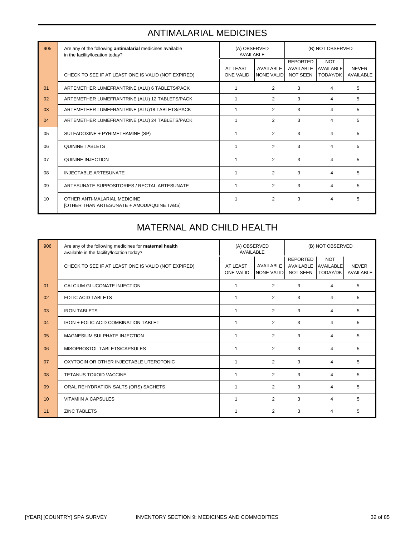# ANTIMALARIAL MEDICINES

| 905 | Are any of the following antimalarial medicines available<br>in the facility/location today? | (A) OBSERVED<br><b>AVAILABLE</b> |                                | (B) NOT OBSERVED                                |                                            |                           |
|-----|----------------------------------------------------------------------------------------------|----------------------------------|--------------------------------|-------------------------------------------------|--------------------------------------------|---------------------------|
|     | CHECK TO SEE IF AT LEAST ONE IS VALID (NOT EXPIRED)                                          | AT LEAST<br><b>ONE VALID</b>     | AVAILABLE<br><b>NONE VALID</b> | <b>REPORTED</b><br>AVAILABLE<br><b>NOT SEEN</b> | <b>NOT</b><br><b>AVAILABLE</b><br>TODAY/DK | <b>NEVER</b><br>AVAILABLE |
| 01  | ARTEMETHER LUMEFRANTRINE (ALU) 6 TABLETS/PACK                                                | 1                                | $\overline{2}$                 | 3                                               | 4                                          | 5                         |
| 02  | ARTEMETHER LUMEFRANTRINE (ALU) 12 TABLETS/PACK                                               | 1                                | $\overline{2}$                 | 3                                               | 4                                          | 5                         |
| 03  | ARTEMETHER LUMEFRANTRINE (ALU)18 TABLETS/PACK                                                | 1                                | 2                              | 3                                               | 4                                          | 5                         |
| 04  | ARTEMETHER LUMEFRANTRINE (ALU) 24 TABLETS/PACK                                               | 1                                | 2                              | 3                                               | 4                                          | 5                         |
| 05  | SULFADOXINE + PYRIMETHAMINE (SP)                                                             | $\mathbf 1$                      | $\overline{2}$                 | 3                                               | 4                                          | 5                         |
| 06  | <b>QUININE TABLETS</b>                                                                       | $\mathbf 1$                      | $\overline{2}$                 | 3                                               | 4                                          | 5                         |
| 07  | QUININE INJECTION                                                                            | 1                                | $\overline{2}$                 | 3                                               | 4                                          | 5                         |
| 08  | <b>INJECTABLE ARTESUNATE</b>                                                                 | 1                                | $\overline{2}$                 | 3                                               | 4                                          | 5                         |
| 09  | ARTESUNATE SUPPOSITORIES / RECTAL ARTESUNATE                                                 | 1                                | $\overline{2}$                 | 3                                               | 4                                          | 5                         |
| 10  | OTHER ANTI-MALARIAL MEDICINE<br>[OTHER THAN ARTESUNATE + AMODIAQUINE TABS]                   | 1                                | $\overline{2}$                 | 3                                               | 4                                          | 5                         |

#### MATERNAL AND CHILD HEALTH

| 906 | Are any of the following medicines for maternal health<br>available in the facility/location today? | (A) OBSERVED<br>AVAILABLE    |                                | (B) NOT OBSERVED                                          |                        |                                  |
|-----|-----------------------------------------------------------------------------------------------------|------------------------------|--------------------------------|-----------------------------------------------------------|------------------------|----------------------------------|
|     | CHECK TO SEE IF AT LEAST ONE IS VALID (NOT EXPIRED)                                                 | AT LEAST<br><b>ONE VALID</b> | AVAILABLE<br><b>NONE VALID</b> | <b>REPORTED</b><br>AVAILABLE AVAILABLE<br><b>NOT SEEN</b> | <b>NOT</b><br>TODAY/DK | <b>NEVER</b><br><b>AVAILABLE</b> |
| 01  | CALCIUM GLUCONATE INJECTION                                                                         |                              | 2                              | 3                                                         | 4                      | 5                                |
| 02  | <b>FOLIC ACID TABLETS</b>                                                                           | 1                            | 2                              | 3                                                         | 4                      | 5                                |
| 03  | <b>IRON TABLETS</b>                                                                                 | $\overline{1}$               | $\overline{2}$                 | 3                                                         | 4                      | 5                                |
| 04  | IRON + FOLIC ACID COMBINATION TABLET                                                                | $\overline{1}$               | 2                              | 3                                                         | 4                      | 5                                |
| 05  | MAGNESIUM SULPHATE INJECTION                                                                        | $\overline{1}$               | 2                              | 3                                                         | 4                      | 5                                |
| 06  | MISOPROSTOL TABLETS/CAPSULES                                                                        | $\overline{1}$               | $\overline{2}$                 | 3                                                         | 4                      | 5                                |
| 07  | OXYTOCIN OR OTHER INJECTABLE UTEROTONIC                                                             | 1                            | 2                              | 3                                                         | 4                      | 5                                |
| 08  | TETANUS TOXOID VACCINE                                                                              | 1                            | $\overline{2}$                 | 3                                                         | 4                      | 5                                |
| 09  | ORAL REHYDRATION SALTS (ORS) SACHETS                                                                | $\overline{1}$               | $\overline{2}$                 | 3                                                         | 4                      | 5                                |
| 10  | <b>VITAMIIN A CAPSULES</b>                                                                          | $\overline{1}$               | 2                              | 3                                                         | 4                      | 5                                |
| 11  | <b>ZINC TABLETS</b>                                                                                 | $\overline{1}$               | $\overline{2}$                 | 3                                                         | 4                      | 5                                |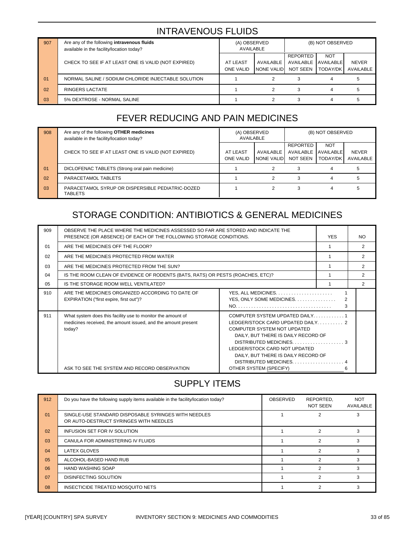### INTRAVENOUS FLUIDS

| 907 | Are any of the following intravenous fluids<br>available in the facility/location today? | (A) OBSERVED<br>AVAILABLE    |                         |                                             | (B) NOT OBSERVED       |                           |
|-----|------------------------------------------------------------------------------------------|------------------------------|-------------------------|---------------------------------------------|------------------------|---------------------------|
|     | CHECK TO SEE IF AT LEAST ONE IS VALID (NOT EXPIRED)                                      | AT LEAST<br><b>ONE VALID</b> | AVAILABLE<br>NONE VALID | REPORTED<br>AVAILABLE AVAILABLE<br>NOT SEEN | <b>NOT</b><br>TODAY/DK | <b>NEVER</b><br>AVAILABLE |
| 01  | NORMAL SALINE / SODIUM CHLORIDE INJECTABLE SOLUTION                                      |                              |                         |                                             |                        |                           |
| 02  | RINGERS LACTATE                                                                          |                              |                         |                                             |                        |                           |
| 03  | 5% DEXTROSE - NORMAL SALINE                                                              |                              |                         |                                             |                        |                           |

## FEVER REDUCING AND PAIN MEDICINES

| 908 | Are any of the following OTHER medicines<br>available in the facility/location today? | (A) OBSERVED<br>AVAILABLE    |                          | (B) NOT OBSERVED                         |                                                   |                           |
|-----|---------------------------------------------------------------------------------------|------------------------------|--------------------------|------------------------------------------|---------------------------------------------------|---------------------------|
|     | CHECK TO SEE IF AT LEAST ONE IS VALID (NOT EXPIRED)                                   | AT LEAST<br><b>ONE VALID</b> | AVAILABLE<br>NONE VALIDI | REPORTED<br>AVAILABLE<br><b>NOT SEEN</b> | <b>NOT</b><br><b>AVAILABLE</b><br><b>TODAY/DK</b> | <b>NEVER</b><br>AVAILABLE |
| 01  | DICLOFENAC TABLETS (Strong oral pain medicine)                                        |                              |                          |                                          |                                                   |                           |
| 02  | PARACETAMOL TABLETS                                                                   |                              |                          |                                          |                                                   |                           |
| 03  | PARACETAMOL SYRUP OR DISPERSIBLE PEDIATRIC-DOZED<br><b>TABLETS</b>                    |                              |                          | 3                                        |                                                   |                           |

## STORAGE CONDITION: ANTIBIOTICS & GENERAL MEDICINES

| 909            | OBSERVE THE PLACE WHERE THE MEDICINES ASSESSED SO FAR ARE STORED AND INDICATE THE<br>PRESENCE (OR ABSENCE) OF EACH OF THE FOLLOWING STORAGE CONDITIONS. |                                                                                                                                                                                                         | <b>YES</b> | <b>NO</b>      |  |  |
|----------------|---------------------------------------------------------------------------------------------------------------------------------------------------------|---------------------------------------------------------------------------------------------------------------------------------------------------------------------------------------------------------|------------|----------------|--|--|
| 01             | ARE THE MEDICINES OFF THE FLOOR?                                                                                                                        |                                                                                                                                                                                                         |            | $\overline{2}$ |  |  |
| 02             | ARE THE MEDICINES PROTECTED FROM WATER                                                                                                                  |                                                                                                                                                                                                         |            | $\mathcal{P}$  |  |  |
| 03             | ARE THE MEDICINES PROTECTED FROM THE SUN?                                                                                                               |                                                                                                                                                                                                         |            | 2              |  |  |
| 04             | IS THE ROOM CLEAN OF EVIDENCE OF RODENTS (BATS, RATS) OR PESTS (ROACHES, ETC)?                                                                          |                                                                                                                                                                                                         |            | $\overline{2}$ |  |  |
| 0 <sub>5</sub> | IS THE STORAGE ROOM WELL VENTILATED?                                                                                                                    |                                                                                                                                                                                                         |            | 2              |  |  |
| 910            | ARE THE MEDICINES ORGANIZED ACCORDING TO DATE OF<br>EXPIRATION ("first expire, first out")?                                                             | 2<br>YES, ONLY SOME MEDICINES.<br>3                                                                                                                                                                     |            |                |  |  |
| 911            | What system does this facility use to monitor the amount of<br>medicines received, the amount issued, and the amount present<br>today?                  | COMPUTER SYSTEM UPDATED DAILY1<br>COMPUTER SYSTEM NOT UPDATED<br>DAILY, BUT THERE IS DAILY RECORD OF<br>LEDGER/STOCK CARD NOT UPDATED<br>DAILY, BUT THERE IS DAILY RECORD OF<br>DISTRIBUTED MEDICINES 4 |            |                |  |  |
|                | ASK TO SEE THE SYSTEM AND RECORD OBSERVATION                                                                                                            | OTHER SYSTEM (SPECIFY)                                                                                                                                                                                  | 6          |                |  |  |

## SUPPLY ITEMS

| 912            | Do you have the following supply items available in the facility/location today?               | OBSERVED | REPORTED,<br>NOT SEEN | <b>NOT</b><br>AVAILABLE |
|----------------|------------------------------------------------------------------------------------------------|----------|-----------------------|-------------------------|
| 01             | SINGLE-USE STANDARD DISPOSABLE SYRINGES WITH NEEDLES<br>OR AUTO-DESTRUCT SYRINGES WITH NEEDLES |          |                       |                         |
| 02             | INFUSION SET FOR IV SOLUTION                                                                   |          |                       |                         |
| 0 <sub>3</sub> | CANULA FOR ADMINISTERING IV FLUIDS                                                             |          |                       |                         |
| 04             | <b>LATEX GLOVES</b>                                                                            |          |                       |                         |
| 0 <sub>5</sub> | ALCOHOL-BASED HAND RUB                                                                         |          |                       |                         |
| 06             | <b>HAND WASHING SOAP</b>                                                                       |          |                       |                         |
| 07             | <b>DISINFECTING SOLUTION</b>                                                                   |          |                       |                         |
| 08             | INSECTICIDE TREATED MOSQUITO NETS                                                              |          |                       |                         |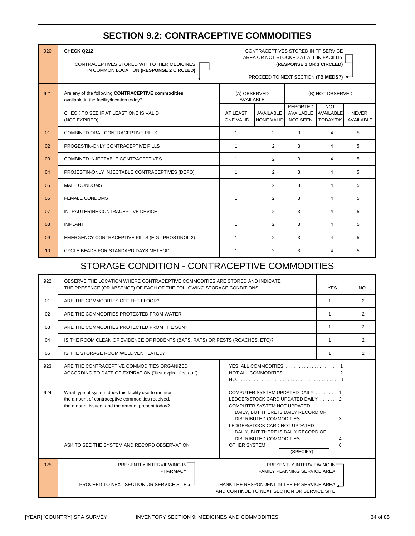#### **SECTION 9.2: CONTRACEPTIVE COMMODITIES**

| 920            | CHECK Q212<br>CONTRACEPTIVES STORED WITH OTHER MEDICINES<br>IN COMMON LOCATION (RESPONSE 2 CIRCLED) | CONTRACEPTIVES STORED IN FP SERVICE<br>AREA OR NOT STOCKED AT ALL IN FACILITY<br>(RESPONSE 1 OR 3 CIRCLED)<br>PROCEED TO NEXT SECTION (TB MEDS?) $\leftarrow$ |                                |                                          |                                     |                           |  |
|----------------|-----------------------------------------------------------------------------------------------------|---------------------------------------------------------------------------------------------------------------------------------------------------------------|--------------------------------|------------------------------------------|-------------------------------------|---------------------------|--|
| 921            | Are any of the following CONTRACEPTIVE commodities<br>available in the facility/location today?     | (A) OBSERVED<br><b>AVAILABLE</b>                                                                                                                              |                                |                                          | (B) NOT OBSERVED                    |                           |  |
|                | CHECK TO SEE IF AT LEAST ONE IS VALID<br>(NOT EXPIRED)                                              | AT LEAST<br><b>ONE VALID</b>                                                                                                                                  | AVAILABLE<br><b>NONE VALID</b> | <b>REPORTED</b><br>AVAILABLE<br>NOT SEEN | <b>NOT</b><br>AVAILABLE<br>TODAY/DK | <b>NEVER</b><br>AVAILABLE |  |
| 01             | COMBINED ORAL CONTRACEPTIVE PILLS                                                                   | $\mathbf{1}$                                                                                                                                                  | 2                              | 3                                        | 4                                   | 5                         |  |
| 02             | PROGESTIN-ONLY CONTRACEPTIVE PILLS                                                                  | $\mathbf{1}$                                                                                                                                                  | $\overline{2}$                 | 3                                        | 4                                   | 5                         |  |
| 03             | COMBINED INJECTABLE CONTRACEPTIVES                                                                  | $\mathbf{1}$                                                                                                                                                  | 2                              | 3                                        | $\overline{4}$                      | 5                         |  |
| 04             | PROJESTIN-ONLY INJECTABLE CONTRACEPTIVES (DEPO)                                                     | $\mathbf{1}$                                                                                                                                                  | $\overline{2}$                 | 3                                        | $\overline{4}$                      | 5                         |  |
| 0 <sub>5</sub> | <b>MALE CONDOMS</b>                                                                                 | $\mathbf{1}$                                                                                                                                                  | $\overline{2}$                 | 3                                        | $\overline{4}$                      | 5                         |  |
| 06             | <b>FEMALE CONDOMS</b>                                                                               | $\mathbf{1}$                                                                                                                                                  | 2                              | 3                                        | 4                                   | 5                         |  |
| 07             | INTRAUTERINE CONTRACEPTIVE DEVICE                                                                   | $\mathbf{1}$                                                                                                                                                  | $\overline{2}$                 | 3                                        | 4                                   | 5                         |  |
| 08             | <b>IMPLANT</b>                                                                                      | $\mathbf{1}$                                                                                                                                                  | 2                              | 3                                        | 4                                   | 5                         |  |
| 09             | EMERGENCY CONTRACEPTIVE PILLS (E.G., PROSTINOL 2)                                                   | $\mathbf{1}$                                                                                                                                                  | $\overline{2}$                 | 3                                        | 4                                   | 5                         |  |
| 10             | CYCLE BEADS FOR STANDARD DAYS METHOD                                                                | $\mathbf{1}$                                                                                                                                                  | 2                              | 3                                        | $\overline{4}$                      | 5                         |  |

#### STORAGE CONDITION - CONTRACEPTIVE COMMODITIES

| 922 | OBSERVE THE LOCATION WHERE CONTRACEPTIVE COMMODITIES ARE STORED AND INDICATE<br>THE PRESENCE (OR ABSENCE) OF EACH OF THE FOLLOWING STORAGE CONDITIONS                                                          |                                                                                                                                                                                                                                                                            |              | NO.            |
|-----|----------------------------------------------------------------------------------------------------------------------------------------------------------------------------------------------------------------|----------------------------------------------------------------------------------------------------------------------------------------------------------------------------------------------------------------------------------------------------------------------------|--------------|----------------|
| 01  | ARE THE COMMODITIES OFF THE FLOOR?                                                                                                                                                                             |                                                                                                                                                                                                                                                                            |              | $\overline{2}$ |
| 02  | ARE THE COMMODITIES PROTECTED FROM WATER                                                                                                                                                                       |                                                                                                                                                                                                                                                                            |              | 2              |
| 03  | ARE THE COMMODITIES PROTECTED FROM THE SUN?                                                                                                                                                                    |                                                                                                                                                                                                                                                                            | $\mathbf{1}$ | 2              |
| 04  | IS THE ROOM CLEAN OF EVIDENCE OF RODENTS (BATS, RATS) OR PESTS (ROACHES, ETC)?                                                                                                                                 |                                                                                                                                                                                                                                                                            |              | $\overline{2}$ |
| 05  | IS THE STORAGE ROOM WELL VENTILATED?                                                                                                                                                                           |                                                                                                                                                                                                                                                                            |              | $\overline{2}$ |
| 923 | ARE THE CONTRACEPTIVE COMMODITIES ORGANIZED<br>ACCORDING TO DATE OF EXPIRATION ("first expire, first out")                                                                                                     |                                                                                                                                                                                                                                                                            |              |                |
| 924 | What type of system does this facility use to monitor<br>the amount of contraceptive commodities received,<br>the amount issued, and the amount present today?<br>ASK TO SEE THE SYSTEM AND RECORD OBSERVATION | COMPUTER SYSTEM UPDATED DAILY 1<br>LEDGER/STOCK CARD UPDATED DAILY 2<br>COMPUTER SYSTEM NOT UPDATED<br>DAILY, BUT THERE IS DAILY RECORD OF<br>LEDGER/STOCK CARD NOT UPDATED<br>DAILY, BUT THERE IS DAILY RECORD OF<br>DISTRIBUTED COMMODITIES<br>OTHER SYSTEM<br>(SPECIFY) | 4<br>6       |                |
| 925 | PRESENTLY INTERVIEWING IN<br><b>PHARMACY</b><br>PROCEED TO NEXT SECTION OR SERVICE SITE $\leftarrow$                                                                                                           | PRESENTLY INTERVIEWING IN<br><b>FAMILY PLANNING SERVICE AREAL</b><br>THANK THE RESPONDENT IN THE FP SERVICE AREA<br>AND CONTINUE TO NEXT SECTION OR SERVICE SITE                                                                                                           |              |                |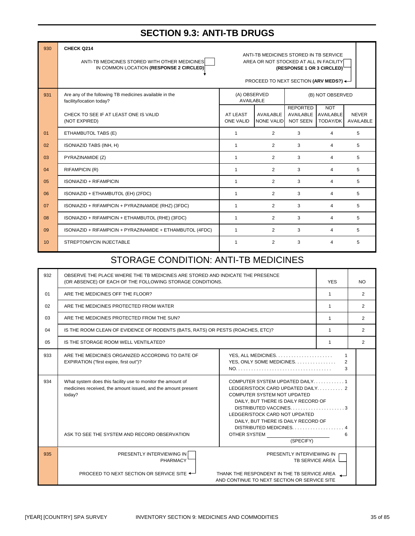#### **SECTION 9.3: ANTI-TB DRUGS**

| 930            | CHECK Q214<br>ANTI-TB MEDICINES STORED WITH OTHER MEDICINES<br>IN COMMON LOCATION (RESPONSE 2 CIRCLED) | ANTI-TB MEDICINES STORED IN TB SERVICE<br>AREA OR NOT STOCKED AT ALL IN FACILITY<br>(RESPONSE 1 OR 3 CIRCLED) <sup>L</sup><br>PROCEED TO NEXT SECTION (ARV MEDS?) $\leftarrow$ |                         |                                                 |                                            |                                  |  |
|----------------|--------------------------------------------------------------------------------------------------------|--------------------------------------------------------------------------------------------------------------------------------------------------------------------------------|-------------------------|-------------------------------------------------|--------------------------------------------|----------------------------------|--|
| 931            | Are any of the following TB medicines available in the<br>facility/location today?                     | (A) OBSERVED<br><b>AVAILABLE</b>                                                                                                                                               |                         |                                                 | (B) NOT OBSERVED                           |                                  |  |
|                | CHECK TO SEE IF AT LEAST ONE IS VALID<br>(NOT EXPIRED)                                                 | AT LEAST<br><b>ONE VALID</b>                                                                                                                                                   | AVAILABLE<br>NONE VALID | <b>REPORTED</b><br>AVAILABLE<br><b>NOT SEEN</b> | <b>NOT</b><br><b>AVAILABLE</b><br>TODAY/DK | <b>NEVER</b><br><b>AVAILABLE</b> |  |
| 01             | ETHAMBUTOL TABS (E)                                                                                    | $\mathbf{1}$                                                                                                                                                                   | $\overline{2}$          | 3                                               | 4                                          | 5                                |  |
| 0 <sub>2</sub> | ISONIAZID TABS (INH, H)                                                                                | $\mathbf{1}$                                                                                                                                                                   | $\overline{2}$          | 3                                               | 4                                          | 5                                |  |
| 03             | PYRAZINAMIDE (Z)                                                                                       | $\mathbf{1}$                                                                                                                                                                   | $\overline{2}$          | 3                                               | 4                                          | 5                                |  |
| 04             | RIFAMPICIN (R)                                                                                         | $\mathbf{1}$                                                                                                                                                                   | $\overline{2}$          | 3                                               | 4                                          | 5                                |  |
| 0 <sub>5</sub> | ISONIAZID + RIFAMPICIN                                                                                 | $\mathbf{1}$                                                                                                                                                                   | $\overline{2}$          | 3                                               | 4                                          | 5                                |  |
| 06             | ISONIAZID + ETHAMBUTOL (EH) (2FDC)                                                                     | $\mathbf{1}$                                                                                                                                                                   | $\overline{2}$          | 3                                               | 4                                          | 5                                |  |
| 07             | ISONIAZID + RIFAMPICIN + PYRAZINAMIDE (RHZ) (3FDC)                                                     | 1                                                                                                                                                                              | $\overline{2}$          | 3                                               | 4                                          | 5                                |  |
| 08             | ISONIAZID + RIFAMPICIN + ETHAMBUTOL (RHE) (3FDC)                                                       | $\mathbf{1}$                                                                                                                                                                   | $\overline{2}$          | 3                                               | 4                                          | 5                                |  |
| 09             | ISONIAZID + RIFAMPICIN + PYRAZINAMIDE + ETHAMBUTOL (4FDC)                                              | $\mathbf{1}$                                                                                                                                                                   | $\overline{2}$          | 3                                               | 4                                          | 5                                |  |
| 10             | STREPTOMYCIN INJECTABLE                                                                                | 1                                                                                                                                                                              | $\overline{2}$          | 3                                               | 4                                          | 5                                |  |

## STORAGE CONDITION: ANTI-TB MEDICINES

| 932            | OBSERVE THE PLACE WHERE THE TB MEDICINES ARE STORED AND INDICATE THE PRESENCE<br>(OR ABSENCE) OF EACH OF THE FOLLOWING STORAGE CONDITIONS.                                             |                                                                                                                                                                                                                                     |                                     | NO. |
|----------------|----------------------------------------------------------------------------------------------------------------------------------------------------------------------------------------|-------------------------------------------------------------------------------------------------------------------------------------------------------------------------------------------------------------------------------------|-------------------------------------|-----|
| 01             | ARE THE MEDICINES OFF THE FLOOR?                                                                                                                                                       |                                                                                                                                                                                                                                     |                                     | 2   |
| 02             | ARE THE MEDICINES PROTECTED FROM WATER                                                                                                                                                 |                                                                                                                                                                                                                                     |                                     | 2   |
| 0 <sub>3</sub> | ARE THE MEDICINES PROTECTED FROM THE SUN?                                                                                                                                              |                                                                                                                                                                                                                                     | $\mathbf{1}$                        | 2   |
| 04             | IS THE ROOM CLEAN OF EVIDENCE OF RODENTS (BATS, RATS) OR PESTS (ROACHES, ETC)?                                                                                                         |                                                                                                                                                                                                                                     | 1                                   | 2   |
| 0 <sub>5</sub> | IS THE STORAGE ROOM WELL VENTILATED?                                                                                                                                                   |                                                                                                                                                                                                                                     |                                     | 2   |
| 933            | ARE THE MEDICINES ORGANIZED ACCORDING TO DATE OF<br>EXPIRATION ("first expire, first out")?                                                                                            | YES, ONLY SOME MEDICINES                                                                                                                                                                                                            | $\mathbf{1}$<br>$\overline{2}$<br>3 |     |
| 934            | What system does this facility use to monitor the amount of<br>medicines received, the amount issued, and the amount present<br>today?<br>ASK TO SEE THE SYSTEM AND RECORD OBSERVATION | COMPUTER SYSTEM UPDATED DAILY1<br>COMPUTER SYSTEM NOT UPDATED<br>DAILY, BUT THERE IS DAILY RECORD OF<br>LEDGER/STOCK CARD NOT UPDATED<br>DAILY, BUT THERE IS DAILY RECORD OF<br>DISTRIBUTED MEDICINES4<br>OTHER SYSTEM<br>(SPECIFY) | 6                                   |     |
| 935            | PRESENTLY INTERVIEWING IN<br><b>PHARMACY</b><br>PROCEED TO NEXT SECTION OR SERVICE SITE $\leftarrow$                                                                                   | PRESENTLY INTERVIEWING IN<br>THANK THE RESPONDENT IN THE TB SERVICE AREA<br>AND CONTINUE TO NEXT SECTION OR SERVICE SITE                                                                                                            | TB SERVICE AREA                     |     |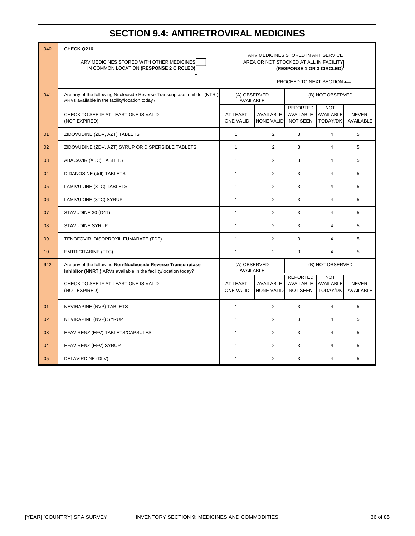#### **SECTION 9.4: ANTIRETROVIRAL MEDICINES**

| 940              | CHECK Q216                                                                                                                        |                                                                                                                         |                                               |                                                 |                                                   |                                  |
|------------------|-----------------------------------------------------------------------------------------------------------------------------------|-------------------------------------------------------------------------------------------------------------------------|-----------------------------------------------|-------------------------------------------------|---------------------------------------------------|----------------------------------|
|                  | ARV MEDICINES STORED WITH OTHER MEDICINES<br>IN COMMON LOCATION (RESPONSE 2 CIRCLED)                                              | ARV MEDICINES STORED IN ART SERVICE<br>AREA OR NOT STOCKED AT ALL IN FACILITY<br>(RESPONSE 1 OR 3 CIRCLED) <sup>1</sup> |                                               |                                                 |                                                   |                                  |
|                  |                                                                                                                                   | PROCEED TO NEXT SECTION ←                                                                                               |                                               |                                                 |                                                   |                                  |
| 941              | Are any of the following Nucleoside Reverse Transcriptase Inhibitor (NTRI)<br>ARVs available in the facility/location today?      | (A) OBSERVED<br>AVAILABLE                                                                                               |                                               |                                                 | (B) NOT OBSERVED                                  |                                  |
|                  | CHECK TO SEE IF AT LEAST ONE IS VALID<br>(NOT EXPIRED)                                                                            | AT LEAST<br><b>ONE VALID</b>                                                                                            | AVAILABLE<br><b>NONE VALID</b>                | <b>REPORTED</b><br><b>AVAILABLE</b><br>NOT SEEN | <b>NOT</b><br><b>AVAILABLE</b><br><b>TODAY/DK</b> | <b>NEVER</b><br>AVAILABLE        |
| 01               | ZIDOVUDINE (ZDV, AZT) TABLETS                                                                                                     | $\mathbf{1}$                                                                                                            | $\overline{2}$                                | 3                                               | $\overline{4}$                                    | 5                                |
| 02               | ZIDOVUDINE (ZDV, AZT) SYRUP OR DISPERSIBLE TABLETS                                                                                | $\mathbf{1}$                                                                                                            | $\overline{2}$                                | 3                                               | $\overline{4}$                                    | 5                                |
| 03               | ABACAVIR (ABC) TABLETS                                                                                                            | $\mathbf{1}$                                                                                                            | $\overline{2}$                                | 3                                               | $\overline{4}$                                    | 5                                |
| 04               | DIDANOSINE (ddl) TABLETS                                                                                                          | $\mathbf{1}$                                                                                                            | $\overline{2}$                                | 3                                               | $\overline{4}$                                    | 5                                |
| 05               | LAMIVUDINE (3TC) TABLETS                                                                                                          | $\mathbf{1}$                                                                                                            | $\overline{2}$                                | 3                                               | $\overline{4}$                                    | 5                                |
| 06               | LAMIVUDINE (3TC) SYRUP                                                                                                            | $\mathbf{1}$                                                                                                            | $\overline{2}$                                | 3                                               | $\overline{4}$                                    | 5                                |
| 07               | STAVUDINE 30 (D4T)                                                                                                                | $\mathbf{1}$                                                                                                            | $\overline{2}$                                | 3                                               | $\overline{4}$                                    | 5                                |
| 08               | <b>STAVUDINE SYRUP</b>                                                                                                            | $\mathbf{1}$                                                                                                            | $\overline{2}$                                | 3                                               | 4                                                 | 5                                |
| 09               | TENOFOVIR DISOPROXIL FUMARATE (TDF)                                                                                               | $\mathbf{1}$                                                                                                            | $\overline{2}$                                | 3                                               | $\overline{4}$                                    | 5                                |
| 10 <sup>10</sup> | <b>EMTRICITABINE (FTC)</b>                                                                                                        | $\mathbf{1}$                                                                                                            | $\overline{2}$                                | 3                                               | $\overline{4}$                                    | 5                                |
| 942              | Are any of the following Non-Nucleoside Reverse Transcriptase<br>Inhibitor (NNRTI) ARVs available in the facility/location today? |                                                                                                                         | (A) OBSERVED<br>(B) NOT OBSERVED<br>AVAILABLE |                                                 |                                                   |                                  |
|                  | CHECK TO SEE IF AT LEAST ONE IS VALID<br>(NOT EXPIRED)                                                                            | AT LEAST<br><b>ONE VALID</b>                                                                                            | <b>AVAILABLE</b><br><b>NONE VALID</b>         | <b>REPORTED</b><br><b>AVAILABLE</b><br>NOT SEEN | <b>NOT</b><br><b>AVAILABLE</b><br>TODAY/DK        | <b>NEVER</b><br><b>AVAILABLE</b> |
| 01               | NEVIRAPINE (NVP) TABLETS                                                                                                          | $\mathbf{1}$                                                                                                            | $\overline{2}$                                | 3                                               | $\overline{4}$                                    | 5                                |
| 02               | NEVIRAPINE (NVP) SYRUP                                                                                                            | $\mathbf{1}$                                                                                                            | $\overline{2}$                                | 3                                               | $\overline{4}$                                    | 5                                |
| 03               | EFAVIRENZ (EFV) TABLETS/CAPSULES                                                                                                  | $\mathbf{1}$                                                                                                            | $\overline{2}$                                | 3                                               | $\overline{4}$                                    | 5                                |
| 04               | EFAVIRENZ (EFV) SYRUP                                                                                                             | $\mathbf{1}$                                                                                                            | $\overline{2}$                                | 3                                               | 4                                                 | 5                                |
| 05               | DELAVIRDINE (DLV)                                                                                                                 | $\mathbf{1}$                                                                                                            | 2                                             | 3                                               | $\overline{4}$                                    | 5                                |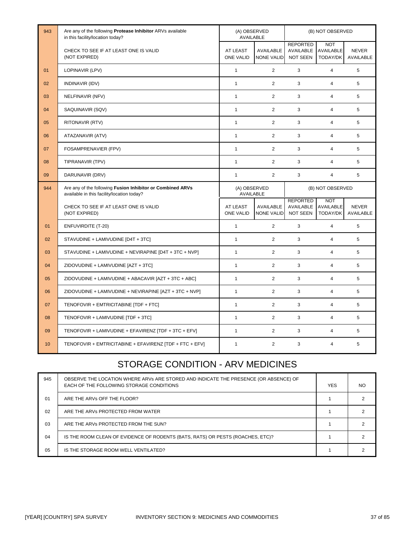| 943 | Are any of the following Protease Inhibitor ARVs available<br>in this facility/location today?           | (A) OBSERVED<br>AVAILABLE                            |                                       |                                                        | (B) NOT OBSERVED                           |                                  |
|-----|----------------------------------------------------------------------------------------------------------|------------------------------------------------------|---------------------------------------|--------------------------------------------------------|--------------------------------------------|----------------------------------|
|     | CHECK TO SEE IF AT LEAST ONE IS VALID<br>(NOT EXPIRED)                                                   | AT LEAST<br><b>ONE VALID</b>                         | <b>AVAILABLE</b><br><b>NONE VALID</b> | <b>REPORTED</b><br><b>AVAILABLE</b><br><b>NOT SEEN</b> | <b>NOT</b><br>AVAILABLE<br>TODAY/DK        | <b>NEVER</b><br><b>AVAILABLE</b> |
| 01  | LOPINAVIR (LPV)                                                                                          | $\mathbf{1}$                                         | $\overline{2}$                        | 3                                                      | $\overline{4}$                             | 5                                |
| 02  | INDINAVIR (IDV)                                                                                          | $\mathbf{1}$                                         | $\overline{2}$                        | 3                                                      | $\overline{4}$                             | 5                                |
| 03  | NELFINAVIR (NFV)                                                                                         | $\mathbf{1}$                                         | $\overline{2}$                        | 3                                                      | $\overline{4}$                             | 5                                |
| 04  | SAQUINAVIR (SQV)                                                                                         | $\mathbf{1}$                                         | $\overline{2}$                        | 3                                                      | $\overline{4}$                             | 5                                |
| 05  | RITONAVIR (RTV)                                                                                          | $\mathbf{1}$                                         | $\overline{2}$                        | 3                                                      | $\overline{4}$                             | 5                                |
| 06  | ATAZANAVIR (ATV)                                                                                         | $\mathbf{1}$                                         | $\overline{2}$                        | 3                                                      | $\overline{4}$                             | 5                                |
| 07  | FOSAMPRENAVIER (FPV)                                                                                     | $\mathbf{1}$                                         | $\overline{2}$                        | 3                                                      | $\overline{4}$                             | 5                                |
| 08  | TIPRANAVIR (TPV)                                                                                         | $\mathbf{1}$                                         | $\overline{2}$                        | 3                                                      | $\overline{4}$                             | 5                                |
| 09  | DARUNAVIR (DRV)                                                                                          | $\mathbf{1}$                                         | 2                                     | 3                                                      | $\overline{4}$                             | 5                                |
| 944 | Are any of the following Fusion Inhibitor or Combined ARVs<br>available in this facility/location today? | (A) OBSERVED<br>(B) NOT OBSERVED<br><b>AVAILABLE</b> |                                       |                                                        |                                            |                                  |
|     | CHECK TO SEE IF AT LEAST ONE IS VALID<br>(NOT EXPIRED)                                                   | <b>AT LEAST</b><br><b>ONE VALID</b>                  | <b>AVAILABLE</b><br><b>NONE VALID</b> | <b>REPORTED</b><br><b>AVAILABLE</b><br><b>NOT SEEN</b> | <b>NOT</b><br><b>AVAILABLE</b><br>TODAY/DK | <b>NEVER</b><br>AVAILABLE        |
| 01  | <b>ENFUVIRDITE (T-20)</b>                                                                                | $\mathbf{1}$                                         | $\overline{2}$                        | 3                                                      | $\overline{4}$                             | 5                                |
| 02  | STAVUDINE + LAMIVUDINE [D4T + 3TC]                                                                       | $\mathbf{1}$                                         | $\overline{2}$                        | 3                                                      | $\overline{4}$                             | 5                                |
| 03  | STAVUDINE + LAMIVUDINE + NEVIRAPINE [D4T + 3TC + NVP]                                                    | $\mathbf{1}$                                         | $\overline{2}$                        | 3                                                      | $\overline{4}$                             | 5                                |
| 04  | ZIDOVUDINE + LAMIVUDINE [AZT + 3TC]                                                                      | $\mathbf{1}$                                         | $\overline{2}$                        | 3                                                      | $\overline{4}$                             | 5                                |
| 05  | ZIDOVUDINE + LAMIVUDINE + ABACAVIR [AZT + 3TC + ABC]                                                     | $\mathbf{1}$                                         | 2                                     | 3                                                      | $\overline{4}$                             | 5                                |
| 06  | ZIDOVUDINE + LAMIVUDINE + NEVIRAPINE [AZT + 3TC + NVP]                                                   | $\mathbf{1}$                                         | 2                                     | 3                                                      | $\overline{4}$                             | 5                                |
| 07  | TENOFOVIR + EMTRICITABINE [TDF + FTC]                                                                    | $\mathbf{1}$                                         | $\overline{2}$                        | 3                                                      | $\overline{4}$                             | 5                                |
| 08  | TENOFOVIR + LAMIVUDINE [TDF + 3TC]                                                                       | $\mathbf{1}$                                         | $\overline{2}$                        | 3                                                      | $\overline{4}$                             | 5                                |
| 09  | TENOFOVIR + LAMIVUDINE + EFAVIRENZ [TDF + 3TC + EFV]                                                     | $\mathbf{1}$                                         | $\overline{2}$                        | 3                                                      | $\overline{4}$                             | 5                                |
| 10  | TENOFOVIR + EMTRICITABINE + EFAVIRENZ [TDF + FTC + EFV]                                                  | $\mathbf{1}$                                         | 2                                     | 3                                                      | $\overline{4}$                             | 5                                |

#### STORAGE CONDITION - ARV MEDICINES

| 945            | OBSERVE THE LOCATION WHERE ARVs ARE STORED AND INDICATE THE PRESENCE (OR ABSENCE) OF<br>EACH OF THE FOLLOWING STORAGE CONDITIONS | <b>YES</b> | <b>NO</b> |
|----------------|----------------------------------------------------------------------------------------------------------------------------------|------------|-----------|
| 01             | ARE THE ARVs OFF THE FLOOR?                                                                                                      |            |           |
| 02             | ARE THE ARVs PROTECTED FROM WATER                                                                                                |            |           |
| 03             | ARE THE ARVs PROTECTED FROM THE SUN?                                                                                             |            |           |
| 04             | IS THE ROOM CLEAN OF EVIDENCE OF RODENTS (BATS, RATS) OR PESTS (ROACHES, ETC)?                                                   |            |           |
| 0 <sub>5</sub> | IS THE STORAGE ROOM WELL VENTILATED?                                                                                             |            |           |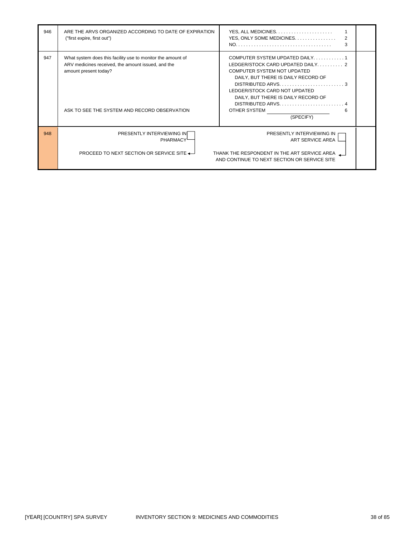| 946 | ARE THE ARVS ORGANIZED ACCORDING TO DATE OF EXPIRATION<br>("first expire, first out")                                                                                                      | YES, ONLY SOME MEDICINES.<br>2<br>3                                                                                                                                                                                                                                                              |
|-----|--------------------------------------------------------------------------------------------------------------------------------------------------------------------------------------------|--------------------------------------------------------------------------------------------------------------------------------------------------------------------------------------------------------------------------------------------------------------------------------------------------|
| 947 | What system does this facility use to monitor the amount of<br>ARV medicines received, the amount issued, and the<br>amount present today?<br>ASK TO SEE THE SYSTEM AND RECORD OBSERVATION | COMPUTER SYSTEM UPDATED DAILY1<br>LEDGER/STOCK CARD UPDATED DAILY 2<br>COMPUTER SYSTEM NOT UPDATED<br>DAILY, BUT THERE IS DAILY RECORD OF<br>LEDGER/STOCK CARD NOT UPDATED<br>DAILY, BUT THERE IS DAILY RECORD OF<br>$DISTRIBUTED ARVS.$<br>OTHER SYSTEM AND THE SAMPLE STATES<br>6<br>(SPECIFY) |
| 948 | PRESENTLY INTERVIEWING IN<br><b>PHARMACY</b><br><b>PROCEED TO NEXT SECTION OR SERVICE SITE <math>\leftarrow</math></b>                                                                     | PRESENTLY INTERVIEWING IN<br>ART SERVICE AREA<br>THANK THE RESPONDENT IN THE ART SERVICE AREA<br>AND CONTINUE TO NEXT SECTION OR SERVICE SITE                                                                                                                                                    |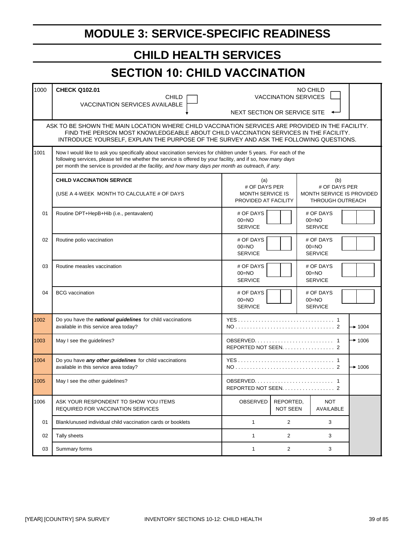# **MODULE 3: SERVICE-SPECIFIC READINESS**

# **CHILD HEALTH SERVICES**

# **SECTION 10: CHILD VACCINATION**

| 1000 | <b>CHECK Q102.01</b><br><b>CHILD</b><br>VACCINATION SERVICES AVAILABLE                                                                                                                                                                                                                                                                 |                                                                  | <b>VACCINATION SERVICES</b>  | NO CHILD                                             |               |                    |  |  |
|------|----------------------------------------------------------------------------------------------------------------------------------------------------------------------------------------------------------------------------------------------------------------------------------------------------------------------------------------|------------------------------------------------------------------|------------------------------|------------------------------------------------------|---------------|--------------------|--|--|
|      |                                                                                                                                                                                                                                                                                                                                        | NEXT SECTION OR SERVICE SITE                                     |                              |                                                      |               |                    |  |  |
|      | ASK TO BE SHOWN THE MAIN LOCATION WHERE CHILD VACCINATION SERVICES ARE PROVIDED IN THE FACILITY.<br>FIND THE PERSON MOST KNOWLEDGEABLE ABOUT CHILD VACCINATION SERVICES IN THE FACILITY.<br>INTRODUCE YOURSELF, EXPLAIN THE PURPOSE OF THE SURVEY AND ASK THE FOLLOWING QUESTIONS.                                                     |                                                                  |                              |                                                      |               |                    |  |  |
| 1001 | Now I would like to ask you specifically about vaccination services for children under 5 years. For each of the<br>following services, please tell me whether the service is offered by your facility, and if so, how many days<br>per month the service is provided at the facility, and how many days per month as outreach, if any. |                                                                  |                              |                                                      |               |                    |  |  |
|      | <b>CHILD VACCINATION SERVICE</b>                                                                                                                                                                                                                                                                                                       | (a)                                                              |                              |                                                      | (b)           |                    |  |  |
|      | (USE A 4-WEEK MONTH TO CALCULATE # OF DAYS                                                                                                                                                                                                                                                                                             | # OF DAYS PER<br><b>MONTH SERVICE IS</b><br>PROVIDED AT FACILITY |                              | MONTH SERVICE IS PROVIDED<br><b>THROUGH OUTREACH</b> | # OF DAYS PER |                    |  |  |
| 01   | Routine DPT+HepB+Hib (i.e., pentavalent)                                                                                                                                                                                                                                                                                               | # OF DAYS<br>$00 = NO$<br><b>SERVICE</b>                         |                              | # OF DAYS<br>$00 = NQ$<br><b>SERVICE</b>             |               |                    |  |  |
| 02   | Routine polio vaccination                                                                                                                                                                                                                                                                                                              | # OF DAYS<br>$00 = NO$<br><b>SERVICE</b>                         |                              | # OF DAYS<br>$00 = NO$<br><b>SERVICE</b>             |               |                    |  |  |
| 03   | Routine measles vaccination                                                                                                                                                                                                                                                                                                            | # OF DAYS<br>$00 = NO$<br><b>SERVICE</b>                         |                              | # OF DAYS<br>$00 = NO$<br><b>SERVICE</b>             |               |                    |  |  |
| 04   | <b>BCG</b> vaccination                                                                                                                                                                                                                                                                                                                 | # OF DAYS<br>$00 = NO$<br><b>SERVICE</b>                         |                              | # OF DAYS<br>$00 = NO$<br><b>SERVICE</b>             |               |                    |  |  |
| 1002 | Do you have the national guidelines for child vaccinations<br>available in this service area today?                                                                                                                                                                                                                                    |                                                                  |                              |                                                      |               | $\rightarrow$ 1004 |  |  |
| 1003 | May I see the guidelines?                                                                                                                                                                                                                                                                                                              | REPORTED NOT SEEN. 2                                             |                              |                                                      |               | $+ 1006$           |  |  |
| 1004 | Do you have any other guidelines for child vaccinations<br>available in this service area today?                                                                                                                                                                                                                                       | $\rightarrow$ 1006                                               |                              |                                                      |               |                    |  |  |
| 1005 | May I see the other quidelines?                                                                                                                                                                                                                                                                                                        | REPORTED NOT SEEN. 2                                             |                              |                                                      |               |                    |  |  |
| 1006 | ASK YOUR RESPONDENT TO SHOW YOU ITEMS<br>REQUIRED FOR VACCINATION SERVICES                                                                                                                                                                                                                                                             | OBSERVED                                                         | REPORTED,<br><b>NOT SEEN</b> | <b>NOT</b><br>AVAILABLE                              |               |                    |  |  |
| 01   | Blank/unused individual child vaccination cards or booklets                                                                                                                                                                                                                                                                            | $\mathbf{1}$                                                     | $\overline{2}$               | 3                                                    |               |                    |  |  |
| 02   | Tally sheets                                                                                                                                                                                                                                                                                                                           | 1                                                                | $\overline{2}$               | 3                                                    |               |                    |  |  |
| 03   | Summary forms                                                                                                                                                                                                                                                                                                                          | 1                                                                | $\overline{2}$               | 3                                                    |               |                    |  |  |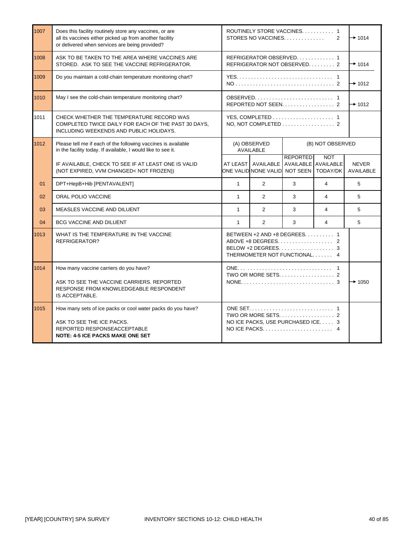| 1007 | Does this facility routinely store any vaccines, or are<br>all its vaccines either picked up from another facility<br>or delivered when services are being provided? |                                                                                                | ROUTINELY STORE VACCINES 1<br>STORES NO VACCINES. $\ldots$ , $\ldots$ ,<br>2 |                  |                         | $+ 1014$                         |  |
|------|----------------------------------------------------------------------------------------------------------------------------------------------------------------------|------------------------------------------------------------------------------------------------|------------------------------------------------------------------------------|------------------|-------------------------|----------------------------------|--|
| 1008 | ASK TO BE TAKEN TO THE AREA WHERE VACCINES ARE<br>STORED. ASK TO SEE THE VACCINE REFRIGERATOR.                                                                       |                                                                                                | REFRIGERATOR OBSERVED 1<br>REFRIGERATOR NOT OBSERVED 2                       |                  |                         | $\rightarrow$ 1014               |  |
| 1009 | Do you maintain a cold-chain temperature monitoring chart?                                                                                                           |                                                                                                |                                                                              |                  |                         | $\rightarrow$ 1012               |  |
| 1010 | May I see the cold-chain temperature monitoring chart?                                                                                                               |                                                                                                | REPORTED NOT SEEN. $\ldots$ , 2                                              |                  |                         | $\rightarrow$ 1012               |  |
| 1011 | CHECK WHETHER THE TEMPERATURE RECORD WAS<br>COMPLETED TWICE DAILY FOR EACH OF THE PAST 30 DAYS.<br>INCLUDING WEEKENDS AND PUBLIC HOLIDAYS.                           |                                                                                                | NO, NOT COMPLETED 2                                                          |                  |                         |                                  |  |
| 1012 | Please tell me if each of the following vaccines is available<br>in the facility today. If available, I would like to see it.                                        |                                                                                                | (A) OBSERVED<br>AVAILABLE                                                    | (B) NOT OBSERVED |                         |                                  |  |
|      | IF AVAILABLE, CHECK TO SEE IF AT LEAST ONE IS VALID<br>(NOT EXPIRED, VVM CHANGED< NOT FROZEN))                                                                       | AT LEAST AVAILABLE AVAILABLE AVAILABLE<br>ONE VALID NONE VALID NOT SEEN                        |                                                                              | <b>REPORTED</b>  | <b>NOT</b><br>TODAY/DK  | <b>NEVER</b><br><b>AVAILABLE</b> |  |
| 01   | DPT+HepB+Hib [PENTAVALENT]                                                                                                                                           | $\mathbf{1}$                                                                                   | $\overline{2}$                                                               | 3                | $\overline{4}$          | 5                                |  |
| 02   | ORAL POLIO VACCINE                                                                                                                                                   | $\mathbf{1}$                                                                                   | $\overline{2}$                                                               | 3                | $\overline{\mathbf{4}}$ | 5                                |  |
| 03   | <b>MEASLES VACCINE AND DILUENT</b>                                                                                                                                   | $\mathbf{1}$                                                                                   | $\overline{2}$                                                               | 3                | 4                       | 5                                |  |
| 04   | <b>BCG VACCINE AND DILUENT</b>                                                                                                                                       | $\mathbf{1}$                                                                                   | $\overline{2}$                                                               | 3                | $\overline{\mathbf{A}}$ | 5                                |  |
| 1013 | WHAT IS THE TEMPERATURE IN THE VACCINE<br>REFRIGERATOR?                                                                                                              | BETWEEN +2 AND +8 DEGREES. 1<br>BELOW +2 DEGREES. $\ldots$ , 3<br>THERMOMETER NOT FUNCTIONAL 4 |                                                                              |                  |                         |                                  |  |
| 1014 | How many vaccine carriers do you have?<br>ASK TO SEE THE VACCINE CARRIERS. REPORTED<br>RESPONSE FROM KNOWLEDGEABLE RESPONDENT<br>IS ACCEPTABLE.                      | TWO OR MORE SETS. $\ldots$ , $\ldots$ , $\ldots$ , $\ldots$ , 2                                |                                                                              |                  | $\rightarrow$ 1050      |                                  |  |
| 1015 | How many sets of ice packs or cool water packs do you have?<br>ASK TO SEE THE ICE PACKS.<br>REPORTED RESPONSEACCEPTABLE<br><b>NOTE: 4-5 ICE PACKS MAKE ONE SET</b>   |                                                                                                | NO ICE PACKS, USE PURCHASED ICE. 3<br>NO ICE PACKS                           |                  | 4                       |                                  |  |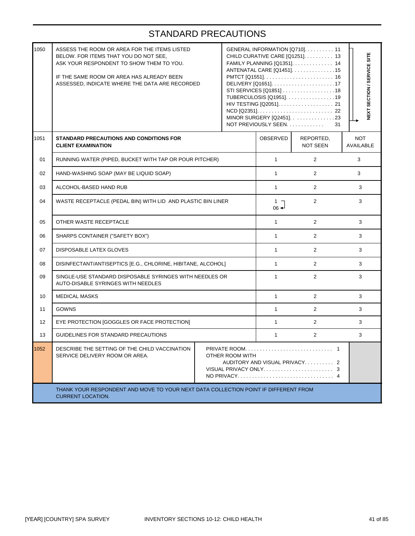| 1050 | ASSESS THE ROOM OR AREA FOR THE ITEMS LISTED<br>BELOW. FOR ITEMS THAT YOU DO NOT SEE,<br>ASK YOUR RESPONDENT TO SHOW THEM TO YOU.<br>IF THE SAME ROOM OR AREA HAS ALREADY BEEN<br>ASSESSED, INDICATE WHERE THE DATA ARE RECORDED |  |  | GENERAL INFORMATION [Q710] 11<br>CHILD CURATIVE CARE [Q1251]. 13<br>FAMILY PLANNING [Q1351]. 14<br>ANTENATAL CARE [Q1451]15<br>STI SERVICES [Q1851] 18<br>TUBERCULOSIS [Q1951]. 19<br>HIV TESTING [Q2051]. 21<br>MINOR SURGERY [Q2451]. 23<br>NOT PREVIOUSLY SEEN | NEXT SECTION / SERVICE SITE<br>31 |                                |  |
|------|----------------------------------------------------------------------------------------------------------------------------------------------------------------------------------------------------------------------------------|--|--|-------------------------------------------------------------------------------------------------------------------------------------------------------------------------------------------------------------------------------------------------------------------|-----------------------------------|--------------------------------|--|
| 1051 | STANDARD PRECAUTIONS AND CONDITIONS FOR<br><b>CLIENT EXAMINATION</b>                                                                                                                                                             |  |  | OBSERVED                                                                                                                                                                                                                                                          | REPORTED,<br><b>NOT SEEN</b>      | <b>NOT</b><br><b>AVAILABLE</b> |  |
| 01   | RUNNING WATER (PIPED, BUCKET WITH TAP OR POUR PITCHER)                                                                                                                                                                           |  |  | $\mathbf{1}$                                                                                                                                                                                                                                                      | $\overline{2}$                    | 3                              |  |
| 02   | HAND-WASHING SOAP (MAY BE LIQUID SOAP)                                                                                                                                                                                           |  |  | $\mathbf{1}$                                                                                                                                                                                                                                                      | $\overline{2}$                    | 3                              |  |
| 03   | ALCOHOL-BASED HAND RUB                                                                                                                                                                                                           |  |  |                                                                                                                                                                                                                                                                   | $\overline{2}$                    | 3                              |  |
| 04   | WASTE RECEPTACLE (PEDAL BIN) WITH LID AND PLASTIC BIN LINER                                                                                                                                                                      |  |  |                                                                                                                                                                                                                                                                   | $\overline{2}$                    | 3                              |  |
| 05   | OTHER WASTE RECEPTACLE                                                                                                                                                                                                           |  |  | $\mathbf{1}$                                                                                                                                                                                                                                                      | $\overline{2}$                    | 3                              |  |
| 06   | SHARPS CONTAINER ("SAFETY BOX")                                                                                                                                                                                                  |  |  | 1                                                                                                                                                                                                                                                                 | $\overline{2}$                    | 3                              |  |
| 07   | DISPOSABLE LATEX GLOVES                                                                                                                                                                                                          |  |  | $\mathbf{1}$                                                                                                                                                                                                                                                      | $\overline{2}$                    | 3                              |  |
| 08   | DISINFECTANT/ANTISEPTICS [E.G., CHLORINE, HIBITANE, ALCOHOL]                                                                                                                                                                     |  |  | $\mathbf{1}$                                                                                                                                                                                                                                                      | $\overline{2}$                    | 3                              |  |
| 09   | SINGLE-USE STANDARD DISPOSABLE SYRINGES WITH NEEDLES OR<br>AUTO-DISABLE SYRINGES WITH NEEDLES                                                                                                                                    |  |  | $\mathbf{1}$                                                                                                                                                                                                                                                      | $\overline{2}$                    | 3                              |  |
| 10   | <b>MEDICAL MASKS</b>                                                                                                                                                                                                             |  |  | $\mathbf{1}$                                                                                                                                                                                                                                                      | $\overline{2}$                    | 3                              |  |
| 11   | GOWNS                                                                                                                                                                                                                            |  |  | $\mathbf{1}$                                                                                                                                                                                                                                                      | $\overline{2}$                    | 3                              |  |
| 12   | EYE PROTECTION [GOGGLES OR FACE PROTECTION]                                                                                                                                                                                      |  |  | $\mathbf{1}$                                                                                                                                                                                                                                                      | $\overline{2}$                    | 3                              |  |
| 13   | GUIDELINES FOR STANDARD PRECAUTIONS                                                                                                                                                                                              |  |  | $\mathbf{1}$                                                                                                                                                                                                                                                      | $\overline{2}$                    | 3                              |  |
| 1052 | DESCRIBE THE SETTING OF THE CHILD VACCINATION<br>SERVICE DELIVERY ROOM OR AREA.<br>OTHER ROOM WITH<br>AUDITORY AND VISUAL PRIVACY 2                                                                                              |  |  |                                                                                                                                                                                                                                                                   |                                   |                                |  |
|      | THANK YOUR RESPONDENT AND MOVE TO YOUR NEXT DATA COLLECTION POINT IF DIFFERENT FROM<br><b>CURRENT LOCATION.</b>                                                                                                                  |  |  |                                                                                                                                                                                                                                                                   |                                   |                                |  |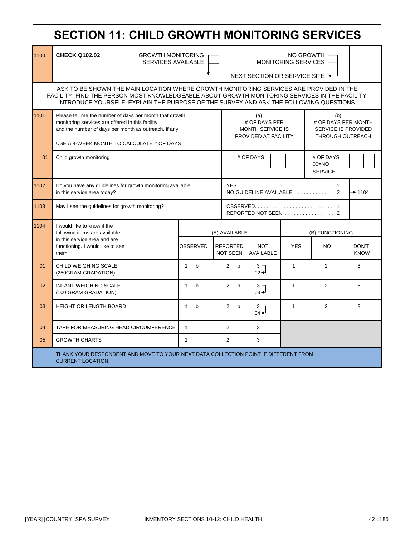| 1100 | <b>CHECK Q102.02</b><br><b>GROWTH MONITORING</b><br><b>SERVICES AVAILABLE</b>                                                                                                                                                                                                      |              | MONITORING SERVICES<br>NEXT SECTION OR SERVICE SITE $\leftarrow$ |                                                                         |                                    |              |                                                              |                                                                                     | NO GROWTH                              |                      |
|------|------------------------------------------------------------------------------------------------------------------------------------------------------------------------------------------------------------------------------------------------------------------------------------|--------------|------------------------------------------------------------------|-------------------------------------------------------------------------|------------------------------------|--------------|--------------------------------------------------------------|-------------------------------------------------------------------------------------|----------------------------------------|----------------------|
|      | ASK TO BE SHOWN THE MAIN LOCATION WHERE GROWTH MONITORING SERVICES ARE PROVIDED IN THE<br>FACILITY. FIND THE PERSON MOST KNOWLEDGEABLE ABOUT GROWTH MONITORING SERVICES IN THE FACILITY.<br>INTRODUCE YOURSELF, EXPLAIN THE PURPOSE OF THE SURVEY AND ASK THE FOLLOWING QUESTIONS. |              |                                                                  |                                                                         |                                    |              |                                                              |                                                                                     |                                        |                      |
| 1101 | Please tell me the number of days per month that growth<br>monitoring services are offered in this facility,<br>and the number of days per month as outreach, if any.<br>USE A 4-WEEK MONTH TO CALCULATE # OF DAYS                                                                 |              |                                                                  | (a)<br># OF DAYS PER<br><b>MONTH SERVICE IS</b><br>PROVIDED AT FACILITY |                                    |              |                                                              | (b)<br># OF DAYS PER MONTH<br><b>SERVICE IS PROVIDED</b><br><b>THROUGH OUTREACH</b> |                                        |                      |
| 01   | Child growth monitoring                                                                                                                                                                                                                                                            |              |                                                                  |                                                                         |                                    | # OF DAYS    |                                                              |                                                                                     | # OF DAYS<br>$00=NO$<br><b>SERVICE</b> |                      |
| 1102 | Do you have any guidelines for growth monitoring available<br>in this service area today?                                                                                                                                                                                          |              |                                                                  |                                                                         | NO GUIDELINE AVAILABLE             |              |                                                              |                                                                                     | $+ 1104$                               |                      |
| 1103 | May I see the guidelines for growth monitoring?                                                                                                                                                                                                                                    |              |                                                                  |                                                                         |                                    |              |                                                              |                                                                                     |                                        |                      |
| 1104 | I would like to know if the<br>following items are available                                                                                                                                                                                                                       |              |                                                                  |                                                                         | (A) AVAILABLE                      |              |                                                              |                                                                                     | (B) FUNCTIONING                        |                      |
|      | in this service area and are<br>functioning. I would like to see<br>them.                                                                                                                                                                                                          |              | <b>OBSERVED</b>                                                  |                                                                         | <b>REPORTED</b><br><b>NOT SEEN</b> |              | <b>NOT</b><br>AVAILABLE                                      | <b>YES</b>                                                                          | <b>NO</b>                              | DON'T<br><b>KNOW</b> |
| 01   | CHILD WEIGHING SCALE<br>(250GRAM GRADATION)                                                                                                                                                                                                                                        | $\mathbf{1}$ | $\mathbf b$                                                      |                                                                         | $\overline{2}$                     | b            | 3 <sub>7</sub><br>$_{02}$ <sup><math>\leftarrow</math></sup> | $\mathbf{1}$                                                                        | $\overline{2}$                         | 8                    |
| 02   | <b>INFANT WEIGHING SCALE</b><br>(100 GRAM GRADATION)                                                                                                                                                                                                                               | $\mathbf{1}$ | $\mathbf b$                                                      |                                                                         | $\overline{2}$                     | b            | 3 <sub>7</sub><br>$03 +$                                     | $\mathbf{1}$                                                                        | $\overline{2}$                         | 8                    |
| 03   | <b>HEIGHT OR LENGTH BOARD</b>                                                                                                                                                                                                                                                      | $\mathbf{1}$ | $\mathbf b$                                                      |                                                                         | $\overline{2}$                     | $\mathsf{b}$ | $3 -$<br>$04 +$                                              | $\mathbf{1}$                                                                        | 2                                      | 8                    |
| 04   | TAPE FOR MEASURING HEAD CIRCUMFERENCE                                                                                                                                                                                                                                              | $\mathbf{1}$ |                                                                  |                                                                         | $\overline{2}$                     |              | 3                                                            |                                                                                     |                                        |                      |
| 05   | <b>GROWTH CHARTS</b>                                                                                                                                                                                                                                                               | $\mathbf{1}$ |                                                                  |                                                                         | $\overline{2}$                     |              | 3                                                            |                                                                                     |                                        |                      |
|      | THANK YOUR RESPONDENT AND MOVE TO YOUR NEXT DATA COLLECTION POINT IF DIFFERENT FROM<br><b>CURRENT LOCATION.</b>                                                                                                                                                                    |              |                                                                  |                                                                         |                                    |              |                                                              |                                                                                     |                                        |                      |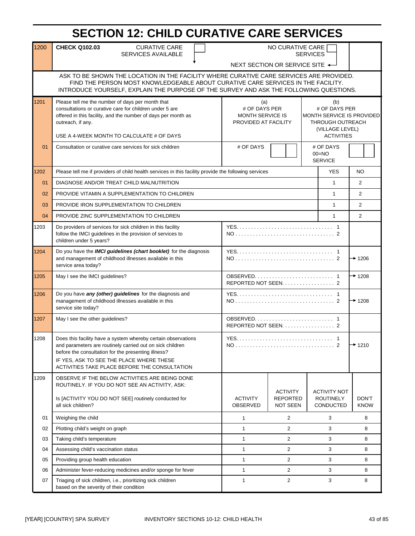# **SECTION 12: CHILD CURATIVE CARE SERVICES**

| 1200 | <b>CHECK Q102.03</b><br><b>CURATIVE CARE</b><br>SERVICES AVAILABLE                                                                                                                                                                                                                                                                                                                                                                                | NO CURATIVE CARE<br><b>SERVICES</b><br>NEXT SECTION OR SERVICE SITE ← |                                    |  |                                          |                |  |
|------|---------------------------------------------------------------------------------------------------------------------------------------------------------------------------------------------------------------------------------------------------------------------------------------------------------------------------------------------------------------------------------------------------------------------------------------------------|-----------------------------------------------------------------------|------------------------------------|--|------------------------------------------|----------------|--|
|      | ASK TO BE SHOWN THE LOCATION IN THE FACILITY WHERE CURATIVE CARE SERVICES ARE PROVIDED.<br>FIND THE PERSON MOST KNOWLEDGEABLE ABOUT CURATIVE CARE SERVICES IN THE FACILITY.<br>INTRODUCE YOURSELF, EXPLAIN THE PURPOSE OF THE SURVEY AND ASK THE FOLLOWING QUESTIONS.                                                                                                                                                                             |                                                                       |                                    |  |                                          |                |  |
| 1201 | Please tell me the number of days per month that<br>(a)<br>(b)<br>consultations or curative care for children under 5 are<br># OF DAYS PER<br># OF DAYS PER<br>offered in this facility, and the number of days per month as<br><b>MONTH SERVICE IS</b><br>MONTH SERVICE IS PROVIDED<br>PROVIDED AT FACILITY<br>outreach, if any.<br><b>THROUGH OUTREACH</b><br>(VILLAGE LEVEL)<br>USE A 4-WEEK MONTH TO CALCULATE # OF DAYS<br><b>ACTIVITIES</b> |                                                                       |                                    |  |                                          |                |  |
| 01   | Consultation or curative care services for sick children                                                                                                                                                                                                                                                                                                                                                                                          | # OF DAYS                                                             |                                    |  | # OF DAYS<br>$00 = NO$<br><b>SERVICE</b> |                |  |
| 1202 | Please tell me if providers of child health services in this facility provide the following services                                                                                                                                                                                                                                                                                                                                              |                                                                       |                                    |  | <b>YES</b>                               | <b>NO</b>      |  |
| 01   | DIAGNOSE AND/OR TREAT CHILD MALNUTRITION                                                                                                                                                                                                                                                                                                                                                                                                          |                                                                       |                                    |  | $\mathbf{1}$                             | $\overline{2}$ |  |
| 02   | PROVIDE VITAMIN A SUPPLEMENTATION TO CHILDREN                                                                                                                                                                                                                                                                                                                                                                                                     |                                                                       |                                    |  | $\mathbf{1}$                             | $\overline{2}$ |  |
| 03   | PROVIDE IRON SUPPLEMENTATION TO CHILDREN                                                                                                                                                                                                                                                                                                                                                                                                          |                                                                       |                                    |  | $\mathbf{1}$                             | $\overline{2}$ |  |
| 04   | PROVIDE ZINC SUPPLEMENTATION TO CHILDREN                                                                                                                                                                                                                                                                                                                                                                                                          |                                                                       |                                    |  | $\mathbf{1}$                             | $\overline{2}$ |  |
| 1203 | Do providers of services for sick children in this facility<br>follow the IMCI guidelines in the provision of services to<br>children under 5 years?                                                                                                                                                                                                                                                                                              |                                                                       |                                    |  |                                          |                |  |
| 1204 | Do you have the IMCI guidelines (chart booklet) for the diagnosis<br>and management of childhood illnesses available in this<br>service area today?                                                                                                                                                                                                                                                                                               | $+1206$                                                               |                                    |  |                                          |                |  |
| 1205 | May I see the IMCI guidelines?                                                                                                                                                                                                                                                                                                                                                                                                                    |                                                                       | REPORTED NOT SEEN. 2               |  |                                          |                |  |
| 1206 | Do you have any (other) guidelines for the diagnosis and<br>management of childhood illnesses available in this<br>service site today?                                                                                                                                                                                                                                                                                                            |                                                                       |                                    |  |                                          | $*1208$        |  |
| 1207 | May I see the other guidelines?                                                                                                                                                                                                                                                                                                                                                                                                                   |                                                                       |                                    |  |                                          |                |  |
| 1208 | Does this facility have a system whereby certain observations<br>and parameters are routinely carried out on sick children<br>before the consultation for the presenting illness?<br>IF YES, ASK TO SEE THE PLACE WHERE THESE<br>ACTIVITIES TAKE PLACE BEFORE THE CONSULTATION                                                                                                                                                                    |                                                                       |                                    |  |                                          | $+ 1210$       |  |
| 1209 | OBSERVE IF THE BELOW ACTIVITIES ARE BEING DONE<br>ROUTINELY. IF YOU DO NOT SEE AN ACTIVITY, ASK:<br>Is [ACTIVITY YOU DO NOT SEE] routinely conducted for                                                                                                                                                                                                                                                                                          | <b>ACTIVITY</b>                                                       | <b>ACTIVITY</b><br><b>REPORTED</b> |  | <b>ACTIVITY NOT</b><br><b>ROUTINELY</b>  | DON'T          |  |
|      | all sick children?                                                                                                                                                                                                                                                                                                                                                                                                                                | OBSERVED                                                              | <b>NOT SEEN</b>                    |  | CONDUCTED                                | <b>KNOW</b>    |  |
| 01   | Weighing the child                                                                                                                                                                                                                                                                                                                                                                                                                                | $\mathbf{1}$                                                          | 2                                  |  | 3                                        | 8              |  |
| 02   | Plotting child's weight on graph                                                                                                                                                                                                                                                                                                                                                                                                                  | $\mathbf{1}$                                                          | $\overline{c}$                     |  | 3                                        | 8              |  |
| 03   | Taking child's temperature                                                                                                                                                                                                                                                                                                                                                                                                                        | $\mathbf{1}$                                                          | 2                                  |  | 3                                        | 8              |  |
| 04   | Assessing child's vaccination status                                                                                                                                                                                                                                                                                                                                                                                                              | $\mathbf{1}$                                                          | $\overline{2}$                     |  | 3                                        | 8              |  |
| 05   | Providing group health education                                                                                                                                                                                                                                                                                                                                                                                                                  | $\mathbf{1}$                                                          | 2                                  |  | 3                                        | 8              |  |
| 06   | Administer fever-reducing medicines and/or sponge for fever                                                                                                                                                                                                                                                                                                                                                                                       | $\mathbf{1}$                                                          | $\overline{c}$                     |  | 3                                        | 8              |  |
| 07   | Triaging of sick children, i.e., prioritizing sick children<br>$\mathbf{1}$<br>$\overline{c}$<br>3<br>based on the severity of their condition                                                                                                                                                                                                                                                                                                    |                                                                       |                                    |  |                                          |                |  |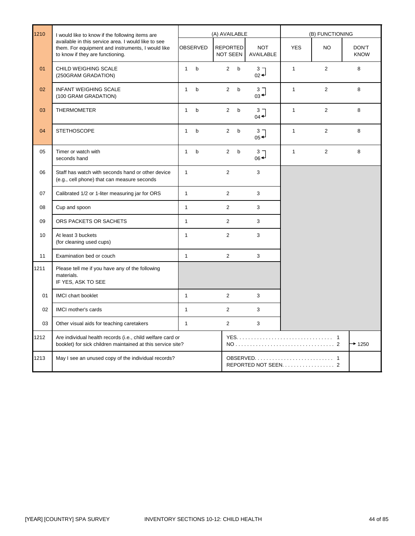| 1210 | I would like to know if the following items are                                                                                              |              | (A) AVAILABLE |                                    |              | (B) FUNCTIONING                                              |              |                |                      |
|------|----------------------------------------------------------------------------------------------------------------------------------------------|--------------|---------------|------------------------------------|--------------|--------------------------------------------------------------|--------------|----------------|----------------------|
|      | available in this service area. I would like to see<br>them. For equipment and instruments, I would like<br>to know if they are functioning. |              | OBSERVED      | <b>REPORTED</b><br><b>NOT SEEN</b> |              | <b>NOT</b><br>AVAILABLE                                      | <b>YES</b>   | <b>NO</b>      | DON'T<br><b>KNOW</b> |
| 01   | CHILD WEIGHING SCALE<br>(250GRAM GRADATION)                                                                                                  | $\mathbf{1}$ | $\mathbf b$   | $\overline{2}$                     | b            | 3 <sub>7</sub><br>$02 +$                                     | $\mathbf{1}$ | $\overline{2}$ | 8                    |
| 02   | <b>INFANT WEIGHING SCALE</b><br>(100 GRAM GRADATION)                                                                                         | $\mathbf{1}$ | b             | $\overline{2}$                     | b            | 3 <sub>7</sub><br>$_{03}$ <sup><math>\downarrow</math></sup> | $\mathbf{1}$ | $\overline{2}$ | 8                    |
| 03   | <b>THERMOMETER</b>                                                                                                                           | $\mathbf{1}$ | $\mathsf{b}$  | $\overline{2}$                     | $\mathsf{b}$ | 3 <sub>7</sub><br>$04 -$                                     | $\mathbf{1}$ | $\overline{2}$ | 8                    |
| 04   | <b>STETHOSCOPE</b>                                                                                                                           | $\mathbf{1}$ | $\mathbf b$   | $\overline{2}$                     | $\mathsf b$  | 3 <sub>7</sub><br>$05 +$                                     | $\mathbf{1}$ | $\overline{2}$ | 8                    |
| 05   | Timer or watch with<br>seconds hand                                                                                                          | $\mathbf{1}$ | b             | $\overline{2}$                     | $\mathbf b$  | $\frac{3}{06}$                                               | $\mathbf{1}$ | $\overline{2}$ | 8                    |
| 06   | Staff has watch with seconds hand or other device<br>(e.g., cell phone) that can measure seconds                                             | $\mathbf{1}$ |               | $\overline{2}$                     |              | 3                                                            |              |                |                      |
| 07   | Calibrated 1/2 or 1-liter measuring jar for ORS                                                                                              | $\mathbf{1}$ |               | $\overline{2}$                     |              | 3                                                            |              |                |                      |
| 08   | Cup and spoon                                                                                                                                | $\mathbf{1}$ |               | $\overline{2}$                     |              | 3                                                            |              |                |                      |
| 09   | ORS PACKETS OR SACHETS                                                                                                                       | $\mathbf{1}$ |               | $\overline{2}$                     |              | 3                                                            |              |                |                      |
| 10   | At least 3 buckets<br>(for cleaning used cups)                                                                                               | $\mathbf{1}$ |               | $\overline{2}$                     |              | 3                                                            |              |                |                      |
| 11   | Examination bed or couch                                                                                                                     | $\mathbf{1}$ |               | $\overline{2}$                     |              | 3                                                            |              |                |                      |
| 1211 | Please tell me if you have any of the following<br>materials.<br>IF YES, ASK TO SEE                                                          |              |               |                                    |              |                                                              |              |                |                      |
| 01   | <b>IMCI</b> chart booklet                                                                                                                    | $\mathbf{1}$ |               | $\overline{2}$                     |              | 3                                                            |              |                |                      |
| 02   | <b>IMCI</b> mother's cards                                                                                                                   | $\mathbf{1}$ |               | $\overline{2}$                     |              | 3                                                            |              |                |                      |
| 03   | Other visual aids for teaching caretakers                                                                                                    | $\mathbf{1}$ |               | $\overline{2}$                     |              | 3                                                            |              |                |                      |
| 1212 | Are individual health records (i.e., child welfare card or<br>booklet) for sick children maintained at this service site?                    |              |               |                                    |              |                                                              |              |                | $+ 1250$             |
| 1213 | May I see an unused copy of the individual records?                                                                                          |              |               |                                    |              |                                                              |              |                |                      |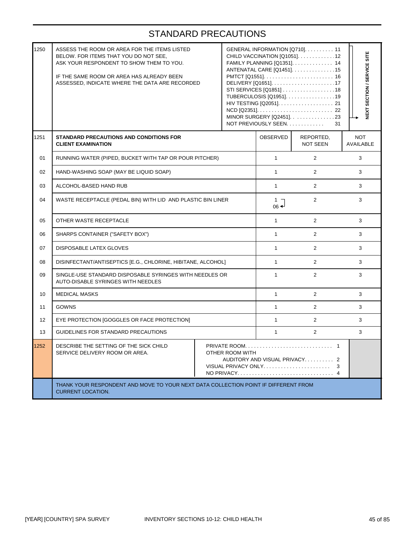| 1250 | ASSESS THE ROOM OR AREA FOR THE ITEMS LISTED<br>BELOW. FOR ITEMS THAT YOU DO NOT SEE,<br>ASK YOUR RESPONDENT TO SHOW THEM TO YOU.<br>IF THE SAME ROOM OR AREA HAS ALREADY BEEN<br>ASSESSED, INDICATE WHERE THE DATA ARE RECORDED |  |  | NOT PREVIOUSLY SEEN. | GENERAL INFORMATION [Q710]. 11<br>CHILD VACCINATION [Q1051]. 12<br>FAMILY PLANNING [Q1351]. 14<br>ANTENATAL CARE [Q1451]. 15<br>STI SERVICES [Q1851] 18<br>TUBERCULOSIS [Q1951]. 19<br>MINOR SURGERY [Q2451]. 23<br>31 | NEXT SECTION / SERVICE SITE |  |
|------|----------------------------------------------------------------------------------------------------------------------------------------------------------------------------------------------------------------------------------|--|--|----------------------|------------------------------------------------------------------------------------------------------------------------------------------------------------------------------------------------------------------------|-----------------------------|--|
| 1251 | STANDARD PRECAUTIONS AND CONDITIONS FOR<br><b>CLIENT EXAMINATION</b>                                                                                                                                                             |  |  | OBSERVED             | REPORTED,<br><b>NOT SEEN</b>                                                                                                                                                                                           | <b>NOT</b><br>AVAILABLE     |  |
| 01   | RUNNING WATER (PIPED, BUCKET WITH TAP OR POUR PITCHER)                                                                                                                                                                           |  |  | 1                    | $\overline{2}$                                                                                                                                                                                                         | 3                           |  |
| 02   | HAND-WASHING SOAP (MAY BE LIQUID SOAP)                                                                                                                                                                                           |  |  | $\mathbf{1}$         | $\overline{2}$                                                                                                                                                                                                         | 3                           |  |
| 03   | ALCOHOL-BASED HAND RUB                                                                                                                                                                                                           |  |  |                      | $\overline{2}$                                                                                                                                                                                                         | 3                           |  |
| 04   | WASTE RECEPTACLE (PEDAL BIN) WITH LID AND PLASTIC BIN LINER                                                                                                                                                                      |  |  |                      | $\overline{2}$                                                                                                                                                                                                         | 3                           |  |
| 05   | OTHER WASTE RECEPTACLE                                                                                                                                                                                                           |  |  |                      | $\overline{2}$                                                                                                                                                                                                         | 3                           |  |
| 06   | SHARPS CONTAINER ("SAFETY BOX")                                                                                                                                                                                                  |  |  | 1                    | $\overline{2}$                                                                                                                                                                                                         | 3                           |  |
| 07   | DISPOSABLE LATEX GLOVES                                                                                                                                                                                                          |  |  | $\mathbf{1}$         | $\overline{2}$                                                                                                                                                                                                         | 3                           |  |
| 08   | DISINFECTANT/ANTISEPTICS [E.G., CHLORINE, HIBITANE, ALCOHOL]                                                                                                                                                                     |  |  | $\mathbf{1}$         | $\overline{2}$                                                                                                                                                                                                         | 3                           |  |
| 09   | SINGLE-USE STANDARD DISPOSABLE SYRINGES WITH NEEDLES OR<br>AUTO-DISABLE SYRINGES WITH NEEDLES                                                                                                                                    |  |  | $\mathbf{1}$         | $\overline{2}$                                                                                                                                                                                                         | 3                           |  |
| 10   | <b>MEDICAL MASKS</b>                                                                                                                                                                                                             |  |  | $\mathbf{1}$         | $\overline{2}$                                                                                                                                                                                                         | 3                           |  |
| 11   | <b>GOWNS</b>                                                                                                                                                                                                                     |  |  | $\mathbf{1}$         | $\overline{2}$                                                                                                                                                                                                         | 3                           |  |
| 12   | EYE PROTECTION [GOGGLES OR FACE PROTECTION]                                                                                                                                                                                      |  |  | $\mathbf{1}$         | $\overline{2}$                                                                                                                                                                                                         | 3                           |  |
| 13   | GUIDELINES FOR STANDARD PRECAUTIONS                                                                                                                                                                                              |  |  | 1                    | $\overline{2}$                                                                                                                                                                                                         | 3                           |  |
| 1252 | DESCRIBE THE SETTING OF THE SICK CHILD<br>SERVICE DELIVERY ROOM OR AREA.<br>OTHER ROOM WITH<br>AUDITORY AND VISUAL PRIVACY 2                                                                                                     |  |  |                      | 3                                                                                                                                                                                                                      |                             |  |
|      | THANK YOUR RESPONDENT AND MOVE TO YOUR NEXT DATA COLLECTION POINT IF DIFFERENT FROM<br><b>CURRENT LOCATION.</b>                                                                                                                  |  |  |                      |                                                                                                                                                                                                                        |                             |  |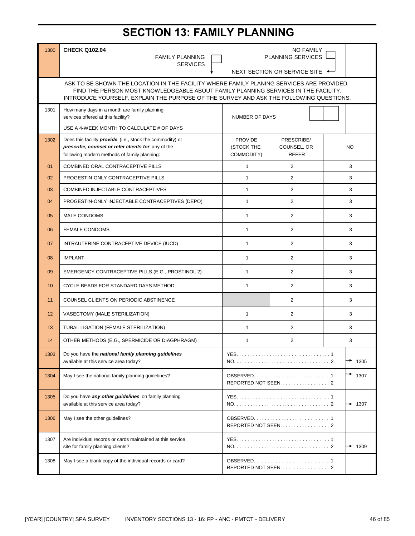# **SECTION 13: FAMILY PLANNING**

| 1300 | <b>CHECK Q102.04</b><br><b>FAMILY PLANNING</b>                                                                                                                                                                                                                           |                                            | <b>NO FAMILY</b><br><b>PLANNING SERVICES</b> |           |  |  |  |
|------|--------------------------------------------------------------------------------------------------------------------------------------------------------------------------------------------------------------------------------------------------------------------------|--------------------------------------------|----------------------------------------------|-----------|--|--|--|
|      | <b>SERVICES</b><br>NEXT SECTION OR SERVICE SITE ←                                                                                                                                                                                                                        |                                            |                                              |           |  |  |  |
|      |                                                                                                                                                                                                                                                                          |                                            |                                              |           |  |  |  |
|      | ASK TO BE SHOWN THE LOCATION IN THE FACILITY WHERE FAMILY PLANING SERVICES ARE PROVIDED.<br>FIND THE PERSON MOST KNOWLEDGEABLE ABOUT FAMILY PLANNING SERVICES IN THE FACILITY.<br>INTRODUCE YOURSELF, EXPLAIN THE PURPOSE OF THE SURVEY AND ASK THE FOLLOWING QUESTIONS. |                                            |                                              |           |  |  |  |
| 1301 | How many days in a month are family planning<br>services offered at this facility?                                                                                                                                                                                       | <b>NUMBER OF DAYS</b>                      |                                              |           |  |  |  |
|      | USE A 4-WEEK MONTH TO CALCULATE # OF DAYS                                                                                                                                                                                                                                |                                            |                                              |           |  |  |  |
| 1302 | Does this facility <i>provide</i> (i.e., stock the commodity) or<br>prescribe, counsel or refer clients for any of the<br>following modern methods of family planning:                                                                                                   | <b>PROVIDE</b><br>(STOCK THE<br>COMMODITY) | PRESCRIBE/<br>COUNSEL, OR<br><b>REFER</b>    | NO.       |  |  |  |
| 01   | COMBINED ORAL CONTRACEPTIVE PILLS                                                                                                                                                                                                                                        | $\mathbf{1}$                               | 2                                            | 3         |  |  |  |
| 02   | PROGESTIN-ONLY CONTRACEPTIVE PILLS                                                                                                                                                                                                                                       | $\mathbf{1}$                               | $\overline{2}$                               | 3         |  |  |  |
| 03   | COMBINED INJECTABLE CONTRACEPTIVES                                                                                                                                                                                                                                       | $\mathbf{1}$                               | $\overline{2}$                               | 3         |  |  |  |
| 04   | PROGESTIN-ONLY INJECTABLE CONTRACEPTIVES (DEPO)                                                                                                                                                                                                                          | $\mathbf{1}$                               | $\overline{2}$                               | 3         |  |  |  |
| 05   | <b>MALE CONDOMS</b>                                                                                                                                                                                                                                                      | $\mathbf{1}$                               | $\overline{2}$                               | 3         |  |  |  |
| 06   | <b>FEMALE CONDOMS</b>                                                                                                                                                                                                                                                    | $\mathbf{1}$                               | $\overline{2}$                               | 3         |  |  |  |
| 07   | INTRAUTERINE CONTRACEPTIVE DEVICE (IUCD)                                                                                                                                                                                                                                 | $\mathbf{1}$                               | $\overline{2}$                               | 3         |  |  |  |
| 08   | <b>IMPLANT</b>                                                                                                                                                                                                                                                           | $\mathbf{1}$                               | 2                                            | 3         |  |  |  |
| 09   | EMERGENCY CONTRACEPTIVE PILLS (E.G., PROSTINOL 2)                                                                                                                                                                                                                        | $\mathbf{1}$                               | $\overline{2}$                               | 3         |  |  |  |
| 10   | CYCLE BEADS FOR STANDARD DAYS METHOD                                                                                                                                                                                                                                     | $\mathbf{1}$                               | $\overline{2}$                               | 3         |  |  |  |
| 11   | COUNSEL CLIENTS ON PERIODIC ABSTINENCE                                                                                                                                                                                                                                   |                                            | $\overline{2}$                               | 3         |  |  |  |
| 12   | VASECTOMY (MALE STERILIZATION)                                                                                                                                                                                                                                           | $\mathbf{1}$                               | $\overline{2}$                               | 3         |  |  |  |
| 13   | TUBAL LIGATION (FEMALE STERILIZATION)                                                                                                                                                                                                                                    | $\mathbf{1}$                               | 2                                            | 3         |  |  |  |
| 14   | OTHER METHODS (E.G., SPERMICIDE OR DIAGPHRAGM)                                                                                                                                                                                                                           | 1                                          | $\mathbf{2}$                                 | 3         |  |  |  |
| 1303 | Do you have the national family planning guidelines<br>available at this service area today?                                                                                                                                                                             |                                            |                                              | →<br>1305 |  |  |  |
| 1304 | May I see the national family planning guidelines?                                                                                                                                                                                                                       |                                            |                                              | 1307      |  |  |  |
| 1305 | Do you have any other guidelines on family planning<br>available at this service area today?                                                                                                                                                                             |                                            |                                              | $+ 1307$  |  |  |  |
| 1306 | May I see the other quidelines?                                                                                                                                                                                                                                          |                                            | REPORTED NOT SEEN. 2                         |           |  |  |  |
| 1307 | Are individual records or cards maintained at this service<br>site for family planning clients?                                                                                                                                                                          |                                            |                                              | 1309<br>→ |  |  |  |
| 1308 | May I see a blank copy of the individual records or card?                                                                                                                                                                                                                |                                            | REPORTED NOT SEEN. 2                         |           |  |  |  |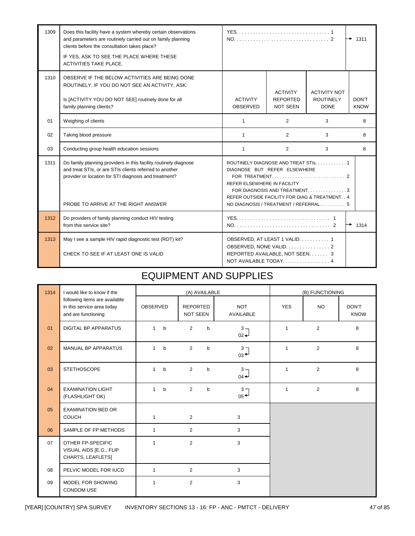| 1309 | Does this facility have a system whereby certain observations<br>and parameters are routinely carried out on family planning<br>clients before the consultation takes place?<br>IF YES, ASK TO SEE THE PLACE WHERE THESE<br><b>ACTIVITIES TAKE PLACE.</b> |                                                                                                                                                                                                                                  | 1311<br>→                                             |                                                        |                      |  |
|------|-----------------------------------------------------------------------------------------------------------------------------------------------------------------------------------------------------------------------------------------------------------|----------------------------------------------------------------------------------------------------------------------------------------------------------------------------------------------------------------------------------|-------------------------------------------------------|--------------------------------------------------------|----------------------|--|
| 1310 | OBSERVE IF THE BELOW ACTIVITIES ARE BEING DONE<br>ROUTINELY. IF YOU DO NOT SEE AN ACTIVITY, ASK:<br>Is [ACTIVITY YOU DO NOT SEE] routinely done for all<br>family planning clients?                                                                       | <b>ACTIVITY</b><br><b>OBSERVED</b>                                                                                                                                                                                               | <b>ACTIVITY</b><br><b>REPORTED</b><br><b>NOT SEEN</b> | <b>ACTIVITY NOT</b><br><b>ROUTINELY</b><br><b>DONE</b> | DON'T<br><b>KNOW</b> |  |
| 01   | Weighing of clients                                                                                                                                                                                                                                       | $\mathbf{1}$                                                                                                                                                                                                                     | 2                                                     | 3                                                      | 8                    |  |
| 02   | Taking blood pressure                                                                                                                                                                                                                                     | 1                                                                                                                                                                                                                                | $\overline{2}$                                        | 3                                                      | 8                    |  |
| 03   | Conducting group health education sessions                                                                                                                                                                                                                | $\mathbf{1}$                                                                                                                                                                                                                     | $\overline{2}$                                        | 3                                                      | 8                    |  |
| 1311 | Do family planning providers in this facility routinely diagnose<br>and treat STIs, or are STIs clients referred to another<br>provider or location for STI diagnosis and treatment?<br>PROBE TO ARRIVE AT THE RIGHT ANSWER                               | ROUTINELY DIAGNOSE AND TREAT STIS. 1<br>DIAGNOSE BUT REFER ELSEWHERE<br>REFER ELSEWHERE IN FACILITY<br>FOR DIAGNOSIS AND TREATMENT3<br>REFER OUTSIDE FACILITY FOR DIAG & TREATMENT. . 4<br>NO DIAGNOSIS / TREATMENT / REFERRAL 5 |                                                       |                                                        |                      |  |
| 1312 | Do providers of family planning conduct HIV testing<br>from this service site?                                                                                                                                                                            |                                                                                                                                                                                                                                  |                                                       |                                                        | $\rightarrow$ 1314   |  |
| 1313 | May I see a sample HIV rapid diagnostic test (RDT) kit?<br>CHECK TO SEE IF AT LEAST ONE IS VALID                                                                                                                                                          | OBSERVED, AT LEAST 1 VALID 1<br>OBSERVED, NONE VALID. 2<br>REPORTED AVAILABLE, NOT SEEN. 3<br>NOT AVAILABLE TODAY 4                                                                                                              |                                                       |                                                        |                      |  |

#### EQUIPMENT AND SUPPLIES

| 1314 | I would like to know if the                                                        |                              | (A) AVAILABLE                      |                                   | (B) FUNCTIONING |                |                      |  |
|------|------------------------------------------------------------------------------------|------------------------------|------------------------------------|-----------------------------------|-----------------|----------------|----------------------|--|
|      | following items are available<br>in this service area today<br>and are functioning | <b>OBSERVED</b>              | <b>REPORTED</b><br><b>NOT SEEN</b> | <b>NOT</b><br><b>AVAILABLE</b>    | <b>YES</b>      | <b>NO</b>      | DON'T<br><b>KNOW</b> |  |
| 01   | <b>DIGITAL BP APPARATUS</b>                                                        | 1<br>$\mathbf b$             | 2<br>$\mathsf{b}$                  | $3 -$<br>$02 +$                   | $\mathbf{1}$    | $\overline{2}$ | 8                    |  |
| 02   | <b>MANUAL BP APPARATUS</b>                                                         | $\mathbf{1}$<br>$b$          | 2<br>$\mathbf b$                   | 3 <sub>7</sub><br>$03 +$          | $\mathbf{1}$    | 2              | 8                    |  |
| 03   | <b>STETHOSCOPE</b>                                                                 | $\mathbf{1}$<br>$\mathsf{b}$ | 2<br>$\mathsf{b}$                  | $3 -$<br>$04 -$                   | $\mathbf{1}$    | $\overline{2}$ | 8                    |  |
| 04   | <b>EXAMINATION LIGHT</b><br>(FLASHLIGHT OK)                                        | $\mathbf{1}$<br>$\mathsf{b}$ | 2<br>$\mathbf b$                   | 3 <sub>7</sub><br>$05^{\bigstar}$ | $\mathbf{1}$    | 2              | 8                    |  |
| 05   | <b>EXAMINATION BED OR</b><br><b>COUCH</b>                                          | $\mathbf{1}$                 | 2                                  | 3                                 |                 |                |                      |  |
| 06   | SAMPLE OF FP METHODS                                                               | 1                            | 2                                  | 3                                 |                 |                |                      |  |
| 07   | OTHER FP-SPECIFIC<br>VISUAL AIDS [E.G., FLIP<br>CHARTS, LEAFLETS]                  | $\mathbf{1}$                 | 2                                  | 3                                 |                 |                |                      |  |
| 08   | PELVIC MODEL FOR IUCD                                                              | $\mathbf{1}$                 | 2                                  | 3                                 |                 |                |                      |  |
| 09   | MODEL FOR SHOWING<br><b>CONDOM USE</b>                                             | 1                            | $\overline{2}$                     | 3                                 |                 |                |                      |  |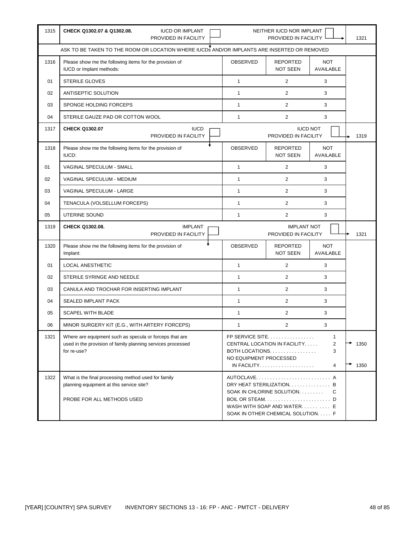| 1315 | CHECK Q1302.07 & Q1302.08.<br><b>IUCD OR IMPLANT</b><br>PROVIDED IN FACILITY                                                          |                                                                                                                                                                    | NEITHER IUCD NOR IMPLANT<br>PROVIDED IN FACILITY                                                                                          |                                | 1321         |
|------|---------------------------------------------------------------------------------------------------------------------------------------|--------------------------------------------------------------------------------------------------------------------------------------------------------------------|-------------------------------------------------------------------------------------------------------------------------------------------|--------------------------------|--------------|
|      | ASK TO BE TAKEN TO THE ROOM OR LOCATION WHERE IUCDS AND/OR IMPLANTS ARE INSERTED OR REMOVED                                           |                                                                                                                                                                    |                                                                                                                                           |                                |              |
| 1316 | Please show me the following items for the provision of<br>IUCD or Implant methods:                                                   | OBSERVED                                                                                                                                                           | <b>REPORTED</b><br>NOT SEEN                                                                                                               | <b>NOT</b><br><b>AVAILABLE</b> |              |
| 01   | <b>STERILE GLOVES</b>                                                                                                                 | $\mathbf{1}$                                                                                                                                                       | $\overline{2}$                                                                                                                            | 3                              |              |
| 02   | ANTISEPTIC SOLUTION                                                                                                                   | $\mathbf{1}$                                                                                                                                                       | $\overline{2}$                                                                                                                            | 3                              |              |
| 03   | SPONGE HOLDING FORCEPS                                                                                                                | $\mathbf{1}$                                                                                                                                                       | $\overline{2}$                                                                                                                            | 3                              |              |
| 04   | STERILE GAUZE PAD OR COTTON WOOL                                                                                                      | $\mathbf{1}$                                                                                                                                                       | $\overline{2}$                                                                                                                            | 3                              |              |
| 1317 | <b>CHECK Q1302.07</b><br><b>IUCD</b><br>PROVIDED IN FACILITY                                                                          |                                                                                                                                                                    | PROVIDED IN FACILITY                                                                                                                      | <b>IUCD NOT</b>                | 1319         |
| 1318 | Please show me the following items for the provision of<br>IUCD:                                                                      | OBSERVED                                                                                                                                                           | <b>REPORTED</b><br>NOT SEEN                                                                                                               | <b>NOT</b><br>AVAILABLE        |              |
| 01   | VAGINAL SPECULUM - SMALL                                                                                                              | $\mathbf{1}$                                                                                                                                                       | $\overline{2}$                                                                                                                            | 3                              |              |
| 02   | VAGINAL SPECULUM - MEDIUM                                                                                                             | $\mathbf{1}$                                                                                                                                                       | $\overline{2}$                                                                                                                            | 3                              |              |
| 03   | VAGINAL SPECULUM - LARGE                                                                                                              | $\mathbf{1}$                                                                                                                                                       | $\overline{2}$                                                                                                                            | 3                              |              |
| 04   | TENACULA (VOLSELLUM FORCEPS)                                                                                                          | $\mathbf{1}$                                                                                                                                                       | $\overline{2}$                                                                                                                            | 3                              |              |
| 05   | <b>UTERINE SOUND</b>                                                                                                                  | $\mathbf{1}$                                                                                                                                                       | $\overline{2}$                                                                                                                            | 3                              |              |
| 1319 | CHECK Q1302.08.<br><b>IMPLANT</b><br>PROVIDED IN FACILITY                                                                             |                                                                                                                                                                    | <b>IMPLANT NOT</b><br>PROVIDED IN FACILITY                                                                                                |                                | 1321         |
| 1320 | Please show me the following items for the provision of<br>Implant:                                                                   | OBSERVED                                                                                                                                                           | <b>REPORTED</b><br>NOT SEEN                                                                                                               | <b>NOT</b><br>AVAILABLE        |              |
| 01   | <b>LOCAL ANESTHETIC</b>                                                                                                               | 1                                                                                                                                                                  | 2                                                                                                                                         | 3                              |              |
| 02   | STERILE SYRINGE AND NEEDLE                                                                                                            | $\mathbf{1}$                                                                                                                                                       | $\overline{2}$                                                                                                                            | 3                              |              |
| 03   | CANULA AND TROCHAR FOR INSERTING IMPLANT                                                                                              | 1                                                                                                                                                                  | $\overline{2}$                                                                                                                            | 3                              |              |
| 04   | SEALED IMPLANT PACK                                                                                                                   | $\mathbf{1}$                                                                                                                                                       | $\overline{2}$                                                                                                                            | 3                              |              |
| 05   | <b>SCAPEL WITH BLADE</b>                                                                                                              | $\mathbf{1}$                                                                                                                                                       | $\overline{2}$                                                                                                                            | 3                              |              |
| 06   | MINOR SURGERY KIT (E.G., WITH ARTERY FORCEPS)                                                                                         | $\mathbf{1}$                                                                                                                                                       | 2                                                                                                                                         | 3                              |              |
| 1321 | Where are equipment such as specula or forceps that are<br>used in the provision of family planning services processed<br>for re-use? | FP SERVICE SITE<br>1<br>CENTRAL LOCATION IN FACILITY<br>2<br>3<br>BOTH LOCATIONS<br>NO EQUIPMENT PROCESSED<br>$IN$ FACILITY. $\ldots$ . $\ldots$<br>$\overline{4}$ |                                                                                                                                           |                                | 1350<br>1350 |
| 1322 | What is the final processing method used for family<br>planning equipment at this service site?<br>PROBE FOR ALL METHODS USED         |                                                                                                                                                                    | AUTOCLAVE A<br>DRY HEAT STERILIZATION. B<br>SOAK IN CHLORINE SOLUTION.<br>WASH WITH SOAP AND WATER E<br>SOAK IN OTHER CHEMICAL SOLUTION F | C                              |              |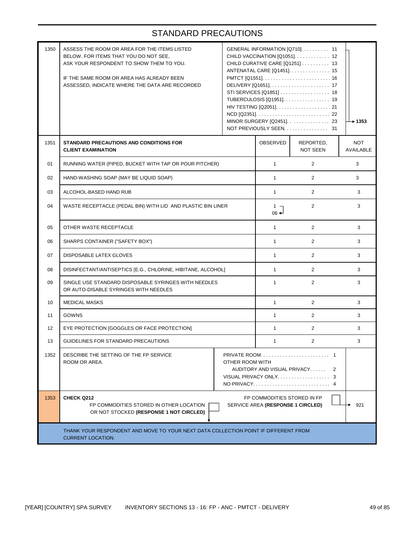| 1350 | ASSESS THE ROOM OR AREA FOR THE ITEMS LISTED<br>BELOW. FOR ITEMS THAT YOU DO NOT SEE,<br>ASK YOUR RESPONDENT TO SHOW THEM TO YOU.<br>IF THE SAME ROOM OR AREA HAS ALREADY BEEN<br>ASSESSED, INDICATE WHERE THE DATA ARE RECORDED |                                                  | GENERAL INFORMATION [Q710]. 11<br>CHILD VACCINATION [Q1051] 12<br>CHILD CURATIVE CARE [Q1251]  13<br>ANTENATAL CARE [Q1451]. 15<br>STI SERVICES [Q1851] 18<br>TUBERCULOSIS [Q1951]. 19<br>MINOR SURGERY [Q2451]. 23<br>NOT PREVIOUSLY SEEN 31 | $\rightarrow$ 1353           |                                |  |
|------|----------------------------------------------------------------------------------------------------------------------------------------------------------------------------------------------------------------------------------|--------------------------------------------------|-----------------------------------------------------------------------------------------------------------------------------------------------------------------------------------------------------------------------------------------------|------------------------------|--------------------------------|--|
| 1351 | STANDARD PRECAUTIONS AND CONDITIONS FOR<br><b>CLIENT EXAMINATION</b>                                                                                                                                                             |                                                  |                                                                                                                                                                                                                                               | REPORTED,<br><b>NOT SEEN</b> | <b>NOT</b><br><b>AVAILABLE</b> |  |
| 01   | RUNNING WATER (PIPED, BUCKET WITH TAP OR POUR PITCHER)                                                                                                                                                                           | $\mathbf{1}$                                     | 2                                                                                                                                                                                                                                             | 3                            |                                |  |
| 02   | HAND-WASHING SOAP (MAY BE LIQUID SOAP)                                                                                                                                                                                           |                                                  | $\mathbf{1}$                                                                                                                                                                                                                                  | $\overline{2}$               | 3                              |  |
| 03   | ALCOHOL-BASED HAND RUB                                                                                                                                                                                                           |                                                  | $\mathbf{1}$                                                                                                                                                                                                                                  | 2                            | 3                              |  |
| 04   | WASTE RECEPTACLE (PEDAL BIN) WITH LID AND PLASTIC BIN LINER                                                                                                                                                                      |                                                  |                                                                                                                                                                                                                                               | $\overline{2}$               | 3                              |  |
| 05   | OTHER WASTE RECEPTACLE                                                                                                                                                                                                           |                                                  |                                                                                                                                                                                                                                               | 2                            | 3                              |  |
| 06   | SHARPS CONTAINER ("SAFETY BOX")                                                                                                                                                                                                  |                                                  |                                                                                                                                                                                                                                               | $\overline{2}$               | 3                              |  |
| 07   | <b>DISPOSABLE LATEX GLOVES</b>                                                                                                                                                                                                   |                                                  |                                                                                                                                                                                                                                               | 2                            | 3                              |  |
| 08   | DISINFECTANT/ANTISEPTICS [E.G., CHLORINE, HIBITANE, ALCOHOL]                                                                                                                                                                     |                                                  | $\mathbf{1}$                                                                                                                                                                                                                                  | 2                            | 3                              |  |
| 09   | SINGLE USE STANDARD DISPOSABLE SYRINGES WITH NEEDLES<br>OR AUTO-DISABLE SYRINGES WITH NEEDLES                                                                                                                                    |                                                  | $\mathbf{1}$                                                                                                                                                                                                                                  | 2                            | 3                              |  |
| 10   | <b>MEDICAL MASKS</b>                                                                                                                                                                                                             |                                                  | $\mathbf{1}$                                                                                                                                                                                                                                  | 2                            | 3                              |  |
| 11   | <b>GOWNS</b>                                                                                                                                                                                                                     |                                                  | $\mathbf{1}$                                                                                                                                                                                                                                  | $\overline{2}$               | 3                              |  |
| 12   | EYE PROTECTION [GOGGLES OR FACE PROTECTION]                                                                                                                                                                                      |                                                  | $\mathbf{1}$                                                                                                                                                                                                                                  | 2                            | 3                              |  |
| 13   | GUIDELINES FOR STANDARD PRECAUTIONS                                                                                                                                                                                              |                                                  | 1                                                                                                                                                                                                                                             | $\overline{2}$               | 3                              |  |
| 1352 | DESCRIBE THE SETTING OF THE FP SERVICE<br>ROOM OR AREA.                                                                                                                                                                          | OTHER ROOM WITH<br>AUDITORY AND VISUAL PRIVACY 2 |                                                                                                                                                                                                                                               |                              |                                |  |
| 1353 | <b>CHECK Q212</b><br>FP COMMODITIES STORED IN OTHER LOCATION<br>OR NOT STOCKED (RESPONSE 1 NOT CIRCLED)                                                                                                                          |                                                  | FP COMMODITIES STORED IN FP<br>SERVICE AREA (RESPONSE 1 CIRCLED)                                                                                                                                                                              |                              | 921                            |  |
|      | THANK YOUR RESPONDENT AND MOVE TO YOUR NEXT DATA COLLECTION POINT IF DIFFERENT FROM<br><b>CURRENT LOCATION.</b>                                                                                                                  |                                                  |                                                                                                                                                                                                                                               |                              |                                |  |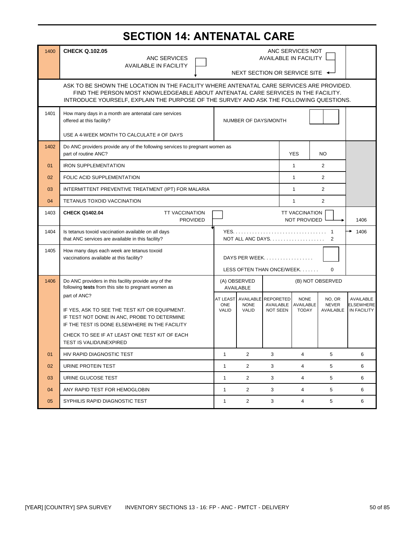# **SECTION 14: ANTENATAL CARE**

| 1400 | <b>CHECK Q.102.05</b>                                                                                                                                                                                                                                                   | ANC SERVICES NOT                              |                                   |                                                            |                             |                                     |                                              |
|------|-------------------------------------------------------------------------------------------------------------------------------------------------------------------------------------------------------------------------------------------------------------------------|-----------------------------------------------|-----------------------------------|------------------------------------------------------------|-----------------------------|-------------------------------------|----------------------------------------------|
|      | ANC SERVICES<br><b>AVAILABLE IN FACILITY</b>                                                                                                                                                                                                                            |                                               |                                   | <b>AVAILABLE IN FACILITY</b>                               |                             |                                     |                                              |
|      |                                                                                                                                                                                                                                                                         |                                               |                                   | NEXT SECTION OR SERVICE SITE ◆                             |                             |                                     |                                              |
|      | ASK TO BE SHOWN THE LOCATION IN THE FACILITY WHERE ANTENATAL CARE SERVICES ARE PROVIDED.<br>FIND THE PERSON MOST KNOWLEDGEABLE ABOUT ANTENATAL CARE SERVICES IN THE FACILITY.<br>INTRODUCE YOURSELF, EXPLAIN THE PURPOSE OF THE SURVEY AND ASK THE FOLLOWING QUESTIONS. |                                               |                                   |                                                            |                             |                                     |                                              |
| 1401 | How many days in a month are antenatal care services<br>offered at this facility?<br>NUMBER OF DAYS/MONTH                                                                                                                                                               |                                               |                                   |                                                            |                             |                                     |                                              |
|      | USE A 4-WEEK MONTH TO CALCULATE # OF DAYS                                                                                                                                                                                                                               |                                               |                                   |                                                            |                             |                                     |                                              |
| 1402 | Do ANC providers provide any of the following services to pregnant women as<br>part of routine ANC?                                                                                                                                                                     | <b>YES</b>                                    |                                   |                                                            |                             | NO.                                 |                                              |
| 01   | <b>IRON SUPPLEMENTATION</b>                                                                                                                                                                                                                                             |                                               |                                   |                                                            | $\mathbf{1}$                | $\overline{2}$                      |                                              |
| 02   | <b>FOLIC ACID SUPPLEMENTATION</b>                                                                                                                                                                                                                                       |                                               |                                   |                                                            | $\mathbf{1}$                | $\overline{2}$                      |                                              |
| 03   | INTERMITTENT PREVENTIVE TREATMENT (IPT) FOR MALARIA                                                                                                                                                                                                                     |                                               |                                   |                                                            | $\mathbf{1}$                | $\overline{2}$                      |                                              |
| 04   | <b>TETANUS TOXOID VACCINATION</b>                                                                                                                                                                                                                                       |                                               |                                   |                                                            | $\mathbf{1}$                | 2                                   |                                              |
| 1403 | <b>CHECK Q1402.04</b><br><b>TT VACCINATION</b><br><b>TT VACCINATION</b><br>NOT PROVIDED<br><b>PROVIDED</b>                                                                                                                                                              |                                               |                                   |                                                            |                             |                                     | 1406                                         |
| 1404 | Is tetanus toxoid vaccination available on all days<br>that ANC services are available in this facility?                                                                                                                                                                |                                               | 2                                 |                                                            |                             |                                     |                                              |
| 1405 | How many days each week are tetanus toxoid<br>vaccinations available at this facility?                                                                                                                                                                                  |                                               |                                   | DAYS PER WEEK<br>LESS OFTEN THAN ONCE/WEEK                 |                             | $\Omega$                            |                                              |
| 1406 | Do ANC providers in this facility provide any of the<br>following tests from this site to pregnant women as                                                                                                                                                             |                                               | (A) OBSERVED<br><b>AVAILABLE</b>  |                                                            |                             | (B) NOT OBSERVED                    |                                              |
|      | part of ANC?<br>IF YES, ASK TO SEE THE TEST KIT OR EQUIPMENT.<br>IF TEST NOT DONE IN ANC, PROBE TO DETERMINE<br>IF THE TEST IS DONE ELSEWHERE IN THE FACILITY                                                                                                           | <b>AT LEAST</b><br><b>ONE</b><br><b>VALID</b> | AVAILABLE<br><b>NONE</b><br>VALID | <b>REPORETED</b><br>AVAILABLE AVAILABLE<br><b>NOT SEEN</b> | <b>NONE</b><br><b>TODAY</b> | NO, OR<br><b>NEVER</b><br>AVAILABLE | AVAILABLE<br><b>ELSEWHERE</b><br>IN FACILITY |
|      | CHECK TO SEE IF AT LEAST ONE TEST KIT OF EACH<br><b>TEST IS VALID/UNEXPIRED</b>                                                                                                                                                                                         |                                               |                                   |                                                            |                             |                                     |                                              |
| 01   | HIV RAPID DIAGNOSTIC TEST                                                                                                                                                                                                                                               | $\mathbf{1}$                                  | 2                                 | 3                                                          | 4                           | 5                                   | 6                                            |
| 02   | URINE PROTEIN TEST                                                                                                                                                                                                                                                      | $\mathbf{1}$                                  | $\overline{2}$                    | 3                                                          | $\overline{4}$              | 5                                   | 6                                            |
| 03   | URINE GLUCOSE TEST                                                                                                                                                                                                                                                      | 1                                             | $\overline{2}$                    | 3                                                          | 4                           | 5                                   | 6                                            |
| 04   | ANY RAPID TEST FOR HEMOGLOBIN                                                                                                                                                                                                                                           | $\mathbf{1}$                                  | $\overline{2}$                    | 3                                                          | 4                           | 5                                   | 6                                            |
| 05   | SYPHILIS RAPID DIAGNOSTIC TEST                                                                                                                                                                                                                                          | $\mathbf{1}$                                  | $\overline{2}$                    | 3                                                          | 4                           | 5                                   | 6                                            |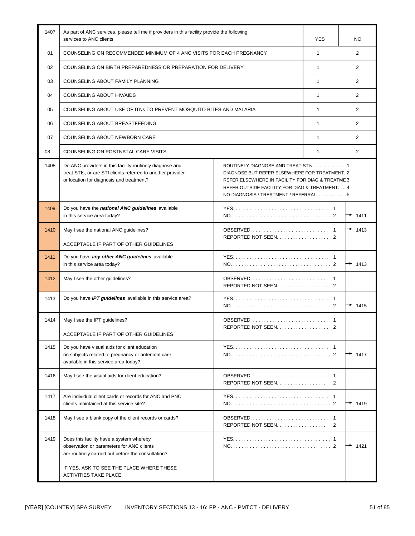| 1407 | As part of ANC services, please tell me if providers in this facility provide the following<br>services to ANC clients                                                                                                                                                                                                                                                                                      |                    | YES                 | NO             |
|------|-------------------------------------------------------------------------------------------------------------------------------------------------------------------------------------------------------------------------------------------------------------------------------------------------------------------------------------------------------------------------------------------------------------|--------------------|---------------------|----------------|
| 01   | COUNSELING ON RECOMMENDED MINIMUM OF 4 ANC VISITS FOR EACH PREGNANCY                                                                                                                                                                                                                                                                                                                                        |                    | $\mathbf{1}$        | 2              |
| 02   | COUNSELING ON BIRTH PREPAREDNESS OR PREPARATION FOR DELIVERY                                                                                                                                                                                                                                                                                                                                                |                    | $\mathbf{1}$        | $\overline{2}$ |
| 03   | COUNSELING ABOUT FAMILY PLANNING                                                                                                                                                                                                                                                                                                                                                                            |                    |                     | $\overline{2}$ |
| 04   | <b>COUNSELING ABOUT HIV/AIDS</b>                                                                                                                                                                                                                                                                                                                                                                            |                    | $\mathbf{1}$        | $\overline{2}$ |
| 05   | COUNSELING ABOUT USE OF ITNs TO PREVENT MOSQUITO BITES AND MALARIA                                                                                                                                                                                                                                                                                                                                          |                    | $\mathbf{1}$        | 2              |
| 06   | COUNSELING ABOUT BREASTFEEDING                                                                                                                                                                                                                                                                                                                                                                              |                    | $\mathbf{1}$        | 2              |
| 07   | COUNSELING ABOUT NEWBORN CARE                                                                                                                                                                                                                                                                                                                                                                               |                    | $\mathbf{1}$        | 2              |
| 08   | COUNSELING ON POSTNATAL CARE VISITS                                                                                                                                                                                                                                                                                                                                                                         |                    | $\mathbf{1}$        | 2              |
| 1408 | Do ANC providers in this facility routinely diagnose and<br>ROUTINELY DIAGNOSE AND TREAT STIS. 1<br>treat STIs, or are STI clients referred to another provider<br>DIAGNOSE BUT REFER ELSEWHERE FOR TREATMENT. 2<br>or location for diagnosis and treatment?<br>REFER ELSEWHERE IN FACILITY FOR DIAG & TREATME 3<br>REFER OUTSIDE FACILITY FOR DIAG & TREATMENT 4<br>NO DIAGNOSIS / TREATMENT / REFERRAL. 5 |                    |                     |                |
| 1409 | Do you have the <i>national ANC guidelines</i> available<br>in this service area today?                                                                                                                                                                                                                                                                                                                     |                    |                     | 1411           |
| 1410 | May I see the national ANC guidelines?                                                                                                                                                                                                                                                                                                                                                                      |                    | 1413                |                |
|      | ACCEPTABLE IF PART OF OTHER GUIDELINES                                                                                                                                                                                                                                                                                                                                                                      | REPORTED NOT SEEN  |                     |                |
| 1411 | Do you have any other ANC guidelines available<br>in this service area today?                                                                                                                                                                                                                                                                                                                               |                    |                     | 1413           |
| 1412 | May I see the other guidelines?                                                                                                                                                                                                                                                                                                                                                                             |                    |                     |                |
| 1413 | Do you have IPT guidelines available in this service area?                                                                                                                                                                                                                                                                                                                                                  |                    |                     | 1415           |
| 1414 | May I see the IPT guidelines?<br>ACCEPTABLE IF PART OF OTHER GUIDELINES                                                                                                                                                                                                                                                                                                                                     | REPORTED NOT SEEN  |                     |                |
| 1415 | Do you have visual aids for client education<br>on subjects related to pregnancy or antenatal care<br>available in this service area today?                                                                                                                                                                                                                                                                 |                    |                     | 1417           |
| 1416 | May I see the visual aids for client education?                                                                                                                                                                                                                                                                                                                                                             | REPORTED NOT SEEN. | $\mathbf{1}$<br>2   |                |
| 1417 | Are individual client cards or records for ANC and PNC<br>clients maintained at this service site?                                                                                                                                                                                                                                                                                                          |                    |                     | 1419           |
| 1418 | May I see a blank copy of the client records or cards?                                                                                                                                                                                                                                                                                                                                                      | REPORTED NOT SEEN  | $\overline{1}$<br>2 |                |
| 1419 | Does this facility have a system whereby<br>observation or parameters for ANC clients<br>are routinely carried out before the consultation?<br>IF YES, ASK TO SEE THE PLACE WHERE THESE<br>ACTIVITIES TAKE PLACE.                                                                                                                                                                                           |                    |                     | 1421           |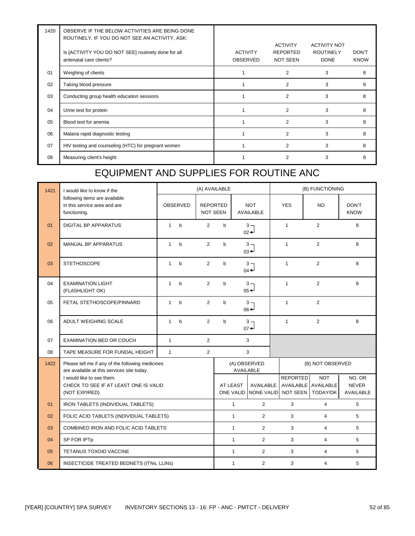| 1420 | OBSERVE IF THE BELOW ACTIVITIES ARE BEING DONE<br>ROUTINELY. IF YOU DO NOT SEE AN ACTIVITY, ASK: |                             |                                                       |                                                        |                      |
|------|--------------------------------------------------------------------------------------------------|-----------------------------|-------------------------------------------------------|--------------------------------------------------------|----------------------|
|      | Is [ACTIVITY YOU DO NOT SEE] routinely done for all<br>antenatal care clients?                   | <b>ACTIVITY</b><br>OBSERVED | <b>ACTIVITY</b><br><b>REPORTED</b><br><b>NOT SEEN</b> | <b>ACTIVITY NOT</b><br><b>ROUTINELY</b><br><b>DONE</b> | DON'T<br><b>KNOW</b> |
| 01   | Weighing of clients                                                                              |                             | $\overline{2}$                                        | 3                                                      | 8                    |
| 02   | Taking blood pressure                                                                            |                             | $\overline{2}$                                        | 3                                                      | 8                    |
| 03   | Conducting group health education sessions                                                       |                             | 2                                                     | 3                                                      | 8                    |
| 04   | Urine test for protein                                                                           |                             | $\mathfrak{p}$                                        | 3                                                      | 8                    |
| 05   | Blood test for anemia                                                                            |                             | 2                                                     | 3                                                      | 8                    |
| 06   | Malaria rapid diagnostic testing                                                                 |                             | 2                                                     | 3                                                      | 8                    |
| 07   | HIV testing and counseling (HTC) for pregnant women                                              |                             | $\overline{c}$                                        | 3                                                      | 8                    |
| 08   | Measuring client's height                                                                        |                             | 2                                                     | 3                                                      | 8                    |

### EQUIPMENT AND SUPPLIES FOR ROUTINE ANC

| 1421 | I would like to know if the                                                                    |                                      |                 | (A) AVAILABLE                      |                                               |              |                                                     |                 | (B) FUNCTIONING                                          |                                     |  |
|------|------------------------------------------------------------------------------------------------|--------------------------------------|-----------------|------------------------------------|-----------------------------------------------|--------------|-----------------------------------------------------|-----------------|----------------------------------------------------------|-------------------------------------|--|
|      | following items are available<br>in this service area and are<br>functioning.                  |                                      | <b>OBSERVED</b> | <b>REPORTED</b><br><b>NOT SEEN</b> |                                               |              | <b>NOT</b><br><b>AVAILABLE</b>                      | <b>YES</b>      | <b>NO</b>                                                | DON'T<br><b>KNOW</b>                |  |
| 01   | <b>DIGITAL BP APPARATUS</b>                                                                    | $\mathbf{1}$                         | $\mathbf b$     | $\overline{2}$                     | $\mathbf b$                                   |              | $3 -$<br>$_{02}$ <sup><math>\leftarrow</math></sup> | $\mathbf{1}$    | $\overline{2}$                                           | 8                                   |  |
| 02   | MANUAL BP APPARATUS                                                                            | $\mathbf{1}$                         | $\mathsf b$     | $\overline{2}$                     | $\sf b$                                       |              | $3 -$<br>$03 +$                                     | $\mathbf{1}$    | $\overline{2}$                                           | 8                                   |  |
| 03   | <b>STETHOSCOPE</b>                                                                             | $\mathbf{1}$                         | $\mathbf b$     | $\overline{2}$                     | $\mathsf{b}$                                  |              | $3 -$<br>$04 -$                                     | $\mathbf{1}$    | $\overline{2}$                                           | 8                                   |  |
| 04   | <b>EXAMINATION LIGHT</b><br>(FLASHLIGHT OK)                                                    | $\mathbf{1}$                         | $\mathbf b$     | $\overline{2}$                     | $\mathsf{b}$                                  |              | $3 -$<br>$05 +$                                     | $\mathbf{1}$    | $\overline{2}$                                           | 8                                   |  |
| 05   | FETAL STETHOSCOPE/PINNARD                                                                      | $\mathbf{1}$                         | $\mathbf b$     | $\overline{2}$                     | $\mathsf{b}$                                  |              | $3 -$<br>$06 +$                                     | $\mathbf{1}$    | 2                                                        |                                     |  |
| 06   | <b>ADULT WEIGHING SCALE</b>                                                                    | $\mathbf{1}$                         | $\mathsf{b}$    | $\overline{2}$                     | $\mathsf{b}$                                  |              | $3 -$<br>$_{07}$ <sup><math>\downarrow</math></sup> | $\mathbf{1}$    | $\overline{2}$                                           | 8                                   |  |
| 07   | <b>EXAMINATION BED OR COUCH</b>                                                                | $\mathbf{1}$                         |                 | $\overline{2}$                     |                                               |              | 3                                                   |                 |                                                          |                                     |  |
| 08   | TAPE MEASURE FOR FUNDAL HEIGHT                                                                 | $\mathbf{1}$                         |                 | $\overline{2}$                     |                                               |              | 3                                                   |                 |                                                          |                                     |  |
| 1422 | Please tell me if any of the following medicines<br>are available at this services site today. |                                      |                 |                                    | (A) OBSERVED<br>(B) NOT OBSERVED<br>AVAILABLE |              |                                                     |                 |                                                          |                                     |  |
|      | I would like to see them.<br>CHECK TO SEE IF AT LEAST ONE IS VALID<br>(NOT EXPIRED)            |                                      |                 |                                    |                                               | AT LEAST     | AVAILABLE<br>ONE VALID NONE VALID                   | <b>REPORTED</b> | <b>NOT</b><br>AVAILABLE AVAILABLE<br>NOT SEEN   TODAY/DK | NO, OR<br><b>NEVER</b><br>AVAILABLE |  |
| 01   | IRON TABLETS (INDIVIDUAL TABLETS)                                                              |                                      |                 |                                    |                                               | $\mathbf{1}$ | $\overline{2}$                                      | 3               | $\overline{4}$                                           | 5                                   |  |
| 02   | FOLIC ACID TABLETS (INDIVIDUAL TABLETS)                                                        |                                      |                 |                                    |                                               | $\mathbf{1}$ | $\overline{2}$                                      | 3               | $\overline{4}$                                           | 5                                   |  |
| 03   |                                                                                                | COMBINED IRON AND FOLIC ACID TABLETS |                 |                                    |                                               | $\mathbf{1}$ | $\overline{2}$                                      | 3               | $\overline{4}$                                           | 5                                   |  |
| 04   | SP FOR IPTp                                                                                    |                                      |                 |                                    |                                               | $\mathbf{1}$ | $\overline{2}$                                      | 3               | $\overline{4}$                                           | 5                                   |  |
| 05   | <b>TETANUS TOXOID VACCINE</b>                                                                  |                                      |                 |                                    |                                               | $\mathbf{1}$ | $\overline{2}$                                      | 3               | $\overline{4}$                                           | 5                                   |  |
| 06   | INSECTICIDE TREATED BEDNETS (ITNs, LLINs)                                                      |                                      |                 |                                    |                                               | $\mathbf{1}$ | $\overline{2}$                                      | 3               | $\overline{\mathbf{4}}$                                  | 5                                   |  |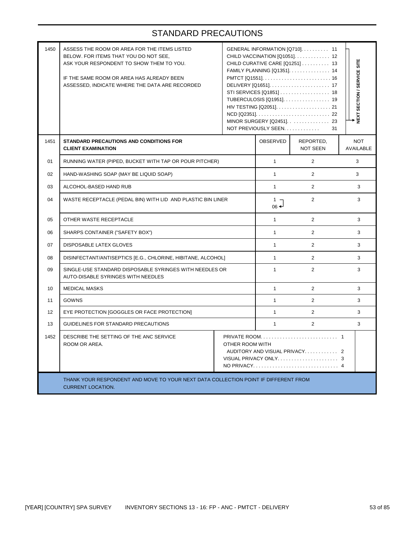| 1450 | ASSESS THE ROOM OR AREA FOR THE ITEMS LISTED<br>BELOW. FOR ITEMS THAT YOU DO NOT SEE.<br>ASK YOUR RESPONDENT TO SHOW THEM TO YOU.<br>IF THE SAME ROOM OR AREA HAS ALREADY BEEN<br>ASSESSED, INDICATE WHERE THE DATA ARE RECORDED |  | NOT PREVIOUSLY SEEN | GENERAL INFORMATION [Q710]. 11<br>CHILD VACCINATION [Q1051] 12<br>CHILD CURATIVE CARE [Q1251] 13<br>FAMILY PLANNING [Q1351]. 14<br>STI SERVICES [Q1851] 18<br>TUBERCULOSIS [Q1951]. 19<br>MINOR SURGERY [Q2451] 23<br>31 | NEXT SECTION / SERVICE SITE    |  |
|------|----------------------------------------------------------------------------------------------------------------------------------------------------------------------------------------------------------------------------------|--|---------------------|--------------------------------------------------------------------------------------------------------------------------------------------------------------------------------------------------------------------------|--------------------------------|--|
| 1451 | STANDARD PRECAUTIONS AND CONDITIONS FOR<br><b>CLIENT EXAMINATION</b>                                                                                                                                                             |  |                     | REPORTED,<br><b>NOT SEEN</b>                                                                                                                                                                                             | <b>NOT</b><br><b>AVAILABLE</b> |  |
| 01   | RUNNING WATER (PIPED, BUCKET WITH TAP OR POUR PITCHER)                                                                                                                                                                           |  | $\mathbf{1}$        | 2                                                                                                                                                                                                                        | 3                              |  |
| 02   | HAND-WASHING SOAP (MAY BE LIQUID SOAP)                                                                                                                                                                                           |  | $\mathbf{1}$        | $\overline{2}$                                                                                                                                                                                                           | 3                              |  |
| 03   | ALCOHOL-BASED HAND RUB                                                                                                                                                                                                           |  |                     | $\overline{2}$                                                                                                                                                                                                           | 3                              |  |
| 04   | WASTE RECEPTACLE (PEDAL BIN) WITH LID AND PLASTIC BIN LINER                                                                                                                                                                      |  |                     | 2                                                                                                                                                                                                                        | 3                              |  |
| 05   | OTHER WASTE RECEPTACLE                                                                                                                                                                                                           |  |                     | $\overline{2}$                                                                                                                                                                                                           | 3                              |  |
| 06   | SHARPS CONTAINER ("SAFETY BOX")                                                                                                                                                                                                  |  |                     | $\overline{2}$                                                                                                                                                                                                           | 3                              |  |
| 07   | <b>DISPOSABLE LATEX GLOVES</b>                                                                                                                                                                                                   |  | $\mathbf{1}$        | 2                                                                                                                                                                                                                        | 3                              |  |
| 08   | DISINFECTANT/ANTISEPTICS [E.G., CHLORINE, HIBITANE, ALCOHOL]                                                                                                                                                                     |  | $\mathbf{1}$        | $\overline{2}$                                                                                                                                                                                                           | 3                              |  |
| 09   | SINGLE-USE STANDARD DISPOSABLE SYRINGES WITH NEEDLES OR<br>AUTO-DISABLE SYRINGES WITH NEEDLES                                                                                                                                    |  | $\mathbf{1}$        | 2                                                                                                                                                                                                                        | 3                              |  |
| 10   | <b>MEDICAL MASKS</b>                                                                                                                                                                                                             |  | $\mathbf{1}$        | $\overline{2}$                                                                                                                                                                                                           | 3                              |  |
| 11   | <b>GOWNS</b>                                                                                                                                                                                                                     |  | $\mathbf{1}$        | $\overline{2}$                                                                                                                                                                                                           | 3                              |  |
| 12   | EYE PROTECTION [GOGGLES OR FACE PROTECTION]                                                                                                                                                                                      |  | $\mathbf{1}$        | $\overline{2}$                                                                                                                                                                                                           | 3                              |  |
| 13   | GUIDELINES FOR STANDARD PRECAUTIONS                                                                                                                                                                                              |  | $\mathbf{1}$        | $\overline{2}$                                                                                                                                                                                                           | 3                              |  |
| 1452 | DESCRIBE THE SETTING OF THE ANC SERVICE<br>ROOM OR AREA.<br>OTHER ROOM WITH<br>AUDITORY AND VISUAL PRIVACY 2                                                                                                                     |  |                     |                                                                                                                                                                                                                          |                                |  |
|      | THANK YOUR RESPONDENT AND MOVE TO YOUR NEXT DATA COLLECTION POINT IF DIFFERENT FROM<br><b>CURRENT LOCATION.</b>                                                                                                                  |  |                     |                                                                                                                                                                                                                          |                                |  |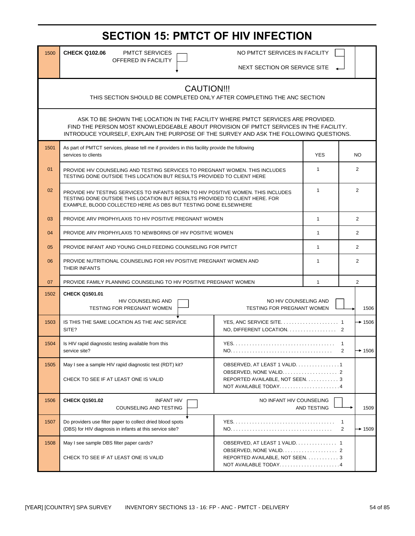# **SECTION 15: PMTCT OF HIV INFECTION**

OFFERED IN FACILITY

1500 CHECK Q102.06 PMTCT SERVICES **No PMTCT SERVICES IN FACILITY** 

NEXT SECTION OR SERVICE SITE

#### CAUTION!!!

THIS SECTION SHOULD BE COMPLETED ONLY AFTER COMPLETING THE ANC SECTION

INTRODUCE YOURSELF, EXPLAIN THE PURPOSE OF THE SURVEY AND ASK THE FOLLOWING QUESTIONS. FIND THE PERSON MOST KNOWLEDGEABLE ABOUT PROVISION OF PMTCT SERVICES IN THE FACILITY. ASK TO BE SHOWN THE LOCATION IN THE FACILITY WHERE PMTCT SERVICES ARE PROVIDED.

| 1501 | As part of PMTCT services, please tell me if providers in this facility provide the following<br>services to clients                                                                                                                |                                                                                          | <b>YES</b>     | NO.                                        |
|------|-------------------------------------------------------------------------------------------------------------------------------------------------------------------------------------------------------------------------------------|------------------------------------------------------------------------------------------|----------------|--------------------------------------------|
| 01   | PROVIDE HIV COUNSELING AND TESTING SERVICES TO PREGNANT WOMEN. THIS INCLUDES<br>TESTING DONE OUTSIDE THIS LOCATION BUT RESULTS PROVIDED TO CLIENT HERE                                                                              |                                                                                          | 1              | $\overline{2}$                             |
| 02   | PROVIDE HIV TESTING SERVICES TO INFANTS BORN TO HIV POSITIVE WOMEN. THIS INCLUDES<br>TESTING DONE OUTSIDE THIS LOCATION BUT RESULTS PROVIDED TO CLIENT HERE. FOR<br>EXAMPLE, BLOOD COLLECTED HERE AS DBS BUT TESTING DONE ELSEWHERE | $\mathbf{1}$                                                                             | $\overline{2}$ |                                            |
| 03   | PROVIDE ARV PROPHYLAXIS TO HIV POSITIVE PREGNANT WOMEN                                                                                                                                                                              |                                                                                          | $\mathbf{1}$   | 2                                          |
| 04   | PROVIDE ARV PROPHYLAXIS TO NEWBORNS OF HIV POSITIVE WOMEN                                                                                                                                                                           |                                                                                          | $\mathbf{1}$   | 2                                          |
| 05   | PROVIDE INFANT AND YOUNG CHILD FEEDING COUNSELING FOR PMTCT                                                                                                                                                                         |                                                                                          | $\mathbf{1}$   | 2                                          |
| 06   | PROVIDE NUTRITIONAL COUNSELING FOR HIV POSITIVE PREGNANT WOMEN AND<br>THEIR INFANTS                                                                                                                                                 |                                                                                          | 1              | 2                                          |
| 07   | PROVIDE FAMILY PLANNING COUNSELING TO HIV POSITIVE PREGNANT WOMEN                                                                                                                                                                   | $\mathbf{1}$                                                                             | 2              |                                            |
| 1502 | CHECK Q1501.01<br><b>HIV COUNSELING AND</b><br>TESTING FOR PREGNANT WOMEN                                                                                                                                                           | NO HIV COUNSELING AND<br>TESTING FOR PREGNANT WOMEN                                      | 1506           |                                            |
| 1503 | IS THIS THE SAME LOCATION AS THE ANC SERVICE<br>SITE?                                                                                                                                                                               | NO, DIFFERENT LOCATION. 2                                                                |                | $+ 1506$                                   |
| 1504 | Is HIV rapid diagnostic testing available from this<br>service site?                                                                                                                                                                |                                                                                          |                | $\mathbf{1}$<br>2<br>$\rightarrow$ 1506    |
| 1505 | May I see a sample HIV rapid diagnostic test (RDT) kit?<br>CHECK TO SEE IF AT LEAST ONE IS VALID                                                                                                                                    | OBSERVED, AT LEAST 1 VALID. 1<br>REPORTED AVAILABLE, NOT SEEN. 3<br>NOT AVAILABLE TODAY4 |                |                                            |
| 1506 | <b>CHECK Q1501.02</b><br><b>INFANT HIV</b><br><b>COUNSELING AND TESTING</b>                                                                                                                                                         | NO INFANT HIV COUNSELING                                                                 | AND TESTING    | 1509                                       |
| 1507 | Do providers use filter paper to collect dried blood spots<br>(DBS) for HIV diagnosis in infants at this service site?                                                                                                              |                                                                                          |                | $\mathbf{1}$<br>$\overline{2}$<br>$+ 1509$ |
| 1508 | May I see sample DBS filter paper cards?<br>CHECK TO SEE IF AT LEAST ONE IS VALID                                                                                                                                                   | OBSERVED, AT LEAST 1 VALID. 1<br>REPORTED AVAILABLE, NOT SEEN. 3<br>NOT AVAILABLE TODAY4 |                |                                            |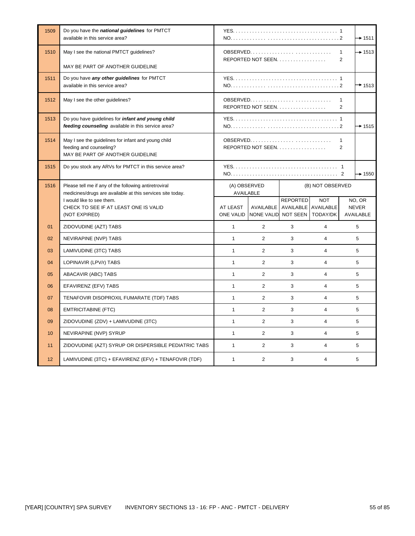| 1509 | Do you have the national guidelines for PMTCT<br>available in this service area?                                                                                                                           |                                          |                                                            |                                        |                                |                                | $+1511$                                    |
|------|------------------------------------------------------------------------------------------------------------------------------------------------------------------------------------------------------------|------------------------------------------|------------------------------------------------------------|----------------------------------------|--------------------------------|--------------------------------|--------------------------------------------|
| 1510 | May I see the national PMTCT guidelines?<br>MAY BE PART OF ANOTHER GUIDELINE                                                                                                                               | REPORTED NOT SEEN                        |                                                            |                                        |                                | $\mathbf{1}$<br>$\overline{2}$ | $+1513$                                    |
| 1511 | Do you have any other guidelines for PMTCT<br>available in this service area?                                                                                                                              |                                          |                                                            |                                        |                                |                                | $+ 1513$                                   |
| 1512 | May I see the other guidelines?                                                                                                                                                                            |                                          | REPORTED NOT SEEN                                          |                                        |                                | 1<br>2                         |                                            |
| 1513 | Do you have guidelines for <i>infant and young child</i><br>feeding counseling available in this service area?                                                                                             |                                          |                                                            |                                        |                                |                                | $+1515$                                    |
| 1514 | May I see the guidelines for infant and young child<br>feeding and counseling?<br>MAY BE PART OF ANOTHER GUIDELINE                                                                                         | 1<br>REPORTED NOT SEEN<br>$\overline{2}$ |                                                            |                                        |                                |                                |                                            |
| 1515 | Do you stock any ARVs for PMTCT in this service area?                                                                                                                                                      | $+1550$                                  |                                                            |                                        |                                |                                |                                            |
| 1516 | Please tell me if any of the following antiretroviral<br>medicines/drugs are available at this services site today.<br>I would like to see them.<br>CHECK TO SEE IF AT LEAST ONE IS VALID<br>(NOT EXPIRED) | (A) OBSERVED<br>AVAILABLE<br>AT LEAST    | <b>AVAILABLE</b><br>ONE VALID NONE VALID NOT SEEN TODAY/DK | <b>REPORTED</b><br>AVAILABLE AVAILABLE | (B) NOT OBSERVED<br><b>NOT</b> |                                | NO, OR<br><b>NEVER</b><br><b>AVAILABLE</b> |
| 01   | ZIDOVUDINE (AZT) TABS                                                                                                                                                                                      | $\mathbf{1}$                             | $\overline{2}$                                             | 3                                      | $\overline{4}$                 |                                | 5                                          |
| 02   | NEVIRAPINE (NVP) TABS                                                                                                                                                                                      | $\mathbf{1}$                             | $\overline{2}$                                             | 3                                      | $\overline{4}$                 |                                | 5                                          |
| 03   | LAMIVUDINE (3TC) TABS                                                                                                                                                                                      | $\mathbf{1}$                             | $\overline{2}$                                             | 3                                      | $\overline{4}$                 |                                | 5                                          |
| 04   | LOPINAVIR (LPV/r) TABS                                                                                                                                                                                     | $\mathbf{1}$                             | 2                                                          | 3                                      | $\overline{4}$                 |                                | 5                                          |
| 05   | <b>ABACAVIR (ABC) TABS</b>                                                                                                                                                                                 | $\mathbf{1}$                             | $\overline{2}$                                             | 3                                      | $\overline{4}$                 |                                | 5                                          |
| 06   | EFAVIRENZ (EFV) TABS                                                                                                                                                                                       | $\mathbf{1}$                             | $\overline{2}$                                             | 3                                      | $\overline{4}$                 |                                | 5                                          |
| 07   | TENAFOVIR DISOPROXIL FUMARATE (TDF) TABS                                                                                                                                                                   | $\mathbf{1}$                             | $\overline{2}$                                             | 3                                      | $\overline{4}$                 |                                | 5                                          |
| 08   | <b>EMTRICITABINE (FTC)</b>                                                                                                                                                                                 | $\mathbf{1}$                             | 2                                                          | 3                                      | $\overline{4}$                 |                                | 5                                          |
| 09   | ZIDOVUDINE (ZDV) + LAMIVUDINE (3TC)                                                                                                                                                                        | $\mathbf{1}$                             | $\overline{2}$                                             | 3                                      | $\overline{4}$                 |                                | 5                                          |
| 10   | NEVIRAPINE (NVP) SYRUP                                                                                                                                                                                     | $\mathbf{1}$                             | $\overline{2}$                                             | 3                                      | $\overline{4}$                 |                                | 5                                          |
| 11   | ZIDOVUDINE (AZT) SYRUP OR DISPERSIBLE PEDIATRIC TABS                                                                                                                                                       | $\mathbf{1}$                             | 2                                                          | 3                                      | $\overline{4}$                 |                                | 5                                          |
| 12   | LAMIVUDINE (3TC) + EFAVIRENZ (EFV) + TENAFOVIR (TDF)                                                                                                                                                       | $\mathbf{1}$                             | 2                                                          | 3                                      | $\overline{4}$                 |                                | 5                                          |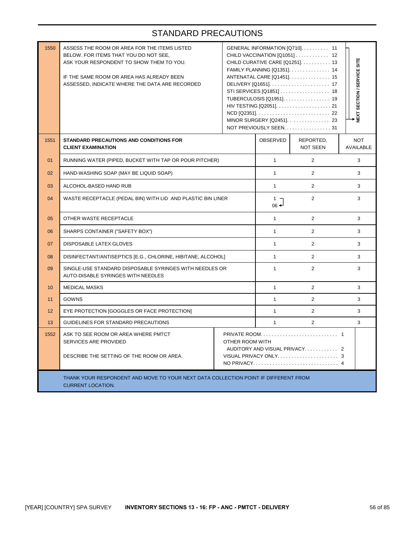| 1550 | ASSESS THE ROOM OR AREA FOR THE ITEMS LISTED<br>BELOW. FOR ITEMS THAT YOU DO NOT SEE,<br>ASK YOUR RESPONDENT TO SHOW THEM TO YOU.<br>IF THE SAME ROOM OR AREA HAS ALREADY BEEN<br>ASSESSED, INDICATE WHERE THE DATA ARE RECORDED |  |              | GENERAL INFORMATION [Q710]. 11<br>CHILD VACCINATION [Q1051]  12<br>CHILD CURATIVE CARE [Q1251] 13<br>FAMILY PLANNING [Q1351]. 14<br>ANTENATAL CARE [Q1451]. 15<br>DELIVERY [Q1651] 17<br>TUBERCULOSIS [Q1951] 19<br>MINOR SURGERY [Q2451] 23<br>NOT PREVIOUSLY SEEN. 31 | NEXT SECTION / SERVICE SITE    |  |
|------|----------------------------------------------------------------------------------------------------------------------------------------------------------------------------------------------------------------------------------|--|--------------|-------------------------------------------------------------------------------------------------------------------------------------------------------------------------------------------------------------------------------------------------------------------------|--------------------------------|--|
| 1551 | <b>STANDARD PRECAUTIONS AND CONDITIONS FOR</b><br><b>CLIENT EXAMINATION</b>                                                                                                                                                      |  |              | REPORTED,<br><b>NOT SEEN</b>                                                                                                                                                                                                                                            | <b>NOT</b><br><b>AVAILABLE</b> |  |
| 01   | RUNNING WATER (PIPED, BUCKET WITH TAP OR POUR PITCHER)                                                                                                                                                                           |  | $\mathbf{1}$ | $\overline{2}$                                                                                                                                                                                                                                                          | 3                              |  |
| 02   | HAND-WASHING SOAP (MAY BE LIQUID SOAP)                                                                                                                                                                                           |  | $\mathbf{1}$ | $\overline{2}$                                                                                                                                                                                                                                                          | 3                              |  |
| 03   | ALCOHOL-BASED HAND RUB                                                                                                                                                                                                           |  |              | $\overline{2}$                                                                                                                                                                                                                                                          | 3                              |  |
| 04   | WASTE RECEPTACLE (PEDAL BIN) WITH LID AND PLASTIC BIN LINER                                                                                                                                                                      |  |              | $\overline{2}$                                                                                                                                                                                                                                                          | 3                              |  |
| 05   | OTHER WASTE RECEPTACLE                                                                                                                                                                                                           |  |              | $\overline{2}$                                                                                                                                                                                                                                                          | 3                              |  |
| 06   | SHARPS CONTAINER ("SAFETY BOX")                                                                                                                                                                                                  |  | $\mathbf{1}$ | $\overline{2}$                                                                                                                                                                                                                                                          | 3                              |  |
| 07   | <b>DISPOSABLE LATEX GLOVES</b>                                                                                                                                                                                                   |  | $\mathbf{1}$ | $\overline{2}$                                                                                                                                                                                                                                                          | 3                              |  |
| 08   | DISINFECTANT/ANTISEPTICS [E.G., CHLORINE, HIBITANE, ALCOHOL]                                                                                                                                                                     |  | $\mathbf{1}$ | $\overline{2}$                                                                                                                                                                                                                                                          | 3                              |  |
| 09   | SINGLE-USE STANDARD DISPOSABLE SYRINGES WITH NEEDLES OR<br>AUTO-DISABLE SYRINGES WITH NEEDLES                                                                                                                                    |  | $\mathbf{1}$ | $\overline{2}$                                                                                                                                                                                                                                                          | 3                              |  |
| 10   | <b>MEDICAL MASKS</b>                                                                                                                                                                                                             |  | $\mathbf{1}$ | 2                                                                                                                                                                                                                                                                       | 3                              |  |
| 11   | <b>GOWNS</b>                                                                                                                                                                                                                     |  | $\mathbf{1}$ | $\overline{2}$                                                                                                                                                                                                                                                          | 3                              |  |
| 12   | EYE PROTECTION [GOGGLES OR FACE PROTECTION]                                                                                                                                                                                      |  | $\mathbf{1}$ | $\overline{2}$                                                                                                                                                                                                                                                          | 3                              |  |
| 13   | GUIDELINES FOR STANDARD PRECAUTIONS                                                                                                                                                                                              |  | $\mathbf{1}$ | $\overline{2}$                                                                                                                                                                                                                                                          | 3                              |  |
| 1552 | ASK TO SEE ROOM OR AREA WHERE PMTCT<br>SERVICES ARE PROVIDED<br>OTHER ROOM WITH<br>AUDITORY AND VISUAL PRIVACY 2<br>DESCRIBE THE SETTING OF THE ROOM OR AREA.                                                                    |  |              |                                                                                                                                                                                                                                                                         |                                |  |
|      | THANK YOUR RESPONDENT AND MOVE TO YOUR NEXT DATA COLLECTION POINT IF DIFFERENT FROM<br><b>CURRENT LOCATION.</b>                                                                                                                  |  |              |                                                                                                                                                                                                                                                                         |                                |  |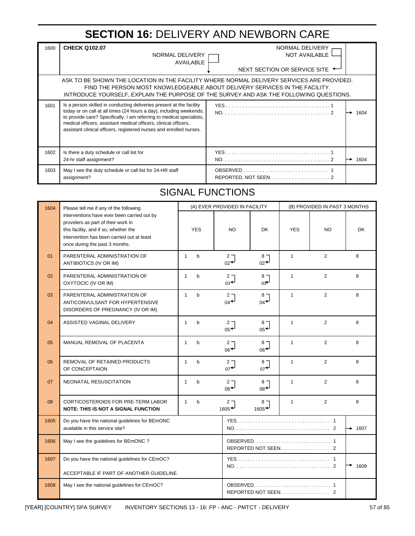# **SECTION 16:** DELIVERY AND NEWBORN CARE

| 1600 | <b>CHECK Q102.07</b><br>NORMAL DELIVERY<br>AVAILABLE                                                                                                                                                                                                                                                                                                            | NORMAL DELIVERY<br><b>NOT AVAILABLE</b><br>NEXT SECTION OR SERVICE SITE ← |  |  |  |  |
|------|-----------------------------------------------------------------------------------------------------------------------------------------------------------------------------------------------------------------------------------------------------------------------------------------------------------------------------------------------------------------|---------------------------------------------------------------------------|--|--|--|--|
|      | ASK TO BE SHOWN THE LOCATION IN THE FACILITY WHERE NORMAL DELIVERY SERVICES ARE PROVIDED.<br>FIND THE PERSON MOST KNOWLEDGEABLE ABOUT DELIVERY SERVICES IN THE FACILITY.<br>INTRODUCE YOURSELF, EXPLAIN THE PURPOSE OF THE SURVEY AND ASK THE FOLLOWING QUESTIONS.                                                                                              |                                                                           |  |  |  |  |
| 1601 | Is a person skilled in conducting deliveries present at the facility<br>today or on call at all times (24 hours a day), including weekends,<br>to provide care? Specifically, I am referring to medical specialists,<br>medical officers, assistant medical officers, clinical officers,<br>assistant clinical officers, registered nurses and enrolled nurses. | 1604                                                                      |  |  |  |  |
| 1602 | Is there a duty schedule or call list for<br>24-hr staff assignment?                                                                                                                                                                                                                                                                                            | 1604<br>→                                                                 |  |  |  |  |
| 1603 | May I see the duty schedule or call list for 24-HR staff<br>assignment?                                                                                                                                                                                                                                                                                         |                                                                           |  |  |  |  |

### SIGNAL FUNCTIONS

| 1604 | Please tell me if any of the following                                                                                                                                                                     |              |              |                                                              | (A) EVER PROVIDED IN FACILITY                                 |                      | (B) PROVIDED IN PAST 3 MONTHS |           |
|------|------------------------------------------------------------------------------------------------------------------------------------------------------------------------------------------------------------|--------------|--------------|--------------------------------------------------------------|---------------------------------------------------------------|----------------------|-------------------------------|-----------|
|      | interventions have ever been carried out by<br>providers as part of their work in<br>this facility, and if so, whether the<br>intervention has been carried out at least<br>once during the past 3 months. |              | <b>YES</b>   | <b>NO</b>                                                    | <b>DK</b>                                                     | <b>YES</b>           | <b>NO</b>                     | <b>DK</b> |
| 01   | PARENTERAL ADMINISTRATION OF<br>ANTIBIOTICS (IV OR IM)                                                                                                                                                     | $\mathbf{1}$ | $\mathsf{b}$ | $2 -$<br>$_{02}$ <sup><math>\rightarrow</math></sup>         | $8 -$<br>$_{02}$ <sup><math>\rightarrow</math></sup>          | $\mathbf{1}$         | $\overline{2}$                | 8         |
| 02   | PARENTERAL ADMINISTRATION OF<br>OXYTOCIC (IV OR IM)                                                                                                                                                        | $\mathbf{1}$ | $\mathsf{b}$ | $2 -$<br>$_{03}$ <sup><math>\leftarrow</math></sup>          | $8 -$<br>$03^{-1}$                                            | $\mathbf{1}$         | 2                             | 8         |
| 03   | PARENTERAL ADMINISTRATION OF<br>ANTICONVULSANT FOR HYPERTENSIVE<br>DISORDERS OF PREGNANCY (IV OR IM)                                                                                                       | $\mathbf{1}$ | $\mathsf{b}$ | $2 -$<br>$_{04}$                                             | 8 <sub>7</sub><br>$_{04}$                                     | $\mathbf{1}$         | 2                             | 8         |
| 04   | ASSISTED VAGINAL DELIVERY                                                                                                                                                                                  | $\mathbf{1}$ | $\mathsf{b}$ | 2 <sub>7</sub><br>$_{05}$ <sup><math>\leftarrow</math></sup> | 8 <sub>1</sub><br>$05 +$                                      | 1                    | 2                             | 8         |
| 05   | MANUAL REMOVAL OF PLACENTA                                                                                                                                                                                 | $\mathbf{1}$ | b            | 2 <sub>7</sub><br>$06 +$                                     | 8 <sub>1</sub><br>$06 +$                                      | 1                    | $\overline{2}$                | 8         |
| 06   | REMOVAL OF RETAINED PRODUCTS<br>OF CONCEPTAION                                                                                                                                                             | $\mathbf{1}$ | $\mathsf{b}$ | $2 -$<br>$_{07}$                                             | $8 -$<br>$_{07}$                                              | $\mathbf{1}$         | 2                             | 8         |
| 07   | NEONATAL RESUSCITATION                                                                                                                                                                                     | $\mathbf{1}$ | $\mathsf{b}$ | 2 <sub>7</sub><br>$08 +$                                     | 8 <sub>7</sub><br>$_{08}$ <sup><math>\rightarrow</math></sup> | $\mathbf{1}$         | 2                             | 8         |
| 08   | CORTICOSTEROIDS FOR PRE-TERM LABOR<br><b>NOTE: THIS IS NOT A SIGNAL FUNCTION</b>                                                                                                                           | $\mathbf{1}$ | $\mathsf{b}$ | 2 <sub>7</sub><br>$1605 +$                                   | $8 -$<br>$1605 +$                                             | $\mathbf{1}$         | 2                             | 8         |
| 1605 | Do you have the national guidelines for BEmONC<br>available in this service site?                                                                                                                          |              |              |                                                              |                                                               |                      | $\rightarrow$ 1607            |           |
| 1606 | May I see the guidelines for BEmONC?                                                                                                                                                                       |              |              | REPORTED NOT SEEN<br>$\mathcal{P}$                           |                                                               |                      |                               |           |
| 1607 | Do you have the national guidelines for CEmOC?                                                                                                                                                             |              |              |                                                              |                                                               |                      | 1609                          |           |
|      | ACCEPTABLE IF PART OF ANOTHER GUIDELINE.                                                                                                                                                                   |              |              |                                                              |                                                               |                      |                               |           |
| 1608 | May I see the national guidelines for CEmOC?                                                                                                                                                               |              |              |                                                              |                                                               | REPORTED NOT SEEN. 2 |                               |           |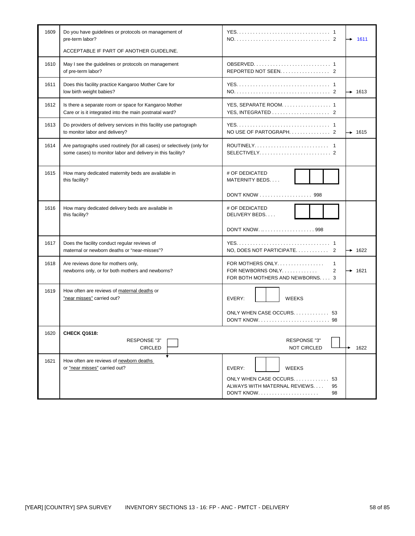| 1609 | Do you have guidelines or protocols on management of<br>pre-term labor?                                                                | 1611                                                                                                                 |
|------|----------------------------------------------------------------------------------------------------------------------------------------|----------------------------------------------------------------------------------------------------------------------|
|      | ACCEPTABLE IF PART OF ANOTHER GUIDELINE.                                                                                               |                                                                                                                      |
| 1610 | May I see the guidelines or protocols on management<br>of pre-term labor?                                                              |                                                                                                                      |
| 1611 | Does this facility practice Kangaroo Mother Care for<br>low birth weight babies?                                                       | $+ 1613$                                                                                                             |
| 1612 | Is there a separate room or space for Kangaroo Mother<br>Care or is it integrated into the main postnatal ward?                        | YES, SEPARATE ROOM. 1                                                                                                |
| 1613 | Do providers of delivery services in this facility use partograph<br>to monitor labor and delivery?                                    | $\rightarrow$ 1615                                                                                                   |
| 1614 | Are partographs used routinely (for all cases) or selectively (only for<br>some cases) to monitor labor and delivery in this facility? | $SELECTIVELY, \ldots, \ldots, \ldots, \ldots, \ldots, 2$                                                             |
| 1615 | How many dedicated maternity beds are available in<br>this facility?                                                                   | # OF DEDICATED<br>MATERNITY BEDS                                                                                     |
|      |                                                                                                                                        | DON'T KNOW 998                                                                                                       |
| 1616 | How many dedicated delivery beds are available in<br>this facility?                                                                    | # OF DEDICATED<br>DELIVERY BEDS                                                                                      |
|      |                                                                                                                                        | DON'T KNOW.  998                                                                                                     |
| 1617 | Does the facility conduct regular reviews of<br>maternal or newborn deaths or "near-misses"?                                           | $\rightarrow$ 1622                                                                                                   |
| 1618 | Are reviews done for mothers only,<br>newborns only, or for both mothers and newborns?                                                 | FOR MOTHERS ONLY<br>1<br>FOR NEWBORNS ONLY<br>$\overline{\mathbf{c}}$<br>$+ 1621$<br>FOR BOTH MOTHERS AND NEWBORNS 3 |
| 1619 | How often are reviews of maternal deaths or<br>"near misses" carried out?                                                              | <b>WEEKS</b><br>EVERY:                                                                                               |
|      |                                                                                                                                        | ONLY WHEN CASE OCCURS 53                                                                                             |
| 1620 | <b>CHECK Q1618:</b>                                                                                                                    |                                                                                                                      |
|      | RESPONSE "3"<br><b>CIRCLED</b>                                                                                                         | RESPONSE "3"<br><b>NOT CIRCLED</b><br>1622                                                                           |
| 1621 | How often are reviews of newborn deaths<br>or "near misses" carried out?                                                               | EVERY:<br><b>WEEKS</b>                                                                                               |
|      |                                                                                                                                        | ONLY WHEN CASE OCCURS<br>53<br>ALWAYS WITH MATERNAL REVIEWS<br>95<br><b>DON'T KNOW</b><br>98                         |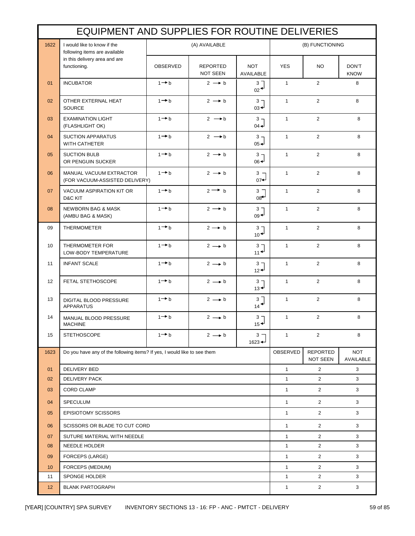|                 | EQUIPMENT AND SUPPLIES FOR ROUTINE DELIVERIES                            |                   |                             |                                      |              |                       |                         |
|-----------------|--------------------------------------------------------------------------|-------------------|-----------------------------|--------------------------------------|--------------|-----------------------|-------------------------|
| 1622            | I would like to know if the<br>following items are available             |                   | (A) AVAILABLE               |                                      |              | (B) FUNCTIONING       |                         |
|                 | in this delivery area and are<br>functioning.                            | OBSERVED          | <b>REPORTED</b><br>NOT SEEN | <b>NOT</b><br>AVAILABLE              | <b>YES</b>   | NO.                   | DON'T<br><b>KNOW</b>    |
| 01              | <b>INCUBATOR</b>                                                         | $1 \rightarrow b$ | $2 \rightarrow b$           | $3^{\circ}$<br>$02^+$                | $\mathbf{1}$ | $\overline{2}$        | 8                       |
| 02              | OTHER EXTERNAL HEAT<br><b>SOURCE</b>                                     | $1 \rightarrow b$ | $2 \rightarrow b$           | 3 <sub>7</sub><br>$03 +$             | $\mathbf{1}$ | $\overline{2}$        | 8                       |
| 03              | <b>EXAMINATION LIGHT</b><br>(FLASHLIGHT OK)                              | $1 \rightarrow b$ | $2 \rightarrow b$           | $3 -$<br>$04 -$                      | $\mathbf{1}$ | $\overline{2}$        | 8                       |
| 04              | <b>SUCTION APPARATUS</b><br><b>WITH CATHETER</b>                         | $1 - b$           | $2 \rightarrow b$           | $3 -$<br>$05 -$                      | $\mathbf{1}$ | $\overline{2}$        | 8                       |
| 05              | <b>SUCTION BULB</b><br>OR PENGUIN SUCKER                                 | $1 \rightarrow b$ | $2 \rightarrow b$           | $3 -$<br>$06 +$                      | $\mathbf{1}$ | $\overline{2}$        | 8                       |
| 06              | MANUAL VACUUM EXTRACTOR<br>(FOR VACUUM-ASSISTED DELIVERY)                | $1 \rightarrow b$ | $2 \rightarrow b$           | $3 -$<br>$07 +$                      | $\mathbf{1}$ | $\overline{2}$        | 8                       |
| 07              | VACUUM ASPIRATION KIT OR<br>D&C KIT                                      | $1 \rightarrow b$ | $2 \rightarrow b$           | $3 -$<br>$08^+$                      | $\mathbf{1}$ | $\overline{2}$        | 8                       |
| 08              | <b>NEWBORN BAG &amp; MASK</b><br>(AMBU BAG & MASK)                       | $1 \rightarrow b$ | $2 \rightarrow b$           | 3 <sub>7</sub><br>$09 +$             | $\mathbf{1}$ | 2                     | 8                       |
| 09              | <b>THERMOMETER</b>                                                       | $1 + b$           | $2 \rightarrow b$           | $3 -$<br>$10^{-1}$                   | $\mathbf{1}$ | $\overline{2}$        | 8                       |
| 10              | THERMOMETER FOR<br>LOW-BODY TEMPERATURE                                  | $1 + b$           | $2 \rightarrow b$           | 3 <sub>7</sub><br>$11 +$             | $\mathbf{1}$ | $\overline{2}$        | 8                       |
| 11              | <b>INFANT SCALE</b>                                                      | $1 - b$           | $2 \rightarrow b$           | 3 <sub>7</sub><br>$12 +$             | $\mathbf{1}$ | $\overline{2}$        | 8                       |
| 12              | FETAL STETHOSCOPE                                                        | $1 \rightarrow b$ | $2 \rightarrow b$           | 3 <sub>7</sub><br>$13 +$             | $\mathbf{1}$ | $\overline{2}$        | 8                       |
| 13              | DIGITAL BLOOD PRESSURE<br><b>APPARATUS</b>                               | $1 \rightarrow b$ | $2 \rightarrow b$           | $3^{-}$<br>$14 \star$                | $\mathbf{1}$ | 2                     | 8                       |
| 14              | MANUAL BLOOD PRESSURE<br><b>MACHINE</b>                                  | $1 \rightarrow b$ | $2 \rightarrow b$           | 3 <sub>7</sub><br>$15 +$             | $\mathbf{1}$ | 2                     | 8                       |
| 15              | <b>STETHOSCOPE</b>                                                       | $1 \rightarrow b$ | $2 \rightarrow b$           | 3 <sub>1</sub><br>$1623 \rightarrow$ | $\mathbf{1}$ | $\overline{2}$        | 8                       |
| 1623            | Do you have any of the following items? If yes, I would like to see them |                   |                             |                                      | OBSERVED     | REPORTED<br>NOT SEEN  | <b>NOT</b><br>AVAILABLE |
| 01              | <b>DELIVERY BED</b>                                                      |                   |                             |                                      | $\mathbf{1}$ | $\overline{2}$        | 3                       |
| 02              | <b>DELIVERY PACK</b>                                                     |                   |                             |                                      | $\mathbf{1}$ | $\overline{2}$        | 3                       |
| 03              | <b>CORD CLAMP</b>                                                        |                   |                             |                                      | $\mathbf{1}$ | $\overline{2}$        | 3                       |
| 04              | SPECULUM                                                                 |                   |                             |                                      | $\mathbf{1}$ | $\overline{2}$        | 3                       |
| 05              | <b>EPISIOTOMY SCISSORS</b>                                               |                   |                             |                                      | $\mathbf{1}$ | $\overline{2}$        | 3                       |
| 06              | SCISSORS OR BLADE TO CUT CORD                                            |                   |                             |                                      | $\mathbf{1}$ | $\overline{2}$        | 3                       |
| 07              | SUTURE MATERIAL WITH NEEDLE                                              |                   |                             |                                      | $\mathbf{1}$ | $\mathbf{2}^{\prime}$ | 3                       |
| 08              | NEEDLE HOLDER                                                            |                   |                             |                                      |              | $\overline{2}$        | 3                       |
| 09              | FORCEPS (LARGE)                                                          |                   |                             |                                      |              | $\mathbf{2}^{\prime}$ | 3                       |
| 10              | FORCEPS (MEDIUM)                                                         |                   |                             |                                      | $\mathbf{1}$ | $\overline{2}$        | 3                       |
| 11              | SPONGE HOLDER                                                            |                   |                             |                                      | $\mathbf{1}$ | $\mathbf{2}^{\prime}$ | 3                       |
| 12 <sup>2</sup> | $\overline{2}$<br><b>BLANK PARTOGRAPH</b><br>$\mathbf{1}$<br>3           |                   |                             |                                      |              |                       |                         |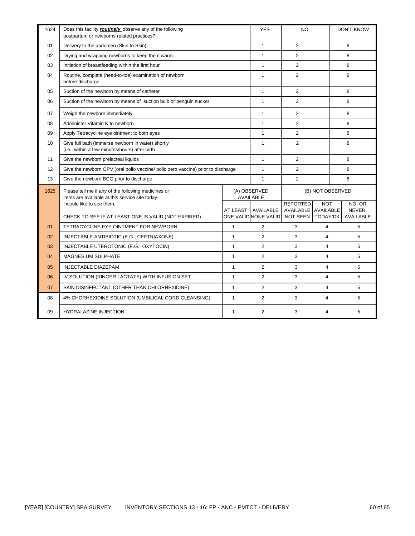| 1624 | Does this facility <i>routinely</i> observe any of the following<br>postpartum or newborns related practices? |                 | <b>YES</b>                        | <b>NO</b>                                              |                                     | <b>DON'T KNOW</b>                   |
|------|---------------------------------------------------------------------------------------------------------------|-----------------|-----------------------------------|--------------------------------------------------------|-------------------------------------|-------------------------------------|
| 01   | Delivery to the abdomen (Skin to Skin)                                                                        |                 | $\mathbf{1}$                      | 2                                                      |                                     | 8                                   |
| 02   | Drying and wrapping newborns to keep them warm                                                                |                 | $\mathbf{1}$                      | $\overline{2}$                                         |                                     | 8                                   |
| 03   | Initiation of breastfeeding within the first hour                                                             |                 | $\mathbf{1}$                      | $\overline{2}$                                         |                                     | 8                                   |
| 04   | Routine, complete (head-to-toe) examination of newborn<br>before discharge                                    |                 | $\mathbf{1}$                      | $\overline{2}$                                         |                                     | 8                                   |
| 05   | Suction of the newborn by means of catheter                                                                   |                 | $\mathbf{1}$                      | $\overline{2}$                                         |                                     | 8                                   |
| 06   | Suction of the newborn by means of suction bulb or penguin sucker                                             |                 | $\mathbf{1}$                      | $\overline{2}$                                         |                                     | 8                                   |
| 07   | Weigh the newborn immediately                                                                                 |                 | $\mathbf{1}$                      | $\overline{2}$                                         |                                     | 8                                   |
| 08   | Administer Vitamin K to newborn                                                                               |                 | $\mathbf{1}$                      | $\overline{2}$                                         |                                     | 8                                   |
| 09   | Apply Tetracycline eye ointment to both eyes                                                                  |                 | $\mathbf{1}$                      | $\overline{2}$                                         |                                     | 8                                   |
| 10   | Give full bath (immerse newborn in water) shortly<br>(i.e., within a few minutes/hours) after birth           |                 |                                   | $\overline{2}$                                         |                                     | 8                                   |
| 11   | Give the newborn prelacteal liquids                                                                           |                 |                                   | $\overline{2}$                                         |                                     | 8                                   |
| 12   | Give the newborn OPV (oral polio vaccine/ polio zero vaccine) prior to discharge                              |                 | $\mathbf{1}$                      | $\overline{2}$                                         |                                     | 8                                   |
| 13   | Give the newborn BCG prior to discharge                                                                       |                 | $\mathbf{1}$                      | $\overline{2}$                                         |                                     | 8                                   |
| 1625 | Please tell me if any of the following medicines or<br>items are available at this service site today.        |                 | (A) OBSERVED<br><b>AVAILABLE</b>  | (B) NOT OBSERVED                                       |                                     |                                     |
|      | I would like to see them.<br>CHECK TO SEE IF AT LEAST ONE IS VALID (NOT EXPIRED)                              | <b>AT LEAST</b> | AVAILABLE<br>ONE VALID NONE VALID | <b>REPORTED</b><br><b>AVAILABLE</b><br><b>NOT SEEN</b> | <b>NOT</b><br>AVAILABLE<br>TODAY/DK | NO, OR<br><b>NEVER</b><br>AVAILABLE |
| 01   | TETRACYCLINE EYE OINTMENT FOR NEWBORN                                                                         | 1               | 2                                 | 3                                                      | $\overline{4}$                      | 5                                   |
| 02   | INJECTABLE ANTIBIOTIC (E.G., CEFTRIAXONE)                                                                     | $\mathbf{1}$    | 2                                 | 3                                                      | $\overline{4}$                      | 5                                   |
| 03   | INJECTABLE UTEROTONIC (E.G., OXYTOCIN)                                                                        | 1               | $\overline{2}$                    | 3                                                      | $\overline{4}$                      | 5                                   |
| 04   | <b>MAGNESIUM SULPHATE</b>                                                                                     | $\mathbf{1}$    | $\overline{2}$                    | 3                                                      | $\overline{4}$                      | 5                                   |
| 05   | <b>INJECTABLE DIAZEPAM</b>                                                                                    | $\mathbf{1}$    | 2                                 | 3                                                      | $\overline{4}$                      | 5                                   |
| 06   | IV SOLUTION (RINGER LACTATE) WITH INFUSION SET                                                                | $\mathbf{1}$    | 2                                 | 3                                                      | $\overline{4}$                      | 5                                   |
| 07   | SKIN DISINFECTANT (OTHER THAN CHLORHEXIDINE)                                                                  | $\mathbf{1}$    | 2                                 | 3                                                      | $\overline{4}$                      | 5                                   |
| 08   | 4% CHORHEXIDINE SOLUTION (UMBILICAL CORD CLEANSING)                                                           | $\mathbf{1}$    | 2                                 | 3                                                      | $\overline{4}$                      | 5                                   |
| 09   | <b>HYDRALAZINE INJECTION</b>                                                                                  | 1               | $\overline{2}$                    | 3                                                      | $\overline{4}$                      | 5                                   |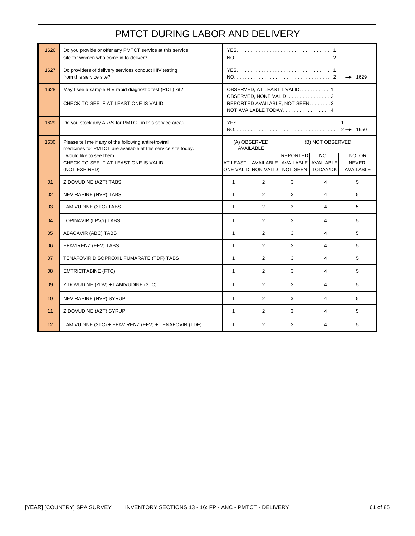### PMTCT DURING LABOR AND DELIVERY

| 1626 | Do you provide or offer any PMTCT service at this service<br>site for women who come in to deliver?                    |                                                                                                                      |                                                                        |                 |                |                                            |
|------|------------------------------------------------------------------------------------------------------------------------|----------------------------------------------------------------------------------------------------------------------|------------------------------------------------------------------------|-----------------|----------------|--------------------------------------------|
| 1627 | Do providers of delivery services conduct HIV testing<br>from this service site?                                       |                                                                                                                      |                                                                        |                 |                | 1629<br>→                                  |
| 1628 | May I see a sample HIV rapid diagnostic test (RDT) kit?<br>CHECK TO SEE IF AT LEAST ONE IS VALID                       | OBSERVED, AT LEAST 1 VALID. 1<br>OBSERVED, NONE VALID. 2<br>REPORTED AVAILABLE, NOT SEEN. 3<br>NOT AVAILABLE TODAY 4 |                                                                        |                 |                |                                            |
| 1629 | Do you stock any ARVs for PMTCT in this service area?                                                                  |                                                                                                                      |                                                                        |                 |                | 1650                                       |
| 1630 | Please tell me if any of the following antiretroviral<br>medicines for PMTCT are available at this service site today. | (A) OBSERVED<br>(B) NOT OBSERVED<br><b>AVAILABLE</b>                                                                 |                                                                        |                 |                |                                            |
|      | I would like to see them.<br>CHECK TO SEE IF AT LEAST ONE IS VALID<br>(NOT EXPIRED)                                    | AT LEAST                                                                                                             | AVAILABLE AVAILABLE AVAILABLE<br>ONE VALID NON VALID NOT SEEN TODAY/DK | <b>REPORTED</b> | <b>NOT</b>     | NO, OR<br><b>NEVER</b><br><b>AVAILABLE</b> |
| 01   | ZIDOVUDINE (AZT) TABS                                                                                                  | $\mathbf{1}$                                                                                                         | $\overline{2}$                                                         | 3               | $\overline{4}$ | 5                                          |
| 02   | NEVIRAPINE (NVP) TABS                                                                                                  | $\mathbf{1}$                                                                                                         | $\overline{2}$                                                         | 3               | 4              | 5                                          |
| 03   | LAMIVUDINE (3TC) TABS                                                                                                  | $\mathbf{1}$                                                                                                         | $\overline{2}$                                                         | 3               | $\overline{4}$ | 5                                          |
| 04   | LOPINAVIR (LPV/r) TABS                                                                                                 | $\mathbf{1}$                                                                                                         | 2                                                                      | 3               | $\overline{4}$ | 5                                          |
| 05   | ABACAVIR (ABC) TABS                                                                                                    | $\mathbf{1}$                                                                                                         | $\overline{2}$                                                         | 3               | 4              | 5                                          |
| 06   | EFAVIRENZ (EFV) TABS                                                                                                   | $\mathbf{1}$                                                                                                         | $\overline{2}$                                                         | 3               | 4              | 5                                          |
| 07   | TENAFOVIR DISOPROXIL FUMARATE (TDF) TABS                                                                               | $\mathbf{1}$                                                                                                         | $\overline{2}$                                                         | 3               | $\overline{4}$ | 5                                          |
| 08   | <b>EMTRICITABINE (FTC)</b>                                                                                             | $\mathbf{1}$                                                                                                         | $\overline{2}$                                                         | 3               | $\overline{4}$ | 5                                          |
| 09   | ZIDOVUDINE (ZDV) + LAMIVUDINE (3TC)                                                                                    | $\mathbf{1}$                                                                                                         | $\overline{2}$                                                         | 3               | $\overline{4}$ | 5                                          |
| 10   | NEVIRAPINE (NVP) SYRUP                                                                                                 | $\mathbf{1}$                                                                                                         | 2                                                                      | 3               | $\overline{4}$ | 5                                          |
| 11   | ZIDOVUDINE (AZT) SYRUP                                                                                                 | $\mathbf{1}$                                                                                                         | $\overline{2}$                                                         | 3               | 4              | 5                                          |
| 12   | LAMIVUDINE (3TC) + EFAVIRENZ (EFV) + TENAFOVIR (TDF)                                                                   | $\mathbf{1}$                                                                                                         | 2                                                                      | 3               | $\overline{4}$ | 5                                          |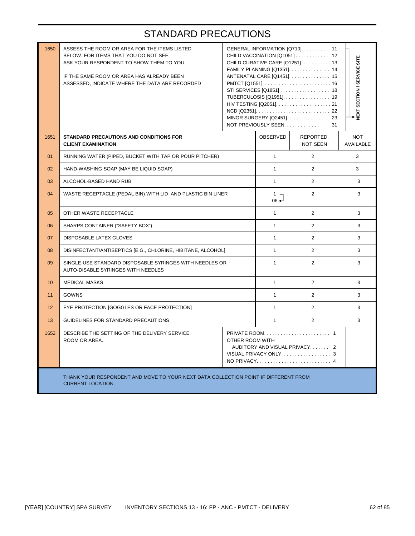| 1650 | ASSESS THE ROOM OR AREA FOR THE ITEMS LISTED<br>BELOW. FOR ITEMS THAT YOU DO NOT SEE,<br>ASK YOUR RESPONDENT TO SHOW THEM TO YOU.<br>IF THE SAME ROOM OR AREA HAS ALREADY BEEN<br>ASSESSED, INDICATE WHERE THE DATA ARE RECORDED |  | GENERAL INFORMATION [Q710]. 11<br>CHILD VACCINATION [Q1051] 12<br>CHILD CURATIVE CARE [Q1251] 13<br>FAMILY PLANNING [Q1351]. 14<br>ANTENATAL CARE [Q1451] 15<br>STI SERVICES [Q1851]  18<br>TUBERCULOSIS [Q1951] 19<br>MINOR SURGERY [Q2451]. 23<br>NOT PREVIOUSLY SEEN | <b>NEXT SECTION / SERVICE SITE</b> |                                |  |
|------|----------------------------------------------------------------------------------------------------------------------------------------------------------------------------------------------------------------------------------|--|-------------------------------------------------------------------------------------------------------------------------------------------------------------------------------------------------------------------------------------------------------------------------|------------------------------------|--------------------------------|--|
| 1651 | <b>STANDARD PRECAUTIONS AND CONDITIONS FOR</b><br><b>CLIENT EXAMINATION</b>                                                                                                                                                      |  | OBSERVED                                                                                                                                                                                                                                                                | REPORTED,<br><b>NOT SEEN</b>       | <b>NOT</b><br><b>AVAILABLE</b> |  |
| 01   | RUNNING WATER (PIPED, BUCKET WITH TAP OR POUR PITCHER)                                                                                                                                                                           |  | $\mathbf{1}$                                                                                                                                                                                                                                                            | 2                                  | 3                              |  |
| 02   | HAND-WASHING SOAP (MAY BE LIQUID SOAP)                                                                                                                                                                                           |  | $\mathbf{1}$                                                                                                                                                                                                                                                            | 2                                  | 3                              |  |
| 03   | ALCOHOL-BASED HAND RUB                                                                                                                                                                                                           |  |                                                                                                                                                                                                                                                                         | $\overline{2}$                     | 3                              |  |
| 04   | WASTE RECEPTACLE (PEDAL BIN) WITH LID AND PLASTIC BIN LINER                                                                                                                                                                      |  |                                                                                                                                                                                                                                                                         | 2                                  | 3                              |  |
| 05   | OTHER WASTE RECEPTACLE                                                                                                                                                                                                           |  | $\mathbf{1}$                                                                                                                                                                                                                                                            | 2                                  | 3                              |  |
| 06   | SHARPS CONTAINER ("SAFETY BOX")                                                                                                                                                                                                  |  | $\mathbf{1}$                                                                                                                                                                                                                                                            | $\overline{2}$                     | 3                              |  |
| 07   | <b>DISPOSABLE LATEX GLOVES</b>                                                                                                                                                                                                   |  | $\mathbf{1}$                                                                                                                                                                                                                                                            | 2                                  | 3                              |  |
| 08   | DISINFECTANT/ANTISEPTICS [E.G., CHLORINE, HIBITANE, ALCOHOL]                                                                                                                                                                     |  | $\mathbf{1}$                                                                                                                                                                                                                                                            | $\overline{2}$                     | 3                              |  |
| 09   | SINGLE-USE STANDARD DISPOSABLE SYRINGES WITH NEEDLES OR<br>AUTO-DISABLE SYRINGES WITH NEEDLES                                                                                                                                    |  | $\mathbf{1}$                                                                                                                                                                                                                                                            | $\overline{2}$                     | 3                              |  |
| 10   | <b>MEDICAL MASKS</b>                                                                                                                                                                                                             |  | $\mathbf{1}$                                                                                                                                                                                                                                                            | $\overline{2}$                     | 3                              |  |
| 11   | <b>GOWNS</b>                                                                                                                                                                                                                     |  | $\mathbf{1}$                                                                                                                                                                                                                                                            | $\overline{2}$                     | 3                              |  |
| 12   | EYE PROTECTION [GOGGLES OR FACE PROTECTION]                                                                                                                                                                                      |  | $\mathbf{1}$                                                                                                                                                                                                                                                            | 2                                  | 3                              |  |
| 13   | GUIDELINES FOR STANDARD PRECAUTIONS                                                                                                                                                                                              |  | $\mathbf{1}$                                                                                                                                                                                                                                                            | 2                                  | 3                              |  |
| 1652 | DESCRIBE THE SETTING OF THE DELIVERY SERVICE<br>OTHER ROOM WITH<br>ROOM OR AREA.                                                                                                                                                 |  |                                                                                                                                                                                                                                                                         | AUDITORY AND VISUAL PRIVACY 2      |                                |  |
|      | THANK YOUR RESPONDENT AND MOVE TO YOUR NEXT DATA COLLECTION POINT IF DIFFERENT FROM<br><b>CURRENT LOCATION.</b>                                                                                                                  |  |                                                                                                                                                                                                                                                                         |                                    |                                |  |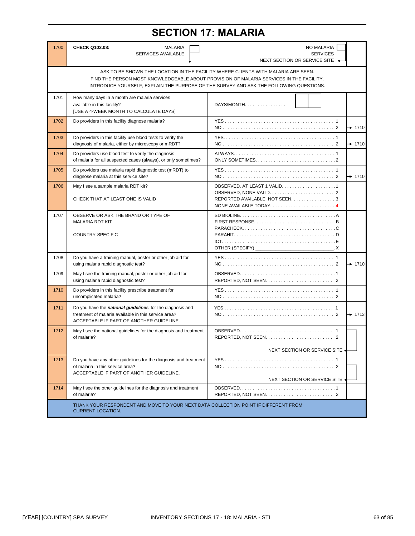## **SECTION 17: MALARIA**

| 1700 | CHECK Q102.08:<br><b>MALARIA</b><br>SERVICES AVAILABLE                                                                                                                                                                                                                 | NO MALARIA<br><b>SERVICES</b><br>NEXT SECTION OR SERVICE SITE ▲                                       |  |  |  |  |
|------|------------------------------------------------------------------------------------------------------------------------------------------------------------------------------------------------------------------------------------------------------------------------|-------------------------------------------------------------------------------------------------------|--|--|--|--|
|      | ASK TO BE SHOWN THE LOCATION IN THE FACILITY WHERE CLIENTS WITH MALARIA ARE SEEN.<br>FIND THE PERSON MOST KNOWLEDGEABLE ABOUT PROVISION OF MALARIA SERVICES IN THE FACILITY.<br>INTRODUCE YOURSELF, EXPLAIN THE PURPOSE OF THE SURVEY AND ASK THE FOLLOWING QUESTIONS. |                                                                                                       |  |  |  |  |
| 1701 | How many days in a month are malaria services<br>available in this facility?<br>[USE A 4-WEEK MONTH TO CALCULATE DAYS]                                                                                                                                                 | $DAYS/MONTH. \ldots \ldots \ldots \ldots$                                                             |  |  |  |  |
| 1702 | Do providers in this facility diagnose malaria?                                                                                                                                                                                                                        | $\rightarrow$ 1710                                                                                    |  |  |  |  |
| 1703 | Do providers in this facility use blood tests to verify the<br>diagnosis of malaria, either by microscopy or mRDT?                                                                                                                                                     | $+ 1710$                                                                                              |  |  |  |  |
| 1704 | Do providers use blood test to verify the diagnosis<br>of malaria for all suspected cases (always), or only sometimes?                                                                                                                                                 | ONLY SOMETIMES. $\ldots$ , $\ldots$ , $\ldots$ , $\ldots$ , $\ldots$ , $\ldots$ , $\ldots$ , $\ldots$ |  |  |  |  |
| 1705 | Do providers use malaria rapid diagnostic test (mRDT) to<br>diagnose malaria at this service site?                                                                                                                                                                     | $+ 1710$                                                                                              |  |  |  |  |
| 1706 | May I see a sample malaria RDT kit?<br>CHECK THAT AT LEAST ONE IS VALID                                                                                                                                                                                                | REPORTED AVAILABLE, NOT SEEN. 3<br>NONE AVAILABLE TODAY4                                              |  |  |  |  |
| 1707 | OBSERVE OR ASK THE BRAND OR TYPE OF<br><b>MALARIA RDT KIT</b><br>COUNTRY-SPECIFIC                                                                                                                                                                                      | OTHER (SPECIFY) __<br>$\mathsf{X}$                                                                    |  |  |  |  |
| 1708 | Do you have a training manual, poster or other job aid for<br>using malaria rapid diagnostic test?                                                                                                                                                                     | $+ 1710$                                                                                              |  |  |  |  |
| 1709 | May I see the training manual, poster or other job aid for<br>using malaria rapid diagnostic test?                                                                                                                                                                     |                                                                                                       |  |  |  |  |
| 1710 | Do providers in this facility prescribe treatment for<br>uncomplicated malaria?                                                                                                                                                                                        |                                                                                                       |  |  |  |  |
| 1711 | Do you have the <i>national quidelines</i> for the diagnosis and<br>treatment of malaria available in this service area?<br>ACCEPTABLE IF PART OF ANOTHER GUIDELINE.                                                                                                   | $+ 1713$                                                                                              |  |  |  |  |
| 1712 | May I see the national guidelines for the diagnosis and treatment<br>of malaria?                                                                                                                                                                                       |                                                                                                       |  |  |  |  |
|      |                                                                                                                                                                                                                                                                        | NEXT SECTION OR SERVICE SITE                                                                          |  |  |  |  |
| 1713 | Do you have any other guidelines for the diagnosis and treatment<br>of malaria in this service area?<br>ACCEPTABLE IF PART OF ANOTHER GUIDELINE.                                                                                                                       | NEXT SECTION OR SERVICE SITE -                                                                        |  |  |  |  |
| 1714 | May I see the other guidelines for the diagnosis and treatment<br>of malaria?                                                                                                                                                                                          |                                                                                                       |  |  |  |  |
|      | THANK YOUR RESPONDENT AND MOVE TO YOUR NEXT DATA COLLECTION POINT IF DIFFERENT FROM<br><b>CURRENT LOCATION.</b>                                                                                                                                                        |                                                                                                       |  |  |  |  |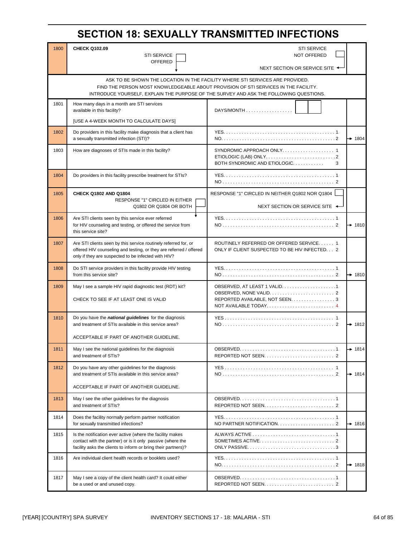### **SECTION 18: SEXUALLY TRANSMITTED INFECTIONS**

| 1800 | <b>CHECK Q102.09</b>                                                                                                                                                                         | <b>STI SERVICE</b>                                                                                                                                                                                                                                             |                    |
|------|----------------------------------------------------------------------------------------------------------------------------------------------------------------------------------------------|----------------------------------------------------------------------------------------------------------------------------------------------------------------------------------------------------------------------------------------------------------------|--------------------|
|      | <b>STI SERVICE</b><br><b>OFFERED</b>                                                                                                                                                         | <b>NOT OFFERED</b>                                                                                                                                                                                                                                             |                    |
|      |                                                                                                                                                                                              | NEXT SECTION OR SERVICE SITE ◆                                                                                                                                                                                                                                 |                    |
|      |                                                                                                                                                                                              | ASK TO BE SHOWN THE LOCATION IN THE FACILITY WHERE STI SERVICES ARE PROVIDED.<br>FIND THE PERSON MOST KNOWLEDGEABLE ABOUT PROVISION OF STI SERVICES IN THE FACILITY.<br>INTRODUCE YOURSELF, EXPLAIN THE PURPOSE OF THE SURVEY AND ASK THE FOLLOWING QUESTIONS. |                    |
| 1801 | How many days in a month are STI services<br>available in this facility?                                                                                                                     | DAYS/MONTH                                                                                                                                                                                                                                                     |                    |
|      | [USE A 4-WEEK MONTH TO CALCULATE DAYS]                                                                                                                                                       |                                                                                                                                                                                                                                                                |                    |
| 1802 | Do providers in this facility make diagnosis that a client has<br>a sexually transmitted infection (STI)?                                                                                    |                                                                                                                                                                                                                                                                | $\rightarrow$ 1804 |
| 1803 | How are diagnoses of STIs made in this facility?                                                                                                                                             | SYNDROMIC APPROACH ONLY 1<br>BOTH SYNDROMIC AND ETIOLOGIC<br>3                                                                                                                                                                                                 |                    |
| 1804 | Do providers in this facility prescribe treatment for STIs?                                                                                                                                  |                                                                                                                                                                                                                                                                |                    |
| 1805 | CHECK Q1802 AND Q1804                                                                                                                                                                        | RESPONSE "1" CIRCLED IN NEITHER Q1802 NOR Q1804                                                                                                                                                                                                                |                    |
|      | RESPONSE "1" CIRCLED IN EITHER<br>Q1802 OR Q1804 OR BOTH                                                                                                                                     | NEXT SECTION OR SERVICE SITE ←                                                                                                                                                                                                                                 |                    |
| 1806 | Are STI clients seen by this service ever referred<br>for HIV counseling and testing, or offered the service from<br>this service site?                                                      |                                                                                                                                                                                                                                                                | $\rightarrow$ 1810 |
| 1807 | Are STI clients seen by this service routinely referred for, or<br>offered HIV counseling and testing, or they are referred / offered<br>only if they are suspected to be infected with HIV? | ROUTINELY REFERRED OR OFFERED SERVICE 1<br>ONLY IF CLIENT SUSPECTED TO BE HIV INFECTED 2                                                                                                                                                                       |                    |
| 1808 | Do STI service providers in this facility provide HIV testing<br>from this service site?                                                                                                     |                                                                                                                                                                                                                                                                | $\rightarrow$ 1810 |
| 1809 | May I see a sample HIV rapid diagnostic test (RDT) kit?<br>CHECK TO SEE IF AT LEAST ONE IS VALID                                                                                             | REPORTED AVAILABLE, NOT SEEN. 3<br>NOT AVAILABLE TODAY 4                                                                                                                                                                                                       |                    |
| 1810 | Do you have the <i>national guidelines</i> for the diagnosis<br>and treatment of STIs available in this service area?                                                                        |                                                                                                                                                                                                                                                                | $\rightarrow$ 1812 |
|      | ACCEPTABLE IF PART OF ANOTHER GUIDELINE.                                                                                                                                                     |                                                                                                                                                                                                                                                                |                    |
| 1811 | May I see the national guidelines for the diagnosis<br>and treatment of STIs?                                                                                                                |                                                                                                                                                                                                                                                                | $\rightarrow$ 1814 |
| 1812 | Do you have any other guidelines for the diagnosis<br>and treatment of STIs available in this service area?                                                                                  |                                                                                                                                                                                                                                                                | $\rightarrow$ 1814 |
|      | ACCEPTABLE IF PART OF ANOTHER GUIDELINE.                                                                                                                                                     |                                                                                                                                                                                                                                                                |                    |
| 1813 | May I see the other guidelines for the diagnosis<br>and treatment of STIs?                                                                                                                   |                                                                                                                                                                                                                                                                |                    |
| 1814 | Does the facility normally perform partner notification<br>for sexually transmitted infections?                                                                                              |                                                                                                                                                                                                                                                                | $\rightarrow$ 1816 |
| 1815 | Is the notification ever active (where the facility makes<br>contact with the partner) or is it only passive (where the<br>facility asks the clients to inform or bring their partners)?     |                                                                                                                                                                                                                                                                |                    |
| 1816 | Are individual client health records or booklets used?                                                                                                                                       |                                                                                                                                                                                                                                                                | $\rightarrow$ 1818 |
| 1817 | May I see a copy of the client health card? It could either<br>be a used or and unused copy.                                                                                                 |                                                                                                                                                                                                                                                                |                    |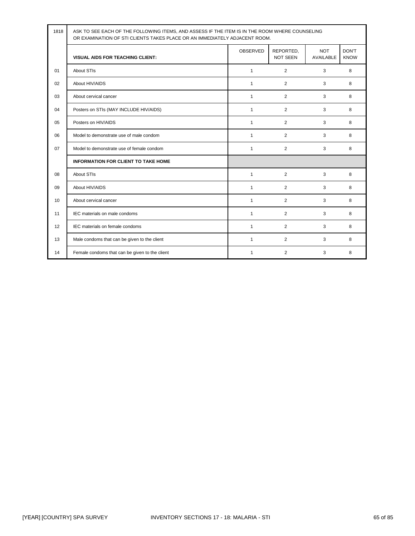| 1818 | ASK TO SEE EACH OF THE FOLLOWING ITEMS, AND ASSESS IF THE ITEM IS IN THE ROOM WHERE COUNSELING<br>OR EXAMINATION OF STI CLIENTS TAKES PLACE OR AN IMMEDIATELY ADJACENT ROOM. |                 |                              |                         |                             |  |
|------|------------------------------------------------------------------------------------------------------------------------------------------------------------------------------|-----------------|------------------------------|-------------------------|-----------------------------|--|
|      | <b>VISUAL AIDS FOR TEACHING CLIENT:</b>                                                                                                                                      | <b>OBSERVED</b> | REPORTED,<br><b>NOT SEEN</b> | <b>NOT</b><br>AVAILABLE | <b>DON'T</b><br><b>KNOW</b> |  |
| 01   | <b>About STIs</b>                                                                                                                                                            | $\mathbf{1}$    | 2                            | 3                       | 8                           |  |
| 02   | About HIV/AIDS                                                                                                                                                               | $\mathbf{1}$    | 2                            | 3                       | 8                           |  |
| 03   | About cervical cancer                                                                                                                                                        | 1               | 2                            | 3                       | 8                           |  |
| 04   | Posters on STIs (MAY INCLUDE HIV/AIDS)                                                                                                                                       | $\mathbf{1}$    | 2                            | 3                       | 8                           |  |
| 05   | Posters on HIV/AIDS                                                                                                                                                          | $\mathbf{1}$    | $\overline{2}$               | 3                       | 8                           |  |
| 06   | Model to demonstrate use of male condom                                                                                                                                      | $\mathbf{1}$    | 2                            | 3                       | 8                           |  |
| 07   | Model to demonstrate use of female condom                                                                                                                                    | $\mathbf{1}$    | $\overline{2}$               | 3                       | 8                           |  |
|      | <b>INFORMATION FOR CLIENT TO TAKE HOME</b>                                                                                                                                   |                 |                              |                         |                             |  |
| 08   | <b>About STIs</b>                                                                                                                                                            | $\mathbf{1}$    | 2                            | 3                       | 8                           |  |
| 09   | About HIV/AIDS                                                                                                                                                               | $\mathbf{1}$    | 2                            | 3                       | 8                           |  |
| 10   | About cervical cancer                                                                                                                                                        | $\mathbf{1}$    | 2                            | 3                       | 8                           |  |
| 11   | IEC materials on male condoms                                                                                                                                                | $\mathbf{1}$    | 2                            | 3                       | 8                           |  |
| 12   | IEC materials on female condoms                                                                                                                                              | $\mathbf{1}$    | $\overline{2}$               | 3                       | 8                           |  |
| 13   | Male condoms that can be given to the client                                                                                                                                 | $\mathbf{1}$    | $\overline{2}$               | 3                       | 8                           |  |
| 14   | Female condoms that can be given to the client                                                                                                                               | $\mathbf{1}$    | 2                            | 3                       | 8                           |  |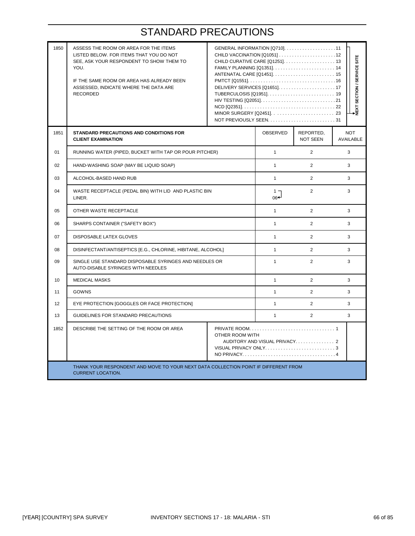| 1850 | ASSESS THE ROOM OR AREA FOR THE ITEMS<br>LISTED BELOW. FOR ITEMS THAT YOU DO NOT<br>SEE, ASK YOUR RESPONDENT TO SHOW THEM TO<br>YOU.<br>IF THE SAME ROOM OR AREA HAS ALREADY BEEN<br>ASSESSED, INDICATE WHERE THE DATA ARE<br><b>RECORDED</b> | GENERAL INFORMATION [Q710]11<br>HIV TESTING [Q2051]21 |              |                              | NEXT SECTION / SERVICE SITE    |
|------|-----------------------------------------------------------------------------------------------------------------------------------------------------------------------------------------------------------------------------------------------|-------------------------------------------------------|--------------|------------------------------|--------------------------------|
| 1851 | STANDARD PRECAUTIONS AND CONDITIONS FOR<br><b>CLIENT EXAMINATION</b>                                                                                                                                                                          |                                                       | OBSERVED     | REPORTED,<br><b>NOT SEEN</b> | <b>NOT</b><br><b>AVAILABLE</b> |
| 01   | RUNNING WATER (PIPED, BUCKET WITH TAP OR POUR PITCHER)                                                                                                                                                                                        |                                                       | $\mathbf{1}$ | 2                            | 3                              |
| 02   | HAND-WASHING SOAP (MAY BE LIQUID SOAP)                                                                                                                                                                                                        |                                                       | $\mathbf{1}$ | $\overline{2}$               | 3                              |
| 03   | ALCOHOL-BASED HAND RUB                                                                                                                                                                                                                        | $\mathbf{1}$                                          | 2            | 3                            |                                |
| 04   | WASTE RECEPTACLE (PEDAL BIN) WITH LID AND PLASTIC BIN<br>LINER.                                                                                                                                                                               | $1 -$<br>06←                                          | 2            | 3                            |                                |
| 05   | OTHER WASTE RECEPTACLE                                                                                                                                                                                                                        |                                                       | $\mathbf{1}$ | $\overline{2}$               | 3                              |
| 06   | SHARPS CONTAINER ("SAFETY BOX")                                                                                                                                                                                                               |                                                       | $\mathbf{1}$ | 2                            | 3                              |
| 07   | <b>DISPOSABLE LATEX GLOVES</b>                                                                                                                                                                                                                |                                                       | $\mathbf{1}$ | 2                            | 3                              |
| 08   | DISINFECTANT/ANTISEPTICS [E.G., CHLORINE, HIBITANE, ALCOHOL]                                                                                                                                                                                  |                                                       | $\mathbf{1}$ | 2                            | 3                              |
| 09   | SINGLE USE STANDARD DISPOSABLE SYRINGES AND NEEDLES OR<br>AUTO-DISABLE SYRINGES WITH NEEDLES                                                                                                                                                  |                                                       | $\mathbf{1}$ | $\overline{2}$               | $\mathcal{R}$                  |
| 10   | <b>MEDICAL MASKS</b>                                                                                                                                                                                                                          |                                                       | $\mathbf{1}$ | 2                            | 3                              |
| 11   | <b>GOWNS</b>                                                                                                                                                                                                                                  |                                                       | $\mathbf{1}$ | $\overline{2}$               | 3                              |
| 12   | EYE PROTECTION [GOGGLES OR FACE PROTECTION]                                                                                                                                                                                                   |                                                       | $\mathbf{1}$ | 2                            | 3                              |
| 13   | GUIDELINES FOR STANDARD PRECAUTIONS                                                                                                                                                                                                           |                                                       | $\mathbf{1}$ | $\overline{2}$               | 3                              |
| 1852 | DESCRIBE THE SETTING OF THE ROOM OR AREA<br>OTHER ROOM WITH<br>AUDITORY AND VISUAL PRIVACY 2                                                                                                                                                  |                                                       |              |                              |                                |
|      | THANK YOUR RESPONDENT AND MOVE TO YOUR NEXT DATA COLLECTION POINT IF DIFFERENT FROM<br><b>CURRENT LOCATION.</b>                                                                                                                               |                                                       |              |                              |                                |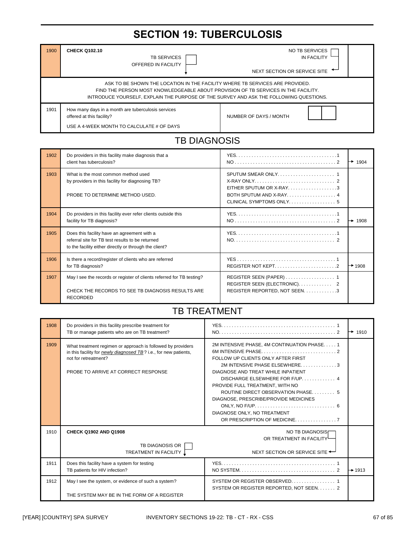# **SECTION 19: TUBERCULOSIS**

| 1900 | <b>CHECK Q102.10</b><br><b>TB SERVICES</b><br>OFFERED IN FACILITY                                                                                                                                                                                            | NO TB SERVICES<br><b>IN FACILITY</b><br>NEXT SECTION OR SERVICE SITE |  |  |  |  |
|------|--------------------------------------------------------------------------------------------------------------------------------------------------------------------------------------------------------------------------------------------------------------|----------------------------------------------------------------------|--|--|--|--|
|      | ASK TO BE SHOWN THE LOCATION IN THE FACILITY WHERE TB SERVICES ARE PROVIDED.<br>FIND THE PERSON MOST KNOWLEDGEABLE ABOUT PROVISION OF TB SERVICES IN THE FACILITY.<br>INTRODUCE YOURSELF, EXPLAIN THE PURPOSE OF THE SURVEY AND ASK THE FOLLOWING QUESTIONS. |                                                                      |  |  |  |  |
| 1901 | How many days in a month are tuberculosis services<br>offered at this facility?<br>USE A 4-WEEK MONTH TO CALCULATE # OF DAYS                                                                                                                                 | NUMBER OF DAYS / MONTH                                               |  |  |  |  |

# TB DIAGNOSIS

| 1902 | Do providers in this facility make diagnosis that a<br>client has tuberculosis?                                                                           | ↣                                                                             | 1904               |
|------|-----------------------------------------------------------------------------------------------------------------------------------------------------------|-------------------------------------------------------------------------------|--------------------|
| 1903 | What is the most common method used<br>by providers in this facility for diagnosing TB?<br>PROBE TO DETERMINE METHOD USED.                                | EITHER SPUTUM OR X-RAY3<br>BOTH SPUTUM AND X-RAY 4<br>CLINICAL SYMPTOMS ONLY5 |                    |
| 1904 | Do providers in this facility ever refer clients outside this<br>facility for TB diagnosis?                                                               | ┶                                                                             | 1908               |
| 1905 | Does this facility have an agreement with a<br>referral site for TB test results to be returned<br>to the facility either directly or through the client? |                                                                               |                    |
| 1906 | Is there a record/register of clients who are referred<br>for TB diagnosis?                                                                               | REGISTER NOT KEPT2                                                            | $\rightarrow$ 1908 |
| 1907 | May I see the records or register of clients referred for TB testing?<br>CHECK THE RECORDS TO SEE TB DIAGNOSIS RESULTS ARE<br><b>RECORDED</b>             | REGISTER REPORTED, NOT SEEN3                                                  |                    |

#### TB TREATMENT

| 1908 | Do providers in this facility prescribe treatment for<br>TB or manage patients who are on TB treatment?                                                                                        | $\rightarrow$ 1910                                                                                                                                                                                                                                                                                                                         |  |
|------|------------------------------------------------------------------------------------------------------------------------------------------------------------------------------------------------|--------------------------------------------------------------------------------------------------------------------------------------------------------------------------------------------------------------------------------------------------------------------------------------------------------------------------------------------|--|
| 1909 | What treatment regimen or approach is followed by providers<br>in this facility for newly diagnosed TB? i.e., for new patients,<br>not for retreatment?<br>PROBE TO ARRIVE AT CORRECT RESPONSE | 2M INTENSIVE PHASE, 4M CONTINUATION PHASE1<br>FOLLOW UP CLIENTS ONLY AFTER FIRST<br>2M INTENSIVE PHASE ELSEWHERE3<br>DIAGNOSE AND TREAT WHILE INPATIENT<br>DISCHARGE ELSEWHERE FOR F/UP 4<br>PROVIDE FULL TREATMENT, WITH NO<br>ROUTINE DIRECT OBSERVATION PHASE 5<br>DIAGNOSE, PRESCRIBE/PROVIDE MEDICINES<br>DIAGNOSE ONLY, NO TREATMENT |  |
| 1910 | <b>CHECK Q1902 AND Q1908</b><br>TB DIAGNOSIS OR<br>TREATMENT IN FACILITY 1                                                                                                                     | NO TB DIAGNOSISE<br>OR TREATMENT IN FACILITY<br>NEXT SECTION OR SERVICE SITE                                                                                                                                                                                                                                                               |  |
| 1911 | Does this facility have a system for testing<br>TB patients for HIV infection?                                                                                                                 | $\rightarrow$ 1913                                                                                                                                                                                                                                                                                                                         |  |
| 1912 | May I see the system, or evidence of such a system?<br>THE SYSTEM MAY BE IN THE FORM OF A REGISTER                                                                                             | SYSTEM OR REGISTER REPORTED, NOT SEEN 2                                                                                                                                                                                                                                                                                                    |  |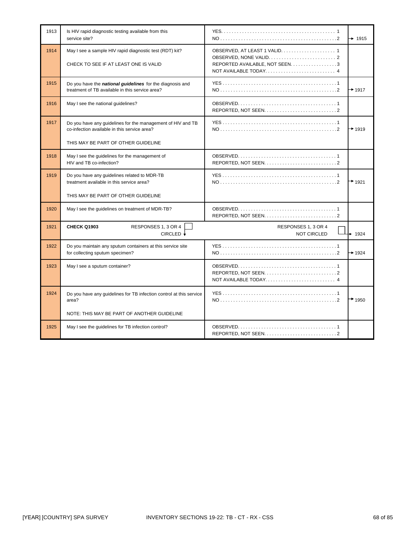| 1913 | Is HIV rapid diagnostic testing available from this<br>service site?                                                                               | $\rightarrow$ 1915                                       |
|------|----------------------------------------------------------------------------------------------------------------------------------------------------|----------------------------------------------------------|
| 1914 | May I see a sample HIV rapid diagnostic test (RDT) kit?<br>CHECK TO SEE IF AT LEAST ONE IS VALID                                                   | REPORTED AVAILABLE, NOT SEEN. 3<br>NOT AVAILABLE TODAY 4 |
| 1915 | Do you have the national guidelines for the diagnosis and<br>treatment of TB available in this service area?                                       | $+$ 1917                                                 |
| 1916 | May I see the national guidelines?                                                                                                                 |                                                          |
| 1917 | Do you have any guidelines for the management of HIV and TB<br>co-infection available in this service area?<br>THIS MAY BE PART OF OTHER GUIDELINE | $+ 1919$                                                 |
| 1918 | May I see the guidelines for the management of<br>HIV and TB co-infection?                                                                         |                                                          |
| 1919 | Do you have any guidelines related to MDR-TB<br>treatment available in this service area?<br>THIS MAY BE PART OF OTHER GUIDELINE                   | $+ 1921$                                                 |
| 1920 | May I see the guidelines on treatment of MDR-TB?                                                                                                   |                                                          |
| 1921 | CHECK Q1903<br>RESPONSES 1, 3 OR 4<br>CIRCLED ↓                                                                                                    | RESPONSES 1, 3 OR 4<br><b>NOT CIRCLED</b><br>1924        |
| 1922 | Do you maintain any sputum containers at this service site<br>for collecting sputum specimen?                                                      | $+ 1924$                                                 |
| 1923 | May I see a sputum container?                                                                                                                      | NOT AVAILABLE TODAY 4                                    |
| 1924 | Do you have any guidelines for TB infection control at this service<br>area?                                                                       | $\rightarrow$ 1950                                       |
|      | NOTE: THIS MAY BE PART OF ANOTHER GUIDELINE                                                                                                        |                                                          |
| 1925 | May I see the guidelines for TB infection control?                                                                                                 |                                                          |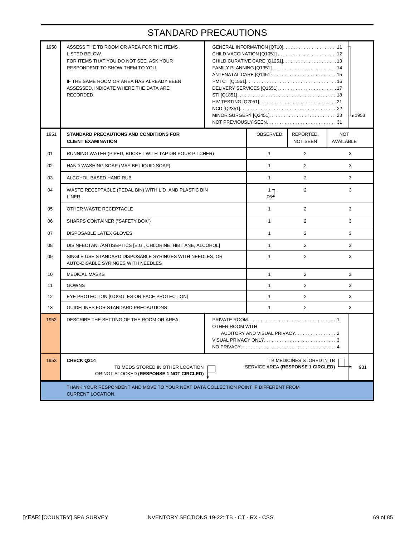| 1950 | ASSESS THE TB ROOM OR AREA FOR THE ITEMS.<br>LISTED BELOW.<br>FOR ITEMS THAT YOU DO NOT SEE, ASK YOUR<br>RESPONDENT TO SHOW THEM TO YOU.<br>IF THE SAME ROOM OR AREA HAS ALREADY BEEN<br>ASSESSED, INDICATE WHERE THE DATA ARE<br><b>RECORDED</b> | $\perp$ 1953 |                        |                       |                         |
|------|---------------------------------------------------------------------------------------------------------------------------------------------------------------------------------------------------------------------------------------------------|--------------|------------------------|-----------------------|-------------------------|
| 1951 | <b>STANDARD PRECAUTIONS AND CONDITIONS FOR</b><br><b>CLIENT EXAMINATION</b>                                                                                                                                                                       |              | OBSERVED               | REPORTED,<br>NOT SEEN | <b>NOT</b><br>AVAILABLE |
| 01   | RUNNING WATER (PIPED, BUCKET WITH TAP OR POUR PITCHER)                                                                                                                                                                                            |              | $\mathbf{1}$           | $\overline{2}$        | 3                       |
| 02   | HAND-WASHING SOAP (MAY BE LIQUID SOAP)                                                                                                                                                                                                            |              | $\mathbf{1}$           | $\overline{2}$        | 3                       |
| 03   | ALCOHOL-BASED HAND RUB                                                                                                                                                                                                                            |              | $\mathbf{1}$           | $\overline{2}$        | 3                       |
| 04   | WASTE RECEPTACLE (PEDAL BIN) WITH LID AND PLASTIC BIN<br>LINER.                                                                                                                                                                                   |              | ר 1<br>06 <sup>√</sup> | $\overline{2}$        | 3                       |
| 05   | OTHER WASTE RECEPTACLE                                                                                                                                                                                                                            |              | $\mathbf{1}$           | $\overline{2}$        | 3                       |
| 06   | SHARPS CONTAINER ("SAFETY BOX")                                                                                                                                                                                                                   |              | $\mathbf{1}$           | $\overline{2}$        | 3                       |
| 07   | DISPOSABLE LATEX GLOVES                                                                                                                                                                                                                           |              | $\mathbf{1}$           | $\overline{2}$        | 3                       |
| 08   | DISINFECTANT/ANTISEPTICS [E.G., CHLORINE, HIBITANE, ALCOHOL]                                                                                                                                                                                      |              | $\mathbf{1}$           | $\overline{2}$        | 3                       |
| 09   | SINGLE USE STANDARD DISPOSABLE SYRINGES WITH NEEDLES, OR<br>AUTO-DISABLE SYRINGES WITH NEEDLES                                                                                                                                                    |              | $\mathbf{1}$           | $\overline{2}$        | 3                       |
| 10   | <b>MEDICAL MASKS</b>                                                                                                                                                                                                                              |              | $\mathbf{1}$           | $\overline{2}$        | 3                       |
| 11   | GOWNS                                                                                                                                                                                                                                             |              | $\mathbf{1}$           | $\overline{2}$        | 3                       |
| 12   | EYE PROTECTION [GOGGLES OR FACE PROTECTION]                                                                                                                                                                                                       |              | $\mathbf{1}$           | $\overline{2}$        | 3                       |
| 13   | GUIDELINES FOR STANDARD PRECAUTIONS                                                                                                                                                                                                               |              | $\mathbf{1}$           | $\overline{2}$        | 3                       |
| 1952 | DESCRIBE THE SETTING OF THE ROOM OR AREA<br>OTHER ROOM WITH<br>VISUAL PRIVACY ONLY3                                                                                                                                                               |              |                        |                       |                         |
| 1953 | <b>CHECK Q214</b><br>TB MEDICINES STORED IN TB<br>SERVICE AREA (RESPONSE 1 CIRCLED)<br>931<br>TB MEDS STORED IN OTHER LOCATION<br>OR NOT STOCKED (RESPONSE 1 NOT CIRCLED)                                                                         |              |                        |                       |                         |
|      | THANK YOUR RESPONDENT AND MOVE TO YOUR NEXT DATA COLLECTION POINT IF DIFFERENT FROM<br><b>CURRENT LOCATION.</b>                                                                                                                                   |              |                        |                       |                         |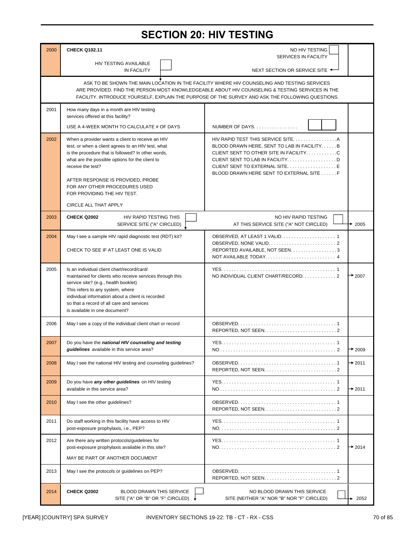### **SECTION 20: HIV TESTING**

| 2000 | <b>CHECK Q102.11</b><br>NO HIV TESTING                                                                                                                                                                                                                                                                                |                                                                                                                                                                                                                                                                                                    |                    |  |
|------|-----------------------------------------------------------------------------------------------------------------------------------------------------------------------------------------------------------------------------------------------------------------------------------------------------------------------|----------------------------------------------------------------------------------------------------------------------------------------------------------------------------------------------------------------------------------------------------------------------------------------------------|--------------------|--|
|      | HIV TESTING AVAILABLE                                                                                                                                                                                                                                                                                                 | SERVICES IN FACILITY                                                                                                                                                                                                                                                                               |                    |  |
|      | <b>IN FACILITY</b>                                                                                                                                                                                                                                                                                                    | NEXT SECTION OR SERVICE SITE ←                                                                                                                                                                                                                                                                     |                    |  |
|      |                                                                                                                                                                                                                                                                                                                       | ASK TO BE SHOWN THE MAIN LOCATION IN THE FACILITY WHERE HIV COUNSELING AND TESTING SERVICES<br>ARE PROVIDED. FIND THE PERSON MOST KNOWLEDGEABLE ABOUT HIV COUNSELING & TESTING SERVICES IN THE<br>FACILITY. INTRODUCE YOURSELF, EXPLAIN THE PURPOSE OF THE SURVEY AND ASK THE FOLLOWING QUESTIONS. |                    |  |
| 2001 | How many days in a month are HIV testing<br>services offered at this facility?                                                                                                                                                                                                                                        |                                                                                                                                                                                                                                                                                                    |                    |  |
|      | USE A 4-WEEK MONTH TO CALCULATE # OF DAYS                                                                                                                                                                                                                                                                             | NUMBER OF DAYS                                                                                                                                                                                                                                                                                     |                    |  |
| 2002 | When a provider wants a client to receive an HIV<br>test, or when a client agrees to an HIV test, what<br>is the procedure that is followed? In other words,<br>what are the possible options for the client to<br>receive the test?<br>AFTER RESPONSE IS PROVIDED, PROBE                                             | BLOOD DRAWN HERE, SENT TO LAB IN FACILITYB<br>CLIENT SENT TO OTHER SITE IN FACILITYC<br>CLIENT SENT TO LAB IN FACILITYD<br>CLIENT SENT TO EXTERNAL SITEE<br>BLOOD DRAWN HERE SENT TO EXTERNAL SITE F                                                                                               |                    |  |
|      | FOR ANY OTHER PROCEDURES USED<br>FOR PROVIDING THE HIV TEST.                                                                                                                                                                                                                                                          |                                                                                                                                                                                                                                                                                                    |                    |  |
|      | CIRCLE ALL THAT APPLY                                                                                                                                                                                                                                                                                                 |                                                                                                                                                                                                                                                                                                    |                    |  |
| 2003 | <b>CHECK Q2002</b><br>HIV RAPID TESTING THIS<br>SERVICE SITE ("A" CIRCLED)                                                                                                                                                                                                                                            | NO HIV RAPID TESTING<br>AT THIS SERVICE SITE ("A" NOT CIRCLED)                                                                                                                                                                                                                                     | $\div$ 2005        |  |
| 2004 | May I see a sample HIV rapid diagnostic test (RDT) kit?<br>CHECK TO SEE IF AT LEAST ONE IS VALID                                                                                                                                                                                                                      | REPORTED AVAILABLE, NOT SEEN. 3                                                                                                                                                                                                                                                                    |                    |  |
| 2005 | Is an individual client chart/record/card/<br>maintained for clients who receive services through this<br>service site? (e.g., health booklet)<br>This refers to any system, where<br>individual information about a client is recorded<br>so that a record of all care and services<br>is available in one document? | NO INDIVIDUAL CLIENT CHART/RECORD2                                                                                                                                                                                                                                                                 | $+2007$            |  |
| 2006 | May I see a copy of the individual client chart or record                                                                                                                                                                                                                                                             |                                                                                                                                                                                                                                                                                                    |                    |  |
| 2007 | Do you have the national HIV counseling and testing<br>guidelines available in this service area?                                                                                                                                                                                                                     |                                                                                                                                                                                                                                                                                                    | $\rightarrow$ 2009 |  |
| 2008 | May I see the national HIV testing and counseling guidelines?                                                                                                                                                                                                                                                         |                                                                                                                                                                                                                                                                                                    | $+2011$            |  |
| 2009 | Do you have any other guidelines on HIV testing<br>available in this service area?                                                                                                                                                                                                                                    |                                                                                                                                                                                                                                                                                                    | $+2011$            |  |
| 2010 | May I see the other guidelines?                                                                                                                                                                                                                                                                                       |                                                                                                                                                                                                                                                                                                    |                    |  |
| 2011 | Do staff working in this facility have access to HIV<br>post-exposure prophylaxis, i.e., PEP?                                                                                                                                                                                                                         |                                                                                                                                                                                                                                                                                                    |                    |  |
| 2012 | Are there any written protocols/guidelines for<br>post-exposure prophylaxis available in this site?<br>MAY BE PART OF ANOTHER DOCUMENT                                                                                                                                                                                |                                                                                                                                                                                                                                                                                                    | $+2014$            |  |
| 2013 | May I see the protocols or guidelines on PEP?                                                                                                                                                                                                                                                                         |                                                                                                                                                                                                                                                                                                    |                    |  |
| 2014 | CHECK Q2002<br><b>BLOOD DRAWN THIS SERVICE</b><br>SITE ("A" OR "B" OR "F" CIRCLED) ↓                                                                                                                                                                                                                                  | NO BLOOD DRAWN THIS SERVICE<br>SITE (NEITHER "A" NOR "B" NOR "F" CIRCLED)                                                                                                                                                                                                                          | 2052               |  |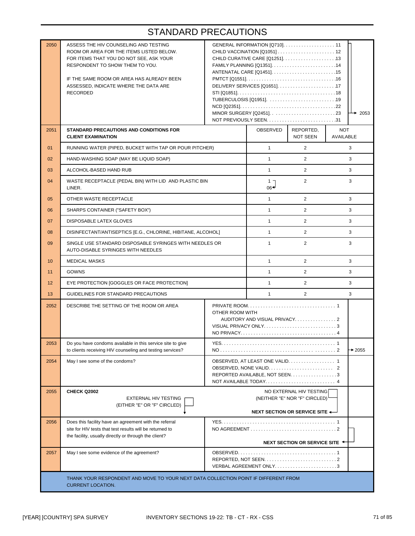| 2050                                                                                                            | ASSESS THE HIV COUNSELING AND TESTING<br>ROOM OR AREA FOR THE ITEMS LISTED BELOW.<br>FOR ITEMS THAT YOU DO NOT SEE, ASK YOUR<br>RESPONDENT TO SHOW THEM TO YOU.<br>IF THE SAME ROOM OR AREA HAS ALREADY BEEN<br>ASSESSED. INDICATE WHERE THE DATA ARE<br><b>RECORDED</b> |                                                                                                         |                |                       | $\rightarrow$ 2053      |
|-----------------------------------------------------------------------------------------------------------------|--------------------------------------------------------------------------------------------------------------------------------------------------------------------------------------------------------------------------------------------------------------------------|---------------------------------------------------------------------------------------------------------|----------------|-----------------------|-------------------------|
| 2051                                                                                                            | STANDARD PRECAUTIONS AND CONDITIONS FOR<br><b>CLIENT EXAMINATION</b>                                                                                                                                                                                                     |                                                                                                         | OBSERVED       | REPORTED,<br>NOT SEEN | <b>NOT</b><br>AVAILABLE |
| 01                                                                                                              | RUNNING WATER (PIPED, BUCKET WITH TAP OR POUR PITCHER)                                                                                                                                                                                                                   |                                                                                                         | $\mathbf{1}$   | $\overline{2}$        | 3                       |
| 02                                                                                                              | HAND-WASHING SOAP (MAY BE LIQUID SOAP)                                                                                                                                                                                                                                   |                                                                                                         | $\mathbf{1}$   | $\overline{2}$        | 3                       |
| 03                                                                                                              | ALCOHOL-BASED HAND RUB                                                                                                                                                                                                                                                   |                                                                                                         | $\mathbf{1}$   | $\overline{2}$        | 3                       |
| 04                                                                                                              | WASTE RECEPTACLE (PEDAL BIN) WITH LID AND PLASTIC BIN<br>LINER.                                                                                                                                                                                                          |                                                                                                         | $1 -$<br>06≁   | 2                     | 3                       |
| 05                                                                                                              | OTHER WASTE RECEPTACLE                                                                                                                                                                                                                                                   | $\mathbf{1}$                                                                                            | $\overline{2}$ | 3                     |                         |
| 06                                                                                                              | SHARPS CONTAINER ("SAFETY BOX")                                                                                                                                                                                                                                          | $\mathbf{1}$                                                                                            | $\overline{2}$ | 3                     |                         |
| 07                                                                                                              | DISPOSABLE LATEX GLOVES                                                                                                                                                                                                                                                  | $\mathbf{1}$                                                                                            | $\overline{2}$ | 3                     |                         |
| 08                                                                                                              | DISINFECTANT/ANTISEPTICS [E.G., CHLORINE, HIBITANE, ALCOHOL]                                                                                                                                                                                                             |                                                                                                         | $\mathbf{1}$   | $\overline{2}$        | 3                       |
| 09                                                                                                              | SINGLE USE STANDARD DISPOSABLE SYRINGES WITH NEEDLES OR<br>AUTO-DISABLE SYRINGES WITH NEEDLES                                                                                                                                                                            |                                                                                                         | $\mathbf{1}$   | $\overline{2}$        | 3                       |
| 10                                                                                                              | <b>MEDICAL MASKS</b>                                                                                                                                                                                                                                                     |                                                                                                         | $\mathbf{1}$   | $\overline{2}$        | 3                       |
| 11                                                                                                              | GOWNS                                                                                                                                                                                                                                                                    |                                                                                                         | $\mathbf{1}$   | $\overline{2}$        | 3                       |
| 12                                                                                                              | EYE PROTECTION [GOGGLES OR FACE PROTECTION]                                                                                                                                                                                                                              |                                                                                                         | $\mathbf{1}$   | $\overline{2}$        | 3                       |
| 13                                                                                                              | GUIDELINES FOR STANDARD PRECAUTIONS                                                                                                                                                                                                                                      |                                                                                                         | $\mathbf{1}$   | $\overline{2}$        | 3                       |
| 2052                                                                                                            | DESCRIBE THE SETTING OF THE ROOM OR AREA                                                                                                                                                                                                                                 | OTHER ROOM WITH<br>AUDITORY AND VISUAL PRIVACY2<br>VISUAL PRIVACY ONLY3                                 |                |                       |                         |
| 2053                                                                                                            | Do you have condoms available in this service site to give<br>to clients receiving HIV counseling and testing services?                                                                                                                                                  | YES.                                                                                                    |                |                       | $\rightarrow$ 2055      |
| 2054                                                                                                            | May I see some of the condoms?                                                                                                                                                                                                                                           | OBSERVED, AT LEAST ONE VALID. 1<br>REPORTED AVAILABLE, NOT SEEN. 3<br>NOT AVAILABLE TODAY 4             |                |                       |                         |
| 2055                                                                                                            | CHECK Q2002<br>EXTERNAL HIV TESTING<br>(EITHER "E" OR "F" CIRCLED)                                                                                                                                                                                                       | NO EXTERNAL HIV TESTING<br>(NEITHER "E" NOR "F" CIRCLED) <sup>1</sup><br>NEXT SECTION OR SERVICE SITE ← |                |                       |                         |
| 2056                                                                                                            | Does this facility have an agreement with the referral<br>site for HIV tests that test results will be returned to<br>the facility, usually directly or through the client?                                                                                              | NEXT SECTION OR SERVICE SITE ←                                                                          |                |                       |                         |
| 2057                                                                                                            | May I see some evidence of the agreement?                                                                                                                                                                                                                                |                                                                                                         |                |                       |                         |
| THANK YOUR RESPONDENT AND MOVE TO YOUR NEXT DATA COLLECTION POINT IF DIFFERENT FROM<br><b>CURRENT LOCATION.</b> |                                                                                                                                                                                                                                                                          |                                                                                                         |                |                       |                         |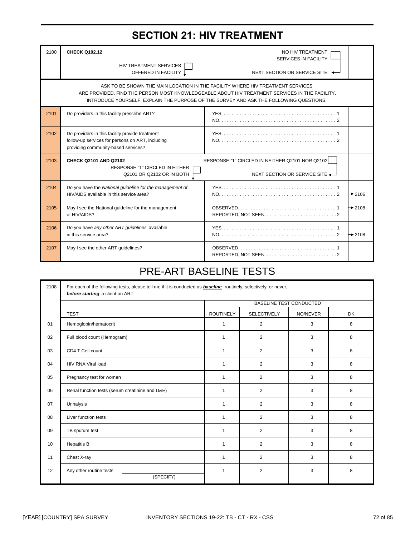# **SECTION 21: HIV TREATMENT**

| 2100 | <b>CHECK Q102.12</b><br>NO HIV TREATMENT<br>SERVICES IN FACILITY<br>HIV TREATMENT SERVICES<br>OFFERED IN FACILITY 1<br>NEXT SECTION OR SERVICE SITE                                                                                                                        |  |                    |  |  |
|------|----------------------------------------------------------------------------------------------------------------------------------------------------------------------------------------------------------------------------------------------------------------------------|--|--------------------|--|--|
|      | ASK TO BE SHOWN THE MAIN LOCATION IN THE FACILITY WHERE HIV TREATMENT SERVICES<br>ARE PROVIDED. FIND THE PERSON MOST KNOWLEDGEABLE ABOUT HIV TREATMENT SERVICES IN THE FACILITY.<br>INTRODUCE YOURSELF, EXPLAIN THE PURPOSE OF THE SURVEY AND ASK THE FOLLOWING QUESTIONS. |  |                    |  |  |
| 2101 | Do providers in this facility prescribe ART?                                                                                                                                                                                                                               |  |                    |  |  |
| 2102 | Do providers in this facility provide treatment<br>follow-up services for persons on ART, including<br>providing community-based services?                                                                                                                                 |  |                    |  |  |
| 2103 | RESPONSE "1" CIRCLED IN NEITHER Q2101 NOR Q2102<br>CHECK Q2101 AND Q2102<br>RESPONSE "1" CIRCLED IN EITHER<br>Q2101 OR Q2102 OR IN BOTH<br>NEXT SECTION OR SERVICE SITE                                                                                                    |  |                    |  |  |
| 2104 | Do you have the National guideline for the management of<br>HIV/AIDS available in this service area?                                                                                                                                                                       |  | $\rightarrow$ 2106 |  |  |
| 2105 | May I see the National guideline for the management<br>of HIV/AIDS?                                                                                                                                                                                                        |  | $\rightarrow$ 2108 |  |  |
| 2106 | Do you have any other ART guidelines available<br>in this service area?                                                                                                                                                                                                    |  | $\rightarrow$ 2108 |  |  |
| 2107 | May I see the other ART guidelines?                                                                                                                                                                                                                                        |  |                    |  |  |

# PRE-ART BASELINE TESTS

| 2108 | For each of the following tests, please tell me if it is conducted as <b>baseline</b> routinely, selectively, or never,<br>before starting a client on ART. |                                |                    |          |           |
|------|-------------------------------------------------------------------------------------------------------------------------------------------------------------|--------------------------------|--------------------|----------|-----------|
|      |                                                                                                                                                             | <b>BASELINE TEST CONDUCTED</b> |                    |          |           |
|      | <b>TEST</b>                                                                                                                                                 | <b>ROUTINELY</b>               | <b>SELECTIVELY</b> | NO/NEVER | <b>DK</b> |
| 01   | Hemoglobin/hematocrit                                                                                                                                       | 1                              | $\overline{2}$     | 3        | 8         |
| 02   | Full blood count (Hemogram)                                                                                                                                 | $\mathbf{1}$                   | 2                  | 3        | 8         |
| 03   | CD4 T Cell count                                                                                                                                            | $\mathbf{1}$                   | 2                  | 3        | 8         |
| 04   | <b>HIV RNA Viral load</b>                                                                                                                                   | $\mathbf{1}$                   | $\overline{2}$     | 3        | 8         |
| 05   | Pregnancy test for women                                                                                                                                    | $\mathbf{1}$                   | $\overline{2}$     | 3        | 8         |
| 06   | Renal function tests (serum creatinine and U&E)                                                                                                             | $\mathbf{1}$                   | $\overline{2}$     | 3        | 8         |
| 07   | Urinalysis                                                                                                                                                  | $\mathbf{1}$                   | 2                  | 3        | 8         |
| 08   | Liver function tests                                                                                                                                        | $\mathbf{1}$                   | $\overline{2}$     | 3        | 8         |
| 09   | TB sputum test                                                                                                                                              | $\mathbf{1}$                   | $\overline{2}$     | 3        | 8         |
| 10   | <b>Hepatitis B</b>                                                                                                                                          | 1                              | $\overline{2}$     | 3        | 8         |
| 11   | Chest X-ray                                                                                                                                                 | $\mathbf{1}$                   | 2                  | 3        | 8         |
| 12   | Any other routine tests<br>(SPECIFY)                                                                                                                        | $\mathbf{1}$                   | 2                  | 3        | 8         |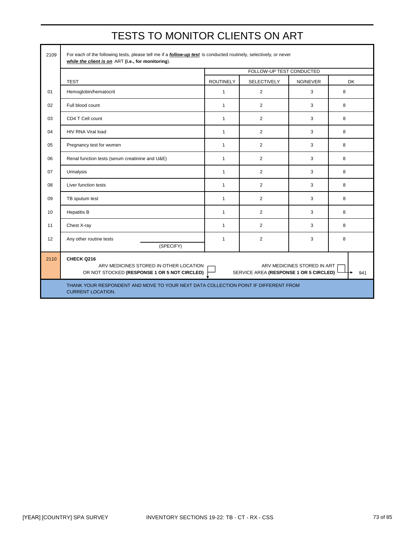| TESTS TO MONITOR CLIENTS ON ART |
|---------------------------------|
|---------------------------------|

| 2109 | For each of the following tests, please tell me if a <i>follow-up test</i> is conducted routinely, selectively, or never<br>while the client is on ART (i.e., for monitoring).       |                          |                    |          |           |  |  |  |  |
|------|--------------------------------------------------------------------------------------------------------------------------------------------------------------------------------------|--------------------------|--------------------|----------|-----------|--|--|--|--|
|      |                                                                                                                                                                                      | FOLLOW-UP TEST CONDUCTED |                    |          |           |  |  |  |  |
|      | <b>TEST</b>                                                                                                                                                                          | <b>ROUTINELY</b>         | <b>SELECTIVELY</b> | NO/NEVER | <b>DK</b> |  |  |  |  |
| 01   | Hemoglobin/hematocrit                                                                                                                                                                | $\mathbf{1}$             | $\overline{2}$     | 3        | 8         |  |  |  |  |
| 02   | Full blood count                                                                                                                                                                     | $\mathbf{1}$             | $\overline{2}$     | 3        | 8         |  |  |  |  |
| 03   | CD4 T Cell count                                                                                                                                                                     | $\mathbf{1}$             | $\overline{2}$     | 3        | 8         |  |  |  |  |
| 04   | HIV RNA Viral load                                                                                                                                                                   | $\mathbf{1}$             | $\overline{2}$     | 3        | 8         |  |  |  |  |
| 05   | Pregnancy test for women                                                                                                                                                             | $\mathbf{1}$             | $\overline{2}$     | 3        | 8         |  |  |  |  |
| 06   | Renal function tests (serum creatinine and U&E)                                                                                                                                      | $\mathbf{1}$             | $\overline{2}$     | 3        | 8         |  |  |  |  |
| 07   | Urinalysis                                                                                                                                                                           | $\mathbf{1}$             | $\overline{2}$     | 3        | 8         |  |  |  |  |
| 08   | Liver function tests                                                                                                                                                                 | $\mathbf{1}$             | $\overline{2}$     | 3        | 8         |  |  |  |  |
| 09   | TB sputum test                                                                                                                                                                       | $\mathbf{1}$             | $\overline{2}$     | 3        | 8         |  |  |  |  |
| 10   | <b>Hepatitis B</b>                                                                                                                                                                   | $\mathbf{1}$             | $\overline{2}$     | 3        | 8         |  |  |  |  |
| 11   | Chest X-ray                                                                                                                                                                          | $\mathbf{1}$             | $\overline{2}$     | 3        | 8         |  |  |  |  |
| 12   | Any other routine tests<br>(SPECIFY)                                                                                                                                                 | $\mathbf{1}$             | $\overline{2}$     | 3        | 8         |  |  |  |  |
| 2110 | CHECK Q216<br>ARV MEDICINES STORED IN OTHER LOCATION<br>ARV MEDICINES STORED IN ART<br>OR NOT STOCKED (RESPONSE 1 OR 5 NOT CIRCLED)<br>SERVICE AREA (RESPONSE 1 OR 5 CIRCLED)<br>941 |                          |                    |          |           |  |  |  |  |
|      | THANK YOUR RESPONDENT AND MOVE TO YOUR NEXT DATA COLLECTION POINT IF DIFFERENT FROM<br><b>CURRENT LOCATION.</b>                                                                      |                          |                    |          |           |  |  |  |  |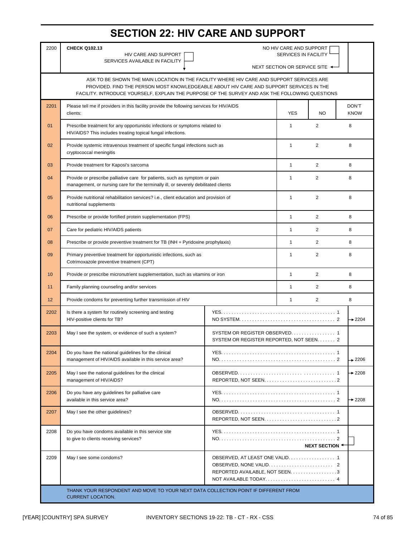### **SECTION 22: HIV CARE AND SUPPORT**

| 2200                                                                                                                                                                                                                                                                                    | <b>CHECK Q102.13</b><br>NO HIV CARE AND SUPPORT<br>SERVICES IN FACILITY<br>HIV CARE AND SUPPORT<br>SERVICES AVAILABLE IN FACILITY                                 |                                                                          |                                |                |                      |  |  |
|-----------------------------------------------------------------------------------------------------------------------------------------------------------------------------------------------------------------------------------------------------------------------------------------|-------------------------------------------------------------------------------------------------------------------------------------------------------------------|--------------------------------------------------------------------------|--------------------------------|----------------|----------------------|--|--|
|                                                                                                                                                                                                                                                                                         |                                                                                                                                                                   |                                                                          | NEXT SECTION OR SERVICE SITE < |                |                      |  |  |
| ASK TO BE SHOWN THE MAIN LOCATION IN THE FACILITY WHERE HIV CARE AND SUPPORT SERVICES ARE<br>PROVIDED. FIND THE PERSON MOST KNOWLEDGEABLE ABOUT HIV CARE AND SUPPORT SERVICES IN THE<br>FACILITY. INTRODUCE YOURSELF, EXPLAIN THE PURPOSE OF THE SURVEY AND ASK THE FOLLOWING QUESTIONS |                                                                                                                                                                   |                                                                          |                                |                |                      |  |  |
| 2201                                                                                                                                                                                                                                                                                    | Please tell me if providers in this facility provide the following services for HIV/AIDS<br>clients:                                                              |                                                                          | <b>YES</b>                     | NO.            | DON'T<br><b>KNOW</b> |  |  |
| 01                                                                                                                                                                                                                                                                                      | Prescribe treatment for any opportunistic infections or symptoms related to<br>HIV/AIDS? This includes treating topical fungal infections.                        |                                                                          | 1                              | 2              | 8                    |  |  |
| 02                                                                                                                                                                                                                                                                                      | Provide systemic intravenous treatment of specific fungal infections such as<br>cryptococcal meningitis                                                           |                                                                          | $\mathbf{1}$                   | 2              | 8                    |  |  |
| 03                                                                                                                                                                                                                                                                                      | Provide treatment for Kaposi's sarcoma                                                                                                                            |                                                                          | $\mathbf{1}$                   | 2              | 8                    |  |  |
| 04                                                                                                                                                                                                                                                                                      | Provide or prescribe palliative care for patients, such as symptom or pain<br>management, or nursing care for the terminally ill, or severely debilitated clients |                                                                          | $\mathbf{1}$                   | $\overline{2}$ | 8                    |  |  |
| 05                                                                                                                                                                                                                                                                                      | Provide nutritional rehabilitation services? i.e., client education and provision of<br>nutritional supplements                                                   |                                                                          | 1                              | 2              | 8                    |  |  |
| 06                                                                                                                                                                                                                                                                                      | Prescribe or provide fortified protein supplementation (FPS)<br>$\mathbf{1}$<br>2                                                                                 |                                                                          |                                |                |                      |  |  |
| 07                                                                                                                                                                                                                                                                                      | $\overline{2}$<br>Care for pediatric HIV/AIDS patients<br>1                                                                                                       |                                                                          |                                |                |                      |  |  |
| 08                                                                                                                                                                                                                                                                                      | Prescribe or provide preventive treatment for TB (INH + Pyridoxine prophylaxis)                                                                                   | $\mathbf{1}$                                                             | $\overline{2}$                 | 8              |                      |  |  |
| 09                                                                                                                                                                                                                                                                                      | 2<br>Primary preventive treatment for opportunistic infections, such as<br>$\mathbf{1}$<br>Cotrimoxazole preventive treatment (CPT)                               |                                                                          |                                |                |                      |  |  |
| 10                                                                                                                                                                                                                                                                                      | Provide or prescribe micronutrient supplementation, such as vitamins or iron                                                                                      | $\mathbf{1}$                                                             | 2                              | 8              |                      |  |  |
| 11                                                                                                                                                                                                                                                                                      | Family planning counseling and/or services                                                                                                                        | $\mathbf{1}$                                                             | 2                              | 8              |                      |  |  |
| 12                                                                                                                                                                                                                                                                                      | Provide condoms for preventing further transmission of HIV                                                                                                        | $\mathbf{1}$                                                             | 2                              | 8              |                      |  |  |
| 2202                                                                                                                                                                                                                                                                                    | Is there a system for routinely screening and testing<br>HIV-positive clients for TB?                                                                             |                                                                          |                                |                | $\rightarrow$ 2204   |  |  |
| 2203                                                                                                                                                                                                                                                                                    | May I see the system, or evidence of such a system?                                                                                                               | SYSTEM OR REGISTER OBSERVED 1<br>SYSTEM OR REGISTER REPORTED, NOT SEEN 2 |                                |                |                      |  |  |
| 2204                                                                                                                                                                                                                                                                                    | Do you have the national guidelines for the clinical<br>management of HIV/AIDS available in this service area?                                                    |                                                                          |                                |                | $+2206$              |  |  |
| 2205                                                                                                                                                                                                                                                                                    | May I see the national guidelines for the clinical<br>management of HIV/AIDS?                                                                                     |                                                                          |                                |                | $+2208$              |  |  |
| 2206                                                                                                                                                                                                                                                                                    | Do you have any guidelines for palliative care<br>available in this service area?                                                                                 |                                                                          |                                |                | $+2208$              |  |  |
| 2207                                                                                                                                                                                                                                                                                    | May I see the other guidelines?                                                                                                                                   |                                                                          |                                |                |                      |  |  |
| 2208                                                                                                                                                                                                                                                                                    | Do you have condoms available in this service site<br>to give to clients receiving services?<br>NEXT SECTION +                                                    |                                                                          |                                |                |                      |  |  |
| 2209                                                                                                                                                                                                                                                                                    | May I see some condoms?                                                                                                                                           | REPORTED AVAILABLE, NOT SEEN. 3<br>NOT AVAILABLE TODAY 4                 |                                |                |                      |  |  |
|                                                                                                                                                                                                                                                                                         | THANK YOUR RESPONDENT AND MOVE TO YOUR NEXT DATA COLLECTION POINT IF DIFFERENT FROM<br><b>CURRENT LOCATION.</b>                                                   |                                                                          |                                |                |                      |  |  |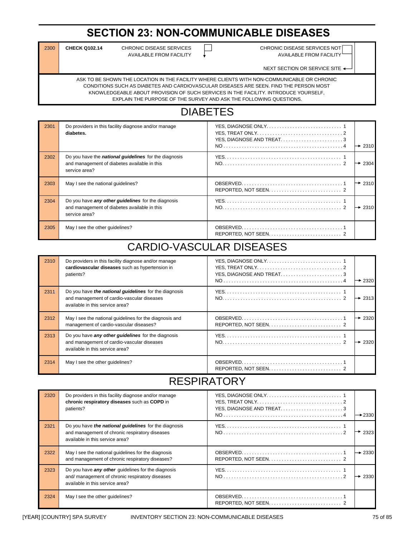# **SECTION 23: NON-COMMUNICABLE DISEASES**

| $300$ | <b>CHECK Q10</b> |  |
|-------|------------------|--|
|-------|------------------|--|

 $A$ VAILABLE FROM FACILITY  $\qquad \qquad \downarrow$  AVAILABLE FROM FACILITY

2.14 CHRONIC DISEASE SERVICES **CHRONIC DISEASE SERVICES NOT** 

NEXT SECTION OR SERVICE SITE <

ASK TO BE SHOWN THE LOCATION IN THE FACILITY WHERE CLIENTS WITH NON-COMMUNICABLE OR CHRONIC CONDITIONS SUCH AS DIABETES AND CARDIOVASCULAR DISEASES ARE SEEN. FIND THE PERSON MOST KNOWLEDGEABLE ABOUT PROVISION OF SUCH SERVICES IN THE FACILITY. INTRODUCE YOURSELF, EXPLAIN THE PURPOSE OF THE SURVEY AND ASK THE FOLLOWING QUESTIONS.

# DIABETES

| 2301 | Do providers in this facility diagnose and/or manage<br>diabetes.                                                             | YES, DIAGNOSE AND TREAT3<br>$\rightarrow$ 2310 |
|------|-------------------------------------------------------------------------------------------------------------------------------|------------------------------------------------|
| 2302 | Do you have the <i>national guidelines</i> for the diagnosis<br>and management of diabetes available in this<br>service area? | $\rightarrow$ 2304                             |
| 2303 | May I see the national quidelines?                                                                                            | $\rightarrow$ 2310                             |
| 2304 | Do you have any other guidelines for the diagnosis<br>and management of diabetes available in this<br>service area?           | $\rightarrow$ 2310                             |
| 2305 | May I see the other quidelines?                                                                                               |                                                |

# CARDIO-VASCULAR DISEASES

| 2310 | Do providers in this facility diagnose and/or manage<br>cardiovascular diseases such as hypertension in<br>patients?                          | $\rightarrow$ 2320 |
|------|-----------------------------------------------------------------------------------------------------------------------------------------------|--------------------|
| 2311 | Do you have <i>the national quidelines</i> for the diagnosis<br>and management of cardio-vascular diseases<br>available in this service area? | $\rightarrow$ 2313 |
| 2312 | May I see the national quidelines for the diagnosis and<br>management of cardio-vascular diseases?                                            | $\rightarrow$ 2320 |
| 2313 | Do you have any other guidelines for the diagnosis<br>and management of cardio-vascular diseases<br>available in this service area?           | $\rightarrow$ 2320 |
| 2314 | May I see the other quidelines?                                                                                                               |                    |

# RESPIRATORY

| 2320 | Do providers in this facility diagnose and/or manage<br>chronic respiratory diseases such as COPD in<br>patients?                          | YES, DIAGNOSE AND TREAT3 | $\rightarrow$ 2330 |
|------|--------------------------------------------------------------------------------------------------------------------------------------------|--------------------------|--------------------|
| 2321 | Do you have the national guidelines for the diagnosis<br>and management of chronic respiratory diseases<br>available in this service area? |                          | 2323               |
| 2322 | May I see the national quidelines for the diagnosis<br>and management of chronic respiratory diseases?                                     |                          | $\rightarrow$ 2330 |
| 2323 | Do you have any other quidelines for the diagnosis<br>and/ management of chronic respiratory diseases<br>available in this service area?   |                          | $\rightarrow$ 2330 |
| 2324 | May I see the other quidelines?                                                                                                            |                          |                    |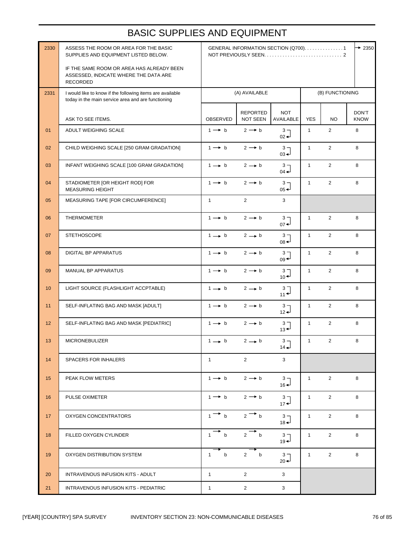### BASIC SUPPLIES AND EQUIPMENT

| 2330 | ASSESS THE ROOM OR AREA FOR THE BASIC<br>SUPPLIES AND EQUIPMENT LISTED BELOW.                                   | $\rightarrow$ 2350<br>GENERAL INFORMATION SECTION (Q700). 1 |                             |                                                 |                 |                |                      |
|------|-----------------------------------------------------------------------------------------------------------------|-------------------------------------------------------------|-----------------------------|-------------------------------------------------|-----------------|----------------|----------------------|
|      | IF THE SAME ROOM OR AREA HAS ALREADY BEEN<br>ASSESSED, INDICATE WHERE THE DATA ARE<br>RECORDED                  |                                                             |                             |                                                 |                 |                |                      |
| 2331 | I would like to know if the following items are available<br>today in the main service area and are functioning |                                                             | (A) AVAILABLE               |                                                 | (B) FUNCTIONING |                |                      |
|      | ASK TO SEE ITEMS.                                                                                               | OBSERVED                                                    | <b>REPORTED</b><br>NOT SEEN | <b>NOT</b><br>AVAILABLE                         | <b>YES</b>      | <b>NO</b>      | DON'T<br><b>KNOW</b> |
| 01   | ADULT WEIGHING SCALE                                                                                            | $1 \rightarrow b$                                           | $2 \rightarrow b$           | 3 <sub>7</sub><br>$_{02}$ $\rightarrow$         | $\mathbf{1}$    | $\overline{2}$ | 8                    |
| 02   | CHILD WEIGHING SCALE [250 GRAM GRADATION]                                                                       | $1 \rightarrow b$                                           | $2 \rightarrow b$           | $3 -$<br>$03 -$                                 | $\mathbf{1}$    | $\overline{2}$ | 8                    |
| 03   | INFANT WEIGHING SCALE [100 GRAM GRADATION]                                                                      | $1 \rightarrow b$                                           | $2 \rightarrow b$           | $3 -$<br>$04 -$                                 | $\mathbf{1}$    | $\overline{2}$ | 8                    |
| 04   | STADIOMETER JOR HEIGHT ROD] FOR<br><b>MEASURING HEIGHT</b>                                                      | $1 \rightarrow b$                                           | $2 \rightarrow b$           | $3 -$<br>$05 +$                                 | $\mathbf{1}$    | $\overline{2}$ | 8                    |
| 05   | MEASURING TAPE [FOR CIRCUMFERENCE]                                                                              | $\mathbf{1}$                                                | $\mathbf{2}$                | 3                                               |                 |                |                      |
| 06   | <b>THERMOMETER</b>                                                                                              | $1 \rightarrow b$                                           | $2 \rightarrow b$           | $\frac{3}{07}$                                  | $\mathbf{1}$    | $\overline{2}$ | 8                    |
| 07   | <b>STETHOSCOPE</b>                                                                                              | $1 \rightarrow b$                                           | $2 \rightarrow b$           | 3 <sub>7</sub><br>$08 +$                        | $\mathbf{1}$    | $\overline{2}$ | 8                    |
| 08   | <b>DIGITAL BP APPARATUS</b>                                                                                     | $1 \rightarrow b$                                           | $2 \rightarrow b$           | 3 <sub>7</sub><br>$09 +$                        | $\mathbf{1}$    | $\overline{2}$ | 8                    |
| 09   | MANUAL BP APPARATUS                                                                                             | $1 \rightarrow b$                                           | $2 \rightarrow b$           | $\frac{3}{10}$                                  | $\mathbf{1}$    | $\overline{2}$ | 8                    |
| 10   | LIGHT SOURCE (FLASHLIGHT ACCPTABLE)                                                                             | $1 \rightarrow b$                                           | $2 \rightarrow b$           | $\begin{smallmatrix} 3 \\ 11 \end{smallmatrix}$ | $\mathbf{1}$    | $\overline{2}$ | 8                    |
| 11   | SELF-INFLATING BAG AND MASK [ADULT]                                                                             | $1 \rightarrow b$                                           | $2 \rightarrow b$           | $3 -$<br>$12 +$                                 | $\mathbf{1}$    | $\overline{2}$ | 8                    |
| 12   | SELF-INFLATING BAG AND MASK [PEDIATRIC]                                                                         | $1 \rightarrow b$                                           | $2 \rightarrow b$           | 3 <sub>1</sub><br>$13 +$                        | $\mathbf{1}$    | $\overline{2}$ | 8                    |
| 13   | <b>MICRONEBULIZER</b>                                                                                           | $1 \rightarrow b$                                           | $2 \rightarrow b$           | 3 <sub>7</sub><br>$14 -$                        | $\mathbf{1}$    | $\overline{2}$ | 8                    |
| 14   | <b>SPACERS FOR INHALERS</b>                                                                                     | $\mathbf{1}$                                                | $\overline{2}$              | 3                                               |                 |                |                      |
| 15   | PEAK FLOW METERS                                                                                                | $1 \rightarrow b$                                           | $2 \rightarrow b$           | $3 -$<br>$16 -$                                 | $\mathbf{1}$    | $\overline{2}$ | 8                    |
| 16   | PULSE OXIMETER                                                                                                  | $1 \rightarrow b$                                           | $2 \rightarrow b$           | 3 <sub>7</sub><br>$17 +$                        | $\mathbf{1}$    | $\overline{2}$ | 8                    |
| 17   | <b>OXYGEN CONCENTRATORS</b>                                                                                     | $1 \rightarrow b$                                           | $2 \rightarrow b$           | 3 <sub>7</sub><br>$18 -$                        | $\mathbf{1}$    | $\overline{2}$ | 8                    |
| 18   | FILLED OXYGEN CYLINDER                                                                                          | $1$ b                                                       | 2 b                         | 3 <sub>7</sub><br>$19 -$                        | $\mathbf{1}$    | $\overline{2}$ | 8                    |
| 19   | OXYGEN DISTRIBUTION SYSTEM                                                                                      | b<br>$\mathbf{1}$                                           | b<br>2                      | 3 <sub>7</sub><br>$_{20}$ $\rightarrow$         | $\mathbf{1}$    | $\overline{2}$ | 8                    |
| 20   | INTRAVENOUS INFUSION KITS - ADULT                                                                               | $\mathbf{1}$                                                | $\mathbf{2}$                | 3                                               |                 |                |                      |
| 21   | INTRAVENOUS INFUSION KITS - PEDIATRIC                                                                           | $\mathbf{1}$                                                | $\overline{2}$              | 3                                               |                 |                |                      |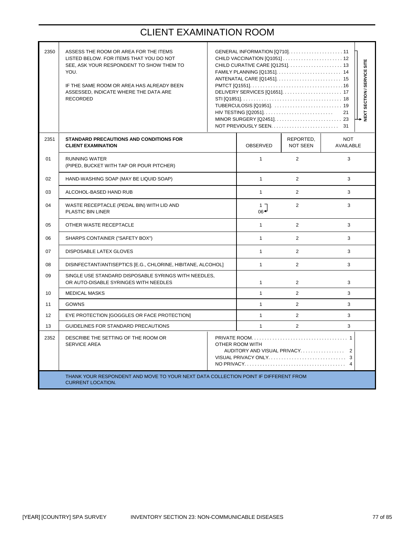# CLIENT EXAMINATION ROOM

| 2350 | ASSESS THE ROOM OR AREA FOR THE ITEMS<br>LISTED BELOW. FOR ITEMS THAT YOU DO NOT<br>SEE, ASK YOUR RESPONDENT TO SHOW THEM TO<br>YOU.<br>IF THE SAME ROOM OR AREA HAS ALREADY BEEN<br>ASSESSED, INDICATE WHERE THE DATA ARE<br><b>RECORDED</b> |                                                                  | GENERAL INFORMATION [Q710]11 |                       | <b>VEXT SECTION / SERVICE SITE</b><br>21 |  |  |
|------|-----------------------------------------------------------------------------------------------------------------------------------------------------------------------------------------------------------------------------------------------|------------------------------------------------------------------|------------------------------|-----------------------|------------------------------------------|--|--|
| 2351 | <b>STANDARD PRECAUTIONS AND CONDITIONS FOR</b><br><b>CLIENT EXAMINATION</b>                                                                                                                                                                   |                                                                  | OBSERVED                     | REPORTED,<br>NOT SEEN | <b>NOT</b><br>AVAILABLE                  |  |  |
| 01   | <b>RUNNING WATER</b><br>(PIPED, BUCKET WITH TAP OR POUR PITCHER)                                                                                                                                                                              |                                                                  | $\mathbf{1}$                 | 2                     | 3                                        |  |  |
| 02   | HAND-WASHING SOAP (MAY BE LIQUID SOAP)                                                                                                                                                                                                        |                                                                  | $\mathbf{1}$                 | 2                     | 3                                        |  |  |
| 03   | ALCOHOL-BASED HAND RUB                                                                                                                                                                                                                        |                                                                  | $\mathbf{1}$                 | 2                     | 3                                        |  |  |
| 04   | WASTE RECEPTACLE (PEDAL BIN) WITH LID AND<br><b>PLASTIC BIN LINER</b>                                                                                                                                                                         | $1 -$<br>$_{06}$                                                 | 2                            | 3                     |                                          |  |  |
| 05   | OTHER WASTE RECEPTACLE                                                                                                                                                                                                                        |                                                                  | $\mathbf{1}$                 | 2                     | 3                                        |  |  |
| 06   | SHARPS CONTAINER ("SAFETY BOX")                                                                                                                                                                                                               |                                                                  | $\mathbf{1}$                 | 2                     | 3                                        |  |  |
| 07   | DISPOSABLE LATEX GLOVES                                                                                                                                                                                                                       |                                                                  | $\mathbf{1}$                 | $\mathfrak{p}$        | 3                                        |  |  |
| 08   | DISINFECTANT/ANTISEPTICS [E.G., CHLORINE, HIBITANE, ALCOHOL]                                                                                                                                                                                  |                                                                  | $\mathbf{1}$                 | $\overline{2}$        | 3                                        |  |  |
| 09   | SINGLE USE STANDARD DISPOSABLE SYRINGS WITH NEEDLES,<br>OR AUTO-DISABLE SYRINGES WITH NEEDLES                                                                                                                                                 |                                                                  | $\mathbf{1}$                 | 2                     | 3                                        |  |  |
| 10   | <b>MEDICAL MASKS</b>                                                                                                                                                                                                                          |                                                                  | $\mathbf{1}$                 | $\mathfrak{p}$        | 3                                        |  |  |
| 11   | <b>GOWNS</b>                                                                                                                                                                                                                                  |                                                                  | $\mathbf{1}$                 | 2                     | 3                                        |  |  |
| 12   | EYE PROTECTION [GOGGLES OR FACE PROTECTION]                                                                                                                                                                                                   |                                                                  | $\mathbf{1}$                 | 2                     | 3                                        |  |  |
| 13   | GUIDELINES FOR STANDARD PRECAUTIONS                                                                                                                                                                                                           |                                                                  | $\mathbf{1}$                 | $\overline{2}$        | 3                                        |  |  |
| 2352 | DESCRIBE THE SETTING OF THE ROOM OR<br><b>SERVICE AREA</b>                                                                                                                                                                                    | OTHER ROOM WITH<br>AUDITORY AND VISUAL PRIVACY<br>$\overline{2}$ |                              |                       |                                          |  |  |
|      | THANK YOUR RESPONDENT AND MOVE TO YOUR NEXT DATA COLLECTION POINT IF DIFFERENT FROM<br><b>CURRENT LOCATION.</b>                                                                                                                               |                                                                  |                              |                       |                                          |  |  |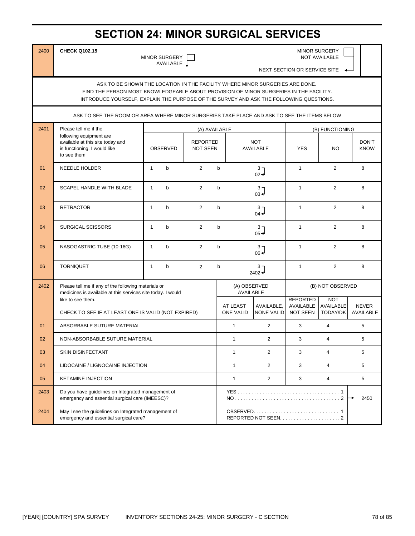# **SECTION 24: MINOR SURGICAL SERVICES**

AVAILABLE  $\sqrt$ 

2400 **CHECK Q102.15** MINOR SURGERY MINOR SURGERY **NOT AVAILABLE** 

NEXT SECTION OR SERVICE SITE

ASK TO BE SHOWN THE LOCATION IN THE FACILITY WHERE MINOR SURGERIES ARE DONE. FIND THE PERSON MOST KNOWLEDGEABLE ABOUT PROVISION OF MINOR SURGERIES IN THE FACILITY. INTRODUCE YOURSELF, EXPLAIN THE PURPOSE OF THE SURVEY AND ASK THE FOLLOWING QUESTIONS.

ASK TO SEE THE ROOM OR AREA WHERE MINOR SURGERIES TAKE PLACE AND ASK TO SEE THE ITEMS BELOW

| 2401           | Please tell me if the                                                                                              |                                                                          |              |                                    | (A) AVAILABLE |                                  |                                 | (B) FUNCTIONING                                 |                                            |                           |  |
|----------------|--------------------------------------------------------------------------------------------------------------------|--------------------------------------------------------------------------|--------------|------------------------------------|---------------|----------------------------------|---------------------------------|-------------------------------------------------|--------------------------------------------|---------------------------|--|
|                | following equipment are<br>available at this site today and<br>is functioning. I would like<br>to see them         | <b>OBSERVED</b>                                                          |              | <b>REPORTED</b><br><b>NOT SEEN</b> |               | <b>NOT</b><br><b>AVAILABLE</b>   |                                 | <b>YES</b>                                      | <b>NO</b>                                  | DON'T<br><b>KNOW</b>      |  |
| 01             | <b>NEEDLE HOLDER</b>                                                                                               | $\mathbf{1}$                                                             | $\mathsf{b}$ | $\overline{2}$                     | $\mathsf{b}$  |                                  | 3 <sub>7</sub><br>$02 +$        | $\mathbf{1}$                                    | $\overline{2}$                             | 8                         |  |
| 02             | <b>SCAPEL HANDLE WITH BLADE</b>                                                                                    | $\mathbf{1}$                                                             | $\mathsf b$  | $\overline{2}$                     | $\mathbf b$   |                                  | 3 <sub>7</sub><br>$03 -$        | $\mathbf{1}$                                    | $\overline{2}$                             | 8                         |  |
| 03             | <b>RETRACTOR</b>                                                                                                   | $\mathbf{1}$                                                             | $\mathsf b$  | $\overline{2}$                     | $\mathbf b$   |                                  | 3 <sub>7</sub><br>$04 -$        | $\mathbf{1}$                                    | $\overline{2}$                             | 8                         |  |
| 04             | <b>SURGICAL SCISSORS</b>                                                                                           | $\mathbf{1}$                                                             | $\mathsf b$  | 2                                  | $\mathbf b$   |                                  | $3 -$<br>$05 -$                 | $\mathbf{1}$                                    | $\overline{2}$                             | 8                         |  |
| 05             | NASOGASTRIC TUBE (10-16G)                                                                                          | $\mathbf{1}$                                                             | $\mathsf{b}$ | $\overline{2}$                     | $\mathsf b$   | 3 <sub>7</sub><br>$06 +$         |                                 | $\mathbf{1}$                                    | $\overline{2}$                             | 8                         |  |
| 06             | <b>TORNIQUET</b>                                                                                                   | $\mathbf{1}$                                                             | $\mathsf{b}$ | $\overline{2}$                     | $\mathsf{b}$  |                                  | 3 <sub>7</sub><br>$2402 +$      | $\mathbf{1}$                                    | $\overline{2}$                             | 8                         |  |
| 2402           | Please tell me if any of the following materials or<br>medicines is available at this services site today. I would |                                                                          |              |                                    |               | (A) OBSERVED<br><b>AVAILABLE</b> |                                 | (B) NOT OBSERVED                                |                                            |                           |  |
|                |                                                                                                                    | like to see them.<br>CHECK TO SEE IF AT LEAST ONE IS VALID (NOT EXPIRED) |              |                                    |               | AT LEAST<br>ONE VALID            | AVAILABLE.<br><b>NONE VALID</b> | <b>REPORTED</b><br><b>AVAILABLE</b><br>NOT SEEN | <b>NOT</b><br><b>AVAILABLE</b><br>TODAY/DK | <b>NEVER</b><br>AVAILABLE |  |
| 01             | ABSORBABLE SUTURE MATERIAL                                                                                         |                                                                          |              |                                    |               | $\mathbf{1}$                     | $\overline{2}$                  | 3                                               | $\overline{4}$                             | 5                         |  |
| 0 <sub>2</sub> | NON-ABSORBABLE SUTURE MATERIAL                                                                                     |                                                                          |              |                                    |               | $\mathbf{1}$                     | 2                               | 3                                               | $\overline{4}$                             | 5                         |  |
| 03             | <b>SKIN DISINFECTANT</b>                                                                                           |                                                                          |              |                                    |               | $\mathbf{1}$                     | $\overline{2}$                  | 3                                               | $\overline{4}$                             | 5                         |  |
| 04             | LIDOCAINE / LIGNOCAINE INJECTION                                                                                   |                                                                          |              |                                    |               | $\mathbf{1}$                     | $\overline{2}$                  | 3                                               | $\overline{4}$                             | 5                         |  |
| 05             | <b>KETAMINE INJECTION</b>                                                                                          |                                                                          |              |                                    |               | $\mathbf{1}$                     | $\overline{2}$                  | 3                                               | $\overline{4}$                             | 5                         |  |
| 2403           | Do you have guidelines on Integrated management of<br>emergency and essential surgical care (IMEESC)?              |                                                                          |              |                                    |               |                                  |                                 |                                                 |                                            | 2450                      |  |
| 2404           | May I see the guidelines on Integrated management of<br>emergency and essential surgical care?                     |                                                                          |              |                                    |               | REPORTED NOT SEEN2               |                                 |                                                 |                                            |                           |  |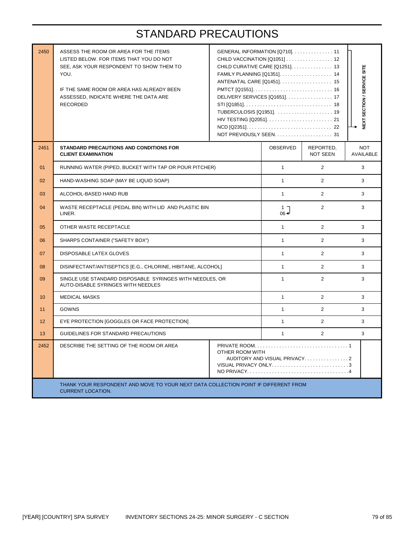# STANDARD PRECAUTIONS

| 2450 | ASSESS THE ROOM OR AREA FOR THE ITEMS<br>LISTED BELOW. FOR ITEMS THAT YOU DO NOT<br>SEE, ASK YOUR RESPONDENT TO SHOW THEM TO<br>YOU.<br>IF THE SAME ROOM OR AREA HAS ALREADY BEEN<br>ASSESSED, INDICATE WHERE THE DATA ARE<br><b>RECORDED</b> | GENERAL INFORMATION [Q710]. 11<br>CHILD VACCINATION [Q1051] 12<br>CHILD CURATIVE CARE [Q1251]. 13<br>FAMILY PLANNING [Q1351] 14<br>ANTENATAL CARE [Q1451] 15<br>DELIVERY SERVICES [Q1651]. 17<br>TUBERCULOSIS [Q1951].  19 | NEXT SECTION / SERVICE SITE  |                                |   |  |  |  |
|------|-----------------------------------------------------------------------------------------------------------------------------------------------------------------------------------------------------------------------------------------------|----------------------------------------------------------------------------------------------------------------------------------------------------------------------------------------------------------------------------|------------------------------|--------------------------------|---|--|--|--|
| 2451 | STANDARD PRECAUTIONS AND CONDITIONS FOR<br><b>CLIENT EXAMINATION</b>                                                                                                                                                                          | OBSERVED                                                                                                                                                                                                                   | REPORTED,<br><b>NOT SEEN</b> | <b>NOT</b><br><b>AVAILABLE</b> |   |  |  |  |
| 01   | RUNNING WATER (PIPED, BUCKET WITH TAP OR POUR PITCHER)                                                                                                                                                                                        |                                                                                                                                                                                                                            | $\mathbf{1}$                 | $\overline{2}$                 | 3 |  |  |  |
| 02   | HAND-WASHING SOAP (MAY BE LIQUID SOAP)                                                                                                                                                                                                        | $\mathbf{1}$                                                                                                                                                                                                               | $\overline{2}$               | 3                              |   |  |  |  |
| 03   | ALCOHOL-BASED HAND RUB                                                                                                                                                                                                                        | $\mathbf{1}$                                                                                                                                                                                                               | $\overline{2}$               | 3                              |   |  |  |  |
| 04   | WASTE RECEPTACLE (PEDAL BIN) WITH LID AND PLASTIC BIN<br>LINER.                                                                                                                                                                               | $1\ \overline{\phantom{1}}$<br>$06 -$                                                                                                                                                                                      | $\overline{2}$               | 3                              |   |  |  |  |
| 05   | OTHER WASTE RECEPTACLE                                                                                                                                                                                                                        | $\mathbf{1}$                                                                                                                                                                                                               | $\overline{2}$               | 3                              |   |  |  |  |
| 06   | SHARPS CONTAINER ("SAFETY BOX")                                                                                                                                                                                                               |                                                                                                                                                                                                                            | $\mathbf{1}$                 | $\overline{2}$                 | 3 |  |  |  |
| 07   | DISPOSABLE LATEX GLOVES                                                                                                                                                                                                                       |                                                                                                                                                                                                                            | $\mathbf{1}$                 | $\overline{2}$                 | 3 |  |  |  |
| 08   | DISINFECTANT/ANTISEPTICS [E.G., CHLORINE, HIBITANE, ALCOHOL]                                                                                                                                                                                  |                                                                                                                                                                                                                            | $\mathbf{1}$                 | $\overline{2}$                 | 3 |  |  |  |
| 09   | SINGLE USE STANDARD DISPOSABLE SYRINGES WITH NEEDLES, OR<br>AUTO-DISABLE SYRINGES WITH NEEDLES                                                                                                                                                |                                                                                                                                                                                                                            | $\mathbf{1}$                 | $\overline{2}$                 | 3 |  |  |  |
| 10   | <b>MEDICAL MASKS</b>                                                                                                                                                                                                                          |                                                                                                                                                                                                                            | $\mathbf{1}$                 | $\overline{2}$                 | 3 |  |  |  |
| 11   | GOWNS                                                                                                                                                                                                                                         |                                                                                                                                                                                                                            | $\mathbf{1}$                 | $\overline{2}$                 | 3 |  |  |  |
| 12   | EYE PROTECTION [GOGGLES OR FACE PROTECTION]                                                                                                                                                                                                   |                                                                                                                                                                                                                            | $\mathbf{1}$                 | $\overline{2}$                 | 3 |  |  |  |
| 13   | GUIDELINES FOR STANDARD PRECAUTIONS                                                                                                                                                                                                           |                                                                                                                                                                                                                            | $\mathbf{1}$                 | $\overline{2}$                 | 3 |  |  |  |
| 2452 | DESCRIBE THE SETTING OF THE ROOM OR AREA<br>OTHER ROOM WITH<br>AUDITORY AND VISUAL PRIVACY2<br>VISUAL PRIVACY ONLY3                                                                                                                           |                                                                                                                                                                                                                            |                              |                                |   |  |  |  |
|      | THANK YOUR RESPONDENT AND MOVE TO YOUR NEXT DATA COLLECTION POINT IF DIFFERENT FROM<br><b>CURRENT LOCATION.</b>                                                                                                                               |                                                                                                                                                                                                                            |                              |                                |   |  |  |  |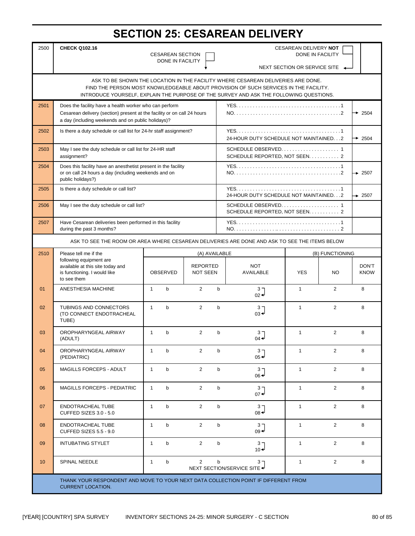# **SECTION 25: CESAREAN DELIVERY**

| 2500                                                                                                                                                                     | <b>CHECK Q102.16</b><br><b>CESAREAN DELIVERY NOT</b><br>DONE IN FACILITY                                                                    |                                             |                                    |              |                                         |                              |                 |                      |
|--------------------------------------------------------------------------------------------------------------------------------------------------------------------------|---------------------------------------------------------------------------------------------------------------------------------------------|---------------------------------------------|------------------------------------|--------------|-----------------------------------------|------------------------------|-----------------|----------------------|
|                                                                                                                                                                          |                                                                                                                                             | <b>CESAREAN SECTION</b><br>DONE IN FACILITY |                                    |              |                                         |                              |                 |                      |
|                                                                                                                                                                          |                                                                                                                                             |                                             |                                    |              |                                         | NEXT SECTION OR SERVICE SITE |                 |                      |
| ASK TO BE SHOWN THE LOCATION IN THE FACILITY WHERE CESAREAN DELIVERIES ARE DONE.<br>FIND THE PERSON MOST KNOWLEDGEABLE ABOUT PROVISION OF SUCH SERVICES IN THE FACILITY. |                                                                                                                                             |                                             |                                    |              |                                         |                              |                 |                      |
| INTRODUCE YOURSELF, EXPLAIN THE PURPOSE OF THE SURVEY AND ASK THE FOLLOWING QUESTIONS.                                                                                   |                                                                                                                                             |                                             |                                    |              |                                         |                              |                 |                      |
| 2501                                                                                                                                                                     | Does the facility have a health worker who can perform<br>Cesarean delivery (section) present at the facility or on call 24 hours           |                                             |                                    |              |                                         |                              |                 | $\div$ 2504          |
|                                                                                                                                                                          | a day (including weekends and on public holidays)?                                                                                          |                                             |                                    |              |                                         |                              |                 |                      |
| 2502                                                                                                                                                                     | Is there a duty schedule or call list for 24-hr staff assignment?                                                                           |                                             |                                    |              | 24-HOUR DUTY SCHEDULE NOT MAINTAINED. 2 |                              |                 | $\div$ 2504          |
| 2503                                                                                                                                                                     | May I see the duty schedule or call list for 24-HR staff<br>assignment?                                                                     |                                             |                                    |              | SCHEDULE REPORTED, NOT SEEN. 2          |                              |                 |                      |
| 2504                                                                                                                                                                     | Does this facility have an anesthetist present in the facility<br>or on call 24 hours a day (including weekends and on<br>public holidays?) |                                             |                                    |              |                                         |                              |                 | $\div 2507$          |
| 2505                                                                                                                                                                     | Is there a duty schedule or call list?                                                                                                      |                                             |                                    |              | 24-HOUR DUTY SCHEDULE NOT MAINTAINED. 2 |                              |                 | $\div 2507$          |
| 2506                                                                                                                                                                     | May I see the duty schedule or call list?                                                                                                   |                                             |                                    |              | SCHEDULE REPORTED, NOT SEEN. 2          |                              |                 |                      |
| 2507                                                                                                                                                                     | Have Cesarean deliveries been performed in this facility<br>during the past 3 months?                                                       |                                             |                                    |              |                                         |                              |                 |                      |
| ASK TO SEE THE ROOM OR AREA WHERE CESAREAN DELIVERIES ARE DONE AND ASK TO SEE THE ITEMS BELOW                                                                            |                                                                                                                                             |                                             |                                    |              |                                         |                              |                 |                      |
| 2510                                                                                                                                                                     | Please tell me if the<br>(A) AVAILABLE                                                                                                      |                                             |                                    |              |                                         |                              | (B) FUNCTIONING |                      |
|                                                                                                                                                                          | following equipment are<br>available at this site today and<br>is functioning. I would like<br>to see them                                  | OBSERVED                                    | <b>REPORTED</b><br><b>NOT SEEN</b> |              | <b>NOT</b><br><b>AVAILABLE</b>          | <b>YES</b>                   | <b>NO</b>       | DON'T<br><b>KNOW</b> |
| 01                                                                                                                                                                       | ANESTHESIA MACHINE                                                                                                                          | $\mathbf{1}$<br>$\mathbf b$                 | $\overline{2}$                     | $\mathbf b$  | $\frac{3}{02}$                          | $\mathbf{1}$                 | $\overline{2}$  | 8                    |
| 02                                                                                                                                                                       | TUBINGS AND CONNECTORS<br>(TO CONNECT ENDOTRACHEAL<br>TUBE)                                                                                 | $\mathbf b$<br>$\mathbf{1}$                 | $\overline{2}$                     | $\mathbf b$  | 3 J<br>$03 +$                           | $\mathbf{1}$                 | 2               | 8                    |
| 03                                                                                                                                                                       | OROPHARYNGEAL AIRWAY<br>(ADULT)                                                                                                             | $\mathbf{1}$<br>$\mathsf{b}$                | $\overline{2}$                     | $\mathbf b$  | $3 -$<br>$04 -$                         | $\mathbf{1}$                 | $\overline{2}$  | 8                    |
| 04                                                                                                                                                                       | OROPHARYNGEAL AIRWAY<br>(PEDIATRIC)                                                                                                         | $\mathbf{1}$<br>b                           | $\overline{2}$                     | b            | 3 <sub>7</sub><br>$05 +$                | $\mathbf{1}$                 | $\overline{2}$  | 8                    |
| 05                                                                                                                                                                       | <b>MAGILLS FORCEPS - ADULT</b>                                                                                                              | $\mathsf{b}$<br>$\mathbf{1}$                | $\mathbf{2}^{\prime}$              | b            | ר 3<br>$06 +$                           | $\mathbf{1}$                 | $\mathbf{2}$    | 8                    |
| 06                                                                                                                                                                       | <b>MAGILLS FORCEPS - PEDIATRIC</b>                                                                                                          | $\mathbf{1}$<br>b                           | $\overline{2}$                     | b            | 3 <sub>7</sub><br>$07 +$                | $\mathbf{1}$                 | $\overline{2}$  | 8                    |
| 07                                                                                                                                                                       | ENDOTRACHEAL TUBE<br>CUFFED SIZES 3.0 - 5.0                                                                                                 | $\mathbf{1}$<br>$\mathsf{b}$                | $\overline{2}$                     | b            | 3 <sub>7</sub><br>$08 -$                | $\mathbf{1}$                 | $\overline{2}$  | 8                    |
| 08                                                                                                                                                                       | ENDOTRACHEAL TUBE<br>CUFFED SIZES 5.5 - 9.0                                                                                                 | $\mathsf b$<br>$\mathbf{1}$                 | $\mathbf{2}^{\prime}$              | $\mathsf{b}$ | 3 <sub>7</sub><br>$09 +$                | $\mathbf{1}$                 | $\overline{2}$  | 8                    |
| 09                                                                                                                                                                       | <b>INTUBATING STYLET</b>                                                                                                                    | $\mathbf{1}$<br>b                           | $\overline{2}$                     | b            | 3 <sub>7</sub><br>$10 +$                | $\mathbf{1}$                 | $\overline{2}$  | 8                    |
| 10                                                                                                                                                                       | SPINAL NEEDLE                                                                                                                               | $\mathsf b$<br>$\mathbf{1}$                 | $\overline{2}$                     | b            | $3 -$<br>NEXT SECTION/SERVICE SITE <    | $\mathbf{1}$                 | $\overline{2}$  | 8                    |
|                                                                                                                                                                          |                                                                                                                                             |                                             |                                    |              |                                         |                              |                 |                      |
|                                                                                                                                                                          | THANK YOUR RESPONDENT AND MOVE TO YOUR NEXT DATA COLLECTION POINT IF DIFFERENT FROM<br><b>CURRENT LOCATION.</b>                             |                                             |                                    |              |                                         |                              |                 |                      |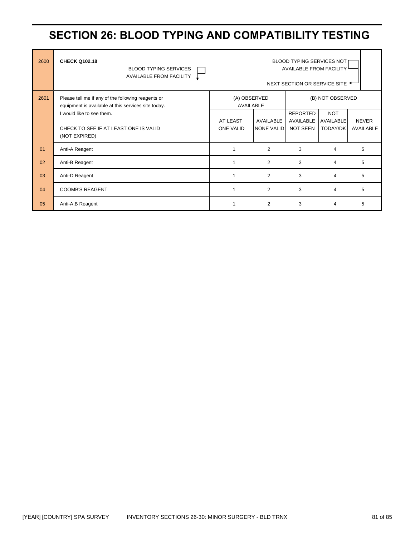# **SECTION 26: BLOOD TYPING AND COMPATIBILITY TESTING**

| 2600 | <b>CHECK Q102.18</b><br><b>BLOOD TYPING SERVICES</b><br><b>AVAILABLE FROM FACILITY</b>                    | <b>BLOOD TYPING SERVICES NOT</b><br><b>AVAILABLE FROM FACILITY</b><br>NEXT SECTION OR SERVICE SITE * |                   |                              |                                |              |
|------|-----------------------------------------------------------------------------------------------------------|------------------------------------------------------------------------------------------------------|-------------------|------------------------------|--------------------------------|--------------|
| 2601 | Please tell me if any of the following reagents or<br>equipment is available at this services site today. | (A) OBSERVED<br>AVAILABLE                                                                            |                   | (B) NOT OBSERVED             |                                |              |
|      | I would like to see them.                                                                                 | AT LEAST                                                                                             | AVAILABLE         | <b>REPORTED</b><br>AVAILABLE | <b>NOT</b><br><b>AVAILABLE</b> | <b>NEVER</b> |
|      | CHECK TO SEE IF AT LEAST ONE IS VALID<br>(NOT EXPIRED)                                                    | <b>ONE VALID</b>                                                                                     | <b>NONE VALID</b> | NOT SEEN                     | <b>TODAY/DK</b>                | AVAILABLE    |
| 01   | Anti-A Reagent                                                                                            |                                                                                                      | 2                 | 3                            | 4                              | 5            |
| 02   | Anti-B Reagent                                                                                            |                                                                                                      | 2                 | 3                            | 4                              | 5            |
| 03   | Anti-D Reagent                                                                                            |                                                                                                      | 2                 | 3                            | 4                              | 5            |
| 04   | <b>COOMB'S REAGENT</b>                                                                                    |                                                                                                      | 2                 | 3                            | 4                              | 5            |
| 05   | Anti-A, B Reagent                                                                                         |                                                                                                      | $\overline{2}$    | 3                            | 4                              | 5            |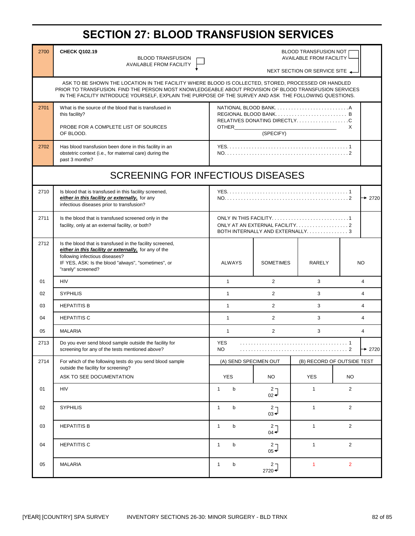# **SECTION 27: BLOOD TRANSFUSION SERVICES**

| 2700                                     | <b>CHECK Q102.19</b><br><b>BLOOD TRANSFUSION</b>                                                                                                                                                                                                                                                                        | <b>BLOOD TRANSFUSION NOT</b><br><b>AVAILABLE FROM FACILITY</b> |                                       |                                                       |                |                         |
|------------------------------------------|-------------------------------------------------------------------------------------------------------------------------------------------------------------------------------------------------------------------------------------------------------------------------------------------------------------------------|----------------------------------------------------------------|---------------------------------------|-------------------------------------------------------|----------------|-------------------------|
|                                          | <b>AVAILABLE FROM FACILITY</b>                                                                                                                                                                                                                                                                                          | NEXT SECTION OR SERVICE SITE                                   |                                       |                                                       |                |                         |
|                                          | ASK TO BE SHOWN THE LOCATION IN THE FACILITY WHERE BLOOD IS COLLECTED, STORED, PROCESSED OR HANDLED<br>PRIOR TO TRANSFUSION. FIND THE PERSON MOST KNOWLEDGEABLE ABOUT PROVISION OF BLOOD TRANSFUSION SERVICES<br>IN THE FACILITY INTRODUCE YOURSELF, EXPLAIN THE PURPOSE OF THE SURVEY AND ASK THE FOLLOWING QUESTIONS. |                                                                |                                       |                                                       |                |                         |
| 2701                                     | What is the source of the blood that is transfused in<br>this facility?                                                                                                                                                                                                                                                 |                                                                |                                       | REGIONAL BLOOD BANK B<br>RELATIVES DONATING DIRECTLYC |                |                         |
|                                          | PROBE FOR A COMPLETE LIST OF SOURCES<br>OF BLOOD.                                                                                                                                                                                                                                                                       | <b>OTHER</b><br>X<br>(SPECIFY)                                 |                                       |                                                       |                |                         |
| 2702                                     | Has blood transfusion been done in this facility in an<br>obstetric context (i.e., for maternal care) during the<br>past 3 months?                                                                                                                                                                                      |                                                                |                                       |                                                       |                |                         |
| <b>SCREENING FOR INFECTIOUS DISEASES</b> |                                                                                                                                                                                                                                                                                                                         |                                                                |                                       |                                                       |                |                         |
| 2710                                     | Is blood that is transfused in this facility screened,<br>either in this facility or externally, for any<br>infectious diseases prior to transfusion?                                                                                                                                                                   |                                                                |                                       |                                                       | $+2720$        |                         |
| 2711                                     | Is the blood that is transfused screened only in the<br>facility, only at an external facility, or both?                                                                                                                                                                                                                | BOTH INTERNALLY AND EXTERNALLY3                                |                                       |                                                       |                |                         |
| 2712                                     | Is the blood that is transfused in the facility screened,<br>either in this facility or externally, for any of the<br>following infectious diseases?                                                                                                                                                                    |                                                                |                                       |                                                       |                |                         |
|                                          | IF YES, ASK: Is the blood "always", "sometimes", or<br>"rarely" screened?                                                                                                                                                                                                                                               | <b>ALWAYS</b>                                                  | <b>SOMETIMES</b>                      | <b>RARELY</b>                                         |                | NO                      |
| 01                                       | <b>HIV</b>                                                                                                                                                                                                                                                                                                              | $\mathbf{1}$                                                   | 2                                     | 3                                                     |                | $\overline{\mathbf{4}}$ |
| 02                                       | <b>SYPHILIS</b>                                                                                                                                                                                                                                                                                                         | $\mathbf{1}$                                                   | 2                                     | 3                                                     |                | 4                       |
| 03                                       | <b>HEPATITIS B</b>                                                                                                                                                                                                                                                                                                      | $\mathbf{1}$                                                   | 2                                     | 3                                                     |                | 4                       |
| 04                                       | <b>HEPATITIS C</b>                                                                                                                                                                                                                                                                                                      | $\mathbf{1}$                                                   | 2                                     | 3                                                     |                | 4                       |
| 05                                       | <b>MALARIA</b>                                                                                                                                                                                                                                                                                                          | $\mathbf{1}$                                                   | 2                                     | 3                                                     |                | 4                       |
| 2713                                     | Do you ever send blood sample outside the facility for<br>screening for any of the tests mentioned above?                                                                                                                                                                                                               | <b>YES</b><br>NO.                                              |                                       | . 2                                                   |                | $\rightarrow$ 2720      |
| 2714                                     | For which of the following tests do you send blood sample<br>outside the facility for screening?                                                                                                                                                                                                                        | (A) SEND SPECIMEN OUT<br>(B) RECORD OF OUTSIDE TEST            |                                       |                                                       |                |                         |
|                                          | ASK TO SEE DOCUMENTATION                                                                                                                                                                                                                                                                                                | <b>YES</b>                                                     | <b>NO</b>                             | <b>YES</b>                                            | <b>NO</b>      |                         |
| 01                                       | <b>HIV</b>                                                                                                                                                                                                                                                                                                              | $\mathsf b$<br>$\mathbf{1}$                                    | $\frac{2}{02}$                        | $\mathbf{1}$                                          | $\overline{2}$ |                         |
| 02                                       | <b>SYPHILIS</b>                                                                                                                                                                                                                                                                                                         | $\mathsf b$<br>$\mathbf{1}$                                    | $\begin{matrix} 2 \\ 03 \end{matrix}$ | $\mathbf{1}$                                          | $\overline{2}$ |                         |
| 03                                       | <b>HEPATITIS B</b>                                                                                                                                                                                                                                                                                                      | $\mathbf{1}$<br>b                                              | $\frac{2}{04}$                        | $\mathbf{1}$                                          | $\overline{2}$ |                         |
| 04                                       | <b>HEPATITIS C</b>                                                                                                                                                                                                                                                                                                      | $\mathbf{1}$<br>$\mathsf b$                                    | $\int_{05}^{2}$                       | $\mathbf{1}$                                          | $\overline{2}$ |                         |
| 05                                       | <b>MALARIA</b>                                                                                                                                                                                                                                                                                                          | b<br>$\mathbf{1}$                                              | $\frac{2}{2720}$                      | 1                                                     | $\overline{2}$ |                         |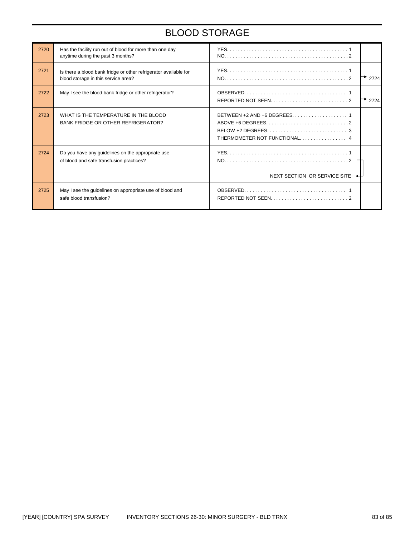# BLOOD STORAGE

| 2720 | Has the facility run out of blood for more than one day<br>anytime during the past 3 months?            |                                                                                                        |
|------|---------------------------------------------------------------------------------------------------------|--------------------------------------------------------------------------------------------------------|
| 2721 | Is there a blood bank fridge or other refrigerator available for<br>blood storage in this service area? | 2724                                                                                                   |
| 2722 | May I see the blood bank fridge or other refrigerator?                                                  | 2724                                                                                                   |
| 2723 | WHAT IS THE TEMPERATURE IN THE BLOOD<br><b>BANK FRIDGE OR OTHER REFRIGERATOR?</b>                       | BELOW +2 DEGREES. $\dots\dots\dots\dots\dots\dots\dots\dots\dots\dots$<br>THERMOMETER NOT FUNCTIONAL 4 |
| 2724 | Do you have any guidelines on the appropriate use<br>of blood and safe transfusion practices?           | NEXT SECTION OR SERVICE SITE                                                                           |
| 2725 | May I see the guidelines on appropriate use of blood and<br>safe blood transfusion?                     |                                                                                                        |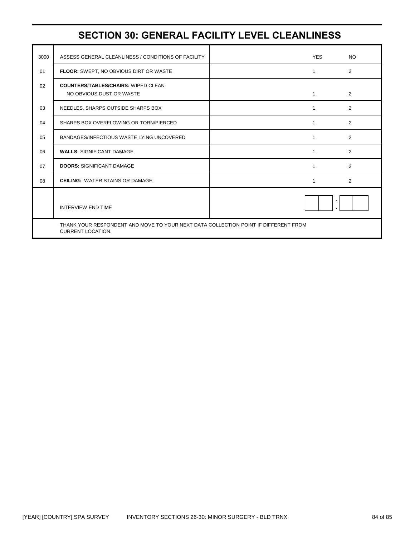# **SECTION 30: GENERAL FACILITY LEVEL CLEANLINESS**

| 3000 | ASSESS GENERAL CLEANLINESS / CONDITIONS OF FACILITY                                                             |  | <b>YES</b>   | <b>NO</b>      |
|------|-----------------------------------------------------------------------------------------------------------------|--|--------------|----------------|
| 01   | FLOOR: SWEPT, NO OBVIOUS DIRT OR WASTE                                                                          |  | 1            | $\overline{2}$ |
| 02   | <b>COUNTERS/TABLES/CHAIRS: WIPED CLEAN-</b><br>NO OBVIOUS DUST OR WASTE                                         |  | 1            | $\overline{2}$ |
| 03   | NEEDLES, SHARPS OUTSIDE SHARPS BOX                                                                              |  | 1            | $\overline{2}$ |
| 04   | SHARPS BOX OVERFLOWING OR TORN/PIERCED                                                                          |  | 1            | $\overline{2}$ |
| 05   | BANDAGES/INFECTIOUS WASTE LYING UNCOVERED                                                                       |  | $\mathbf{1}$ | $\overline{2}$ |
| 06   | <b>WALLS: SIGNIFICANT DAMAGE</b>                                                                                |  | 1            | 2              |
| 07   | <b>DOORS: SIGNIFICANT DAMAGE</b>                                                                                |  | 1            | $\overline{2}$ |
| 08   | <b>CEILING: WATER STAINS OR DAMAGE</b>                                                                          |  | 1            | 2              |
|      | <b>INTERVIEW END TIME</b>                                                                                       |  |              |                |
|      | THANK YOUR RESPONDENT AND MOVE TO YOUR NEXT DATA COLLECTION POINT IF DIFFERENT FROM<br><b>CURRENT LOCATION.</b> |  |              |                |